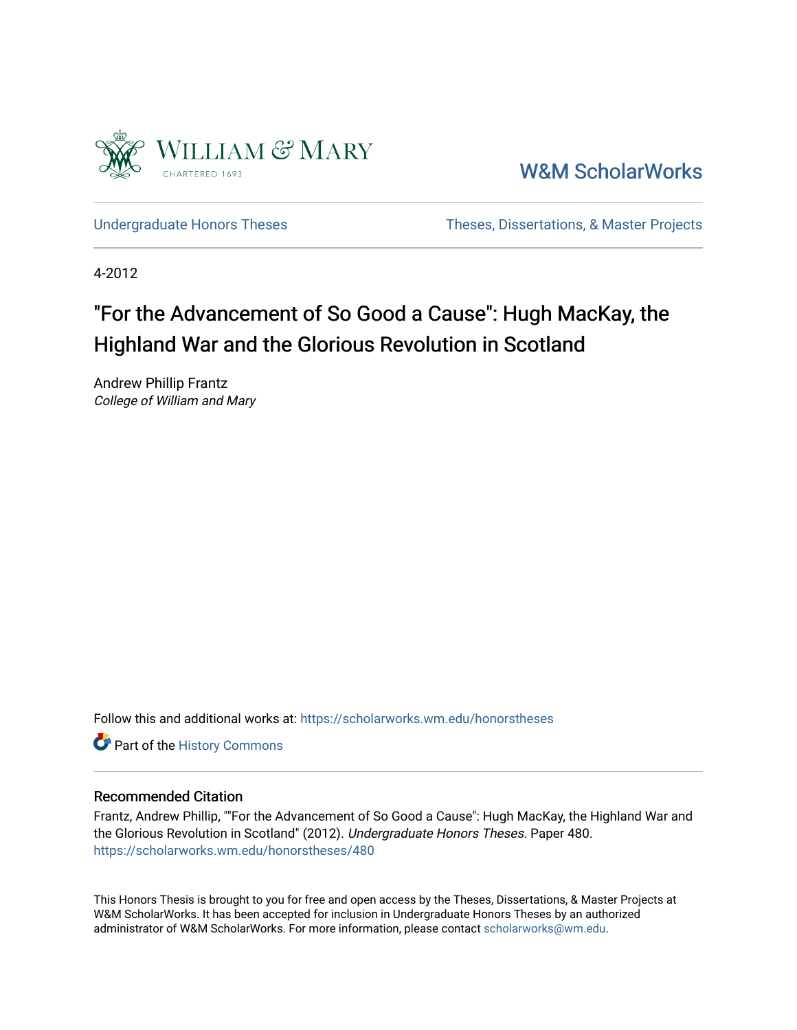

[W&M ScholarWorks](https://scholarworks.wm.edu/) 

[Undergraduate Honors Theses](https://scholarworks.wm.edu/honorstheses) Theses Theses, Dissertations, & Master Projects

4-2012

# "For the Advancement of So Good a Cause": Hugh MacKay, the Highland War and the Glorious Revolution in Scotland

Andrew Phillip Frantz College of William and Mary

Follow this and additional works at: [https://scholarworks.wm.edu/honorstheses](https://scholarworks.wm.edu/honorstheses?utm_source=scholarworks.wm.edu%2Fhonorstheses%2F480&utm_medium=PDF&utm_campaign=PDFCoverPages) 

Part of the [History Commons](http://network.bepress.com/hgg/discipline/489?utm_source=scholarworks.wm.edu%2Fhonorstheses%2F480&utm_medium=PDF&utm_campaign=PDFCoverPages) 

## Recommended Citation

Frantz, Andrew Phillip, ""For the Advancement of So Good a Cause": Hugh MacKay, the Highland War and the Glorious Revolution in Scotland" (2012). Undergraduate Honors Theses. Paper 480. [https://scholarworks.wm.edu/honorstheses/480](https://scholarworks.wm.edu/honorstheses/480?utm_source=scholarworks.wm.edu%2Fhonorstheses%2F480&utm_medium=PDF&utm_campaign=PDFCoverPages) 

This Honors Thesis is brought to you for free and open access by the Theses, Dissertations, & Master Projects at W&M ScholarWorks. It has been accepted for inclusion in Undergraduate Honors Theses by an authorized administrator of W&M ScholarWorks. For more information, please contact [scholarworks@wm.edu.](mailto:scholarworks@wm.edu)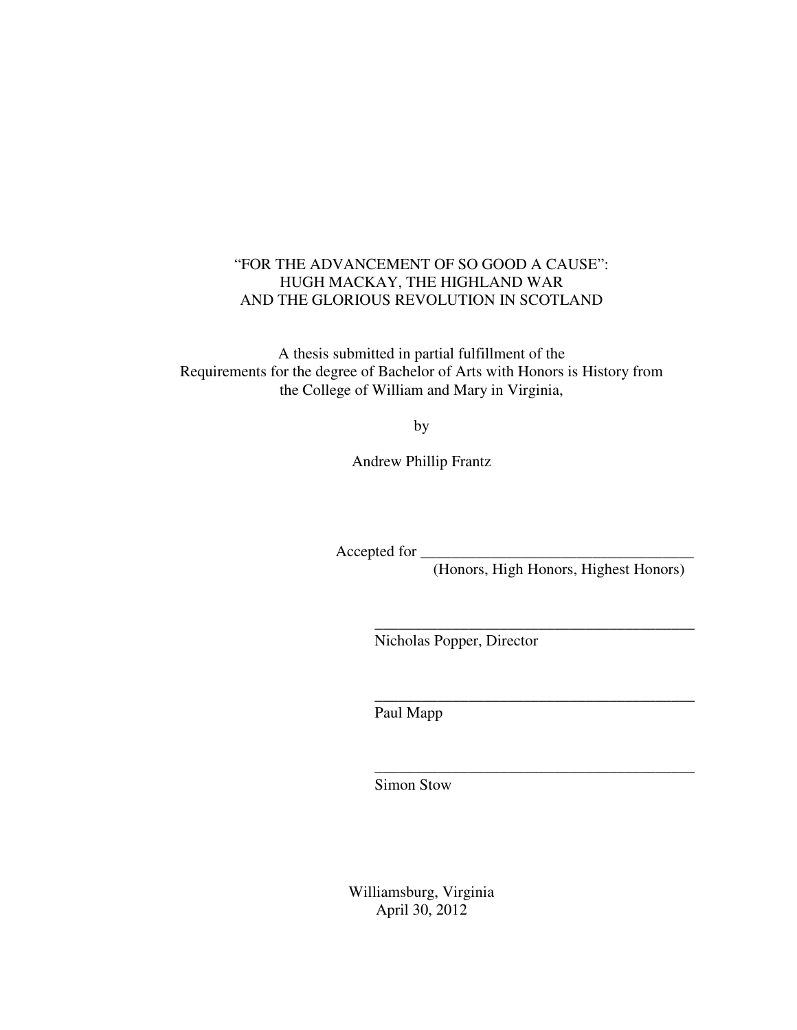## "FOR THE ADVANCEMENT OF SO GOOD A CAUSE": HUGH MACKAY, THE HIGHLAND WAR AND THE GLORIOUS REVOLUTION IN SCOTLAND

A thesis submitted in partial fulfillment of the Requirements for the degree of Bachelor of Arts with Honors is History from the College of William and Mary in Virginia,

by

Andrew Phillip Frantz

Accepted for

(Honors, High Honors, Highest Honors)

\_\_\_\_\_\_\_\_\_\_\_\_\_\_\_\_\_\_\_\_\_\_\_\_\_\_\_\_\_\_\_\_\_\_\_\_\_\_\_\_\_

\_\_\_\_\_\_\_\_\_\_\_\_\_\_\_\_\_\_\_\_\_\_\_\_\_\_\_\_\_\_\_\_\_\_\_\_\_\_\_\_\_

\_\_\_\_\_\_\_\_\_\_\_\_\_\_\_\_\_\_\_\_\_\_\_\_\_\_\_\_\_\_\_\_\_\_\_\_\_\_\_\_\_

Nicholas Popper, Director

Paul Mapp

Simon Stow

Williamsburg, Virginia April 30, 2012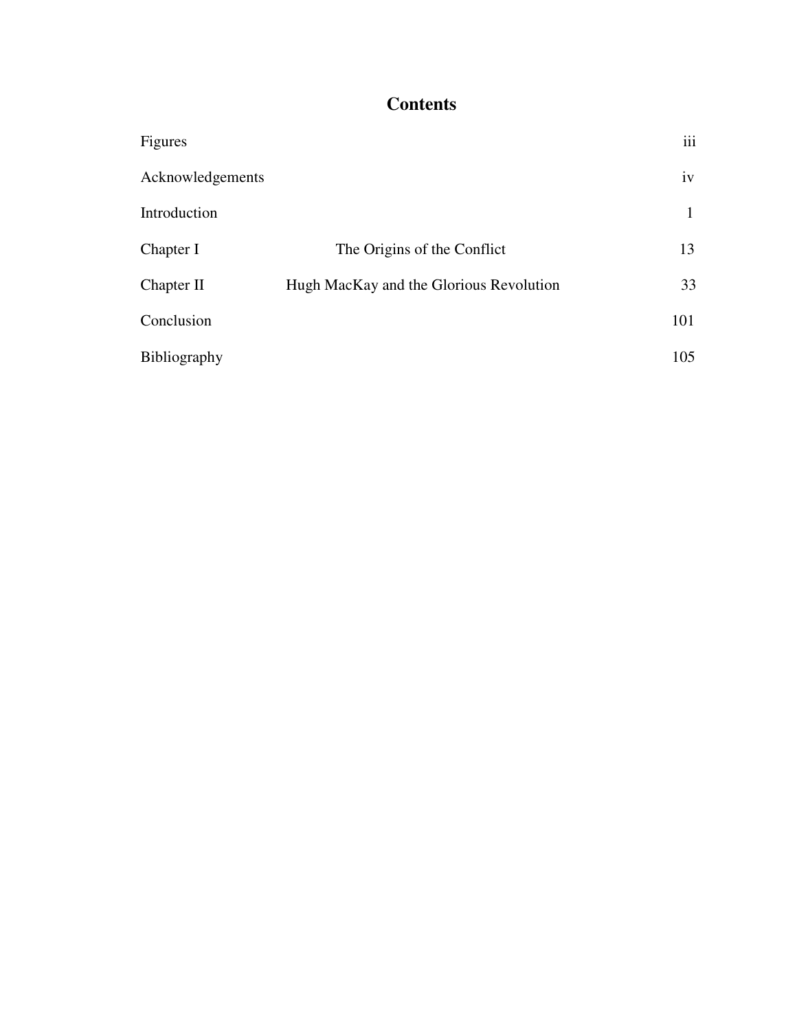## **Contents**

| Figures          |                                         | iii |
|------------------|-----------------------------------------|-----|
| Acknowledgements |                                         | iv  |
| Introduction     |                                         | 1   |
| Chapter I        | The Origins of the Conflict             | 13  |
| Chapter II       | Hugh MacKay and the Glorious Revolution | 33  |
| Conclusion       |                                         | 101 |
| Bibliography     |                                         | 105 |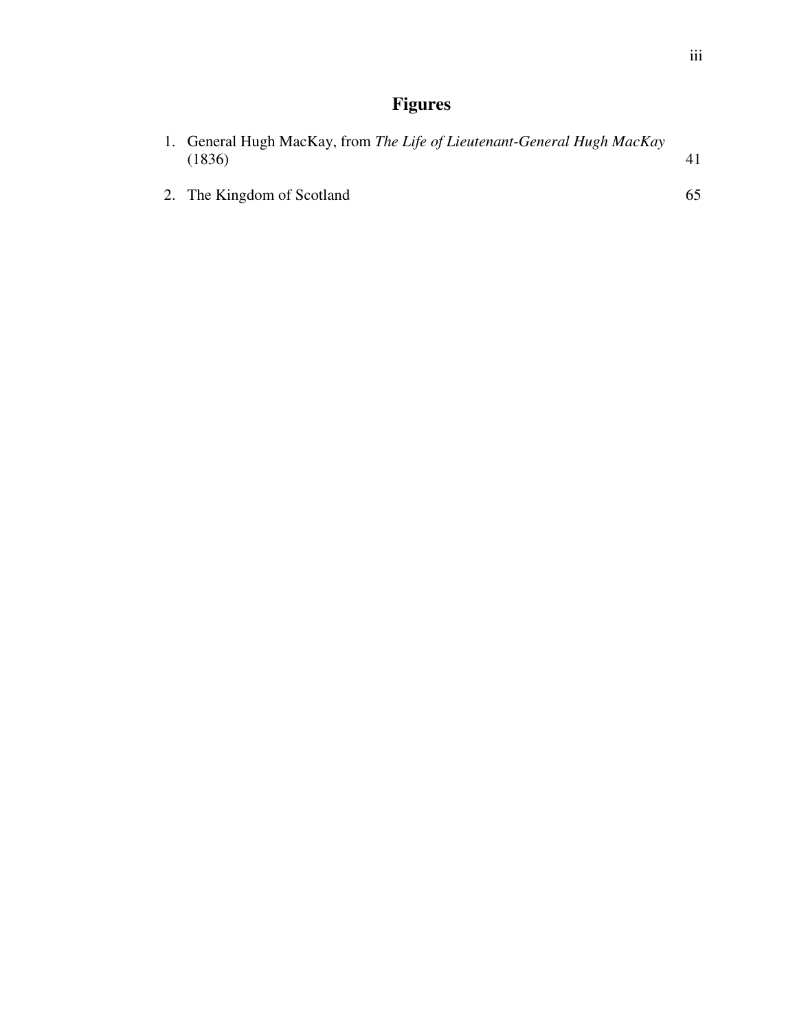## **Figures**

| 1. General Hugh MacKay, from The Life of Lieutenant-General Hugh MacKay<br>(1836) |     |
|-----------------------------------------------------------------------------------|-----|
| 2. The Kingdom of Scotland                                                        | 65. |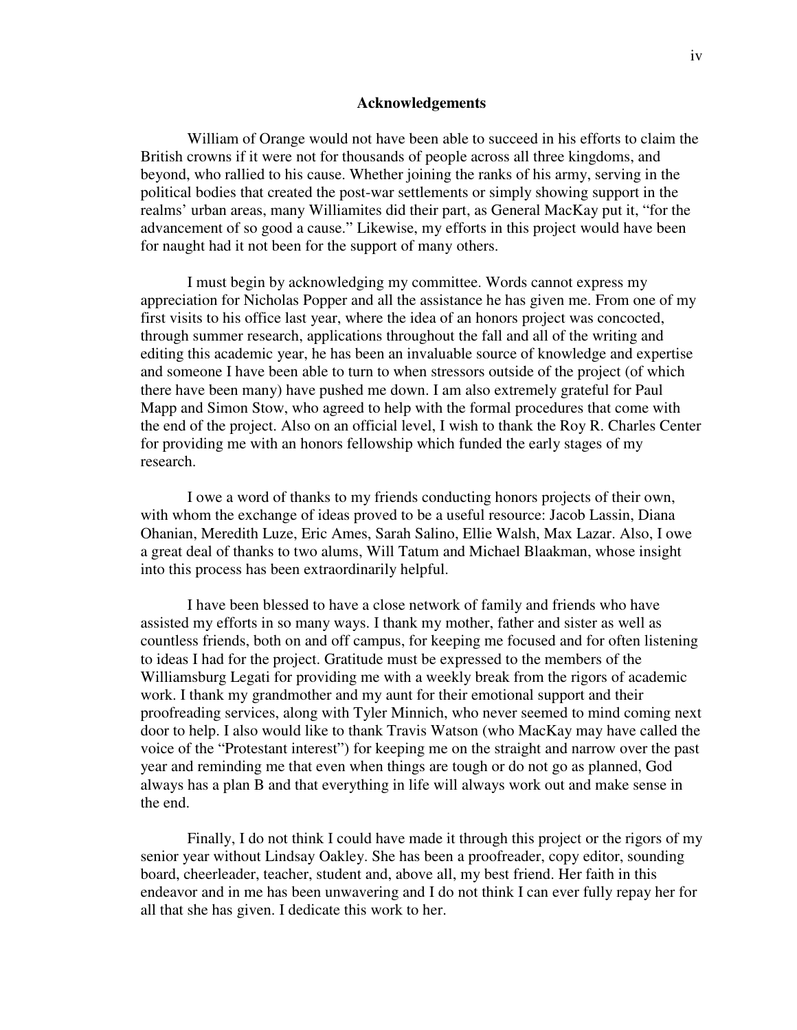#### **Acknowledgements**

William of Orange would not have been able to succeed in his efforts to claim the British crowns if it were not for thousands of people across all three kingdoms, and beyond, who rallied to his cause. Whether joining the ranks of his army, serving in the political bodies that created the post-war settlements or simply showing support in the realms' urban areas, many Williamites did their part, as General MacKay put it, "for the advancement of so good a cause." Likewise, my efforts in this project would have been for naught had it not been for the support of many others.

I must begin by acknowledging my committee. Words cannot express my appreciation for Nicholas Popper and all the assistance he has given me. From one of my first visits to his office last year, where the idea of an honors project was concocted, through summer research, applications throughout the fall and all of the writing and editing this academic year, he has been an invaluable source of knowledge and expertise and someone I have been able to turn to when stressors outside of the project (of which there have been many) have pushed me down. I am also extremely grateful for Paul Mapp and Simon Stow, who agreed to help with the formal procedures that come with the end of the project. Also on an official level, I wish to thank the Roy R. Charles Center for providing me with an honors fellowship which funded the early stages of my research.

I owe a word of thanks to my friends conducting honors projects of their own, with whom the exchange of ideas proved to be a useful resource: Jacob Lassin, Diana Ohanian, Meredith Luze, Eric Ames, Sarah Salino, Ellie Walsh, Max Lazar. Also, I owe a great deal of thanks to two alums, Will Tatum and Michael Blaakman, whose insight into this process has been extraordinarily helpful.

I have been blessed to have a close network of family and friends who have assisted my efforts in so many ways. I thank my mother, father and sister as well as countless friends, both on and off campus, for keeping me focused and for often listening to ideas I had for the project. Gratitude must be expressed to the members of the Williamsburg Legati for providing me with a weekly break from the rigors of academic work. I thank my grandmother and my aunt for their emotional support and their proofreading services, along with Tyler Minnich, who never seemed to mind coming next door to help. I also would like to thank Travis Watson (who MacKay may have called the voice of the "Protestant interest") for keeping me on the straight and narrow over the past year and reminding me that even when things are tough or do not go as planned, God always has a plan B and that everything in life will always work out and make sense in the end.

Finally, I do not think I could have made it through this project or the rigors of my senior year without Lindsay Oakley. She has been a proofreader, copy editor, sounding board, cheerleader, teacher, student and, above all, my best friend. Her faith in this endeavor and in me has been unwavering and I do not think I can ever fully repay her for all that she has given. I dedicate this work to her.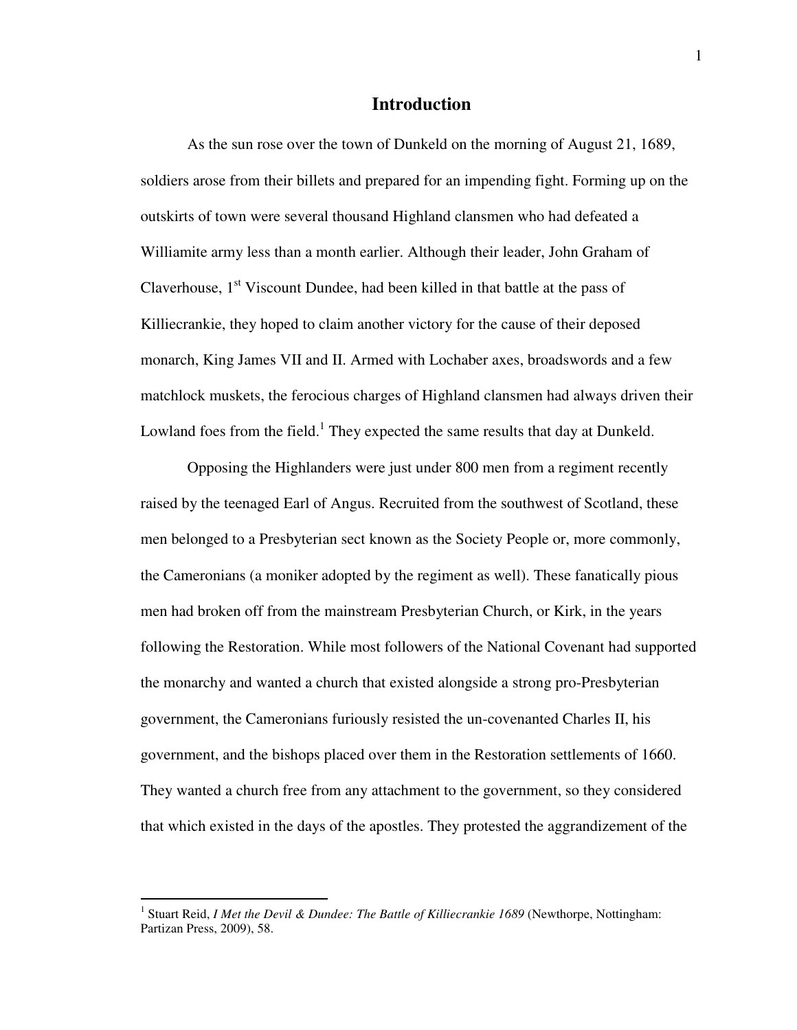## **Introduction**

As the sun rose over the town of Dunkeld on the morning of August 21, 1689, soldiers arose from their billets and prepared for an impending fight. Forming up on the outskirts of town were several thousand Highland clansmen who had defeated a Williamite army less than a month earlier. Although their leader, John Graham of Claverhouse,  $1<sup>st</sup>$  Viscount Dundee, had been killed in that battle at the pass of Killiecrankie, they hoped to claim another victory for the cause of their deposed monarch, King James VII and II. Armed with Lochaber axes, broadswords and a few matchlock muskets, the ferocious charges of Highland clansmen had always driven their Lowland foes from the field.<sup>1</sup> They expected the same results that day at Dunkeld.

 Opposing the Highlanders were just under 800 men from a regiment recently raised by the teenaged Earl of Angus. Recruited from the southwest of Scotland, these men belonged to a Presbyterian sect known as the Society People or, more commonly, the Cameronians (a moniker adopted by the regiment as well). These fanatically pious men had broken off from the mainstream Presbyterian Church, or Kirk, in the years following the Restoration. While most followers of the National Covenant had supported the monarchy and wanted a church that existed alongside a strong pro-Presbyterian government, the Cameronians furiously resisted the un-covenanted Charles II, his government, and the bishops placed over them in the Restoration settlements of 1660. They wanted a church free from any attachment to the government, so they considered that which existed in the days of the apostles. They protested the aggrandizement of the

<sup>&</sup>lt;sup>1</sup> Stuart Reid, *I Met the Devil & Dundee: The Battle of Killiecrankie 1689* (Newthorpe, Nottingham: Partizan Press, 2009), 58.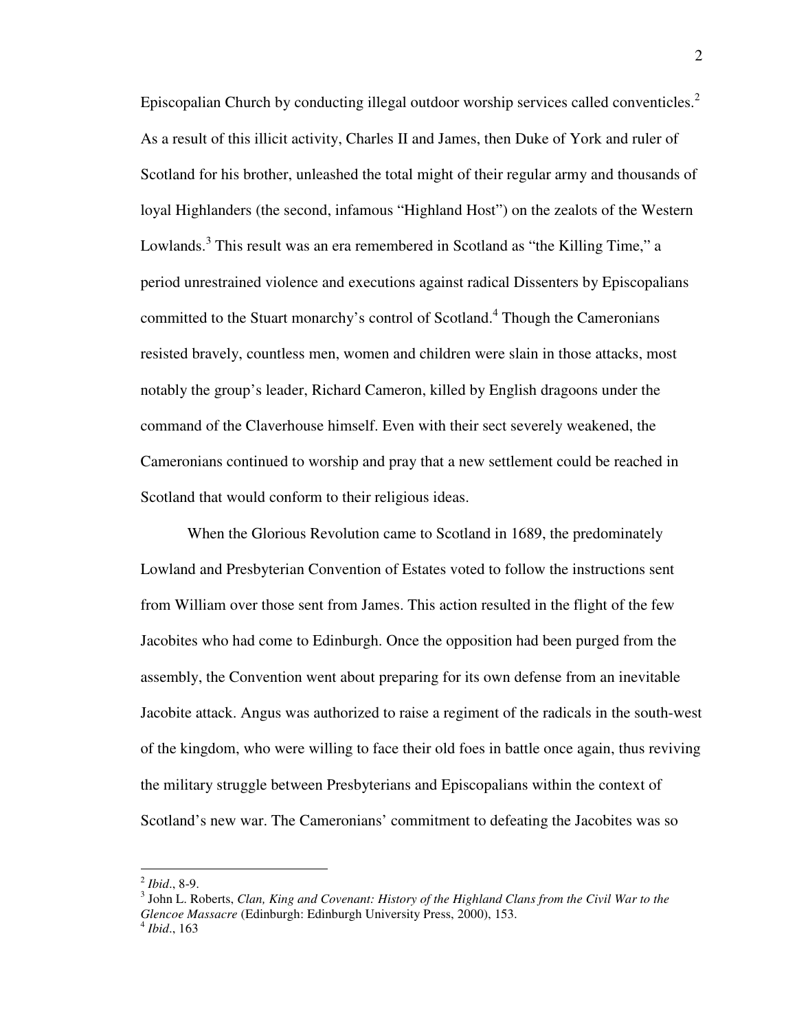Episcopalian Church by conducting illegal outdoor worship services called conventicles.<sup>2</sup> As a result of this illicit activity, Charles II and James, then Duke of York and ruler of Scotland for his brother, unleashed the total might of their regular army and thousands of loyal Highlanders (the second, infamous "Highland Host") on the zealots of the Western Lowlands.<sup>3</sup> This result was an era remembered in Scotland as "the Killing Time," a period unrestrained violence and executions against radical Dissenters by Episcopalians committed to the Stuart monarchy's control of Scotland.<sup>4</sup> Though the Cameronians resisted bravely, countless men, women and children were slain in those attacks, most notably the group's leader, Richard Cameron, killed by English dragoons under the command of the Claverhouse himself. Even with their sect severely weakened, the Cameronians continued to worship and pray that a new settlement could be reached in Scotland that would conform to their religious ideas.

When the Glorious Revolution came to Scotland in 1689, the predominately Lowland and Presbyterian Convention of Estates voted to follow the instructions sent from William over those sent from James. This action resulted in the flight of the few Jacobites who had come to Edinburgh. Once the opposition had been purged from the assembly, the Convention went about preparing for its own defense from an inevitable Jacobite attack. Angus was authorized to raise a regiment of the radicals in the south-west of the kingdom, who were willing to face their old foes in battle once again, thus reviving the military struggle between Presbyterians and Episcopalians within the context of Scotland's new war. The Cameronians' commitment to defeating the Jacobites was so

<sup>2</sup> *Ibid*., 8-9.

<sup>3</sup> John L. Roberts, *Clan, King and Covenant: History of the Highland Clans from the Civil War to the Glencoe Massacre* (Edinburgh: Edinburgh University Press, 2000), 153. 4 *Ibid*., 163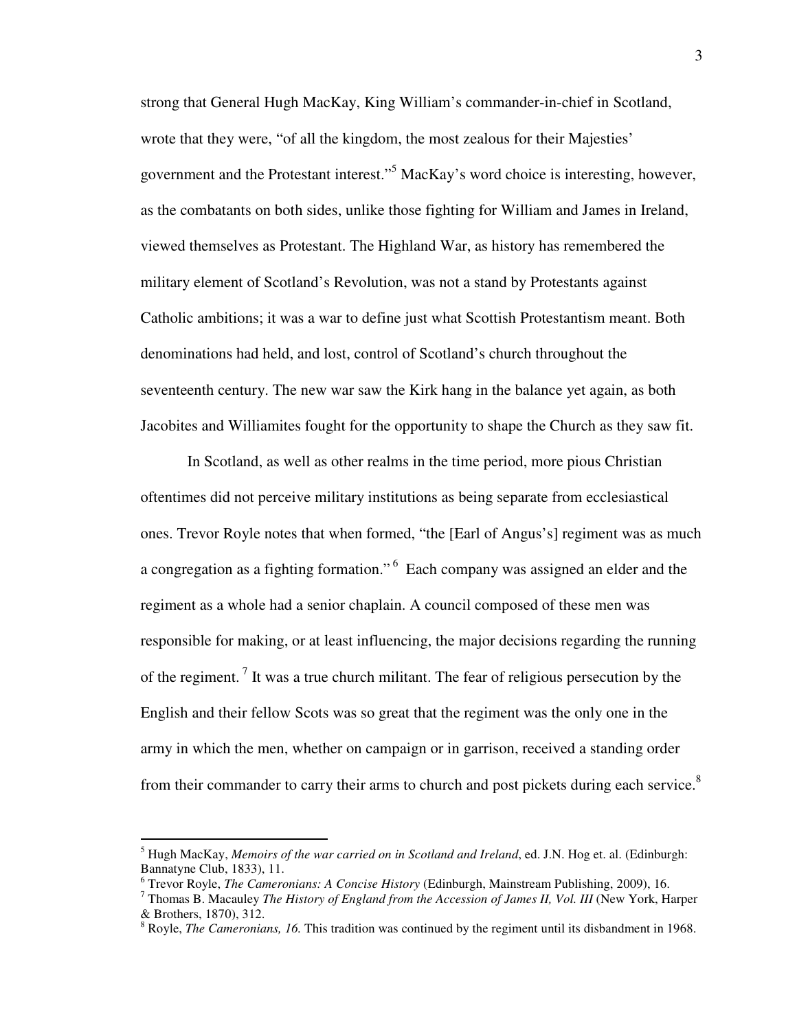strong that General Hugh MacKay, King William's commander-in-chief in Scotland, wrote that they were, "of all the kingdom, the most zealous for their Majesties' government and the Protestant interest."<sup>5</sup> MacKay's word choice is interesting, however, as the combatants on both sides, unlike those fighting for William and James in Ireland, viewed themselves as Protestant. The Highland War, as history has remembered the military element of Scotland's Revolution, was not a stand by Protestants against Catholic ambitions; it was a war to define just what Scottish Protestantism meant. Both denominations had held, and lost, control of Scotland's church throughout the seventeenth century. The new war saw the Kirk hang in the balance yet again, as both Jacobites and Williamites fought for the opportunity to shape the Church as they saw fit.

In Scotland, as well as other realms in the time period, more pious Christian oftentimes did not perceive military institutions as being separate from ecclesiastical ones. Trevor Royle notes that when formed, "the [Earl of Angus's] regiment was as much a congregation as a fighting formation."<sup>6</sup> Each company was assigned an elder and the regiment as a whole had a senior chaplain. A council composed of these men was responsible for making, or at least influencing, the major decisions regarding the running of the regiment.<sup>7</sup> It was a true church militant. The fear of religious persecution by the English and their fellow Scots was so great that the regiment was the only one in the army in which the men, whether on campaign or in garrison, received a standing order from their commander to carry their arms to church and post pickets during each service. $8$ 

<sup>5</sup> Hugh MacKay, *Memoirs of the war carried on in Scotland and Ireland*, ed. J.N. Hog et. al. (Edinburgh: Bannatyne Club, 1833), 11.

<sup>6</sup> Trevor Royle, *The Cameronians: A Concise History* (Edinburgh, Mainstream Publishing, 2009), 16.

<sup>7</sup> Thomas B. Macauley *The History of England from the Accession of James II, Vol. III* (New York, Harper & Brothers, 1870), 312.

<sup>&</sup>lt;sup>8</sup> Royle, *The Cameronians, 16*. This tradition was continued by the regiment until its disbandment in 1968.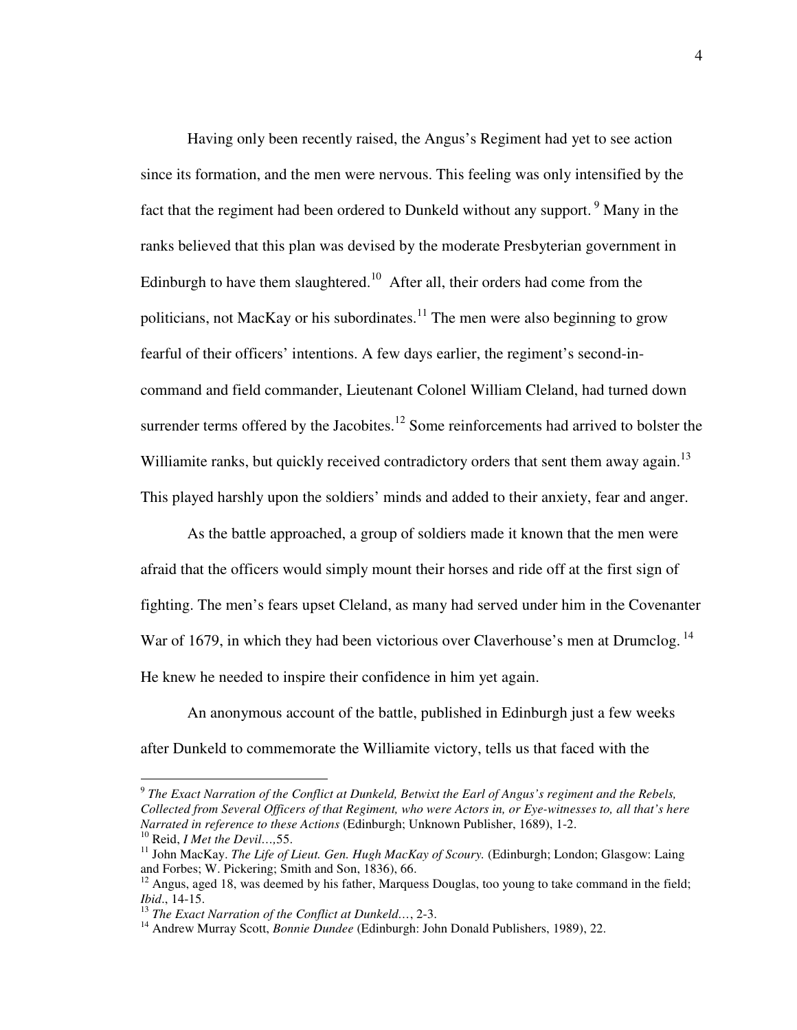Having only been recently raised, the Angus's Regiment had yet to see action since its formation, and the men were nervous. This feeling was only intensified by the fact that the regiment had been ordered to Dunkeld without any support.<sup>9</sup> Many in the ranks believed that this plan was devised by the moderate Presbyterian government in Edinburgh to have them slaughtered.<sup>10</sup> After all, their orders had come from the politicians, not MacKay or his subordinates.<sup>11</sup> The men were also beginning to grow fearful of their officers' intentions. A few days earlier, the regiment's second-incommand and field commander, Lieutenant Colonel William Cleland, had turned down surrender terms offered by the Jacobites.<sup>12</sup> Some reinforcements had arrived to bolster the Williamite ranks, but quickly received contradictory orders that sent them away again.<sup>13</sup> This played harshly upon the soldiers' minds and added to their anxiety, fear and anger.

 As the battle approached, a group of soldiers made it known that the men were afraid that the officers would simply mount their horses and ride off at the first sign of fighting. The men's fears upset Cleland, as many had served under him in the Covenanter War of 1679, in which they had been victorious over Claverhouse's men at Drumclog.<sup>14</sup> He knew he needed to inspire their confidence in him yet again.

An anonymous account of the battle, published in Edinburgh just a few weeks after Dunkeld to commemorate the Williamite victory, tells us that faced with the

9 *The Exact Narration of the Conflict at Dunkeld, Betwixt the Earl of Angus's regiment and the Rebels, Collected from Several Officers of that Regiment, who were Actors in, or Eye-witnesses to, all that's here Narrated in reference to these Actions* (Edinburgh; Unknown Publisher, 1689), 1-2. <sup>10</sup> Reid, *I Met the Devil…,*55.

<sup>11</sup> John MacKay. *The Life of Lieut. Gen. Hugh MacKay of Scoury.* (Edinburgh; London; Glasgow: Laing and Forbes; W. Pickering; Smith and Son, 1836), 66.

 $12$  Angus, aged 18, was deemed by his father, Marquess Douglas, too young to take command in the field; *Ibid*., 14-15.

<sup>13</sup> *The Exact Narration of the Conflict at Dunkeld…*, 2-3.

<sup>&</sup>lt;sup>14</sup> Andrew Murray Scott, *Bonnie Dundee* (Edinburgh: John Donald Publishers, 1989), 22.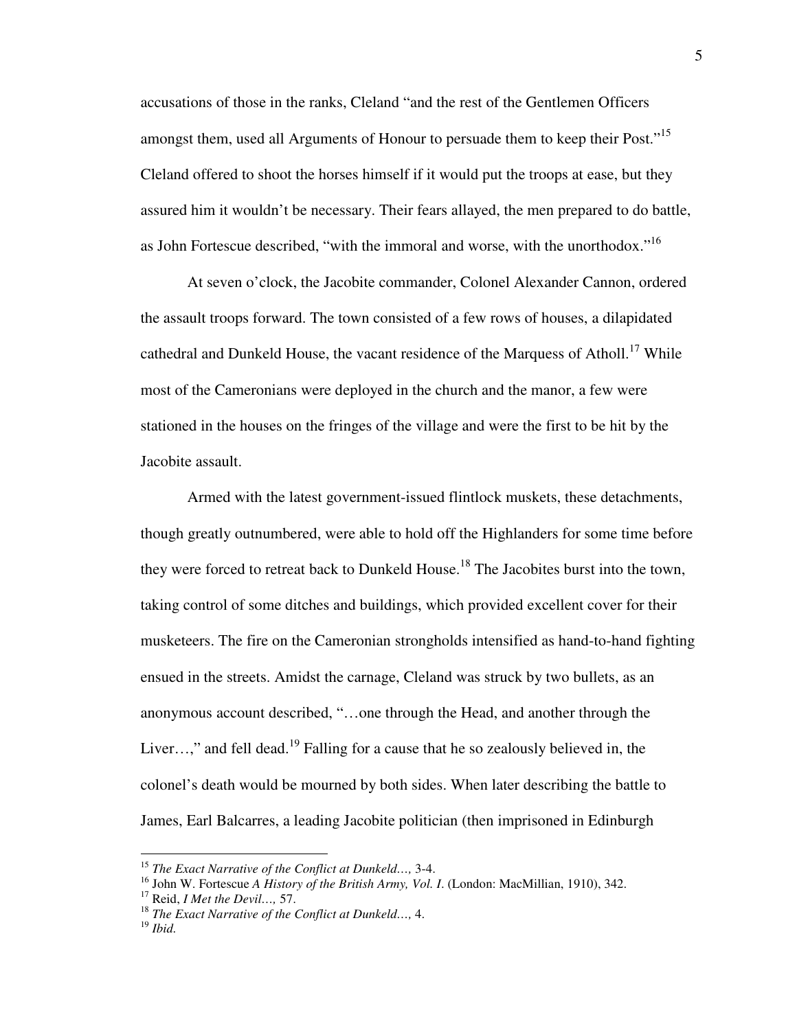accusations of those in the ranks, Cleland "and the rest of the Gentlemen Officers amongst them, used all Arguments of Honour to persuade them to keep their Post."<sup>15</sup> Cleland offered to shoot the horses himself if it would put the troops at ease, but they assured him it wouldn't be necessary. Their fears allayed, the men prepared to do battle, as John Fortescue described, "with the immoral and worse, with the unorthodox."<sup>16</sup>

 At seven o'clock, the Jacobite commander, Colonel Alexander Cannon, ordered the assault troops forward. The town consisted of a few rows of houses, a dilapidated cathedral and Dunkeld House, the vacant residence of the Marquess of Atholl.<sup>17</sup> While most of the Cameronians were deployed in the church and the manor, a few were stationed in the houses on the fringes of the village and were the first to be hit by the Jacobite assault.

Armed with the latest government-issued flintlock muskets, these detachments, though greatly outnumbered, were able to hold off the Highlanders for some time before they were forced to retreat back to Dunkeld House.<sup>18</sup> The Jacobites burst into the town, taking control of some ditches and buildings, which provided excellent cover for their musketeers. The fire on the Cameronian strongholds intensified as hand-to-hand fighting ensued in the streets. Amidst the carnage, Cleland was struck by two bullets, as an anonymous account described, "…one through the Head, and another through the Liver...," and fell dead.<sup>19</sup> Falling for a cause that he so zealously believed in, the colonel's death would be mourned by both sides. When later describing the battle to James, Earl Balcarres, a leading Jacobite politician (then imprisoned in Edinburgh

<sup>15</sup> *The Exact Narrative of the Conflict at Dunkeld…,* 3-4.

<sup>16</sup> John W. Fortescue *A History of the British Army, Vol. I*. (London: MacMillian, 1910), 342.

<sup>17</sup> Reid, *I Met the Devil…,* 57.

<sup>18</sup> *The Exact Narrative of the Conflict at Dunkeld…,* 4.

<sup>19</sup> *Ibid.*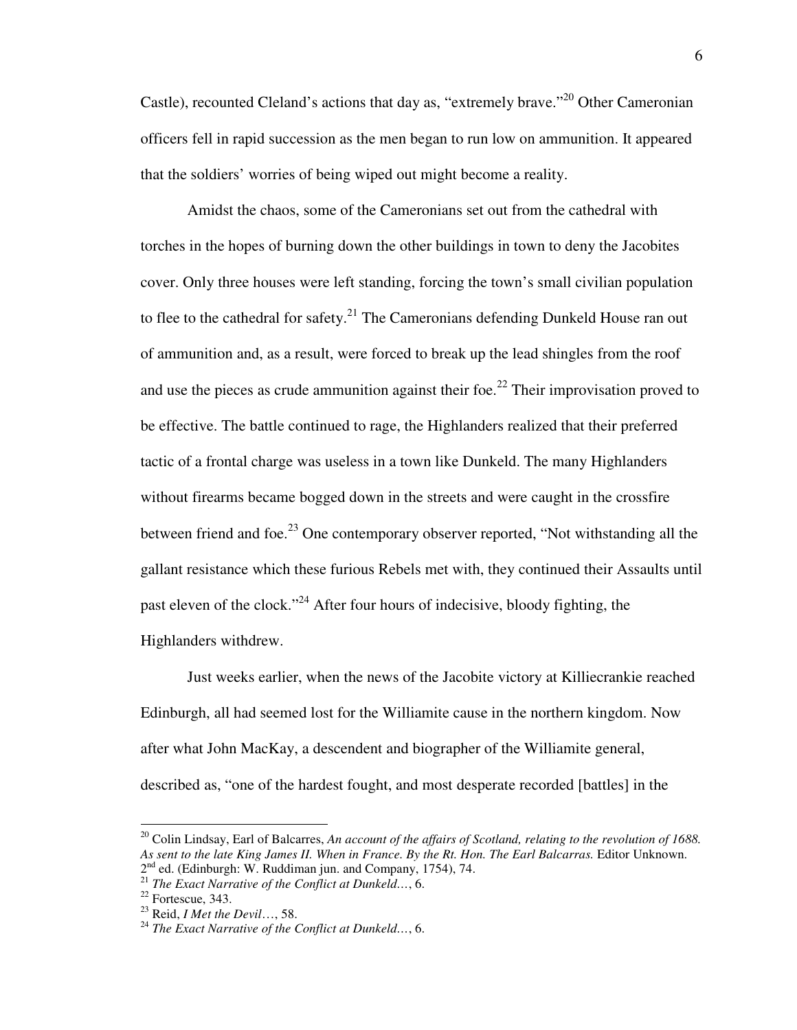Castle), recounted Cleland's actions that day as, "extremely brave."<sup>20</sup> Other Cameronian officers fell in rapid succession as the men began to run low on ammunition. It appeared that the soldiers' worries of being wiped out might become a reality.

Amidst the chaos, some of the Cameronians set out from the cathedral with torches in the hopes of burning down the other buildings in town to deny the Jacobites cover. Only three houses were left standing, forcing the town's small civilian population to flee to the cathedral for safety.<sup>21</sup> The Cameronians defending Dunkeld House ran out of ammunition and, as a result, were forced to break up the lead shingles from the roof and use the pieces as crude ammunition against their foe.<sup>22</sup> Their improvisation proved to be effective. The battle continued to rage, the Highlanders realized that their preferred tactic of a frontal charge was useless in a town like Dunkeld. The many Highlanders without firearms became bogged down in the streets and were caught in the crossfire between friend and foe.<sup>23</sup> One contemporary observer reported, "Not withstanding all the gallant resistance which these furious Rebels met with, they continued their Assaults until past eleven of the clock."<sup>24</sup> After four hours of indecisive, bloody fighting, the Highlanders withdrew.

Just weeks earlier, when the news of the Jacobite victory at Killiecrankie reached Edinburgh, all had seemed lost for the Williamite cause in the northern kingdom. Now after what John MacKay, a descendent and biographer of the Williamite general, described as, "one of the hardest fought, and most desperate recorded [battles] in the

<sup>&</sup>lt;sup>20</sup> Colin Lindsay, Earl of Balcarres, An account of the affairs of Scotland, relating to the revolution of 1688. *As sent to the late King James II. When in France. By the Rt. Hon. The Earl Balcarras.* Editor Unknown. 2<sup>nd</sup> ed. (Edinburgh: W. Ruddiman jun. and Company, 1754), 74.

<sup>21</sup> *The Exact Narrative of the Conflict at Dunkeld…*, 6.

 $22$  Fortescue, 343.

<sup>23</sup> Reid, *I Met the Devil*…, 58.

<sup>24</sup> *The Exact Narrative of the Conflict at Dunkeld…*, 6.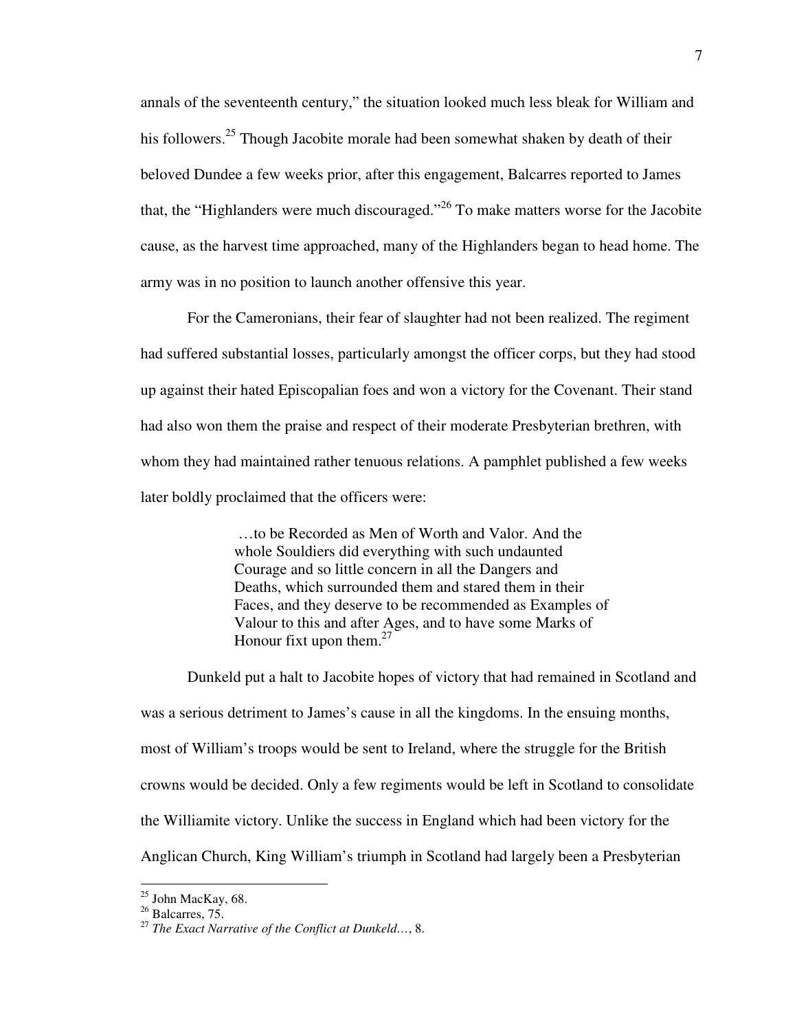annals of the seventeenth century," the situation looked much less bleak for William and his followers.<sup>25</sup> Though Jacobite morale had been somewhat shaken by death of their beloved Dundee a few weeks prior, after this engagement, Balcarres reported to James that, the "Highlanders were much discouraged."<sup>26</sup> To make matters worse for the Jacobite cause, as the harvest time approached, many of the Highlanders began to head home. The army was in no position to launch another offensive this year.

For the Cameronians, their fear of slaughter had not been realized. The regiment had suffered substantial losses, particularly amongst the officer corps, but they had stood up against their hated Episcopalian foes and won a victory for the Covenant. Their stand had also won them the praise and respect of their moderate Presbyterian brethren, with whom they had maintained rather tenuous relations. A pamphlet published a few weeks later boldly proclaimed that the officers were:

> …to be Recorded as Men of Worth and Valor. And the whole Souldiers did everything with such undaunted Courage and so little concern in all the Dangers and Deaths, which surrounded them and stared them in their Faces, and they deserve to be recommended as Examples of Valour to this and after Ages, and to have some Marks of Honour fixt upon them. $27$

Dunkeld put a halt to Jacobite hopes of victory that had remained in Scotland and was a serious detriment to James's cause in all the kingdoms. In the ensuing months, most of William's troops would be sent to Ireland, where the struggle for the British crowns would be decided. Only a few regiments would be left in Scotland to consolidate the Williamite victory. Unlike the success in England which had been victory for the Anglican Church, King William's triumph in Scotland had largely been a Presbyterian

<sup>&</sup>lt;sup>25</sup> John MacKay, 68.

 $26$  Balcarres, 75.

<sup>27</sup> *The Exact Narrative of the Conflict at Dunkeld…*, 8.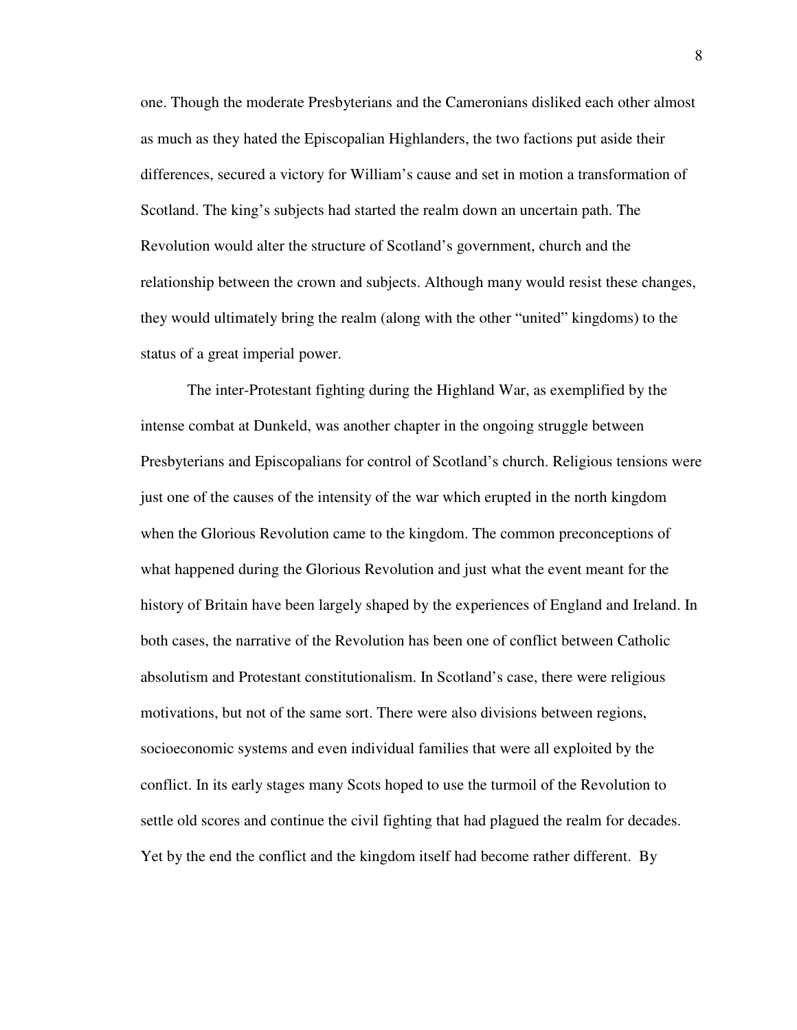one. Though the moderate Presbyterians and the Cameronians disliked each other almost as much as they hated the Episcopalian Highlanders, the two factions put aside their differences, secured a victory for William's cause and set in motion a transformation of Scotland. The king's subjects had started the realm down an uncertain path. The Revolution would alter the structure of Scotland's government, church and the relationship between the crown and subjects. Although many would resist these changes, they would ultimately bring the realm (along with the other "united" kingdoms) to the status of a great imperial power.

The inter-Protestant fighting during the Highland War, as exemplified by the intense combat at Dunkeld, was another chapter in the ongoing struggle between Presbyterians and Episcopalians for control of Scotland's church. Religious tensions were just one of the causes of the intensity of the war which erupted in the north kingdom when the Glorious Revolution came to the kingdom. The common preconceptions of what happened during the Glorious Revolution and just what the event meant for the history of Britain have been largely shaped by the experiences of England and Ireland. In both cases, the narrative of the Revolution has been one of conflict between Catholic absolutism and Protestant constitutionalism. In Scotland's case, there were religious motivations, but not of the same sort. There were also divisions between regions, socioeconomic systems and even individual families that were all exploited by the conflict. In its early stages many Scots hoped to use the turmoil of the Revolution to settle old scores and continue the civil fighting that had plagued the realm for decades. Yet by the end the conflict and the kingdom itself had become rather different. By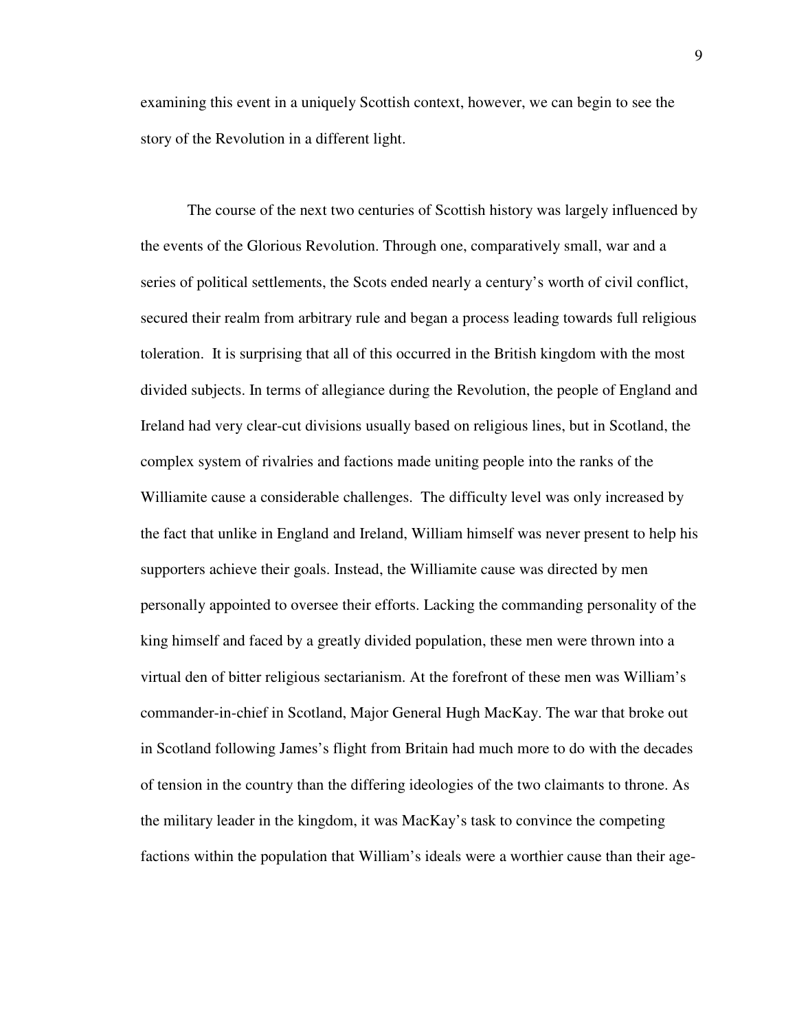examining this event in a uniquely Scottish context, however, we can begin to see the story of the Revolution in a different light.

The course of the next two centuries of Scottish history was largely influenced by the events of the Glorious Revolution. Through one, comparatively small, war and a series of political settlements, the Scots ended nearly a century's worth of civil conflict, secured their realm from arbitrary rule and began a process leading towards full religious toleration. It is surprising that all of this occurred in the British kingdom with the most divided subjects. In terms of allegiance during the Revolution, the people of England and Ireland had very clear-cut divisions usually based on religious lines, but in Scotland, the complex system of rivalries and factions made uniting people into the ranks of the Williamite cause a considerable challenges. The difficulty level was only increased by the fact that unlike in England and Ireland, William himself was never present to help his supporters achieve their goals. Instead, the Williamite cause was directed by men personally appointed to oversee their efforts. Lacking the commanding personality of the king himself and faced by a greatly divided population, these men were thrown into a virtual den of bitter religious sectarianism. At the forefront of these men was William's commander-in-chief in Scotland, Major General Hugh MacKay. The war that broke out in Scotland following James's flight from Britain had much more to do with the decades of tension in the country than the differing ideologies of the two claimants to throne. As the military leader in the kingdom, it was MacKay's task to convince the competing factions within the population that William's ideals were a worthier cause than their age-

9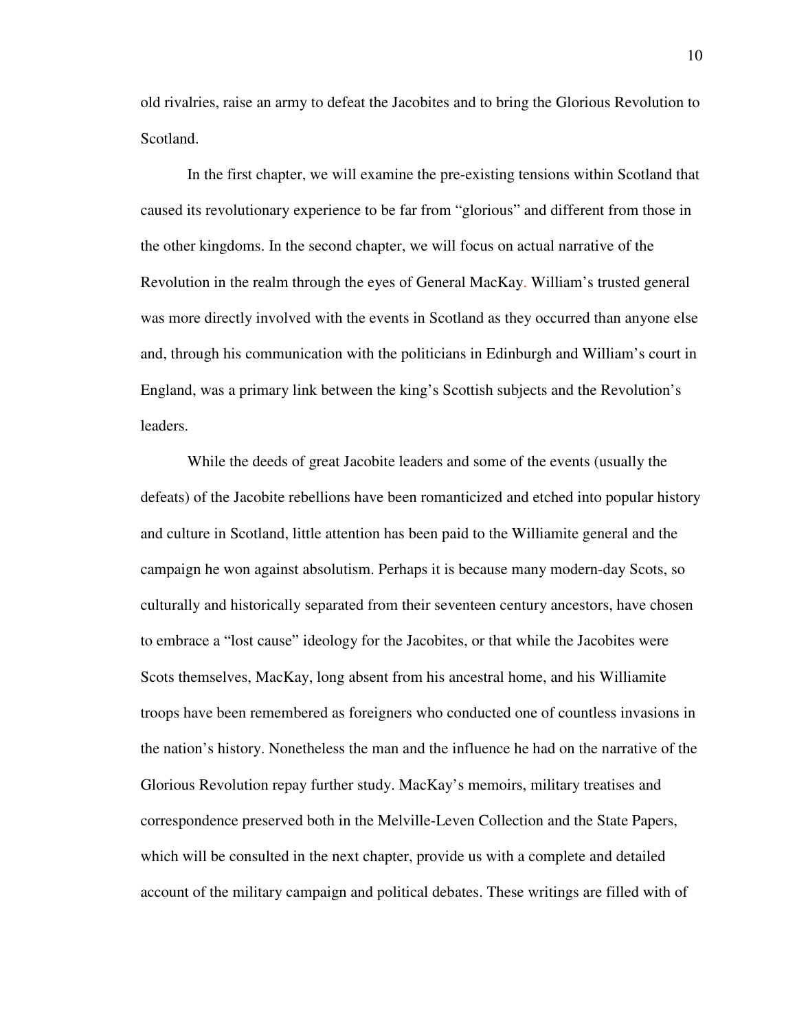old rivalries, raise an army to defeat the Jacobites and to bring the Glorious Revolution to Scotland.

In the first chapter, we will examine the pre-existing tensions within Scotland that caused its revolutionary experience to be far from "glorious" and different from those in the other kingdoms. In the second chapter, we will focus on actual narrative of the Revolution in the realm through the eyes of General MacKay. William's trusted general was more directly involved with the events in Scotland as they occurred than anyone else and, through his communication with the politicians in Edinburgh and William's court in England, was a primary link between the king's Scottish subjects and the Revolution's leaders.

While the deeds of great Jacobite leaders and some of the events (usually the defeats) of the Jacobite rebellions have been romanticized and etched into popular history and culture in Scotland, little attention has been paid to the Williamite general and the campaign he won against absolutism. Perhaps it is because many modern-day Scots, so culturally and historically separated from their seventeen century ancestors, have chosen to embrace a "lost cause" ideology for the Jacobites, or that while the Jacobites were Scots themselves, MacKay, long absent from his ancestral home, and his Williamite troops have been remembered as foreigners who conducted one of countless invasions in the nation's history. Nonetheless the man and the influence he had on the narrative of the Glorious Revolution repay further study. MacKay's memoirs, military treatises and correspondence preserved both in the Melville-Leven Collection and the State Papers, which will be consulted in the next chapter, provide us with a complete and detailed account of the military campaign and political debates. These writings are filled with of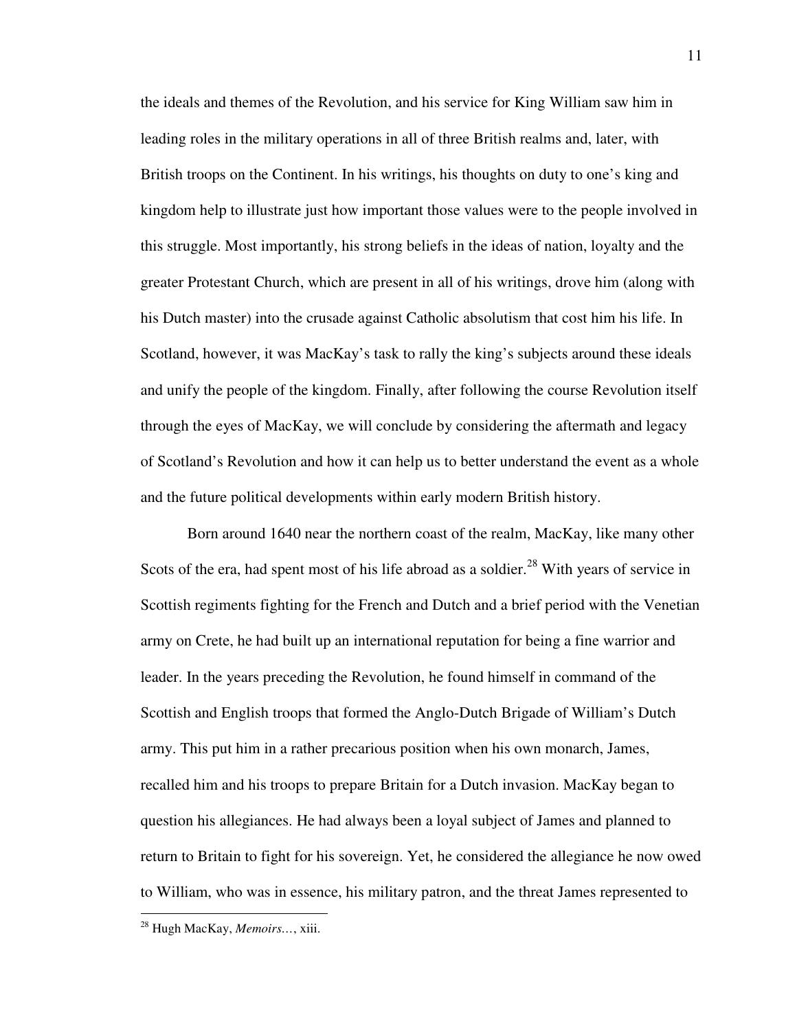the ideals and themes of the Revolution, and his service for King William saw him in leading roles in the military operations in all of three British realms and, later, with British troops on the Continent. In his writings, his thoughts on duty to one's king and kingdom help to illustrate just how important those values were to the people involved in this struggle. Most importantly, his strong beliefs in the ideas of nation, loyalty and the greater Protestant Church, which are present in all of his writings, drove him (along with his Dutch master) into the crusade against Catholic absolutism that cost him his life. In Scotland, however, it was MacKay's task to rally the king's subjects around these ideals and unify the people of the kingdom. Finally, after following the course Revolution itself through the eyes of MacKay, we will conclude by considering the aftermath and legacy of Scotland's Revolution and how it can help us to better understand the event as a whole and the future political developments within early modern British history.

Born around 1640 near the northern coast of the realm, MacKay, like many other Scots of the era, had spent most of his life abroad as a soldier.<sup>28</sup> With years of service in Scottish regiments fighting for the French and Dutch and a brief period with the Venetian army on Crete, he had built up an international reputation for being a fine warrior and leader. In the years preceding the Revolution, he found himself in command of the Scottish and English troops that formed the Anglo-Dutch Brigade of William's Dutch army. This put him in a rather precarious position when his own monarch, James, recalled him and his troops to prepare Britain for a Dutch invasion. MacKay began to question his allegiances. He had always been a loyal subject of James and planned to return to Britain to fight for his sovereign. Yet, he considered the allegiance he now owed to William, who was in essence, his military patron, and the threat James represented to

<sup>28</sup> Hugh MacKay, *Memoirs…*, xiii.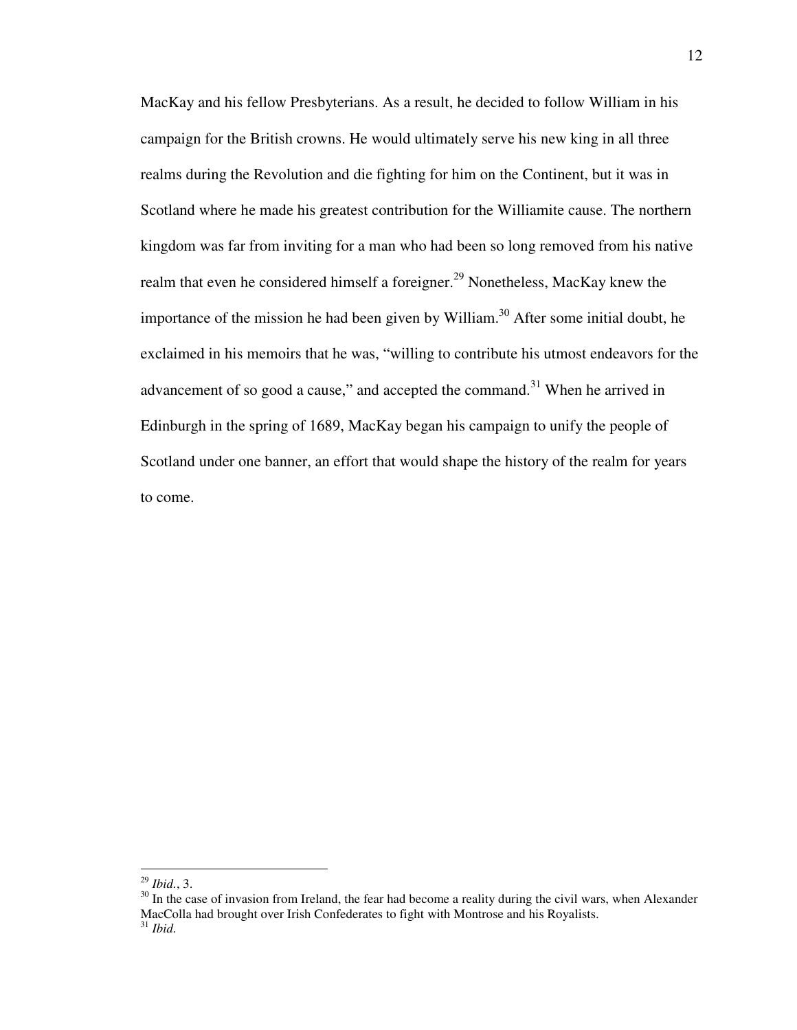MacKay and his fellow Presbyterians. As a result, he decided to follow William in his campaign for the British crowns. He would ultimately serve his new king in all three realms during the Revolution and die fighting for him on the Continent, but it was in Scotland where he made his greatest contribution for the Williamite cause. The northern kingdom was far from inviting for a man who had been so long removed from his native realm that even he considered himself a foreigner.<sup>29</sup> Nonetheless, MacKay knew the importance of the mission he had been given by William.<sup>30</sup> After some initial doubt, he exclaimed in his memoirs that he was, "willing to contribute his utmost endeavors for the advancement of so good a cause," and accepted the command.<sup>31</sup> When he arrived in Edinburgh in the spring of 1689, MacKay began his campaign to unify the people of Scotland under one banner, an effort that would shape the history of the realm for years to come.

<sup>29</sup> *Ibid.*, 3.

<sup>&</sup>lt;sup>30</sup> In the case of invasion from Ireland, the fear had become a reality during the civil wars, when Alexander MacColla had brought over Irish Confederates to fight with Montrose and his Royalists. <sup>31</sup> *Ibid.*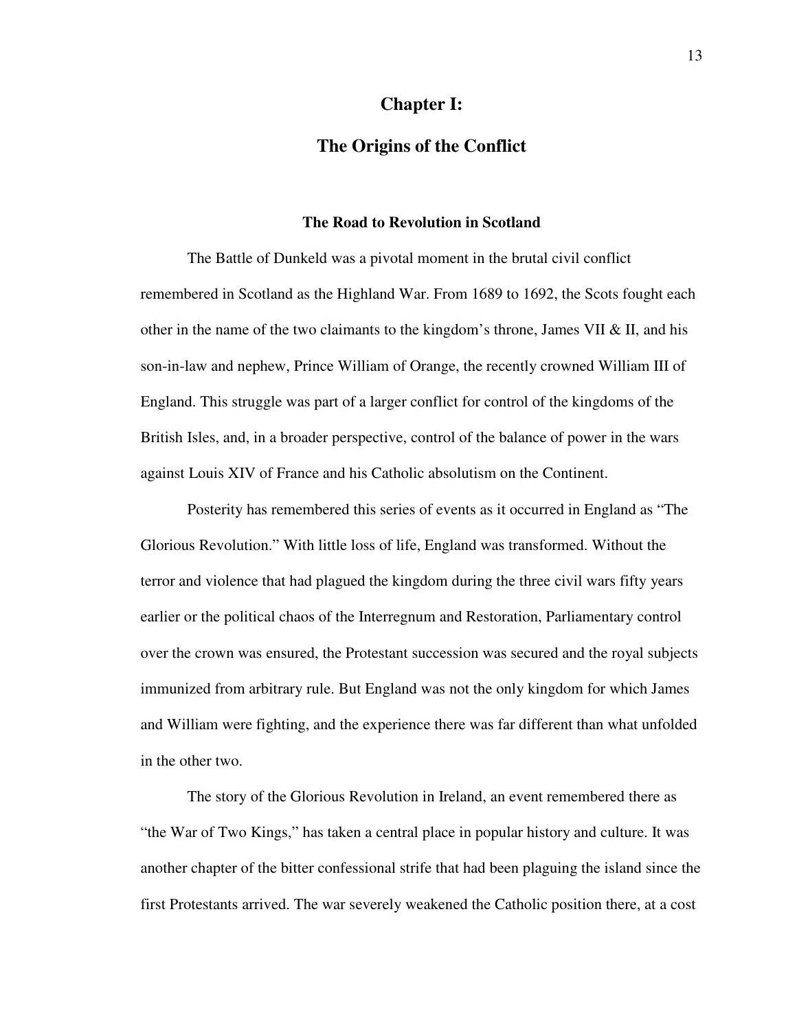## **Chapter I:**

## **The Origins of the Conflict**

### **The Road to Revolution in Scotland**

The Battle of Dunkeld was a pivotal moment in the brutal civil conflict remembered in Scotland as the Highland War. From 1689 to 1692, the Scots fought each other in the name of the two claimants to the kingdom's throne, James VII  $\&$  II, and his son-in-law and nephew, Prince William of Orange, the recently crowned William III of England. This struggle was part of a larger conflict for control of the kingdoms of the British Isles, and, in a broader perspective, control of the balance of power in the wars against Louis XIV of France and his Catholic absolutism on the Continent.

Posterity has remembered this series of events as it occurred in England as "The Glorious Revolution." With little loss of life, England was transformed. Without the terror and violence that had plagued the kingdom during the three civil wars fifty years earlier or the political chaos of the Interregnum and Restoration, Parliamentary control over the crown was ensured, the Protestant succession was secured and the royal subjects immunized from arbitrary rule. But England was not the only kingdom for which James and William were fighting, and the experience there was far different than what unfolded in the other two.

The story of the Glorious Revolution in Ireland, an event remembered there as "the War of Two Kings," has taken a central place in popular history and culture. It was another chapter of the bitter confessional strife that had been plaguing the island since the first Protestants arrived. The war severely weakened the Catholic position there, at a cost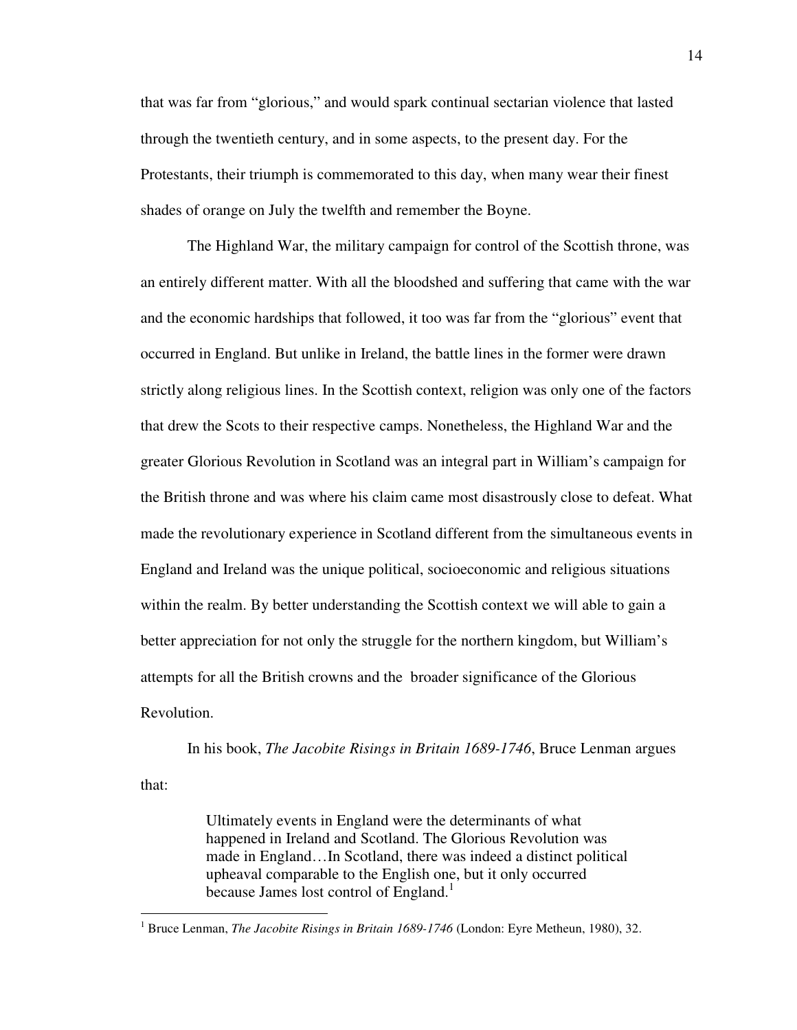that was far from "glorious," and would spark continual sectarian violence that lasted through the twentieth century, and in some aspects, to the present day. For the Protestants, their triumph is commemorated to this day, when many wear their finest shades of orange on July the twelfth and remember the Boyne.

The Highland War, the military campaign for control of the Scottish throne, was an entirely different matter. With all the bloodshed and suffering that came with the war and the economic hardships that followed, it too was far from the "glorious" event that occurred in England. But unlike in Ireland, the battle lines in the former were drawn strictly along religious lines. In the Scottish context, religion was only one of the factors that drew the Scots to their respective camps. Nonetheless, the Highland War and the greater Glorious Revolution in Scotland was an integral part in William's campaign for the British throne and was where his claim came most disastrously close to defeat. What made the revolutionary experience in Scotland different from the simultaneous events in England and Ireland was the unique political, socioeconomic and religious situations within the realm. By better understanding the Scottish context we will able to gain a better appreciation for not only the struggle for the northern kingdom, but William's attempts for all the British crowns and the broader significance of the Glorious Revolution.

In his book, *The Jacobite Risings in Britain 1689-1746*, Bruce Lenman argues

that:

l

Ultimately events in England were the determinants of what happened in Ireland and Scotland. The Glorious Revolution was made in England…In Scotland, there was indeed a distinct political upheaval comparable to the English one, but it only occurred because James lost control of England.<sup>1</sup>

<sup>&</sup>lt;sup>1</sup> Bruce Lenman, *The Jacobite Risings in Britain 1689-1746* (London: Eyre Metheun, 1980), 32.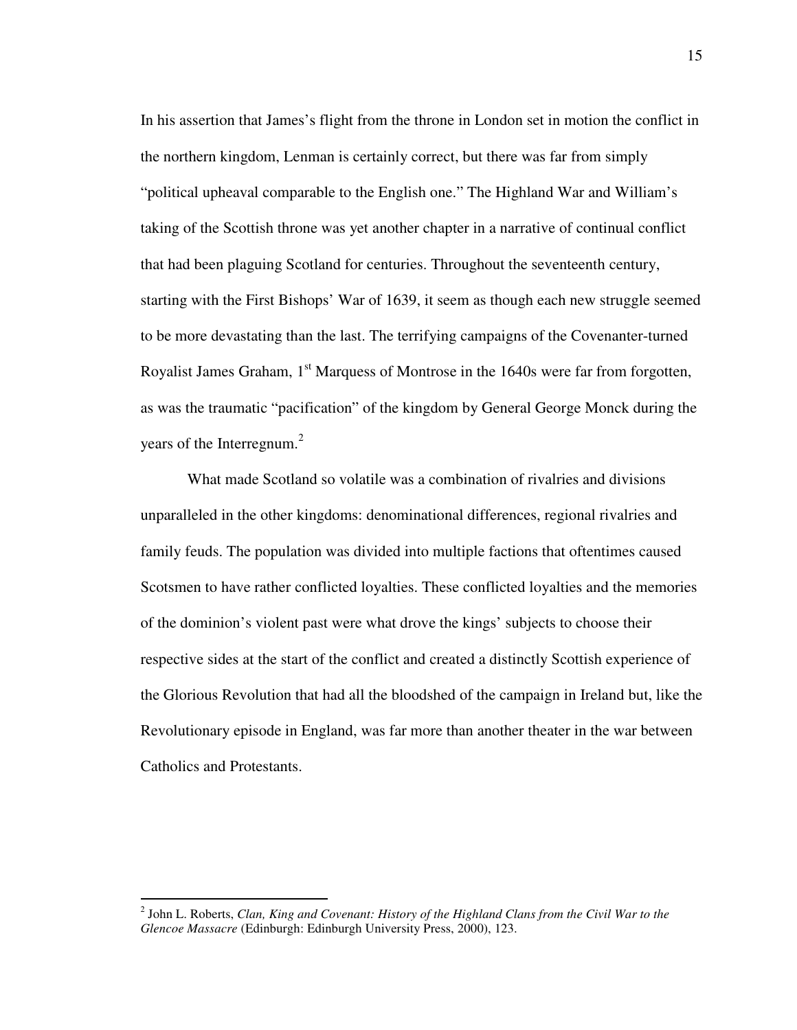In his assertion that James's flight from the throne in London set in motion the conflict in the northern kingdom, Lenman is certainly correct, but there was far from simply "political upheaval comparable to the English one." The Highland War and William's taking of the Scottish throne was yet another chapter in a narrative of continual conflict that had been plaguing Scotland for centuries. Throughout the seventeenth century, starting with the First Bishops' War of 1639, it seem as though each new struggle seemed to be more devastating than the last. The terrifying campaigns of the Covenanter-turned Royalist James Graham, 1<sup>st</sup> Marquess of Montrose in the 1640s were far from forgotten, as was the traumatic "pacification" of the kingdom by General George Monck during the years of the Interregnum.<sup>2</sup>

What made Scotland so volatile was a combination of rivalries and divisions unparalleled in the other kingdoms: denominational differences, regional rivalries and family feuds. The population was divided into multiple factions that oftentimes caused Scotsmen to have rather conflicted loyalties. These conflicted loyalties and the memories of the dominion's violent past were what drove the kings' subjects to choose their respective sides at the start of the conflict and created a distinctly Scottish experience of the Glorious Revolution that had all the bloodshed of the campaign in Ireland but, like the Revolutionary episode in England, was far more than another theater in the war between Catholics and Protestants.

<sup>2</sup> John L. Roberts, *Clan, King and Covenant: History of the Highland Clans from the Civil War to the Glencoe Massacre* (Edinburgh: Edinburgh University Press, 2000), 123.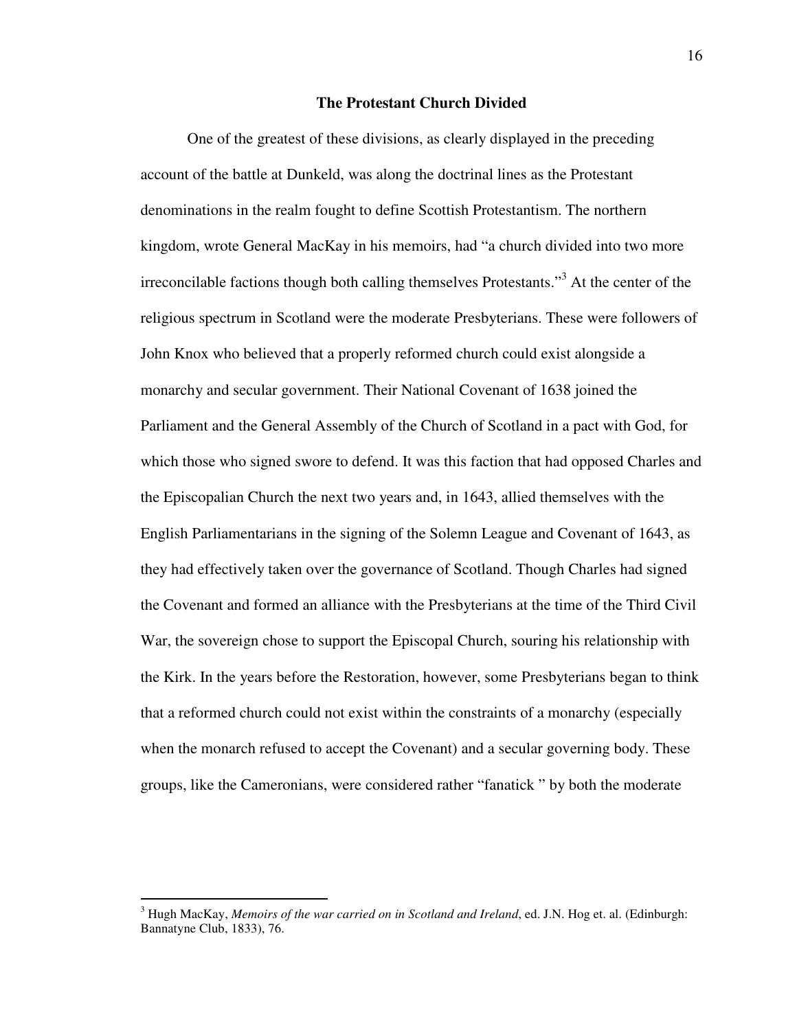## **The Protestant Church Divided**

One of the greatest of these divisions, as clearly displayed in the preceding account of the battle at Dunkeld, was along the doctrinal lines as the Protestant denominations in the realm fought to define Scottish Protestantism. The northern kingdom, wrote General MacKay in his memoirs, had "a church divided into two more irreconcilable factions though both calling themselves Protestants."<sup>3</sup> At the center of the religious spectrum in Scotland were the moderate Presbyterians. These were followers of John Knox who believed that a properly reformed church could exist alongside a monarchy and secular government. Their National Covenant of 1638 joined the Parliament and the General Assembly of the Church of Scotland in a pact with God, for which those who signed swore to defend. It was this faction that had opposed Charles and the Episcopalian Church the next two years and, in 1643, allied themselves with the English Parliamentarians in the signing of the Solemn League and Covenant of 1643, as they had effectively taken over the governance of Scotland. Though Charles had signed the Covenant and formed an alliance with the Presbyterians at the time of the Third Civil War, the sovereign chose to support the Episcopal Church, souring his relationship with the Kirk. In the years before the Restoration, however, some Presbyterians began to think that a reformed church could not exist within the constraints of a monarchy (especially when the monarch refused to accept the Covenant) and a secular governing body. These groups, like the Cameronians, were considered rather "fanatick " by both the moderate

<sup>3</sup> Hugh MacKay, *Memoirs of the war carried on in Scotland and Ireland*, ed. J.N. Hog et. al. (Edinburgh: Bannatyne Club, 1833), 76.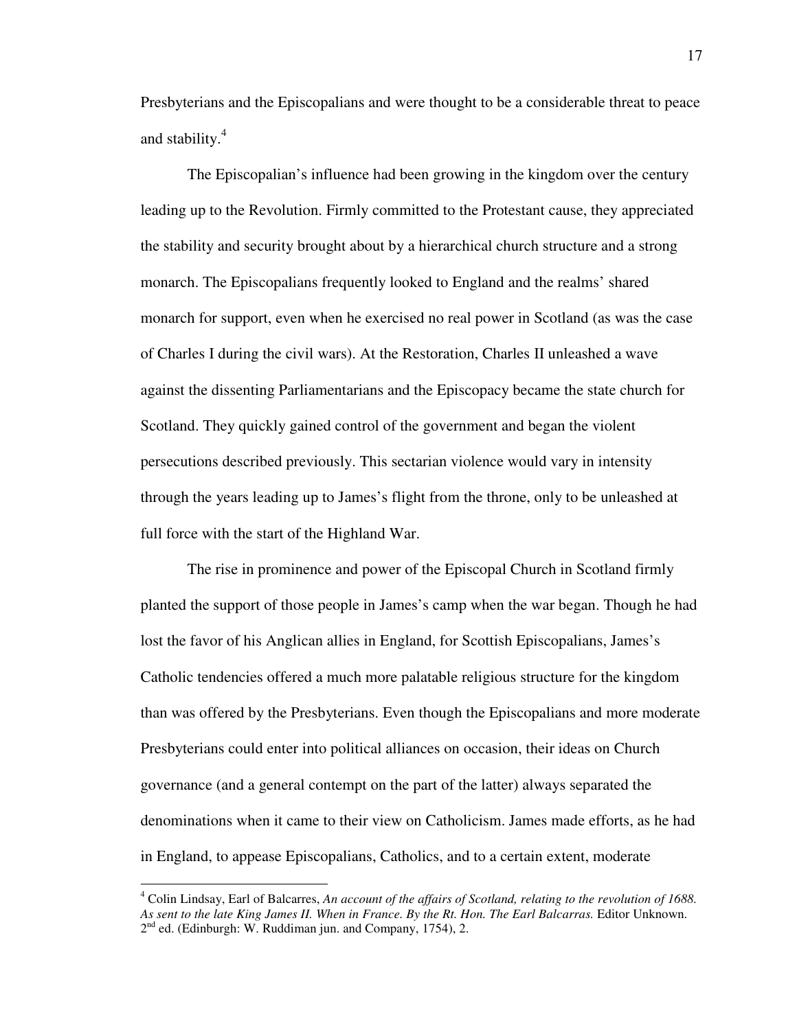Presbyterians and the Episcopalians and were thought to be a considerable threat to peace and stability.<sup>4</sup>

The Episcopalian's influence had been growing in the kingdom over the century leading up to the Revolution. Firmly committed to the Protestant cause, they appreciated the stability and security brought about by a hierarchical church structure and a strong monarch. The Episcopalians frequently looked to England and the realms' shared monarch for support, even when he exercised no real power in Scotland (as was the case of Charles I during the civil wars). At the Restoration, Charles II unleashed a wave against the dissenting Parliamentarians and the Episcopacy became the state church for Scotland. They quickly gained control of the government and began the violent persecutions described previously. This sectarian violence would vary in intensity through the years leading up to James's flight from the throne, only to be unleashed at full force with the start of the Highland War.

The rise in prominence and power of the Episcopal Church in Scotland firmly planted the support of those people in James's camp when the war began. Though he had lost the favor of his Anglican allies in England, for Scottish Episcopalians, James's Catholic tendencies offered a much more palatable religious structure for the kingdom than was offered by the Presbyterians. Even though the Episcopalians and more moderate Presbyterians could enter into political alliances on occasion, their ideas on Church governance (and a general contempt on the part of the latter) always separated the denominations when it came to their view on Catholicism. James made efforts, as he had in England, to appease Episcopalians, Catholics, and to a certain extent, moderate

<u>.</u>

<sup>4</sup> Colin Lindsay, Earl of Balcarres, *An account of the affairs of Scotland, relating to the revolution of 1688. As sent to the late King James II. When in France. By the Rt. Hon. The Earl Balcarras.* Editor Unknown. 2<sup>nd</sup> ed. (Edinburgh: W. Ruddiman jun. and Company, 1754), 2.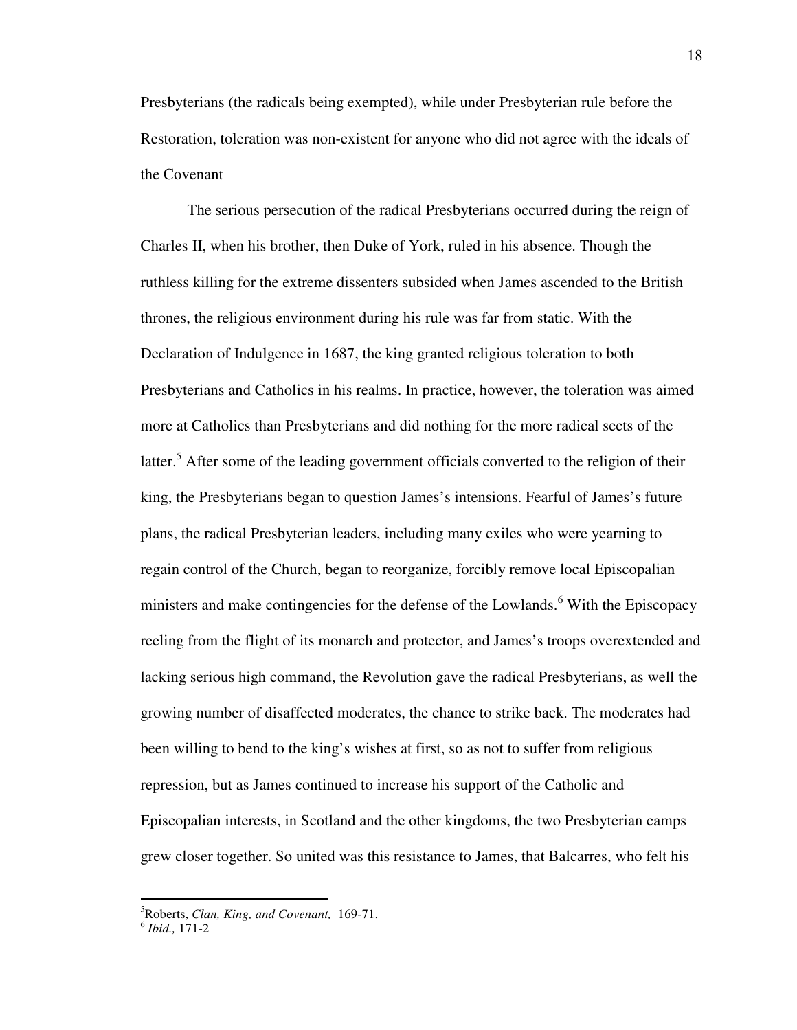Presbyterians (the radicals being exempted), while under Presbyterian rule before the Restoration, toleration was non-existent for anyone who did not agree with the ideals of the Covenant

The serious persecution of the radical Presbyterians occurred during the reign of Charles II, when his brother, then Duke of York, ruled in his absence. Though the ruthless killing for the extreme dissenters subsided when James ascended to the British thrones, the religious environment during his rule was far from static. With the Declaration of Indulgence in 1687, the king granted religious toleration to both Presbyterians and Catholics in his realms. In practice, however, the toleration was aimed more at Catholics than Presbyterians and did nothing for the more radical sects of the latter.<sup>5</sup> After some of the leading government officials converted to the religion of their king, the Presbyterians began to question James's intensions. Fearful of James's future plans, the radical Presbyterian leaders, including many exiles who were yearning to regain control of the Church, began to reorganize, forcibly remove local Episcopalian ministers and make contingencies for the defense of the Lowlands.<sup>6</sup> With the Episcopacy reeling from the flight of its monarch and protector, and James's troops overextended and lacking serious high command, the Revolution gave the radical Presbyterians, as well the growing number of disaffected moderates, the chance to strike back. The moderates had been willing to bend to the king's wishes at first, so as not to suffer from religious repression, but as James continued to increase his support of the Catholic and Episcopalian interests, in Scotland and the other kingdoms, the two Presbyterian camps grew closer together. So united was this resistance to James, that Balcarres, who felt his

<sup>5</sup>Roberts, *Clan, King, and Covenant,* 169-71.

<sup>6</sup> *Ibid.,* 171-2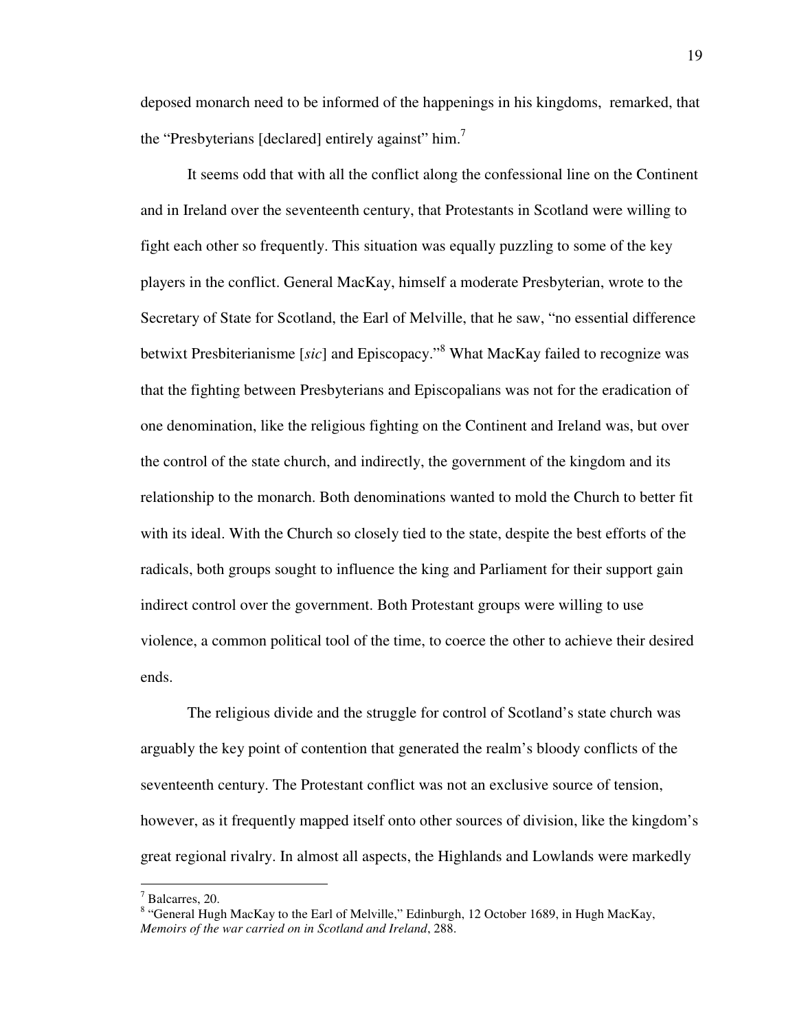deposed monarch need to be informed of the happenings in his kingdoms, remarked, that the "Presbyterians [declared] entirely against" him.<sup>7</sup>

It seems odd that with all the conflict along the confessional line on the Continent and in Ireland over the seventeenth century, that Protestants in Scotland were willing to fight each other so frequently. This situation was equally puzzling to some of the key players in the conflict. General MacKay, himself a moderate Presbyterian, wrote to the Secretary of State for Scotland, the Earl of Melville, that he saw, "no essential difference betwixt Presbiterianisme [*sic*] and Episcopacy."<sup>8</sup> What MacKay failed to recognize was that the fighting between Presbyterians and Episcopalians was not for the eradication of one denomination, like the religious fighting on the Continent and Ireland was, but over the control of the state church, and indirectly, the government of the kingdom and its relationship to the monarch. Both denominations wanted to mold the Church to better fit with its ideal. With the Church so closely tied to the state, despite the best efforts of the radicals, both groups sought to influence the king and Parliament for their support gain indirect control over the government. Both Protestant groups were willing to use violence, a common political tool of the time, to coerce the other to achieve their desired ends.

The religious divide and the struggle for control of Scotland's state church was arguably the key point of contention that generated the realm's bloody conflicts of the seventeenth century. The Protestant conflict was not an exclusive source of tension, however, as it frequently mapped itself onto other sources of division, like the kingdom's great regional rivalry. In almost all aspects, the Highlands and Lowlands were markedly

<sup>7</sup> Balcarres, 20.

<sup>&</sup>lt;sup>8</sup> "General Hugh MacKay to the Earl of Melville," Edinburgh, 12 October 1689, in Hugh MacKay, *Memoirs of the war carried on in Scotland and Ireland*, 288.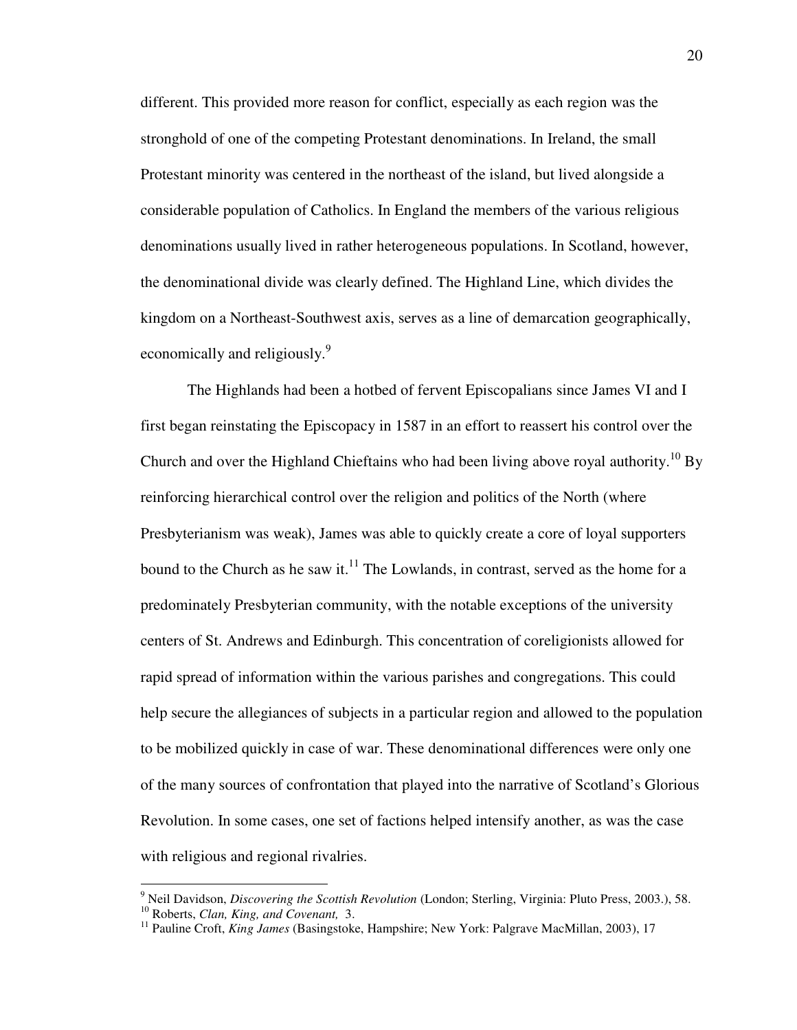different. This provided more reason for conflict, especially as each region was the stronghold of one of the competing Protestant denominations. In Ireland, the small Protestant minority was centered in the northeast of the island, but lived alongside a considerable population of Catholics. In England the members of the various religious denominations usually lived in rather heterogeneous populations. In Scotland, however, the denominational divide was clearly defined. The Highland Line, which divides the kingdom on a Northeast-Southwest axis, serves as a line of demarcation geographically, economically and religiously.<sup>9</sup>

The Highlands had been a hotbed of fervent Episcopalians since James VI and I first began reinstating the Episcopacy in 1587 in an effort to reassert his control over the Church and over the Highland Chieftains who had been living above royal authority.<sup>10</sup> By reinforcing hierarchical control over the religion and politics of the North (where Presbyterianism was weak), James was able to quickly create a core of loyal supporters bound to the Church as he saw it. $^{11}$  The Lowlands, in contrast, served as the home for a predominately Presbyterian community, with the notable exceptions of the university centers of St. Andrews and Edinburgh. This concentration of coreligionists allowed for rapid spread of information within the various parishes and congregations. This could help secure the allegiances of subjects in a particular region and allowed to the population to be mobilized quickly in case of war. These denominational differences were only one of the many sources of confrontation that played into the narrative of Scotland's Glorious Revolution. In some cases, one set of factions helped intensify another, as was the case with religious and regional rivalries.

<sup>9</sup> Neil Davidson, *Discovering the Scottish Revolution* (London; Sterling, Virginia: Pluto Press, 2003.), 58. <sup>10</sup> Roberts, *Clan, King, and Covenant,* 3.

<sup>&</sup>lt;sup>11</sup> Pauline Croft, *King James* (Basingstoke, Hampshire; New York: Palgrave MacMillan, 2003), 17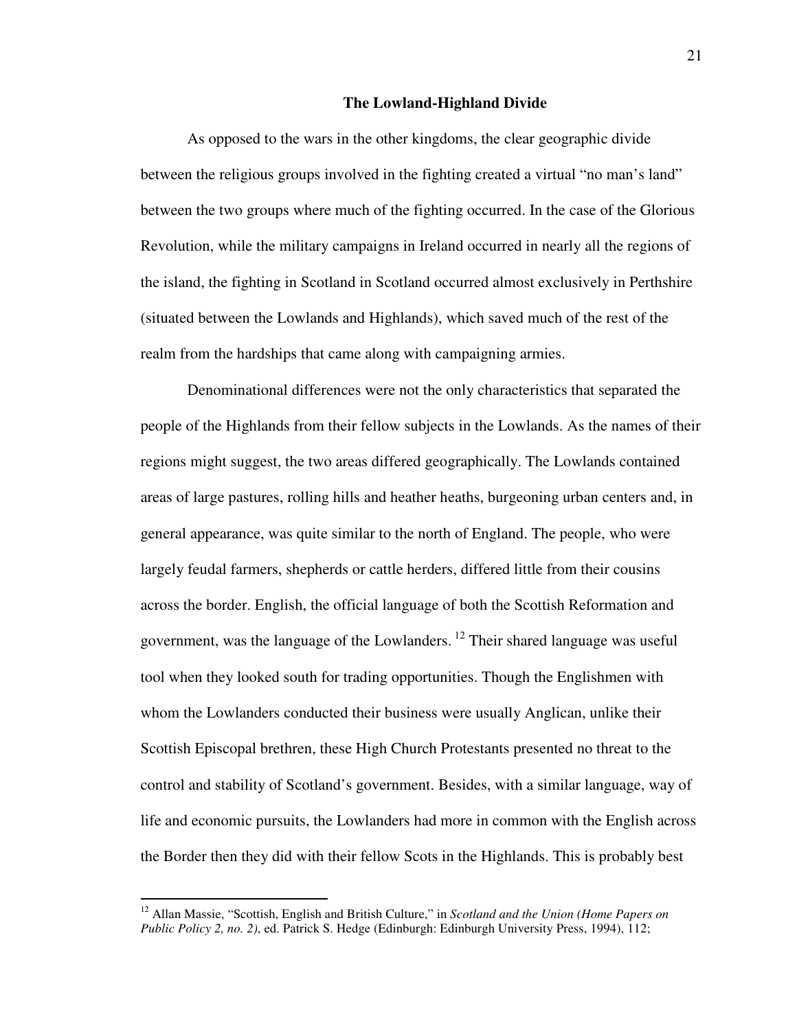#### **The Lowland-Highland Divide**

As opposed to the wars in the other kingdoms, the clear geographic divide between the religious groups involved in the fighting created a virtual "no man's land" between the two groups where much of the fighting occurred. In the case of the Glorious Revolution, while the military campaigns in Ireland occurred in nearly all the regions of the island, the fighting in Scotland in Scotland occurred almost exclusively in Perthshire (situated between the Lowlands and Highlands), which saved much of the rest of the realm from the hardships that came along with campaigning armies.

Denominational differences were not the only characteristics that separated the people of the Highlands from their fellow subjects in the Lowlands. As the names of their regions might suggest, the two areas differed geographically. The Lowlands contained areas of large pastures, rolling hills and heather heaths, burgeoning urban centers and, in general appearance, was quite similar to the north of England. The people, who were largely feudal farmers, shepherds or cattle herders, differed little from their cousins across the border. English, the official language of both the Scottish Reformation and government, was the language of the Lowlanders.<sup>12</sup> Their shared language was useful tool when they looked south for trading opportunities. Though the Englishmen with whom the Lowlanders conducted their business were usually Anglican, unlike their Scottish Episcopal brethren, these High Church Protestants presented no threat to the control and stability of Scotland's government. Besides, with a similar language, way of life and economic pursuits, the Lowlanders had more in common with the English across the Border then they did with their fellow Scots in the Highlands. This is probably best

<sup>&</sup>lt;sup>12</sup> Allan Massie, "Scottish, English and British Culture," in *Scotland and the Union (Home Papers on Public Policy 2, no. 2)*, ed. Patrick S. Hedge (Edinburgh: Edinburgh University Press, 1994), 112;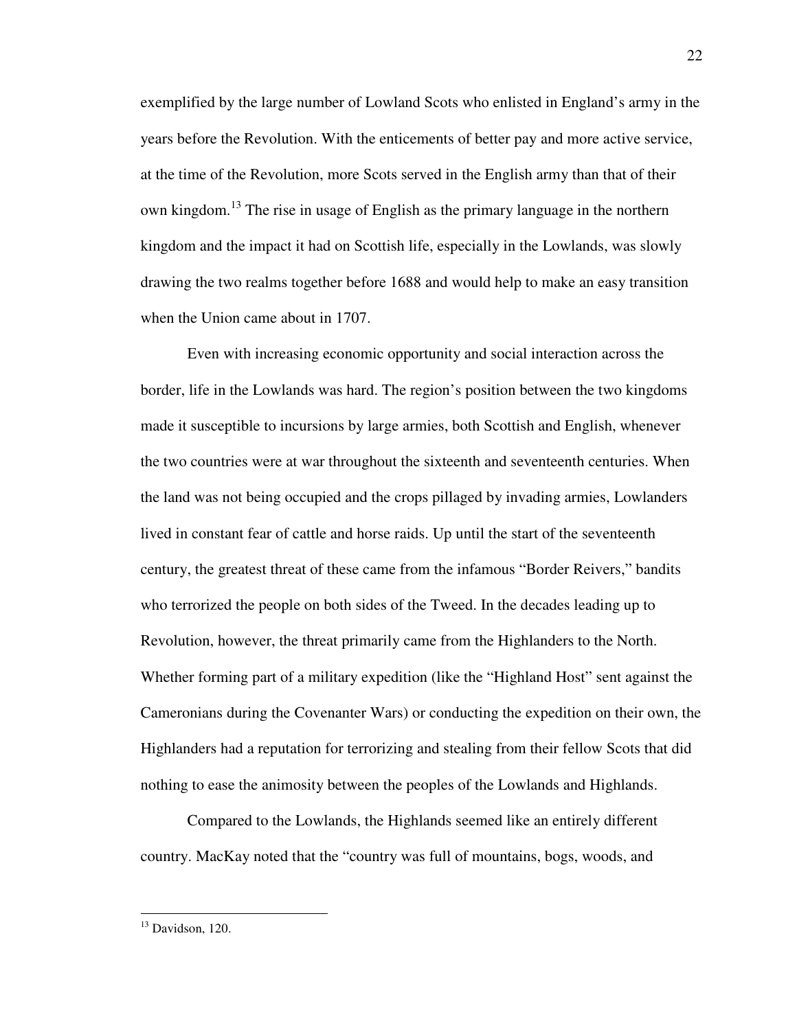exemplified by the large number of Lowland Scots who enlisted in England's army in the years before the Revolution. With the enticements of better pay and more active service, at the time of the Revolution, more Scots served in the English army than that of their own kingdom.<sup>13</sup> The rise in usage of English as the primary language in the northern kingdom and the impact it had on Scottish life, especially in the Lowlands, was slowly drawing the two realms together before 1688 and would help to make an easy transition when the Union came about in 1707.

Even with increasing economic opportunity and social interaction across the border, life in the Lowlands was hard. The region's position between the two kingdoms made it susceptible to incursions by large armies, both Scottish and English, whenever the two countries were at war throughout the sixteenth and seventeenth centuries. When the land was not being occupied and the crops pillaged by invading armies, Lowlanders lived in constant fear of cattle and horse raids. Up until the start of the seventeenth century, the greatest threat of these came from the infamous "Border Reivers," bandits who terrorized the people on both sides of the Tweed. In the decades leading up to Revolution, however, the threat primarily came from the Highlanders to the North. Whether forming part of a military expedition (like the "Highland Host" sent against the Cameronians during the Covenanter Wars) or conducting the expedition on their own, the Highlanders had a reputation for terrorizing and stealing from their fellow Scots that did nothing to ease the animosity between the peoples of the Lowlands and Highlands.

Compared to the Lowlands, the Highlands seemed like an entirely different country. MacKay noted that the "country was full of mountains, bogs, woods, and

l

 $13$  Davidson, 120.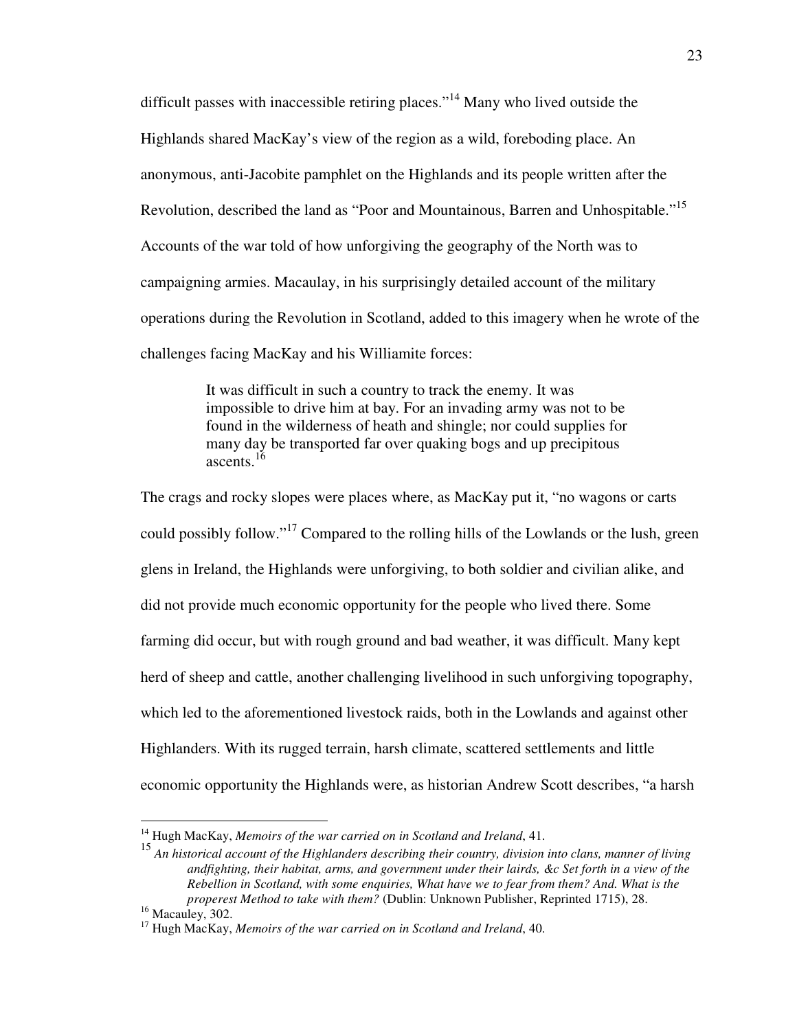difficult passes with inaccessible retiring places."<sup>14</sup> Many who lived outside the Highlands shared MacKay's view of the region as a wild, foreboding place. An anonymous, anti-Jacobite pamphlet on the Highlands and its people written after the Revolution, described the land as "Poor and Mountainous, Barren and Unhospitable."<sup>15</sup> Accounts of the war told of how unforgiving the geography of the North was to campaigning armies. Macaulay, in his surprisingly detailed account of the military operations during the Revolution in Scotland, added to this imagery when he wrote of the challenges facing MacKay and his Williamite forces:

> It was difficult in such a country to track the enemy. It was impossible to drive him at bay. For an invading army was not to be found in the wilderness of heath and shingle; nor could supplies for many day be transported far over quaking bogs and up precipitous ascents  $16$

The crags and rocky slopes were places where, as MacKay put it, "no wagons or carts could possibly follow."<sup>17</sup> Compared to the rolling hills of the Lowlands or the lush, green glens in Ireland, the Highlands were unforgiving, to both soldier and civilian alike, and did not provide much economic opportunity for the people who lived there. Some farming did occur, but with rough ground and bad weather, it was difficult. Many kept herd of sheep and cattle, another challenging livelihood in such unforgiving topography, which led to the aforementioned livestock raids, both in the Lowlands and against other Highlanders. With its rugged terrain, harsh climate, scattered settlements and little economic opportunity the Highlands were, as historian Andrew Scott describes, "a harsh

<sup>14</sup> Hugh MacKay, *Memoirs of the war carried on in Scotland and Ireland*, 41.

<sup>15</sup> *An historical account of the Highlanders describing their country, division into clans, manner of living andfighting, their habitat, arms, and government under their lairds, &c Set forth in a view of the Rebellion in Scotland, with some enquiries, What have we to fear from them? And. What is the properest Method to take with them?* (Dublin: Unknown Publisher, Reprinted 1715), 28.

<sup>&</sup>lt;sup>16</sup> Macauley, 302.

<sup>17</sup> Hugh MacKay, *Memoirs of the war carried on in Scotland and Ireland*, 40.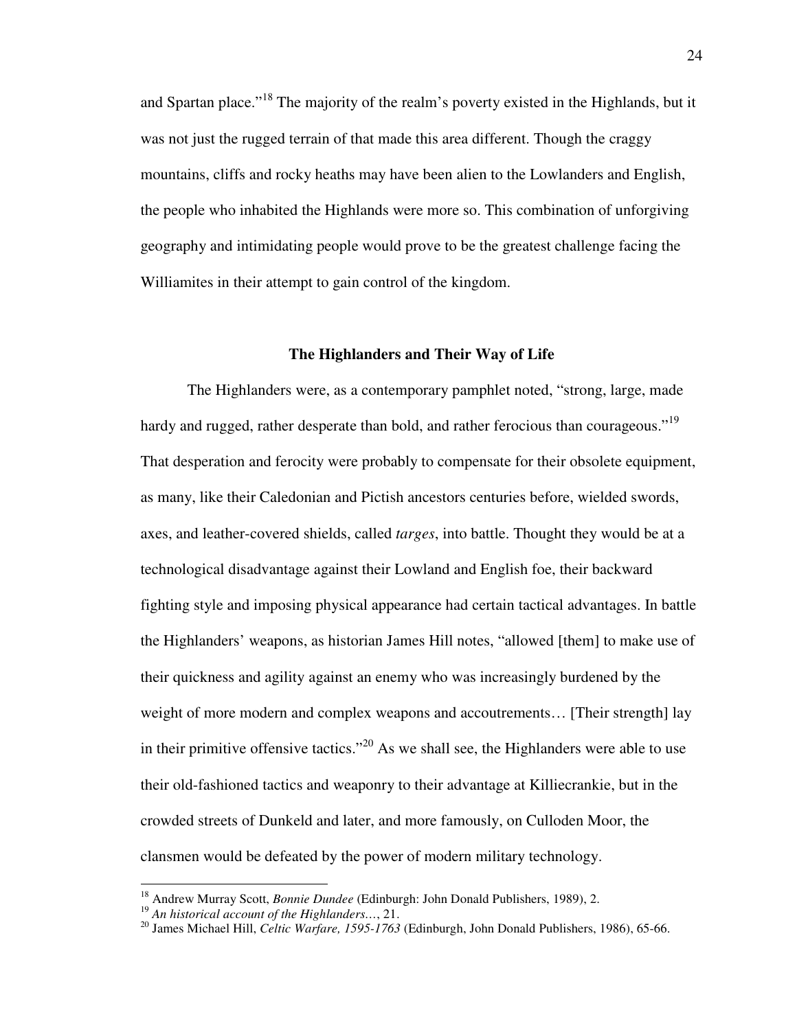and Spartan place."<sup>18</sup> The majority of the realm's poverty existed in the Highlands, but it was not just the rugged terrain of that made this area different. Though the craggy mountains, cliffs and rocky heaths may have been alien to the Lowlanders and English, the people who inhabited the Highlands were more so. This combination of unforgiving geography and intimidating people would prove to be the greatest challenge facing the Williamites in their attempt to gain control of the kingdom.

## **The Highlanders and Their Way of Life**

 The Highlanders were, as a contemporary pamphlet noted, "strong, large, made hardy and rugged, rather desperate than bold, and rather ferocious than courageous."<sup>19</sup> That desperation and ferocity were probably to compensate for their obsolete equipment, as many, like their Caledonian and Pictish ancestors centuries before, wielded swords, axes, and leather-covered shields, called *targes*, into battle. Thought they would be at a technological disadvantage against their Lowland and English foe, their backward fighting style and imposing physical appearance had certain tactical advantages. In battle the Highlanders' weapons, as historian James Hill notes, "allowed [them] to make use of their quickness and agility against an enemy who was increasingly burdened by the weight of more modern and complex weapons and accoutrements... [Their strength] lay in their primitive offensive tactics."<sup>20</sup> As we shall see, the Highlanders were able to use their old-fashioned tactics and weaponry to their advantage at Killiecrankie, but in the crowded streets of Dunkeld and later, and more famously, on Culloden Moor, the clansmen would be defeated by the power of modern military technology.

<u>.</u>

<sup>18</sup> Andrew Murray Scott, *Bonnie Dundee* (Edinburgh: John Donald Publishers, 1989), 2.

<sup>19</sup> *An historical account of the Highlanders…*, 21.

<sup>20</sup> James Michael Hill, *Celtic Warfare, 1595-1763* (Edinburgh, John Donald Publishers, 1986), 65-66.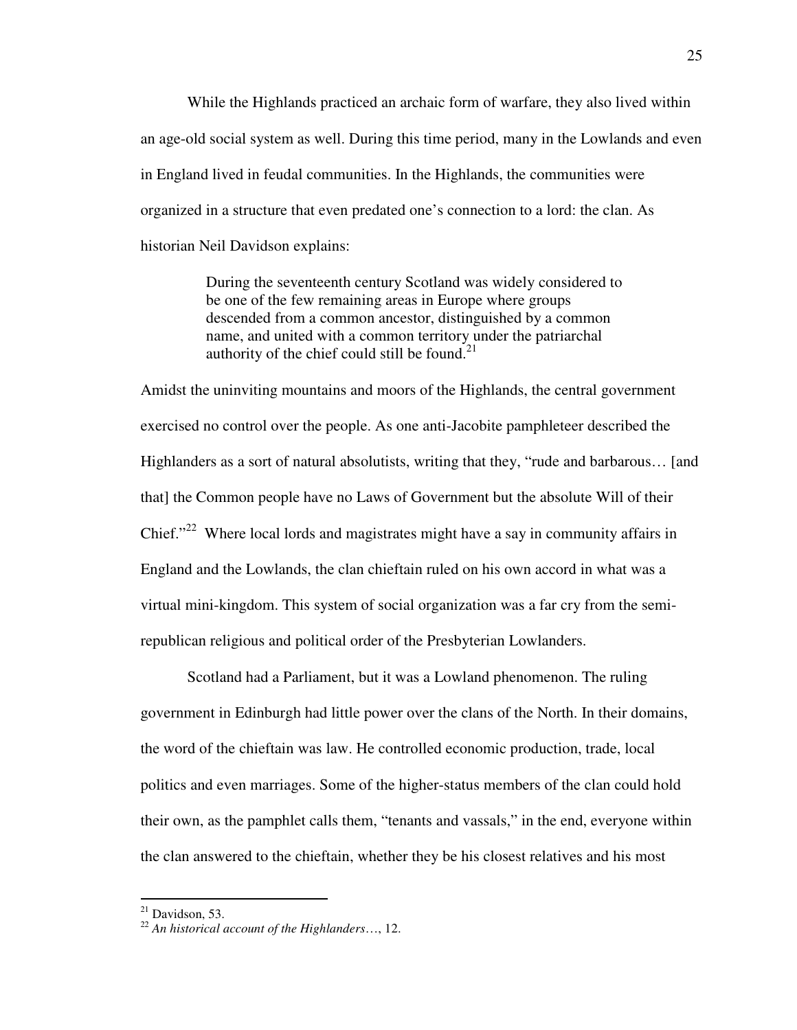While the Highlands practiced an archaic form of warfare, they also lived within an age-old social system as well. During this time period, many in the Lowlands and even in England lived in feudal communities. In the Highlands, the communities were organized in a structure that even predated one's connection to a lord: the clan. As historian Neil Davidson explains:

> During the seventeenth century Scotland was widely considered to be one of the few remaining areas in Europe where groups descended from a common ancestor, distinguished by a common name, and united with a common territory under the patriarchal authority of the chief could still be found. $^{21}$

Amidst the uninviting mountains and moors of the Highlands, the central government exercised no control over the people. As one anti-Jacobite pamphleteer described the Highlanders as a sort of natural absolutists, writing that they, "rude and barbarous… [and that] the Common people have no Laws of Government but the absolute Will of their Chief."<sup>22</sup> Where local lords and magistrates might have a say in community affairs in England and the Lowlands, the clan chieftain ruled on his own accord in what was a virtual mini-kingdom. This system of social organization was a far cry from the semirepublican religious and political order of the Presbyterian Lowlanders.

Scotland had a Parliament, but it was a Lowland phenomenon. The ruling government in Edinburgh had little power over the clans of the North. In their domains, the word of the chieftain was law. He controlled economic production, trade, local politics and even marriages. Some of the higher-status members of the clan could hold their own, as the pamphlet calls them, "tenants and vassals," in the end, everyone within the clan answered to the chieftain, whether they be his closest relatives and his most

 $^{21}$  Davidson, 53.

<sup>22</sup> *An historical account of the Highlanders*…, 12.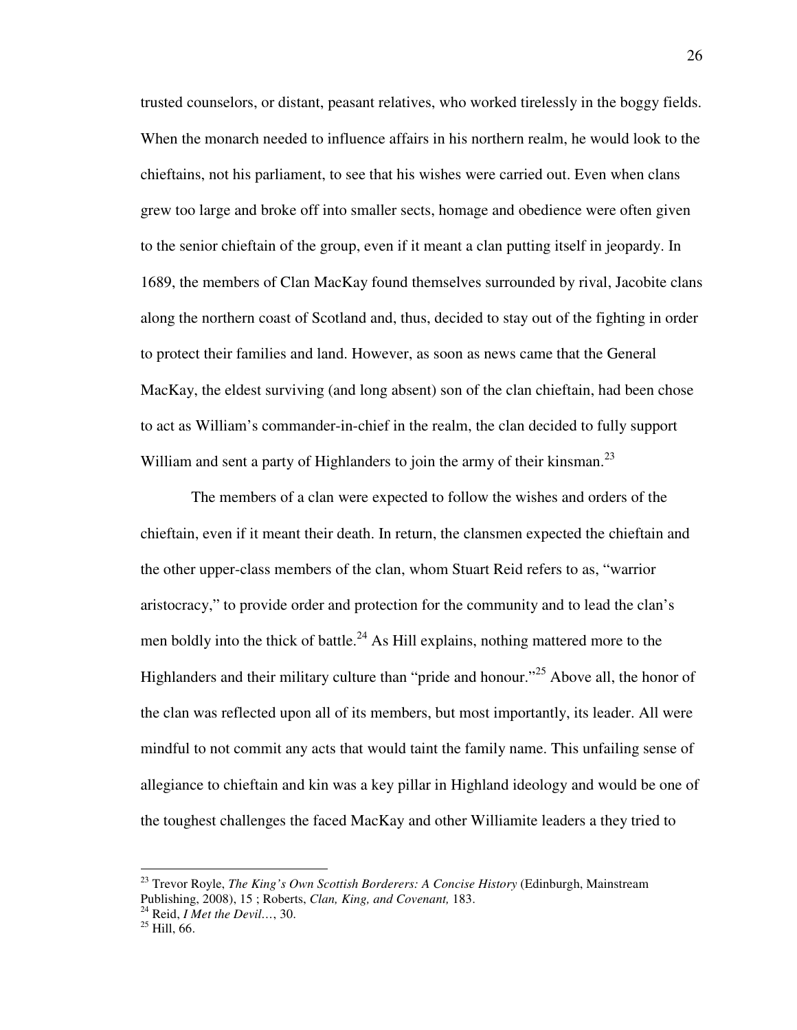trusted counselors, or distant, peasant relatives, who worked tirelessly in the boggy fields. When the monarch needed to influence affairs in his northern realm, he would look to the chieftains, not his parliament, to see that his wishes were carried out. Even when clans grew too large and broke off into smaller sects, homage and obedience were often given to the senior chieftain of the group, even if it meant a clan putting itself in jeopardy. In 1689, the members of Clan MacKay found themselves surrounded by rival, Jacobite clans along the northern coast of Scotland and, thus, decided to stay out of the fighting in order to protect their families and land. However, as soon as news came that the General MacKay, the eldest surviving (and long absent) son of the clan chieftain, had been chose to act as William's commander-in-chief in the realm, the clan decided to fully support William and sent a party of Highlanders to join the army of their kinsman.<sup>23</sup>

 The members of a clan were expected to follow the wishes and orders of the chieftain, even if it meant their death. In return, the clansmen expected the chieftain and the other upper-class members of the clan, whom Stuart Reid refers to as, "warrior aristocracy," to provide order and protection for the community and to lead the clan's men boldly into the thick of battle.<sup>24</sup> As Hill explains, nothing mattered more to the Highlanders and their military culture than "pride and honour."<sup>25</sup> Above all, the honor of the clan was reflected upon all of its members, but most importantly, its leader. All were mindful to not commit any acts that would taint the family name. This unfailing sense of allegiance to chieftain and kin was a key pillar in Highland ideology and would be one of the toughest challenges the faced MacKay and other Williamite leaders a they tried to

<sup>23</sup> Trevor Royle, *The King's Own Scottish Borderers: A Concise History* (Edinburgh, Mainstream Publishing, 2008), 15 ; Roberts, *Clan, King, and Covenant,* 183.

<sup>24</sup> Reid, *I Met the Devil…*, 30.

 $^{25}$  Hill, 66.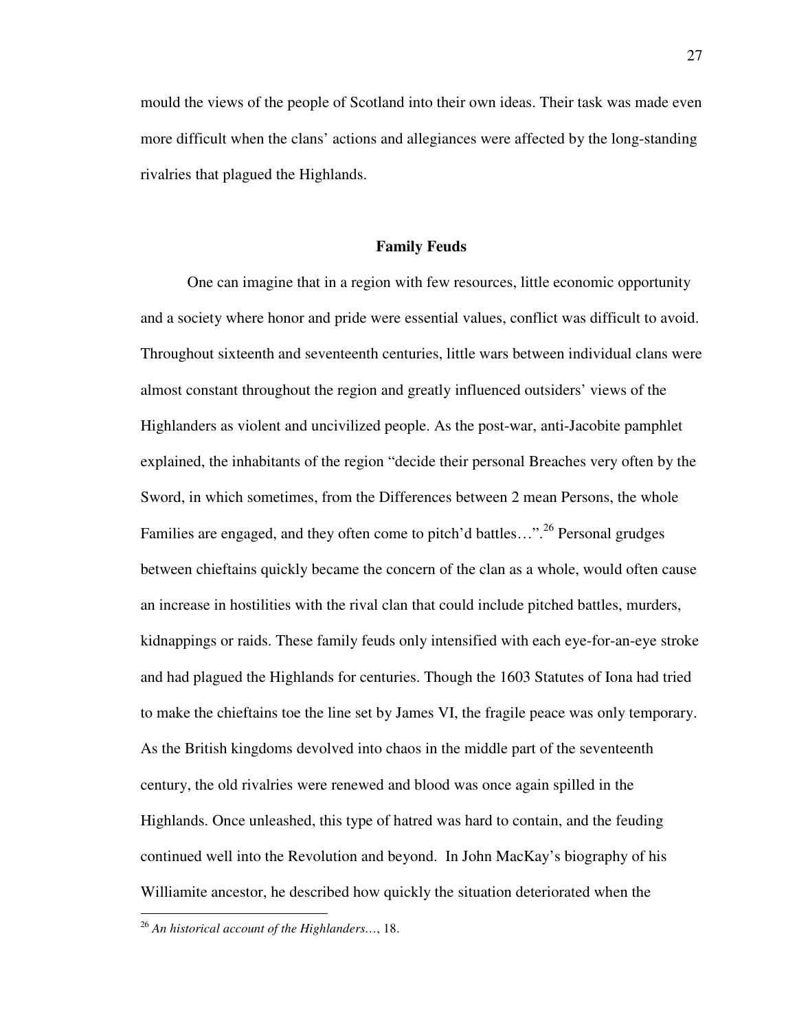mould the views of the people of Scotland into their own ideas. Their task was made even more difficult when the clans' actions and allegiances were affected by the long-standing rivalries that plagued the Highlands.

### **Family Feuds**

One can imagine that in a region with few resources, little economic opportunity and a society where honor and pride were essential values, conflict was difficult to avoid. Throughout sixteenth and seventeenth centuries, little wars between individual clans were almost constant throughout the region and greatly influenced outsiders' views of the Highlanders as violent and uncivilized people. As the post-war, anti-Jacobite pamphlet explained, the inhabitants of the region "decide their personal Breaches very often by the Sword, in which sometimes, from the Differences between 2 mean Persons, the whole Families are engaged, and they often come to pitch'd battles..."<sup>26</sup> Personal grudges between chieftains quickly became the concern of the clan as a whole, would often cause an increase in hostilities with the rival clan that could include pitched battles, murders, kidnappings or raids. These family feuds only intensified with each eye-for-an-eye stroke and had plagued the Highlands for centuries. Though the 1603 Statutes of Iona had tried to make the chieftains toe the line set by James VI, the fragile peace was only temporary. As the British kingdoms devolved into chaos in the middle part of the seventeenth century, the old rivalries were renewed and blood was once again spilled in the Highlands. Once unleashed, this type of hatred was hard to contain, and the feuding continued well into the Revolution and beyond. In John MacKay's biography of his Williamite ancestor, he described how quickly the situation deteriorated when the

l

<sup>26</sup> *An historical account of the Highlanders…*, 18.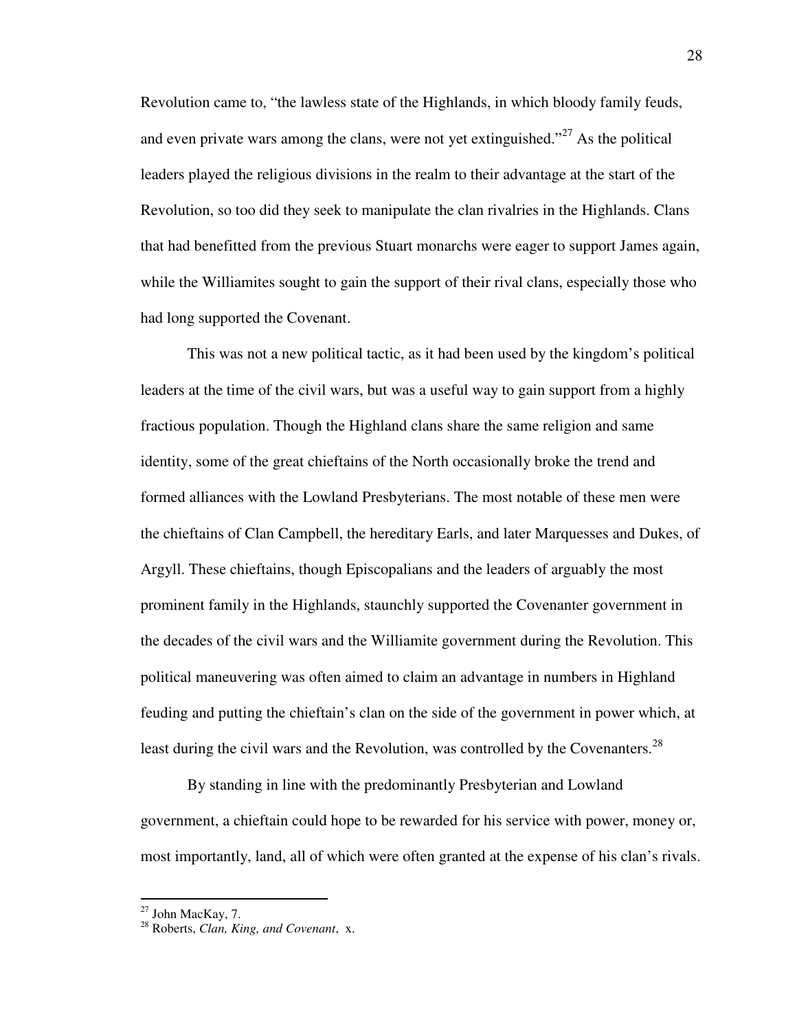Revolution came to, "the lawless state of the Highlands, in which bloody family feuds, and even private wars among the clans, were not yet extinguished."<sup>27</sup> As the political leaders played the religious divisions in the realm to their advantage at the start of the Revolution, so too did they seek to manipulate the clan rivalries in the Highlands. Clans that had benefitted from the previous Stuart monarchs were eager to support James again, while the Williamites sought to gain the support of their rival clans, especially those who had long supported the Covenant.

 This was not a new political tactic, as it had been used by the kingdom's political leaders at the time of the civil wars, but was a useful way to gain support from a highly fractious population. Though the Highland clans share the same religion and same identity, some of the great chieftains of the North occasionally broke the trend and formed alliances with the Lowland Presbyterians. The most notable of these men were the chieftains of Clan Campbell, the hereditary Earls, and later Marquesses and Dukes, of Argyll. These chieftains, though Episcopalians and the leaders of arguably the most prominent family in the Highlands, staunchly supported the Covenanter government in the decades of the civil wars and the Williamite government during the Revolution. This political maneuvering was often aimed to claim an advantage in numbers in Highland feuding and putting the chieftain's clan on the side of the government in power which, at least during the civil wars and the Revolution, was controlled by the Covenanters.<sup>28</sup>

By standing in line with the predominantly Presbyterian and Lowland government, a chieftain could hope to be rewarded for his service with power, money or, most importantly, land, all of which were often granted at the expense of his clan's rivals.

 $^{27}$  John MacKay, 7.

<sup>28</sup> Roberts, *Clan, King, and Covenant*, x.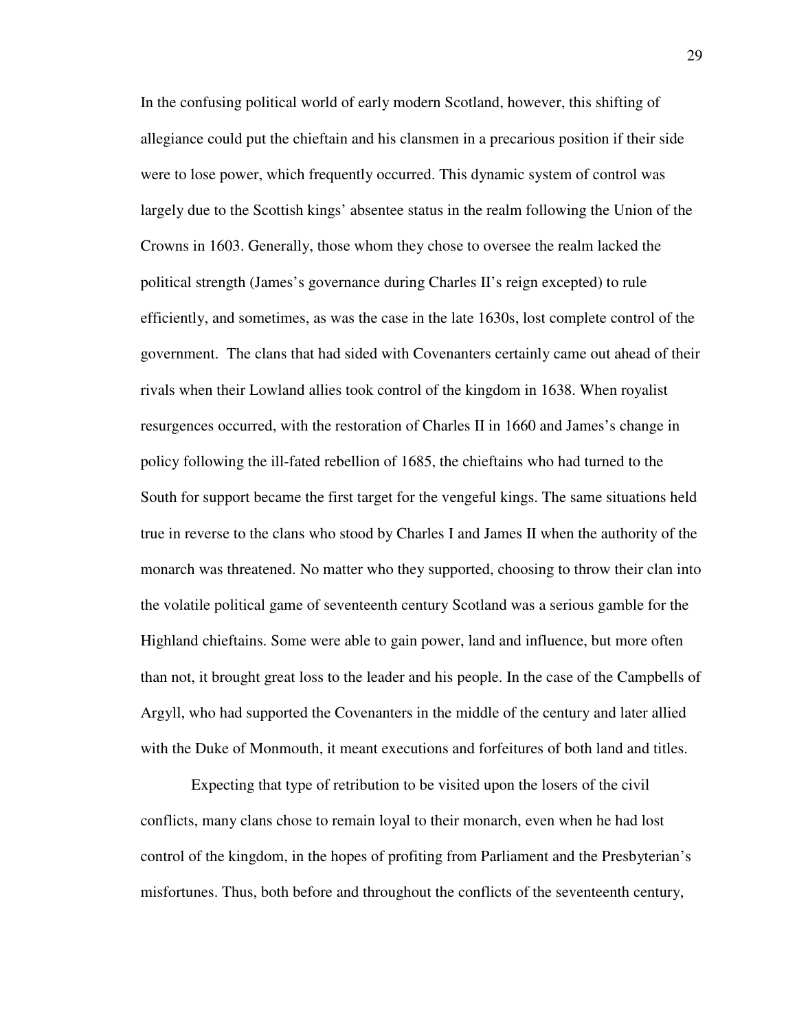In the confusing political world of early modern Scotland, however, this shifting of allegiance could put the chieftain and his clansmen in a precarious position if their side were to lose power, which frequently occurred. This dynamic system of control was largely due to the Scottish kings' absentee status in the realm following the Union of the Crowns in 1603. Generally, those whom they chose to oversee the realm lacked the political strength (James's governance during Charles II's reign excepted) to rule efficiently, and sometimes, as was the case in the late 1630s, lost complete control of the government. The clans that had sided with Covenanters certainly came out ahead of their rivals when their Lowland allies took control of the kingdom in 1638. When royalist resurgences occurred, with the restoration of Charles II in 1660 and James's change in policy following the ill-fated rebellion of 1685, the chieftains who had turned to the South for support became the first target for the vengeful kings. The same situations held true in reverse to the clans who stood by Charles I and James II when the authority of the monarch was threatened. No matter who they supported, choosing to throw their clan into the volatile political game of seventeenth century Scotland was a serious gamble for the Highland chieftains. Some were able to gain power, land and influence, but more often than not, it brought great loss to the leader and his people. In the case of the Campbells of Argyll, who had supported the Covenanters in the middle of the century and later allied with the Duke of Monmouth, it meant executions and forfeitures of both land and titles.

 Expecting that type of retribution to be visited upon the losers of the civil conflicts, many clans chose to remain loyal to their monarch, even when he had lost control of the kingdom, in the hopes of profiting from Parliament and the Presbyterian's misfortunes. Thus, both before and throughout the conflicts of the seventeenth century,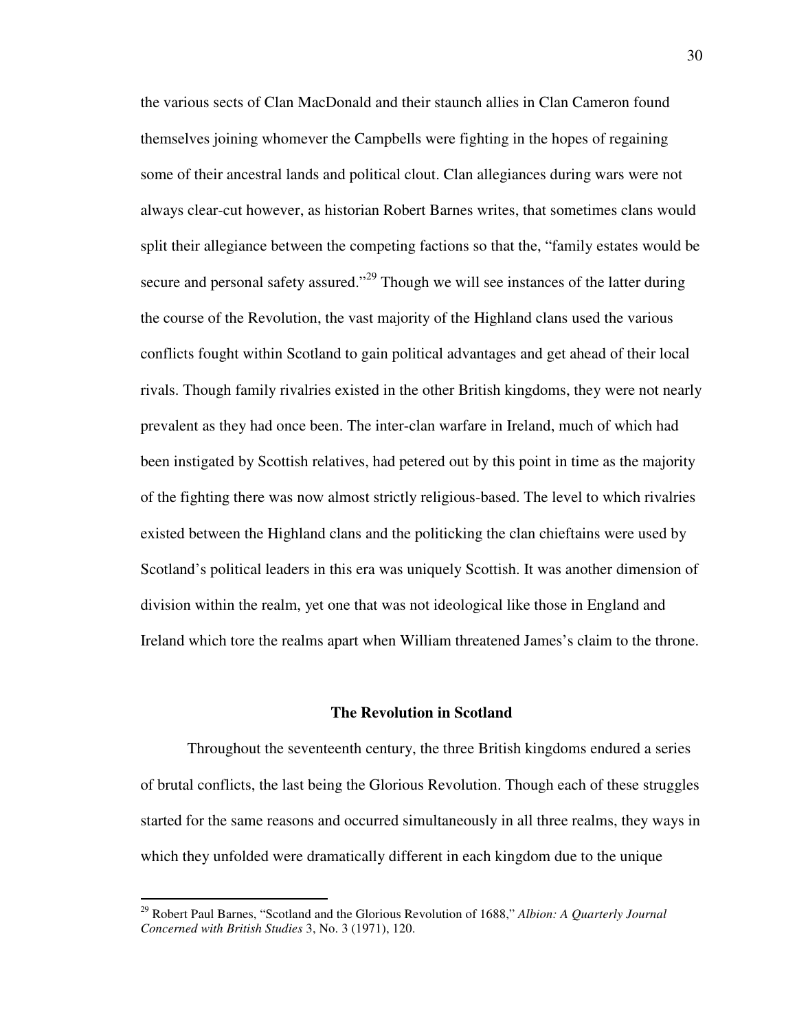the various sects of Clan MacDonald and their staunch allies in Clan Cameron found themselves joining whomever the Campbells were fighting in the hopes of regaining some of their ancestral lands and political clout. Clan allegiances during wars were not always clear-cut however, as historian Robert Barnes writes, that sometimes clans would split their allegiance between the competing factions so that the, "family estates would be secure and personal safety assured."<sup>29</sup> Though we will see instances of the latter during the course of the Revolution, the vast majority of the Highland clans used the various conflicts fought within Scotland to gain political advantages and get ahead of their local rivals. Though family rivalries existed in the other British kingdoms, they were not nearly prevalent as they had once been. The inter-clan warfare in Ireland, much of which had been instigated by Scottish relatives, had petered out by this point in time as the majority of the fighting there was now almost strictly religious-based. The level to which rivalries existed between the Highland clans and the politicking the clan chieftains were used by Scotland's political leaders in this era was uniquely Scottish. It was another dimension of division within the realm, yet one that was not ideological like those in England and Ireland which tore the realms apart when William threatened James's claim to the throne.

## **The Revolution in Scotland**

Throughout the seventeenth century, the three British kingdoms endured a series of brutal conflicts, the last being the Glorious Revolution. Though each of these struggles started for the same reasons and occurred simultaneously in all three realms, they ways in which they unfolded were dramatically different in each kingdom due to the unique

<sup>29</sup> Robert Paul Barnes, "Scotland and the Glorious Revolution of 1688," *Albion: A Quarterly Journal Concerned with British Studies* 3, No. 3 (1971), 120.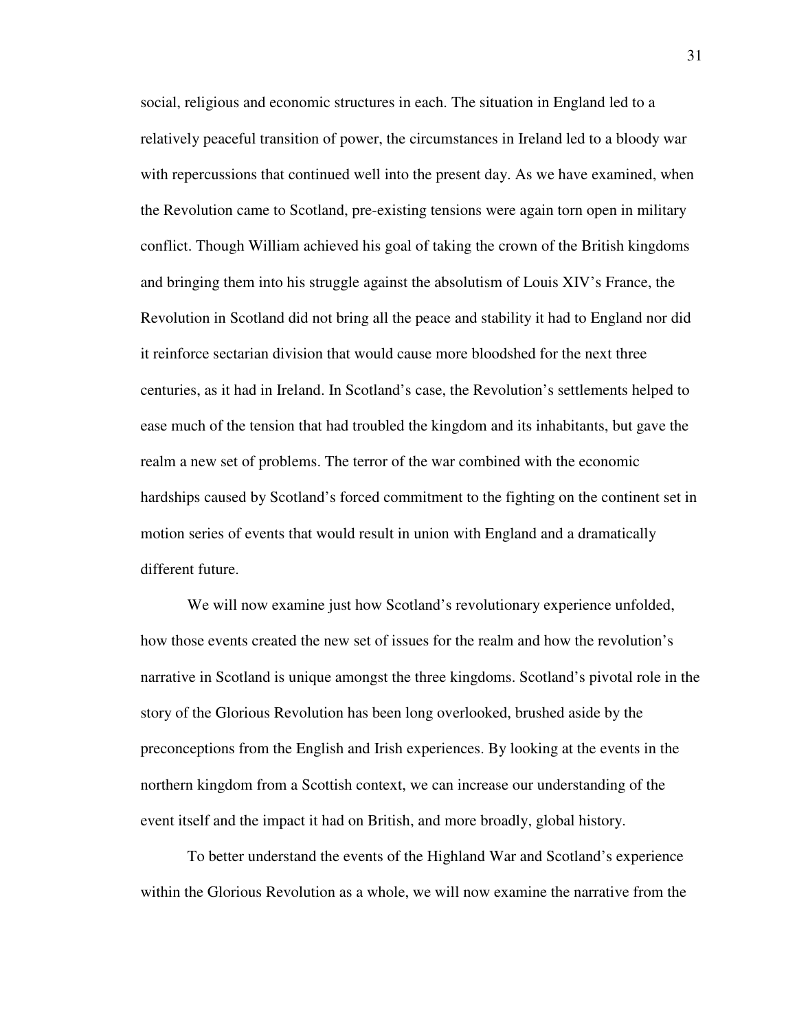social, religious and economic structures in each. The situation in England led to a relatively peaceful transition of power, the circumstances in Ireland led to a bloody war with repercussions that continued well into the present day. As we have examined, when the Revolution came to Scotland, pre-existing tensions were again torn open in military conflict. Though William achieved his goal of taking the crown of the British kingdoms and bringing them into his struggle against the absolutism of Louis XIV's France, the Revolution in Scotland did not bring all the peace and stability it had to England nor did it reinforce sectarian division that would cause more bloodshed for the next three centuries, as it had in Ireland. In Scotland's case, the Revolution's settlements helped to ease much of the tension that had troubled the kingdom and its inhabitants, but gave the realm a new set of problems. The terror of the war combined with the economic hardships caused by Scotland's forced commitment to the fighting on the continent set in motion series of events that would result in union with England and a dramatically different future.

 We will now examine just how Scotland's revolutionary experience unfolded, how those events created the new set of issues for the realm and how the revolution's narrative in Scotland is unique amongst the three kingdoms. Scotland's pivotal role in the story of the Glorious Revolution has been long overlooked, brushed aside by the preconceptions from the English and Irish experiences. By looking at the events in the northern kingdom from a Scottish context, we can increase our understanding of the event itself and the impact it had on British, and more broadly, global history.

To better understand the events of the Highland War and Scotland's experience within the Glorious Revolution as a whole, we will now examine the narrative from the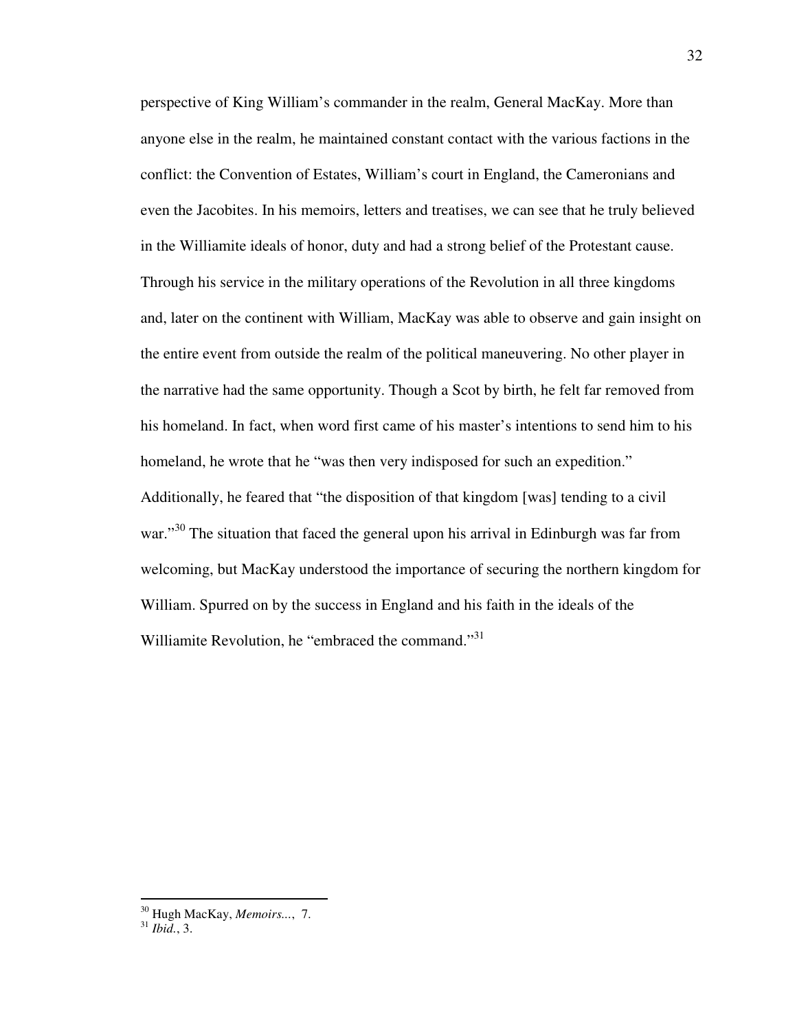perspective of King William's commander in the realm, General MacKay. More than anyone else in the realm, he maintained constant contact with the various factions in the conflict: the Convention of Estates, William's court in England, the Cameronians and even the Jacobites. In his memoirs, letters and treatises, we can see that he truly believed in the Williamite ideals of honor, duty and had a strong belief of the Protestant cause. Through his service in the military operations of the Revolution in all three kingdoms and, later on the continent with William, MacKay was able to observe and gain insight on the entire event from outside the realm of the political maneuvering. No other player in the narrative had the same opportunity. Though a Scot by birth, he felt far removed from his homeland. In fact, when word first came of his master's intentions to send him to his homeland, he wrote that he "was then very indisposed for such an expedition." Additionally, he feared that "the disposition of that kingdom [was] tending to a civil war."<sup>30</sup> The situation that faced the general upon his arrival in Edinburgh was far from welcoming, but MacKay understood the importance of securing the northern kingdom for William. Spurred on by the success in England and his faith in the ideals of the Williamite Revolution, he "embraced the command."<sup>31</sup>

<sup>30</sup> Hugh MacKay, *Memoirs...*, 7.

<sup>31</sup> *Ibid.*, 3.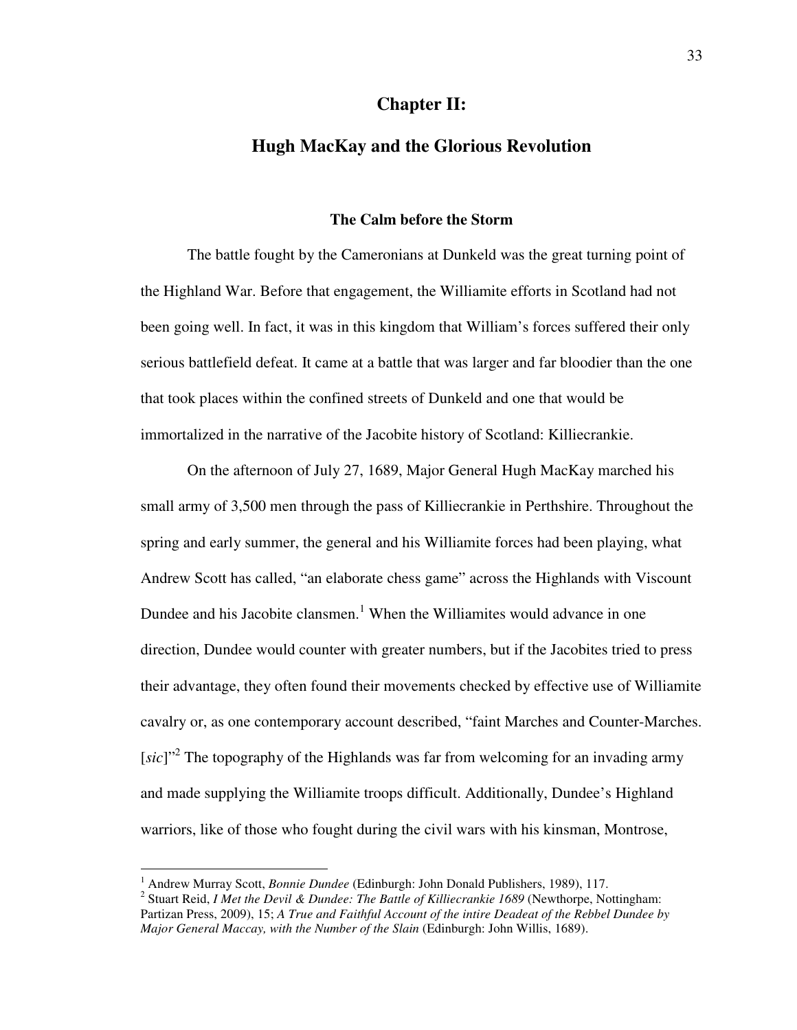## **Chapter II:**

# **Hugh MacKay and the Glorious Revolution**

#### **The Calm before the Storm**

 The battle fought by the Cameronians at Dunkeld was the great turning point of the Highland War. Before that engagement, the Williamite efforts in Scotland had not been going well. In fact, it was in this kingdom that William's forces suffered their only serious battlefield defeat. It came at a battle that was larger and far bloodier than the one that took places within the confined streets of Dunkeld and one that would be immortalized in the narrative of the Jacobite history of Scotland: Killiecrankie.

On the afternoon of July 27, 1689, Major General Hugh MacKay marched his small army of 3,500 men through the pass of Killiecrankie in Perthshire. Throughout the spring and early summer, the general and his Williamite forces had been playing, what Andrew Scott has called, "an elaborate chess game" across the Highlands with Viscount Dundee and his Jacobite clansmen.<sup>1</sup> When the Williamites would advance in one direction, Dundee would counter with greater numbers, but if the Jacobites tried to press their advantage, they often found their movements checked by effective use of Williamite cavalry or, as one contemporary account described, "faint Marches and Counter-Marches. [sic]"<sup>2</sup> The topography of the Highlands was far from welcoming for an invading army and made supplying the Williamite troops difficult. Additionally, Dundee's Highland warriors, like of those who fought during the civil wars with his kinsman, Montrose,

<sup>&</sup>lt;sup>1</sup> Andrew Murray Scott, *Bonnie Dundee* (Edinburgh: John Donald Publishers, 1989), 117.

<sup>&</sup>lt;sup>2</sup> Stuart Reid, *I Met the Devil & Dundee: The Battle of Killiecrankie 1689* (Newthorpe, Nottingham: Partizan Press, 2009), 15; *A True and Faithful Account of the intire Deadeat of the Rebbel Dundee by Major General Maccay, with the Number of the Slain* (Edinburgh: John Willis, 1689).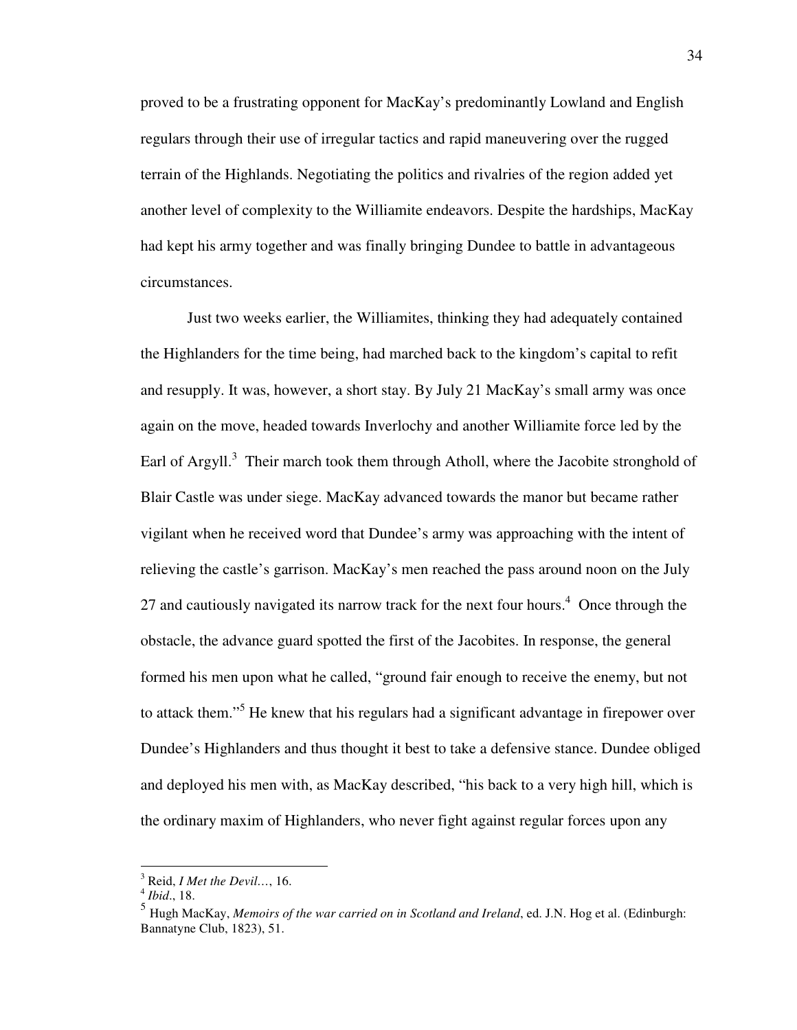proved to be a frustrating opponent for MacKay's predominantly Lowland and English regulars through their use of irregular tactics and rapid maneuvering over the rugged terrain of the Highlands. Negotiating the politics and rivalries of the region added yet another level of complexity to the Williamite endeavors. Despite the hardships, MacKay had kept his army together and was finally bringing Dundee to battle in advantageous circumstances.

Just two weeks earlier, the Williamites, thinking they had adequately contained the Highlanders for the time being, had marched back to the kingdom's capital to refit and resupply. It was, however, a short stay. By July 21 MacKay's small army was once again on the move, headed towards Inverlochy and another Williamite force led by the Earl of Argyll.<sup>3</sup> Their march took them through Atholl, where the Jacobite stronghold of Blair Castle was under siege. MacKay advanced towards the manor but became rather vigilant when he received word that Dundee's army was approaching with the intent of relieving the castle's garrison. MacKay's men reached the pass around noon on the July 27 and cautiously navigated its narrow track for the next four hours.<sup>4</sup> Once through the obstacle, the advance guard spotted the first of the Jacobites. In response, the general formed his men upon what he called, "ground fair enough to receive the enemy, but not to attack them."<sup>5</sup> He knew that his regulars had a significant advantage in firepower over Dundee's Highlanders and thus thought it best to take a defensive stance. Dundee obliged and deployed his men with, as MacKay described, "his back to a very high hill, which is the ordinary maxim of Highlanders, who never fight against regular forces upon any

 $\overline{a}$ 

<sup>3</sup> Reid, *I Met the Devil…*, 16.

<sup>4</sup> *Ibid*., 18.

<sup>5</sup> Hugh MacKay, *Memoirs of the war carried on in Scotland and Ireland*, ed. J.N. Hog et al. (Edinburgh: Bannatyne Club, 1823), 51.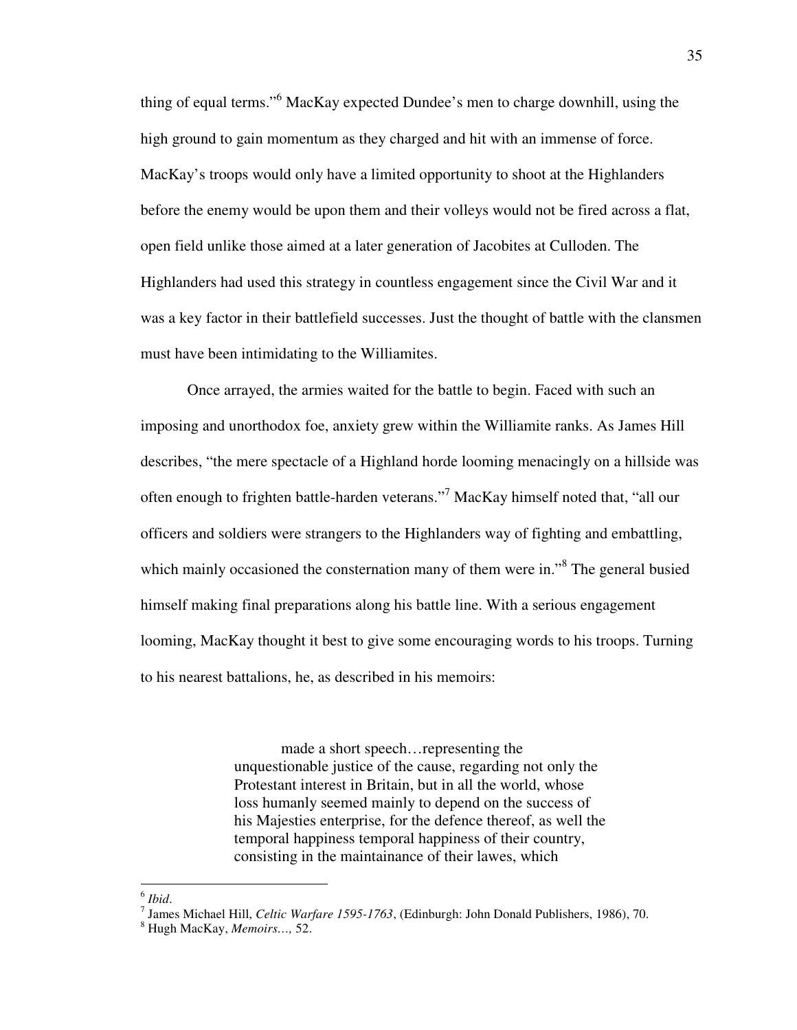thing of equal terms."<sup>6</sup> MacKay expected Dundee's men to charge downhill, using the high ground to gain momentum as they charged and hit with an immense of force. MacKay's troops would only have a limited opportunity to shoot at the Highlanders before the enemy would be upon them and their volleys would not be fired across a flat, open field unlike those aimed at a later generation of Jacobites at Culloden. The Highlanders had used this strategy in countless engagement since the Civil War and it was a key factor in their battlefield successes. Just the thought of battle with the clansmen must have been intimidating to the Williamites.

Once arrayed, the armies waited for the battle to begin. Faced with such an imposing and unorthodox foe, anxiety grew within the Williamite ranks. As James Hill describes, "the mere spectacle of a Highland horde looming menacingly on a hillside was often enough to frighten battle-harden veterans."<sup>7</sup> MacKay himself noted that, "all our officers and soldiers were strangers to the Highlanders way of fighting and embattling, which mainly occasioned the consternation many of them were in."<sup>8</sup> The general busied himself making final preparations along his battle line. With a serious engagement looming, MacKay thought it best to give some encouraging words to his troops. Turning to his nearest battalions, he, as described in his memoirs:

> made a short speech…representing the unquestionable justice of the cause, regarding not only the Protestant interest in Britain, but in all the world, whose loss humanly seemed mainly to depend on the success of his Majesties enterprise, for the defence thereof, as well the temporal happiness temporal happiness of their country, consisting in the maintainance of their lawes, which

<u>.</u>

<sup>6</sup> *Ibid*.

<sup>7</sup> James Michael Hill, *Celtic Warfare 1595-1763*, (Edinburgh: John Donald Publishers, 1986), 70.

<sup>8</sup> Hugh MacKay, *Memoirs…,* 52.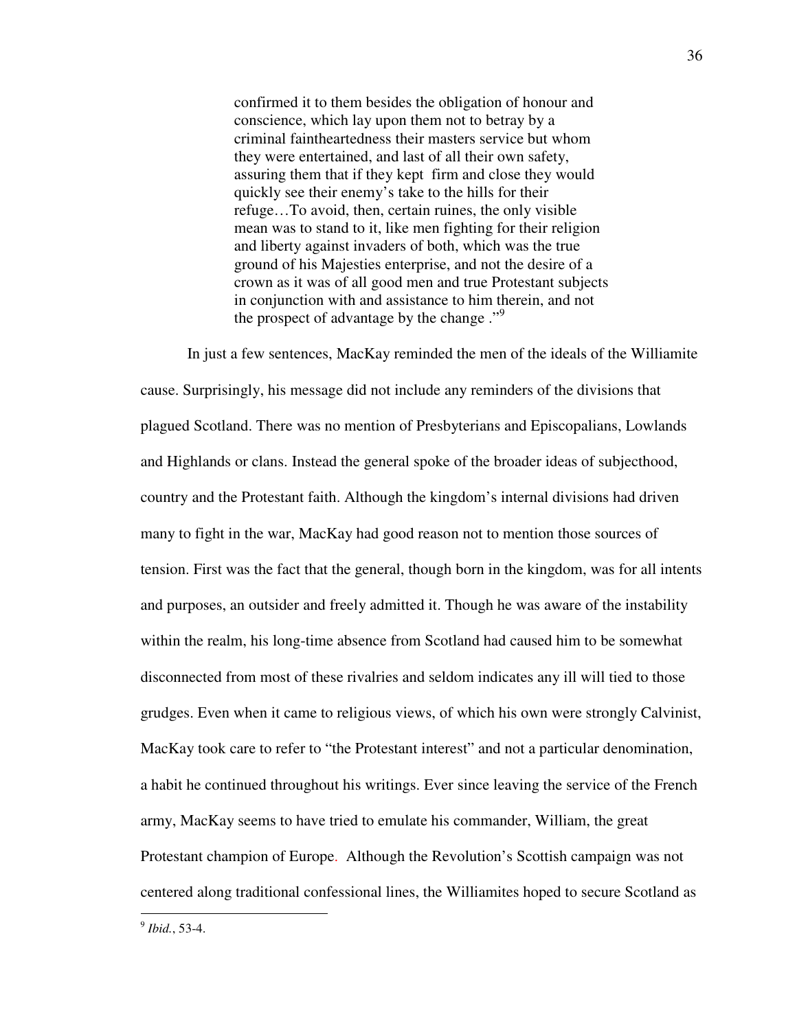confirmed it to them besides the obligation of honour and conscience, which lay upon them not to betray by a criminal faintheartedness their masters service but whom they were entertained, and last of all their own safety, assuring them that if they kept firm and close they would quickly see their enemy's take to the hills for their refuge…To avoid, then, certain ruines, the only visible mean was to stand to it, like men fighting for their religion and liberty against invaders of both, which was the true ground of his Majesties enterprise, and not the desire of a crown as it was of all good men and true Protestant subjects in conjunction with and assistance to him therein, and not the prospect of advantage by the change ."<sup>9</sup>

 In just a few sentences, MacKay reminded the men of the ideals of the Williamite cause. Surprisingly, his message did not include any reminders of the divisions that plagued Scotland. There was no mention of Presbyterians and Episcopalians, Lowlands and Highlands or clans. Instead the general spoke of the broader ideas of subjecthood, country and the Protestant faith. Although the kingdom's internal divisions had driven many to fight in the war, MacKay had good reason not to mention those sources of tension. First was the fact that the general, though born in the kingdom, was for all intents and purposes, an outsider and freely admitted it. Though he was aware of the instability within the realm, his long-time absence from Scotland had caused him to be somewhat disconnected from most of these rivalries and seldom indicates any ill will tied to those grudges. Even when it came to religious views, of which his own were strongly Calvinist, MacKay took care to refer to "the Protestant interest" and not a particular denomination, a habit he continued throughout his writings. Ever since leaving the service of the French army, MacKay seems to have tried to emulate his commander, William, the great Protestant champion of Europe. Although the Revolution's Scottish campaign was not centered along traditional confessional lines, the Williamites hoped to secure Scotland as

9 *Ibid.*, 53-4.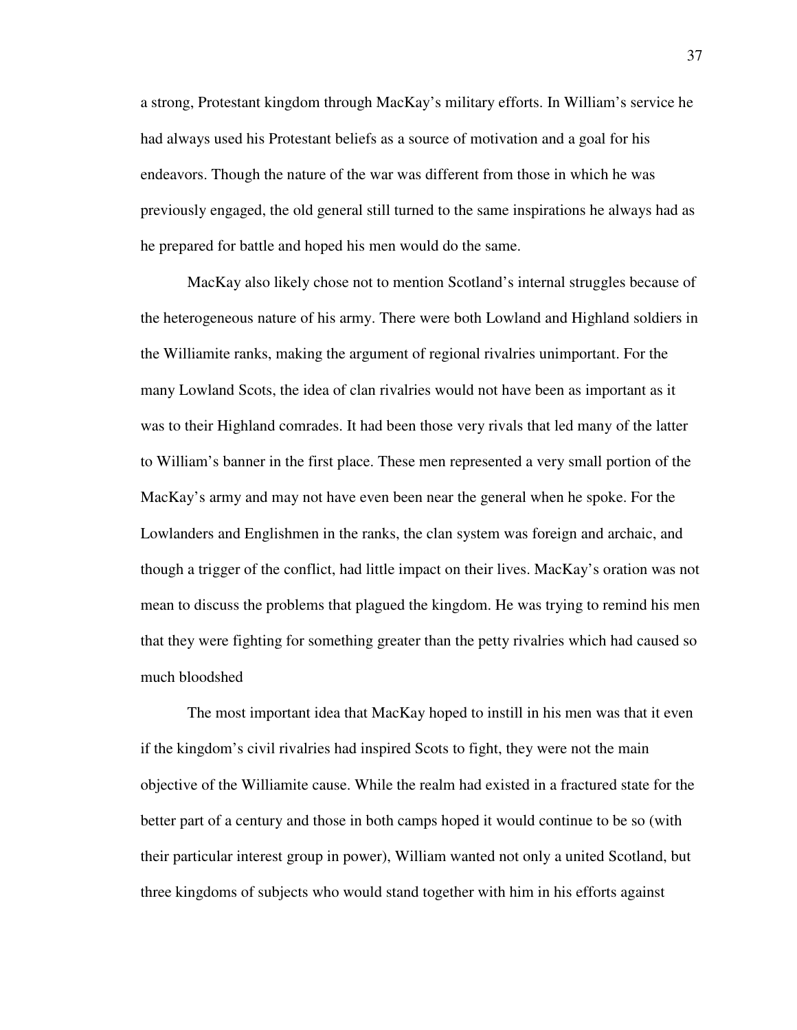a strong, Protestant kingdom through MacKay's military efforts. In William's service he had always used his Protestant beliefs as a source of motivation and a goal for his endeavors. Though the nature of the war was different from those in which he was previously engaged, the old general still turned to the same inspirations he always had as he prepared for battle and hoped his men would do the same.

MacKay also likely chose not to mention Scotland's internal struggles because of the heterogeneous nature of his army. There were both Lowland and Highland soldiers in the Williamite ranks, making the argument of regional rivalries unimportant. For the many Lowland Scots, the idea of clan rivalries would not have been as important as it was to their Highland comrades. It had been those very rivals that led many of the latter to William's banner in the first place. These men represented a very small portion of the MacKay's army and may not have even been near the general when he spoke. For the Lowlanders and Englishmen in the ranks, the clan system was foreign and archaic, and though a trigger of the conflict, had little impact on their lives. MacKay's oration was not mean to discuss the problems that plagued the kingdom. He was trying to remind his men that they were fighting for something greater than the petty rivalries which had caused so much bloodshed

 The most important idea that MacKay hoped to instill in his men was that it even if the kingdom's civil rivalries had inspired Scots to fight, they were not the main objective of the Williamite cause. While the realm had existed in a fractured state for the better part of a century and those in both camps hoped it would continue to be so (with their particular interest group in power), William wanted not only a united Scotland, but three kingdoms of subjects who would stand together with him in his efforts against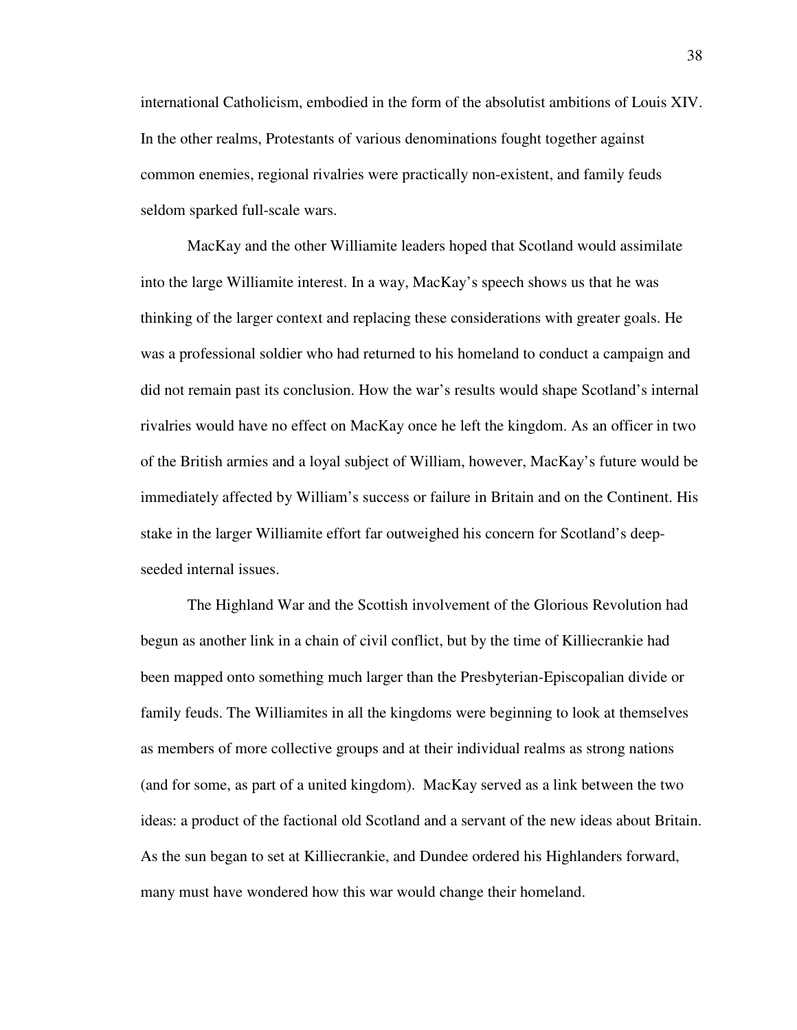international Catholicism, embodied in the form of the absolutist ambitions of Louis XIV. In the other realms, Protestants of various denominations fought together against common enemies, regional rivalries were practically non-existent, and family feuds seldom sparked full-scale wars.

MacKay and the other Williamite leaders hoped that Scotland would assimilate into the large Williamite interest. In a way, MacKay's speech shows us that he was thinking of the larger context and replacing these considerations with greater goals. He was a professional soldier who had returned to his homeland to conduct a campaign and did not remain past its conclusion. How the war's results would shape Scotland's internal rivalries would have no effect on MacKay once he left the kingdom. As an officer in two of the British armies and a loyal subject of William, however, MacKay's future would be immediately affected by William's success or failure in Britain and on the Continent. His stake in the larger Williamite effort far outweighed his concern for Scotland's deepseeded internal issues.

The Highland War and the Scottish involvement of the Glorious Revolution had begun as another link in a chain of civil conflict, but by the time of Killiecrankie had been mapped onto something much larger than the Presbyterian-Episcopalian divide or family feuds. The Williamites in all the kingdoms were beginning to look at themselves as members of more collective groups and at their individual realms as strong nations (and for some, as part of a united kingdom). MacKay served as a link between the two ideas: a product of the factional old Scotland and a servant of the new ideas about Britain. As the sun began to set at Killiecrankie, and Dundee ordered his Highlanders forward, many must have wondered how this war would change their homeland.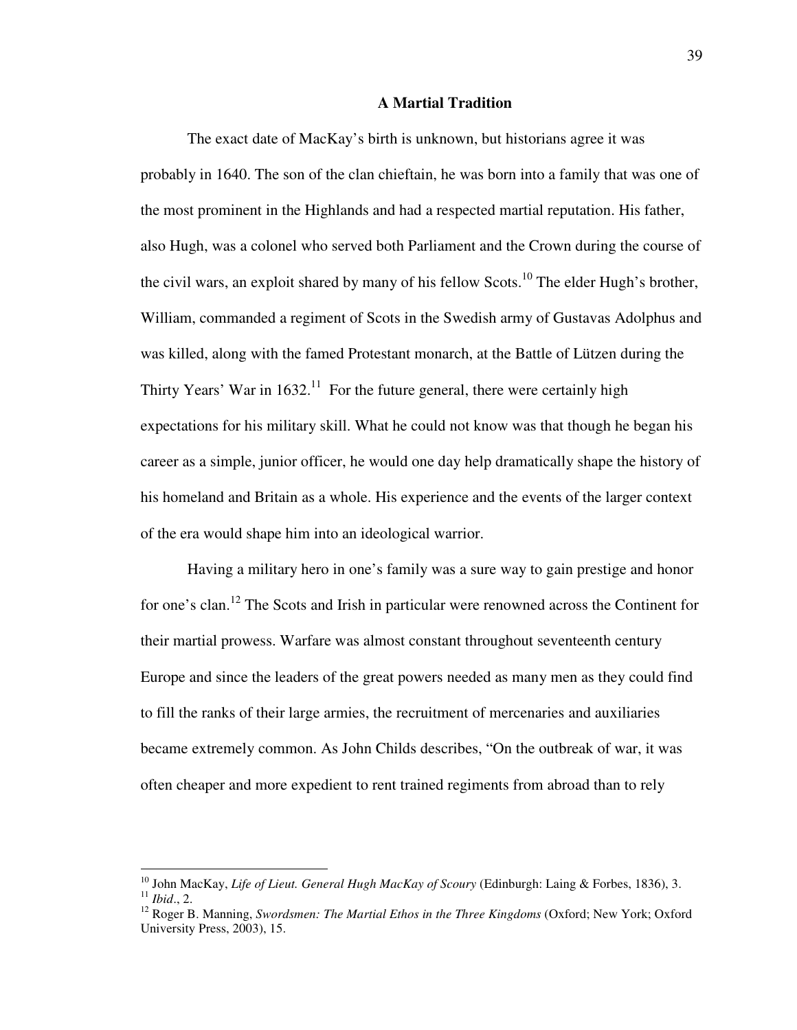#### **A Martial Tradition**

 The exact date of MacKay's birth is unknown, but historians agree it was probably in 1640. The son of the clan chieftain, he was born into a family that was one of the most prominent in the Highlands and had a respected martial reputation. His father, also Hugh, was a colonel who served both Parliament and the Crown during the course of the civil wars, an exploit shared by many of his fellow  $S\text{cots}$ <sup>10</sup>. The elder Hugh's brother, William, commanded a regiment of Scots in the Swedish army of Gustavas Adolphus and was killed, along with the famed Protestant monarch, at the Battle of Lützen during the Thirty Years' War in  $1632<sup>11</sup>$  For the future general, there were certainly high expectations for his military skill. What he could not know was that though he began his career as a simple, junior officer, he would one day help dramatically shape the history of his homeland and Britain as a whole. His experience and the events of the larger context of the era would shape him into an ideological warrior.

 Having a military hero in one's family was a sure way to gain prestige and honor for one's clan.<sup>12</sup> The Scots and Irish in particular were renowned across the Continent for their martial prowess. Warfare was almost constant throughout seventeenth century Europe and since the leaders of the great powers needed as many men as they could find to fill the ranks of their large armies, the recruitment of mercenaries and auxiliaries became extremely common. As John Childs describes, "On the outbreak of war, it was often cheaper and more expedient to rent trained regiments from abroad than to rely

<sup>10</sup> John MacKay, *Life of Lieut. General Hugh MacKay of Scoury* (Edinburgh: Laing & Forbes, 1836), 3. <sup>11</sup> *Ibid*., 2.

<sup>12</sup> Roger B. Manning, *Swordsmen: The Martial Ethos in the Three Kingdoms* (Oxford; New York; Oxford University Press, 2003), 15.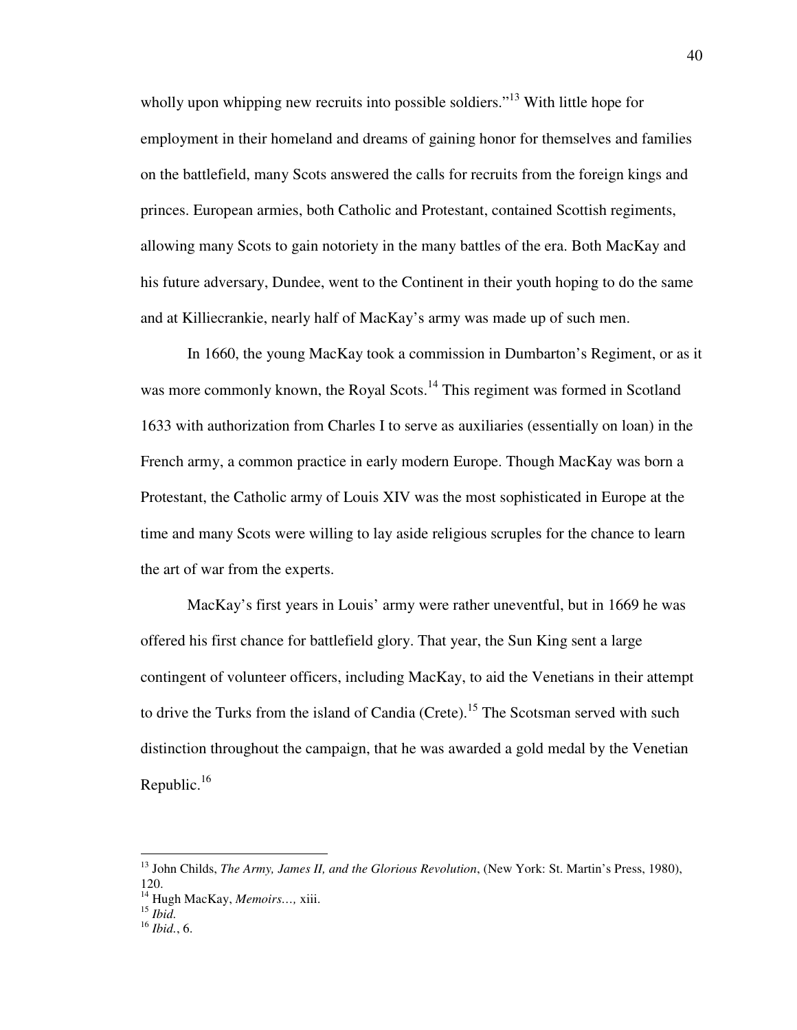wholly upon whipping new recruits into possible soldiers."<sup>13</sup> With little hope for employment in their homeland and dreams of gaining honor for themselves and families on the battlefield, many Scots answered the calls for recruits from the foreign kings and princes. European armies, both Catholic and Protestant, contained Scottish regiments, allowing many Scots to gain notoriety in the many battles of the era. Both MacKay and his future adversary, Dundee, went to the Continent in their youth hoping to do the same and at Killiecrankie, nearly half of MacKay's army was made up of such men.

 In 1660, the young MacKay took a commission in Dumbarton's Regiment, or as it was more commonly known, the Royal Scots.<sup>14</sup> This regiment was formed in Scotland 1633 with authorization from Charles I to serve as auxiliaries (essentially on loan) in the French army, a common practice in early modern Europe. Though MacKay was born a Protestant, the Catholic army of Louis XIV was the most sophisticated in Europe at the time and many Scots were willing to lay aside religious scruples for the chance to learn the art of war from the experts.

 MacKay's first years in Louis' army were rather uneventful, but in 1669 he was offered his first chance for battlefield glory. That year, the Sun King sent a large contingent of volunteer officers, including MacKay, to aid the Venetians in their attempt to drive the Turks from the island of Candia (Crete).<sup>15</sup> The Scotsman served with such distinction throughout the campaign, that he was awarded a gold medal by the Venetian Republic.<sup>16</sup>

<sup>13</sup> John Childs, *The Army, James II, and the Glorious Revolution*, (New York: St. Martin's Press, 1980), 120.

<sup>14</sup> Hugh MacKay, *Memoirs…,* xiii.

<sup>15</sup> *Ibid.*

<sup>16</sup> *Ibid.*, 6.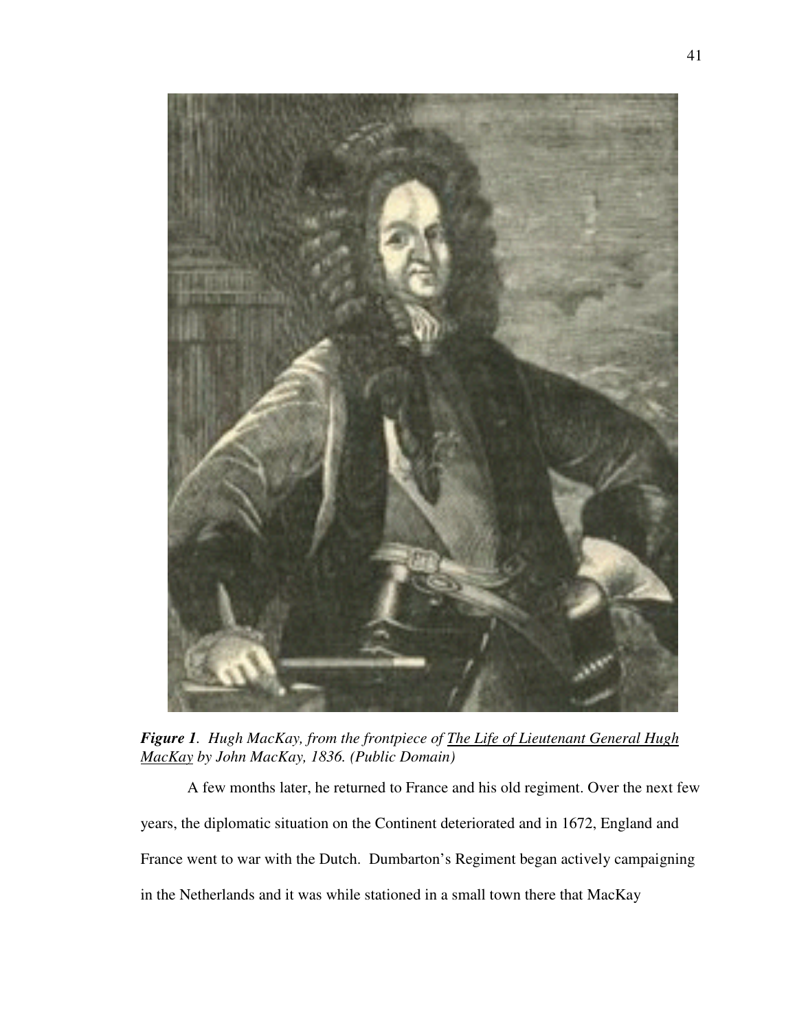

*Figure 1. Hugh MacKay, from the frontpiece of The Life of Lieutenant General Hugh MacKay by John MacKay, 1836. (Public Domain)* 

 A few months later, he returned to France and his old regiment. Over the next few years, the diplomatic situation on the Continent deteriorated and in 1672, England and France went to war with the Dutch. Dumbarton's Regiment began actively campaigning in the Netherlands and it was while stationed in a small town there that MacKay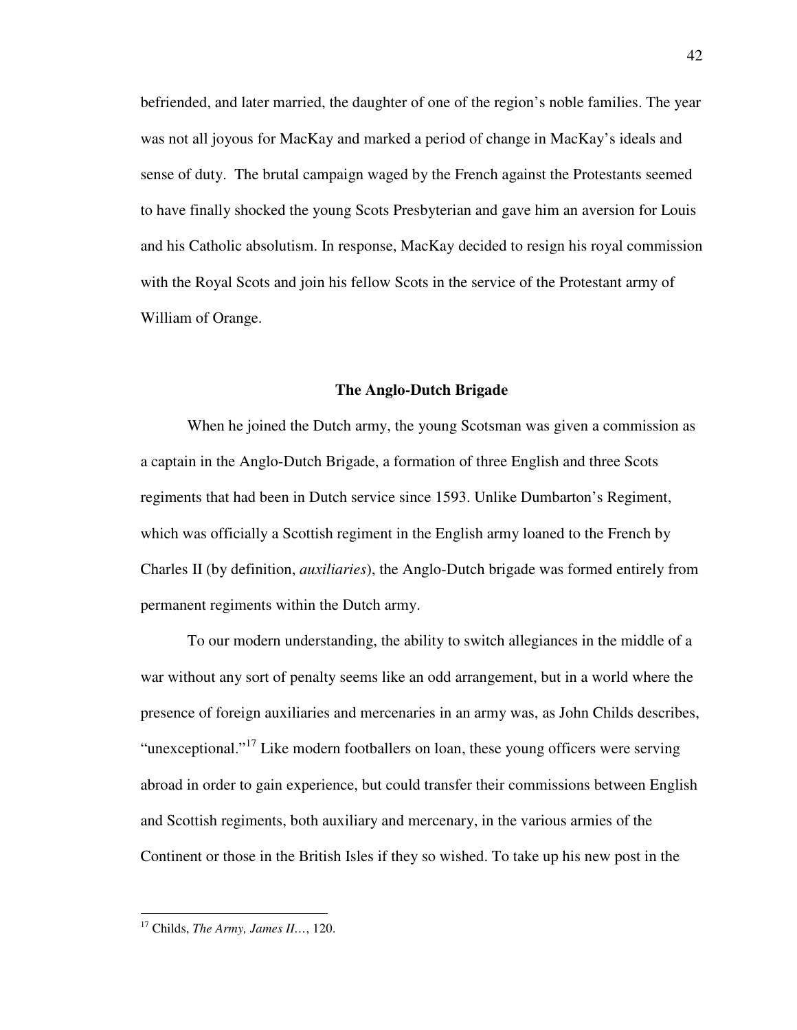befriended, and later married, the daughter of one of the region's noble families. The year was not all joyous for MacKay and marked a period of change in MacKay's ideals and sense of duty. The brutal campaign waged by the French against the Protestants seemed to have finally shocked the young Scots Presbyterian and gave him an aversion for Louis and his Catholic absolutism. In response, MacKay decided to resign his royal commission with the Royal Scots and join his fellow Scots in the service of the Protestant army of William of Orange.

#### **The Anglo-Dutch Brigade**

When he joined the Dutch army, the young Scotsman was given a commission as a captain in the Anglo-Dutch Brigade, a formation of three English and three Scots regiments that had been in Dutch service since 1593. Unlike Dumbarton's Regiment, which was officially a Scottish regiment in the English army loaned to the French by Charles II (by definition, *auxiliaries*), the Anglo-Dutch brigade was formed entirely from permanent regiments within the Dutch army.

To our modern understanding, the ability to switch allegiances in the middle of a war without any sort of penalty seems like an odd arrangement, but in a world where the presence of foreign auxiliaries and mercenaries in an army was, as John Childs describes, "unexceptional."<sup>17</sup> Like modern footballers on loan, these young officers were serving abroad in order to gain experience, but could transfer their commissions between English and Scottish regiments, both auxiliary and mercenary, in the various armies of the Continent or those in the British Isles if they so wished. To take up his new post in the

<sup>17</sup> Childs, *The Army, James II…*, 120.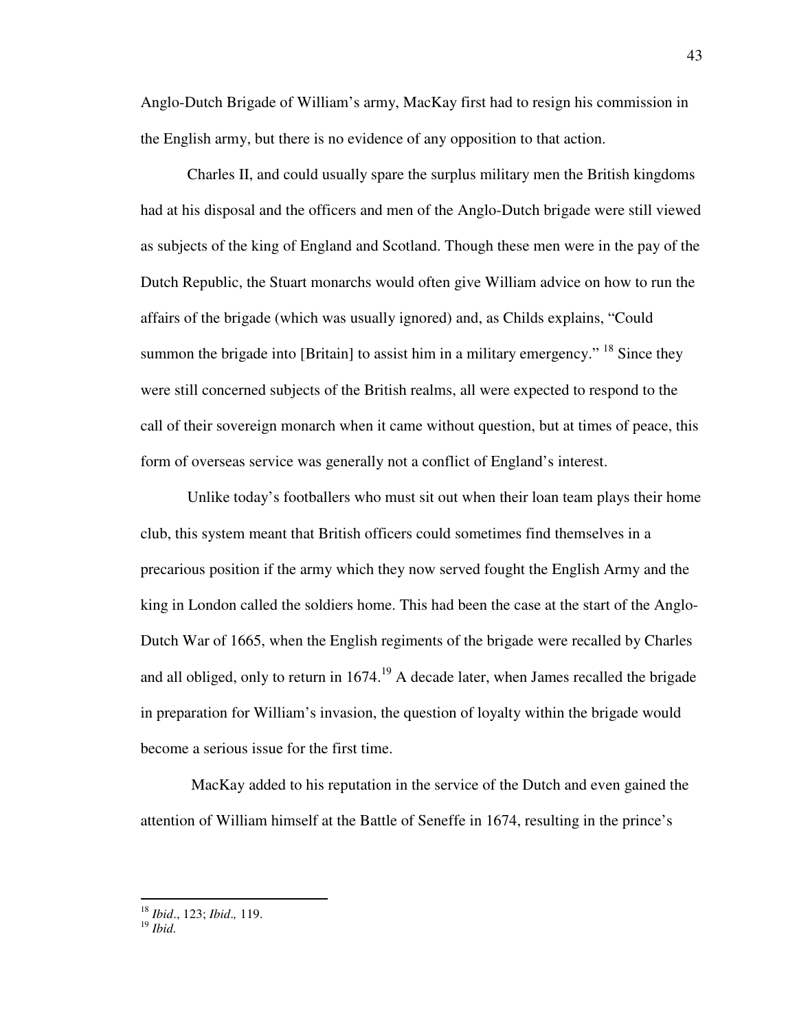Anglo-Dutch Brigade of William's army, MacKay first had to resign his commission in the English army, but there is no evidence of any opposition to that action.

Charles II, and could usually spare the surplus military men the British kingdoms had at his disposal and the officers and men of the Anglo-Dutch brigade were still viewed as subjects of the king of England and Scotland. Though these men were in the pay of the Dutch Republic, the Stuart monarchs would often give William advice on how to run the affairs of the brigade (which was usually ignored) and, as Childs explains, "Could summon the brigade into [Britain] to assist him in a military emergency." <sup>18</sup> Since they were still concerned subjects of the British realms, all were expected to respond to the call of their sovereign monarch when it came without question, but at times of peace, this form of overseas service was generally not a conflict of England's interest.

Unlike today's footballers who must sit out when their loan team plays their home club, this system meant that British officers could sometimes find themselves in a precarious position if the army which they now served fought the English Army and the king in London called the soldiers home. This had been the case at the start of the Anglo-Dutch War of 1665, when the English regiments of the brigade were recalled by Charles and all obliged, only to return in  $1674<sup>19</sup>$  A decade later, when James recalled the brigade in preparation for William's invasion, the question of loyalty within the brigade would become a serious issue for the first time.

 MacKay added to his reputation in the service of the Dutch and even gained the attention of William himself at the Battle of Seneffe in 1674, resulting in the prince's

<sup>18</sup> *Ibid*., 123; *Ibid*.*,* 119.

<sup>19</sup> *Ibid.*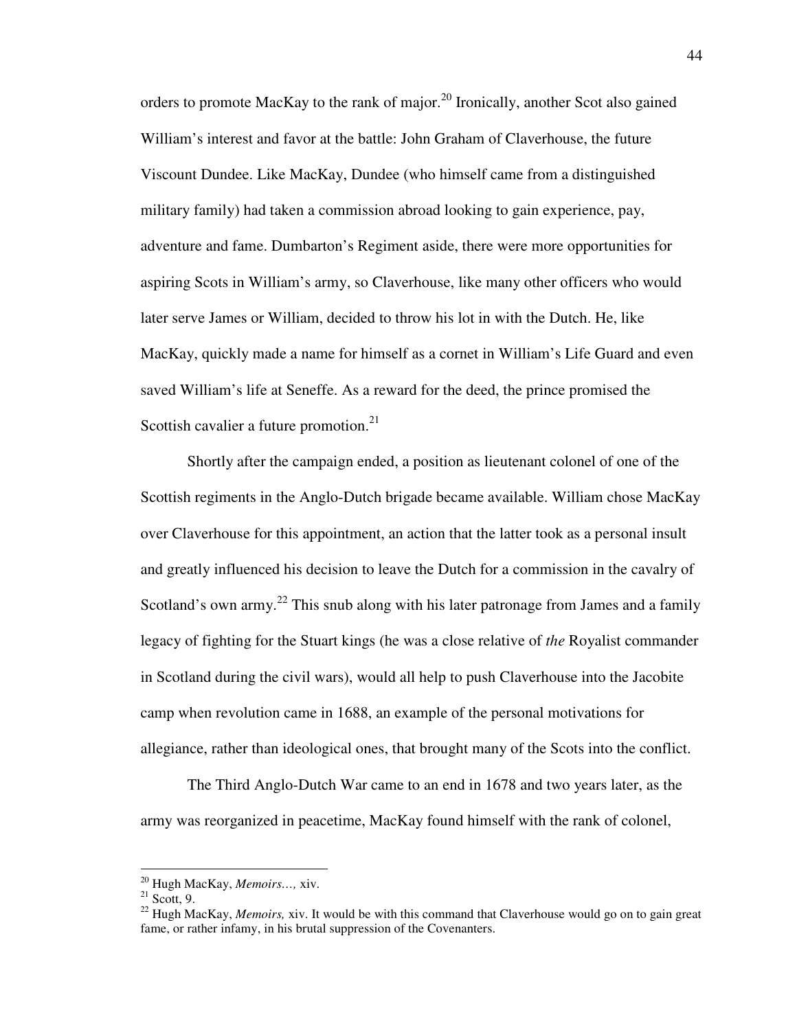orders to promote MacKay to the rank of major.<sup>20</sup> Ironically, another Scot also gained William's interest and favor at the battle: John Graham of Claverhouse, the future Viscount Dundee. Like MacKay, Dundee (who himself came from a distinguished military family) had taken a commission abroad looking to gain experience, pay, adventure and fame. Dumbarton's Regiment aside, there were more opportunities for aspiring Scots in William's army, so Claverhouse, like many other officers who would later serve James or William, decided to throw his lot in with the Dutch. He, like MacKay, quickly made a name for himself as a cornet in William's Life Guard and even saved William's life at Seneffe. As a reward for the deed, the prince promised the Scottish cavalier a future promotion.<sup>21</sup>

 Shortly after the campaign ended, a position as lieutenant colonel of one of the Scottish regiments in the Anglo-Dutch brigade became available. William chose MacKay over Claverhouse for this appointment, an action that the latter took as a personal insult and greatly influenced his decision to leave the Dutch for a commission in the cavalry of Scotland's own army.<sup>22</sup> This snub along with his later patronage from James and a family legacy of fighting for the Stuart kings (he was a close relative of *the* Royalist commander in Scotland during the civil wars), would all help to push Claverhouse into the Jacobite camp when revolution came in 1688, an example of the personal motivations for allegiance, rather than ideological ones, that brought many of the Scots into the conflict.

The Third Anglo-Dutch War came to an end in 1678 and two years later, as the army was reorganized in peacetime, MacKay found himself with the rank of colonel,

<sup>20</sup> Hugh MacKay, *Memoirs…,* xiv.

 $21$  Scott, 9.

<sup>22</sup> Hugh MacKay, *Memoirs,* xiv. It would be with this command that Claverhouse would go on to gain great fame, or rather infamy, in his brutal suppression of the Covenanters.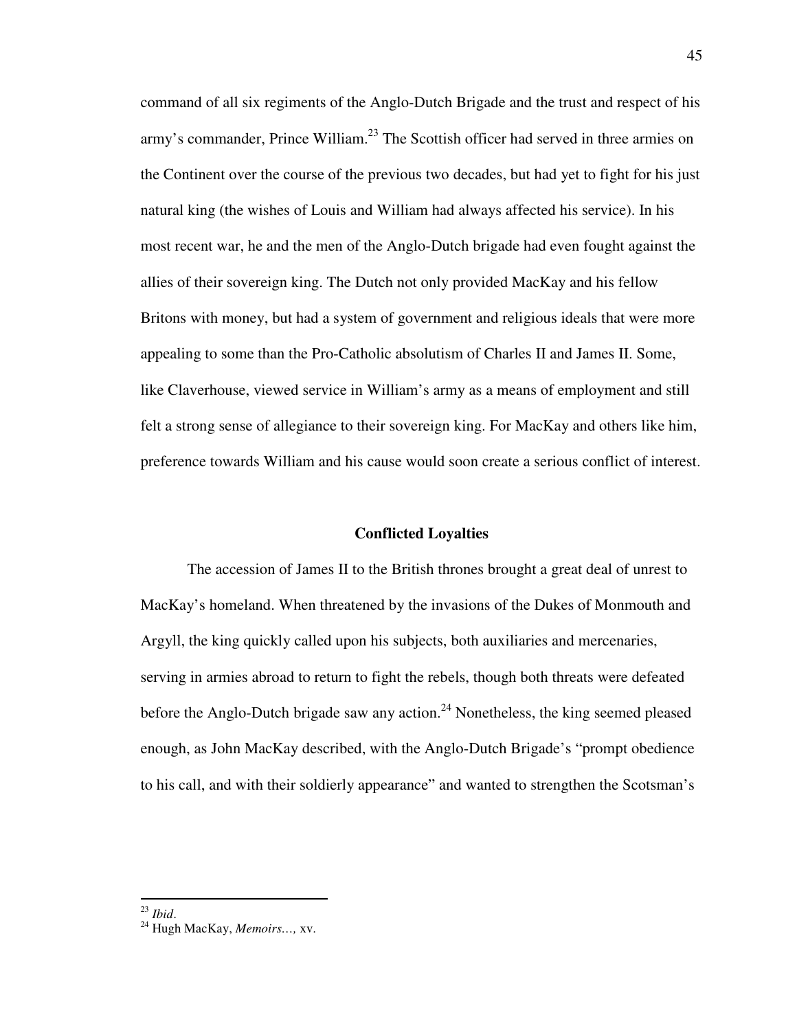command of all six regiments of the Anglo-Dutch Brigade and the trust and respect of his army's commander, Prince William.<sup>23</sup> The Scottish officer had served in three armies on the Continent over the course of the previous two decades, but had yet to fight for his just natural king (the wishes of Louis and William had always affected his service). In his most recent war, he and the men of the Anglo-Dutch brigade had even fought against the allies of their sovereign king. The Dutch not only provided MacKay and his fellow Britons with money, but had a system of government and religious ideals that were more appealing to some than the Pro-Catholic absolutism of Charles II and James II. Some, like Claverhouse, viewed service in William's army as a means of employment and still felt a strong sense of allegiance to their sovereign king. For MacKay and others like him, preference towards William and his cause would soon create a serious conflict of interest.

#### **Conflicted Loyalties**

The accession of James II to the British thrones brought a great deal of unrest to MacKay's homeland. When threatened by the invasions of the Dukes of Monmouth and Argyll, the king quickly called upon his subjects, both auxiliaries and mercenaries, serving in armies abroad to return to fight the rebels, though both threats were defeated before the Anglo-Dutch brigade saw any action.<sup>24</sup> Nonetheless, the king seemed pleased enough, as John MacKay described, with the Anglo-Dutch Brigade's "prompt obedience to his call, and with their soldierly appearance" and wanted to strengthen the Scotsman's

<sup>23</sup> *Ibid*.

<sup>24</sup> Hugh MacKay, *Memoirs…,* xv.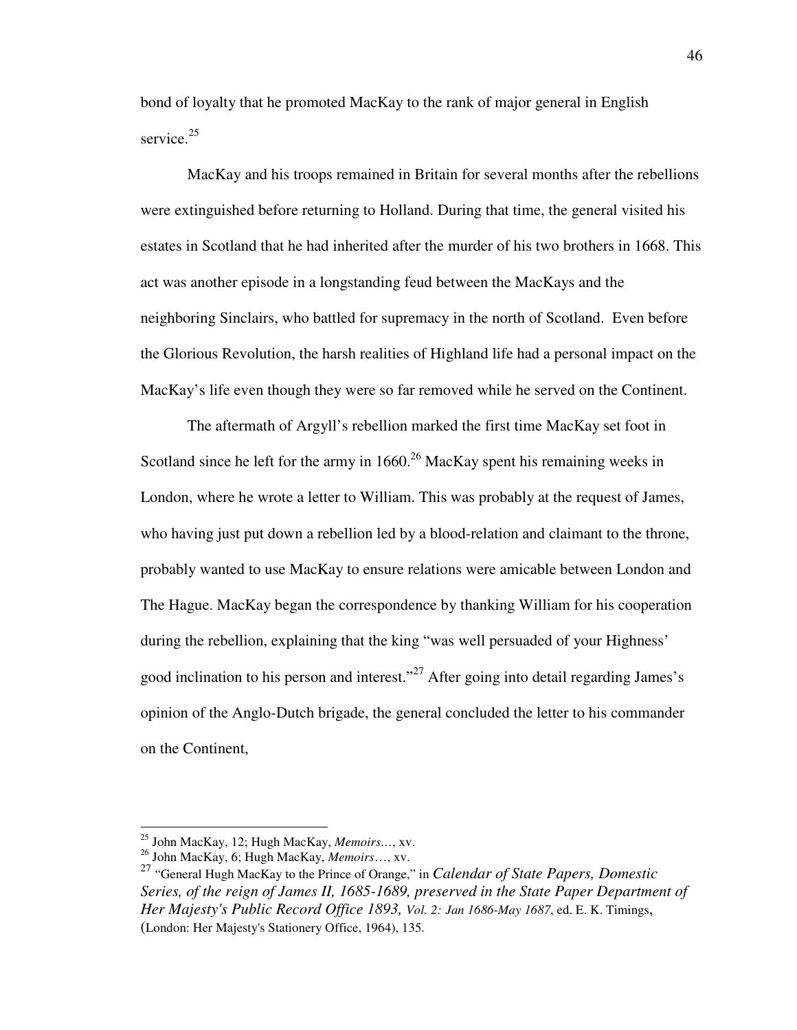bond of loyalty that he promoted MacKay to the rank of major general in English service.<sup>25</sup>

 MacKay and his troops remained in Britain for several months after the rebellions were extinguished before returning to Holland. During that time, the general visited his estates in Scotland that he had inherited after the murder of his two brothers in 1668. This act was another episode in a longstanding feud between the MacKays and the neighboring Sinclairs, who battled for supremacy in the north of Scotland. Even before the Glorious Revolution, the harsh realities of Highland life had a personal impact on the MacKay's life even though they were so far removed while he served on the Continent.

The aftermath of Argyll's rebellion marked the first time MacKay set foot in Scotland since he left for the army in  $1660$ <sup>26</sup> MacKay spent his remaining weeks in London, where he wrote a letter to William. This was probably at the request of James, who having just put down a rebellion led by a blood-relation and claimant to the throne, probably wanted to use MacKay to ensure relations were amicable between London and The Hague. MacKay began the correspondence by thanking William for his cooperation during the rebellion, explaining that the king "was well persuaded of your Highness' good inclination to his person and interest."<sup>27</sup> After going into detail regarding James's opinion of the Anglo-Dutch brigade, the general concluded the letter to his commander on the Continent,

<sup>25</sup> John MacKay, 12; Hugh MacKay, *Memoirs…*, xv.

<sup>26</sup> John MacKay, 6; Hugh MacKay, *Memoirs*…, xv.

<sup>27</sup> "General Hugh MacKay to the Prince of Orange," in *Calendar of State Papers, Domestic Series, of the reign of James II, 1685-1689, preserved in the State Paper Department of Her Majesty's Public Record Office 1893, Vol. 2: Jan 1686-May 1687*, ed. E. K. Timings, (London: Her Majesty's Stationery Office, 1964), 135.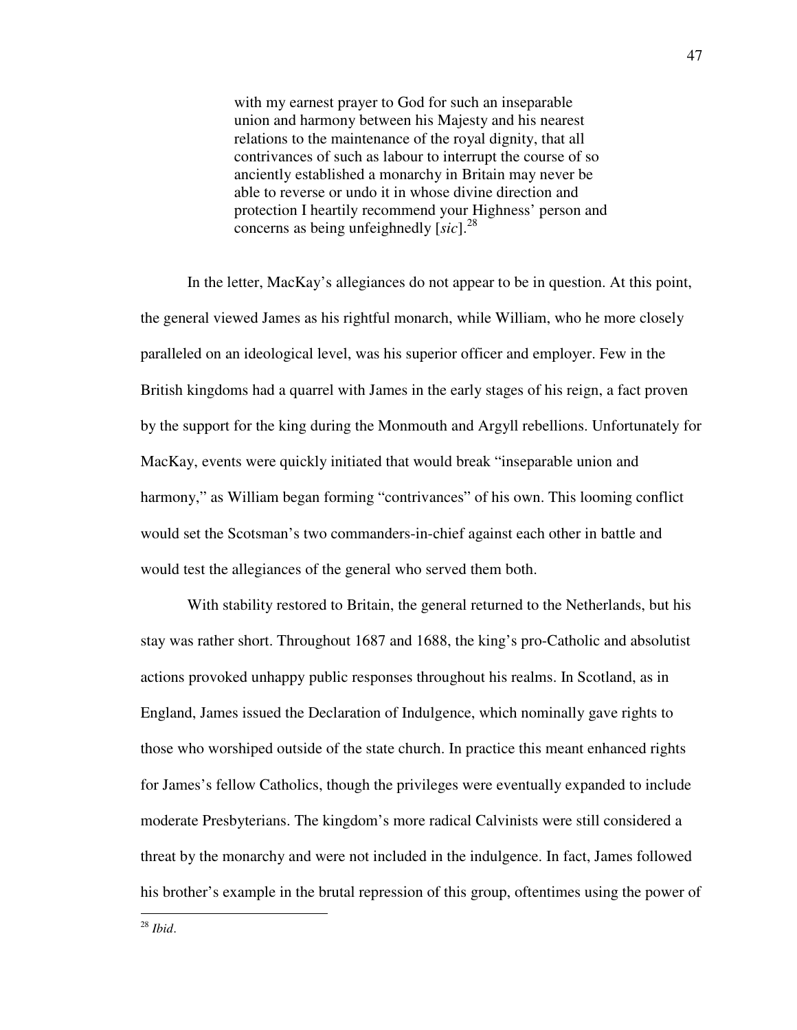with my earnest prayer to God for such an inseparable union and harmony between his Majesty and his nearest relations to the maintenance of the royal dignity, that all contrivances of such as labour to interrupt the course of so anciently established a monarchy in Britain may never be able to reverse or undo it in whose divine direction and protection I heartily recommend your Highness' person and concerns as being unfeighnedly [*sic*].<sup>28</sup>

 In the letter, MacKay's allegiances do not appear to be in question. At this point, the general viewed James as his rightful monarch, while William, who he more closely paralleled on an ideological level, was his superior officer and employer. Few in the British kingdoms had a quarrel with James in the early stages of his reign, a fact proven by the support for the king during the Monmouth and Argyll rebellions. Unfortunately for MacKay, events were quickly initiated that would break "inseparable union and harmony," as William began forming "contrivances" of his own. This looming conflict would set the Scotsman's two commanders-in-chief against each other in battle and would test the allegiances of the general who served them both.

With stability restored to Britain, the general returned to the Netherlands, but his stay was rather short. Throughout 1687 and 1688, the king's pro-Catholic and absolutist actions provoked unhappy public responses throughout his realms. In Scotland, as in England, James issued the Declaration of Indulgence, which nominally gave rights to those who worshiped outside of the state church. In practice this meant enhanced rights for James's fellow Catholics, though the privileges were eventually expanded to include moderate Presbyterians. The kingdom's more radical Calvinists were still considered a threat by the monarchy and were not included in the indulgence. In fact, James followed his brother's example in the brutal repression of this group, oftentimes using the power of

47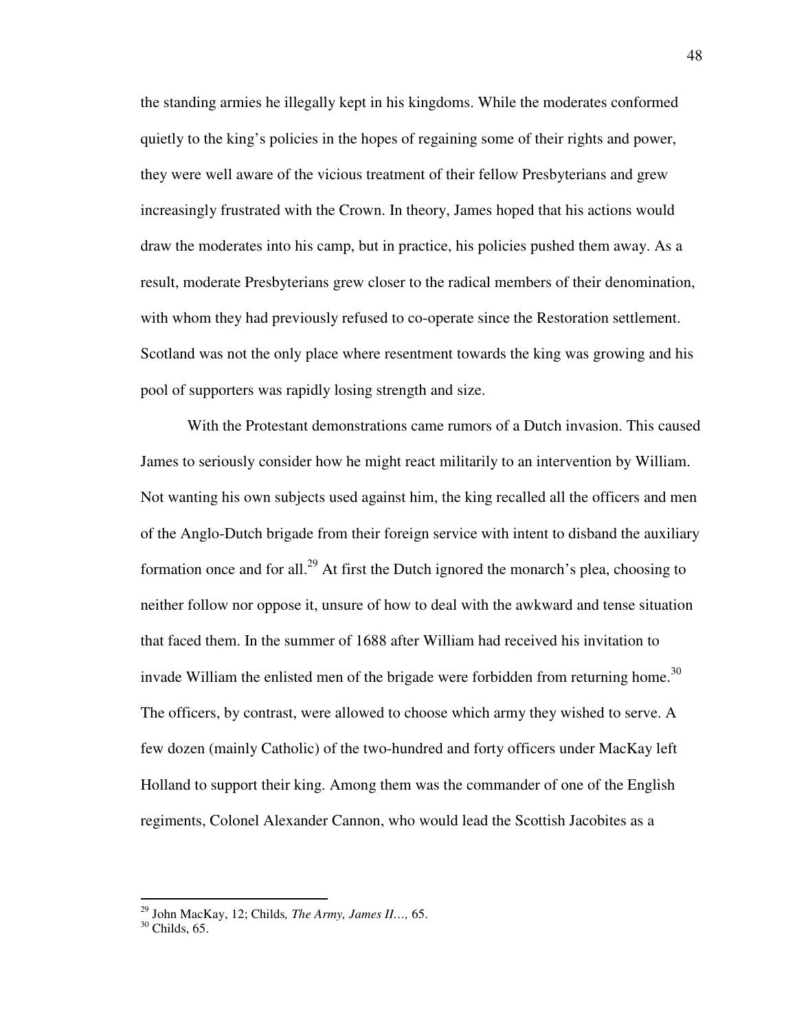the standing armies he illegally kept in his kingdoms. While the moderates conformed quietly to the king's policies in the hopes of regaining some of their rights and power, they were well aware of the vicious treatment of their fellow Presbyterians and grew increasingly frustrated with the Crown. In theory, James hoped that his actions would draw the moderates into his camp, but in practice, his policies pushed them away. As a result, moderate Presbyterians grew closer to the radical members of their denomination, with whom they had previously refused to co-operate since the Restoration settlement. Scotland was not the only place where resentment towards the king was growing and his pool of supporters was rapidly losing strength and size.

With the Protestant demonstrations came rumors of a Dutch invasion. This caused James to seriously consider how he might react militarily to an intervention by William. Not wanting his own subjects used against him, the king recalled all the officers and men of the Anglo-Dutch brigade from their foreign service with intent to disband the auxiliary formation once and for all.<sup>29</sup> At first the Dutch ignored the monarch's plea, choosing to neither follow nor oppose it, unsure of how to deal with the awkward and tense situation that faced them. In the summer of 1688 after William had received his invitation to invade William the enlisted men of the brigade were forbidden from returning home.<sup>30</sup> The officers, by contrast, were allowed to choose which army they wished to serve. A few dozen (mainly Catholic) of the two-hundred and forty officers under MacKay left Holland to support their king. Among them was the commander of one of the English regiments, Colonel Alexander Cannon, who would lead the Scottish Jacobites as a

<sup>29</sup> John MacKay, 12; Childs*, The Army, James II…,* 65.

 $30$  Childs, 65.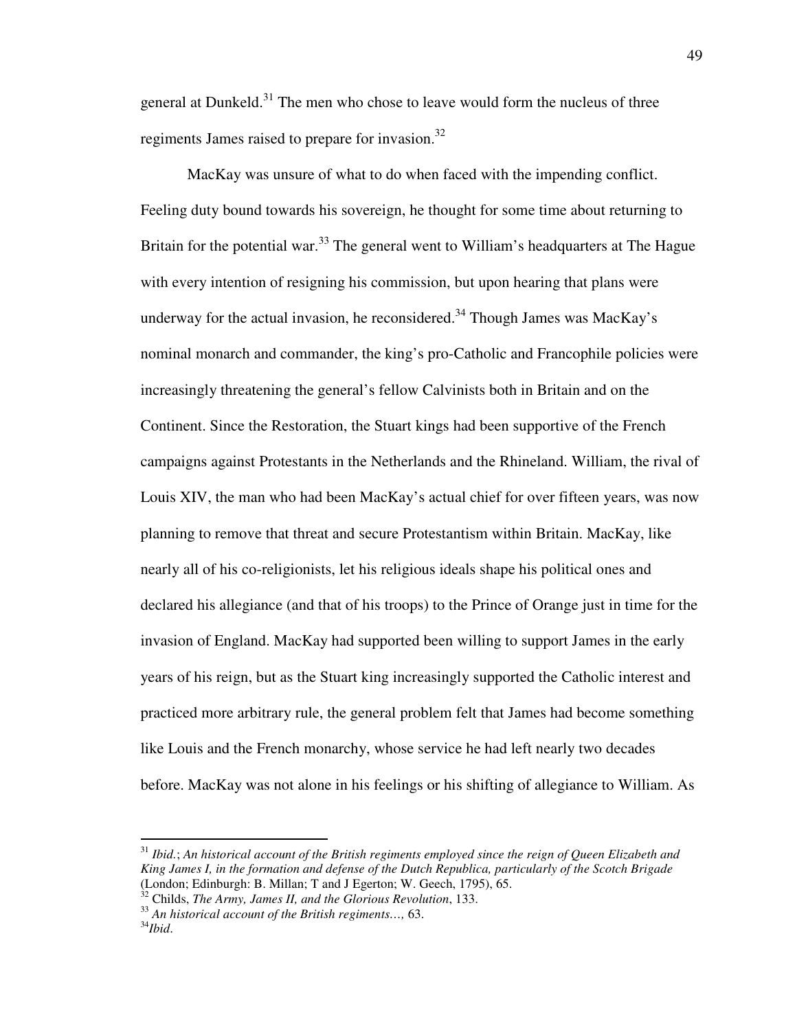general at Dunkeld.<sup>31</sup> The men who chose to leave would form the nucleus of three regiments James raised to prepare for invasion.<sup>32</sup>

MacKay was unsure of what to do when faced with the impending conflict. Feeling duty bound towards his sovereign, he thought for some time about returning to Britain for the potential war.<sup>33</sup> The general went to William's headquarters at The Hague with every intention of resigning his commission, but upon hearing that plans were underway for the actual invasion, he reconsidered.<sup>34</sup> Though James was MacKay's nominal monarch and commander, the king's pro-Catholic and Francophile policies were increasingly threatening the general's fellow Calvinists both in Britain and on the Continent. Since the Restoration, the Stuart kings had been supportive of the French campaigns against Protestants in the Netherlands and the Rhineland. William, the rival of Louis XIV, the man who had been MacKay's actual chief for over fifteen years, was now planning to remove that threat and secure Protestantism within Britain. MacKay, like nearly all of his co-religionists, let his religious ideals shape his political ones and declared his allegiance (and that of his troops) to the Prince of Orange just in time for the invasion of England. MacKay had supported been willing to support James in the early years of his reign, but as the Stuart king increasingly supported the Catholic interest and practiced more arbitrary rule, the general problem felt that James had become something like Louis and the French monarchy, whose service he had left nearly two decades before. MacKay was not alone in his feelings or his shifting of allegiance to William. As

<sup>31</sup> *Ibid.*; *An historical account of the British regiments employed since the reign of Queen Elizabeth and King James I, in the formation and defense of the Dutch Republica, particularly of the Scotch Brigade* (London; Edinburgh: B. Millan; T and J Egerton; W. Geech, 1795), 65.

<sup>32</sup> Childs, *The Army, James II, and the Glorious Revolution*, 133.

<sup>33</sup> *An historical account of the British regiments…,* 63.

<sup>34</sup>*Ibid*.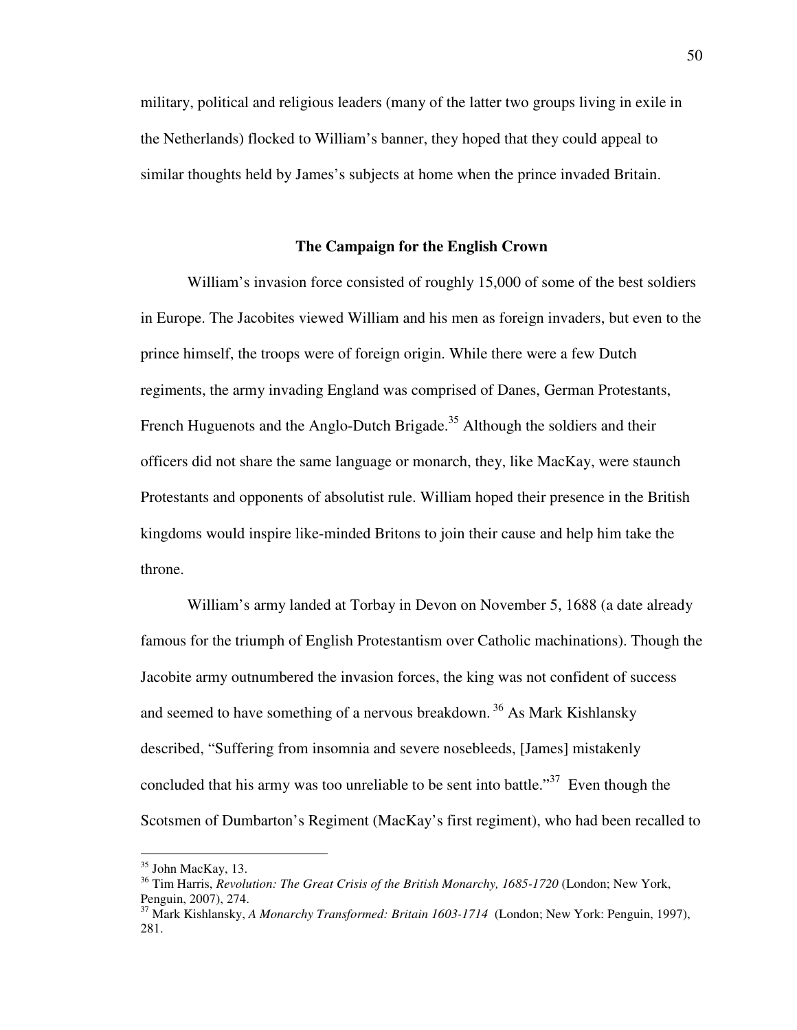military, political and religious leaders (many of the latter two groups living in exile in the Netherlands) flocked to William's banner, they hoped that they could appeal to similar thoughts held by James's subjects at home when the prince invaded Britain.

## **The Campaign for the English Crown**

William's invasion force consisted of roughly 15,000 of some of the best soldiers in Europe. The Jacobites viewed William and his men as foreign invaders, but even to the prince himself, the troops were of foreign origin. While there were a few Dutch regiments, the army invading England was comprised of Danes, German Protestants, French Huguenots and the Anglo-Dutch Brigade.<sup>35</sup> Although the soldiers and their officers did not share the same language or monarch, they, like MacKay, were staunch Protestants and opponents of absolutist rule. William hoped their presence in the British kingdoms would inspire like-minded Britons to join their cause and help him take the throne.

 William's army landed at Torbay in Devon on November 5, 1688 (a date already famous for the triumph of English Protestantism over Catholic machinations). Though the Jacobite army outnumbered the invasion forces, the king was not confident of success and seemed to have something of a nervous breakdown.<sup>36</sup> As Mark Kishlansky described, "Suffering from insomnia and severe nosebleeds, [James] mistakenly concluded that his army was too unreliable to be sent into battle."<sup>37</sup> Even though the Scotsmen of Dumbarton's Regiment (MacKay's first regiment), who had been recalled to

<sup>&</sup>lt;sup>35</sup> John MacKay, 13.

<sup>36</sup> Tim Harris, *Revolution: The Great Crisis of the British Monarchy, 1685-1720* (London; New York, Penguin, 2007), 274.

<sup>37</sup> Mark Kishlansky, *A Monarchy Transformed: Britain 1603-1714* (London; New York: Penguin, 1997), 281.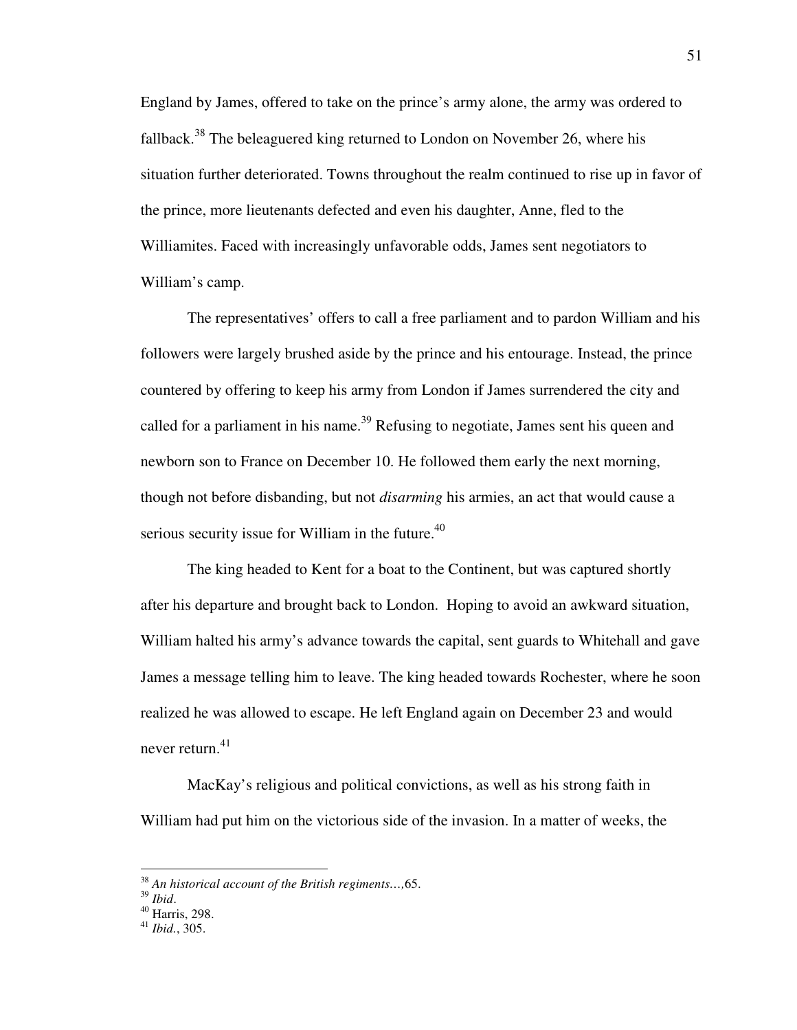England by James, offered to take on the prince's army alone, the army was ordered to fallback.<sup>38</sup> The beleaguered king returned to London on November 26, where his situation further deteriorated. Towns throughout the realm continued to rise up in favor of the prince, more lieutenants defected and even his daughter, Anne, fled to the Williamites. Faced with increasingly unfavorable odds, James sent negotiators to William's camp.

 The representatives' offers to call a free parliament and to pardon William and his followers were largely brushed aside by the prince and his entourage. Instead, the prince countered by offering to keep his army from London if James surrendered the city and called for a parliament in his name.<sup>39</sup> Refusing to negotiate, James sent his queen and newborn son to France on December 10. He followed them early the next morning, though not before disbanding, but not *disarming* his armies, an act that would cause a serious security issue for William in the future. $40$ 

The king headed to Kent for a boat to the Continent, but was captured shortly after his departure and brought back to London. Hoping to avoid an awkward situation, William halted his army's advance towards the capital, sent guards to Whitehall and gave James a message telling him to leave. The king headed towards Rochester, where he soon realized he was allowed to escape. He left England again on December 23 and would never return. $41$ 

 MacKay's religious and political convictions, as well as his strong faith in William had put him on the victorious side of the invasion. In a matter of weeks, the

<sup>38</sup> *An historical account of the British regiments…,*65.

<sup>39</sup> *Ibid*.

 $^{40}$  Harris, 298.

<sup>41</sup> *Ibid.*, 305.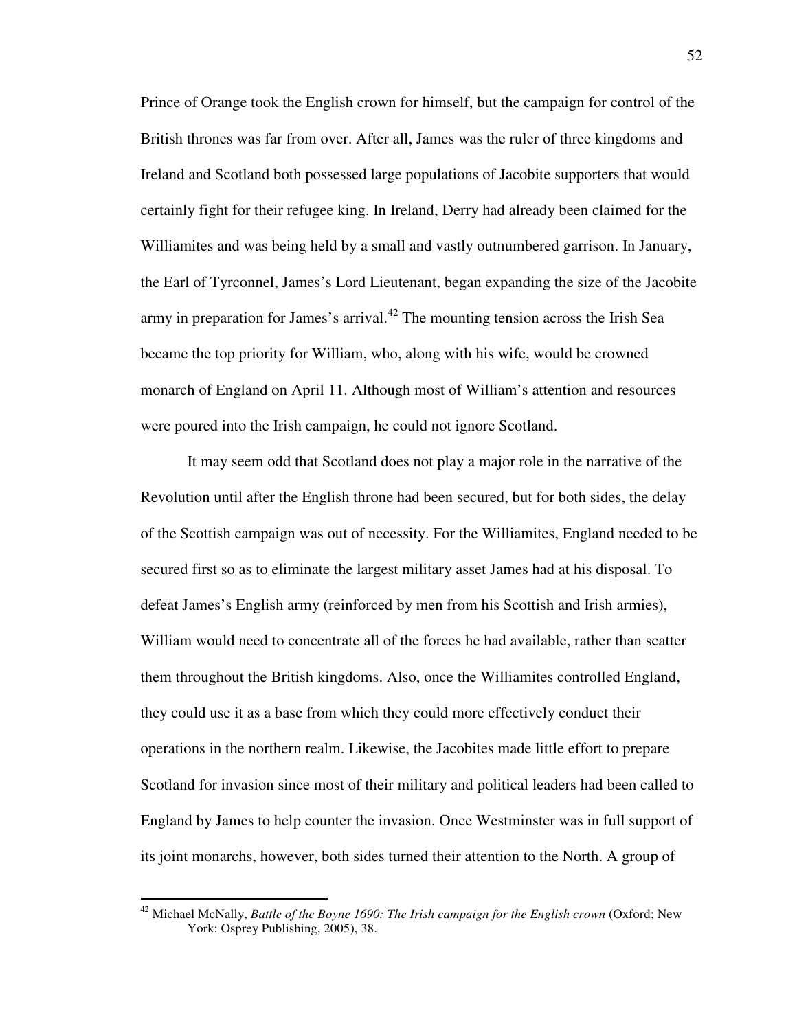Prince of Orange took the English crown for himself, but the campaign for control of the British thrones was far from over. After all, James was the ruler of three kingdoms and Ireland and Scotland both possessed large populations of Jacobite supporters that would certainly fight for their refugee king. In Ireland, Derry had already been claimed for the Williamites and was being held by a small and vastly outnumbered garrison. In January, the Earl of Tyrconnel, James's Lord Lieutenant, began expanding the size of the Jacobite army in preparation for James's arrival.<sup>42</sup> The mounting tension across the Irish Sea became the top priority for William, who, along with his wife, would be crowned monarch of England on April 11. Although most of William's attention and resources were poured into the Irish campaign, he could not ignore Scotland.

 It may seem odd that Scotland does not play a major role in the narrative of the Revolution until after the English throne had been secured, but for both sides, the delay of the Scottish campaign was out of necessity. For the Williamites, England needed to be secured first so as to eliminate the largest military asset James had at his disposal. To defeat James's English army (reinforced by men from his Scottish and Irish armies), William would need to concentrate all of the forces he had available, rather than scatter them throughout the British kingdoms. Also, once the Williamites controlled England, they could use it as a base from which they could more effectively conduct their operations in the northern realm. Likewise, the Jacobites made little effort to prepare Scotland for invasion since most of their military and political leaders had been called to England by James to help counter the invasion. Once Westminster was in full support of its joint monarchs, however, both sides turned their attention to the North. A group of

<sup>42</sup> Michael McNally, *Battle of the Boyne 1690: The Irish campaign for the English crown* (Oxford; New York: Osprey Publishing, 2005), 38.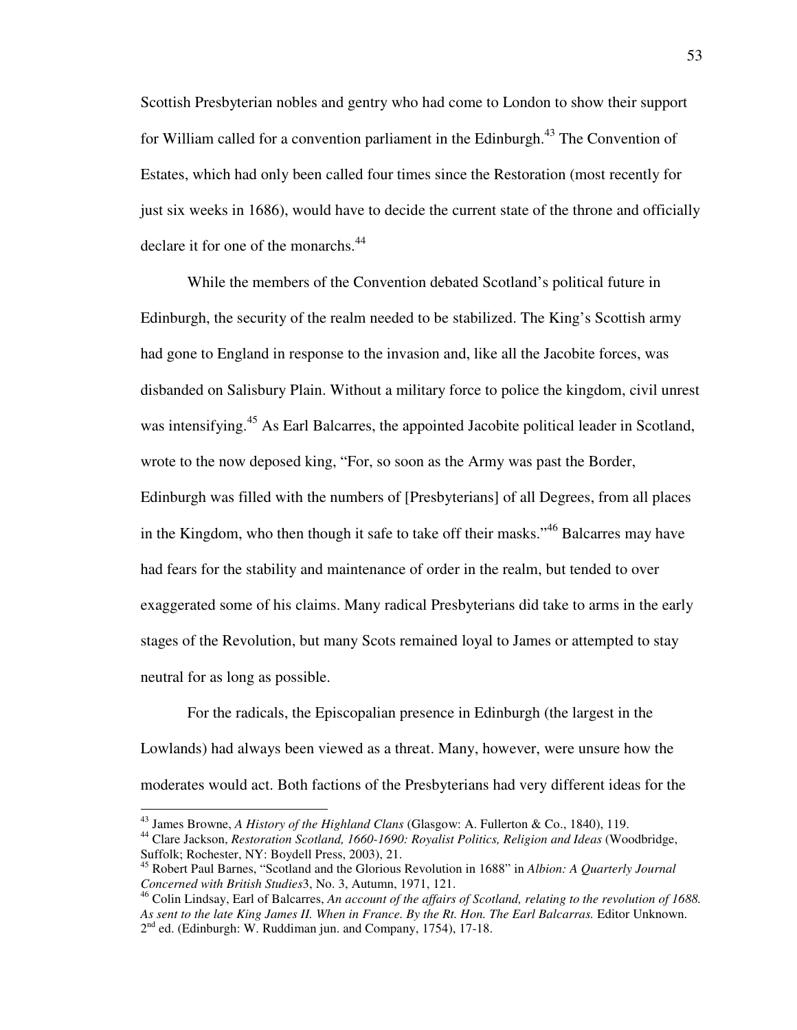Scottish Presbyterian nobles and gentry who had come to London to show their support for William called for a convention parliament in the Edinburgh.<sup>43</sup> The Convention of Estates, which had only been called four times since the Restoration (most recently for just six weeks in 1686), would have to decide the current state of the throne and officially declare it for one of the monarchs.<sup>44</sup>

 While the members of the Convention debated Scotland's political future in Edinburgh, the security of the realm needed to be stabilized. The King's Scottish army had gone to England in response to the invasion and, like all the Jacobite forces, was disbanded on Salisbury Plain. Without a military force to police the kingdom, civil unrest was intensifying.<sup>45</sup> As Earl Balcarres, the appointed Jacobite political leader in Scotland, wrote to the now deposed king, "For, so soon as the Army was past the Border, Edinburgh was filled with the numbers of [Presbyterians] of all Degrees, from all places in the Kingdom, who then though it safe to take off their masks."<sup>46</sup> Balcarres may have had fears for the stability and maintenance of order in the realm, but tended to over exaggerated some of his claims. Many radical Presbyterians did take to arms in the early stages of the Revolution, but many Scots remained loyal to James or attempted to stay neutral for as long as possible.

For the radicals, the Episcopalian presence in Edinburgh (the largest in the Lowlands) had always been viewed as a threat. Many, however, were unsure how the moderates would act. Both factions of the Presbyterians had very different ideas for the

<sup>43</sup> James Browne, *A History of the Highland Clans* (Glasgow: A. Fullerton & Co., 1840), 119.

<sup>44</sup> Clare Jackson, *Restoration Scotland, 1660-1690: Royalist Politics, Religion and Ideas* (Woodbridge, Suffolk; Rochester, NY: Boydell Press, 2003), 21.

<sup>45</sup> Robert Paul Barnes, "Scotland and the Glorious Revolution in 1688" in *Albion: A Quarterly Journal Concerned with British Studies*3, No. 3, Autumn, 1971, 121.

<sup>46</sup> Colin Lindsay, Earl of Balcarres, *An account of the affairs of Scotland, relating to the revolution of 1688. As sent to the late King James II. When in France. By the Rt. Hon. The Earl Balcarras.* Editor Unknown. 2<sup>nd</sup> ed. (Edinburgh: W. Ruddiman jun. and Company, 1754), 17-18.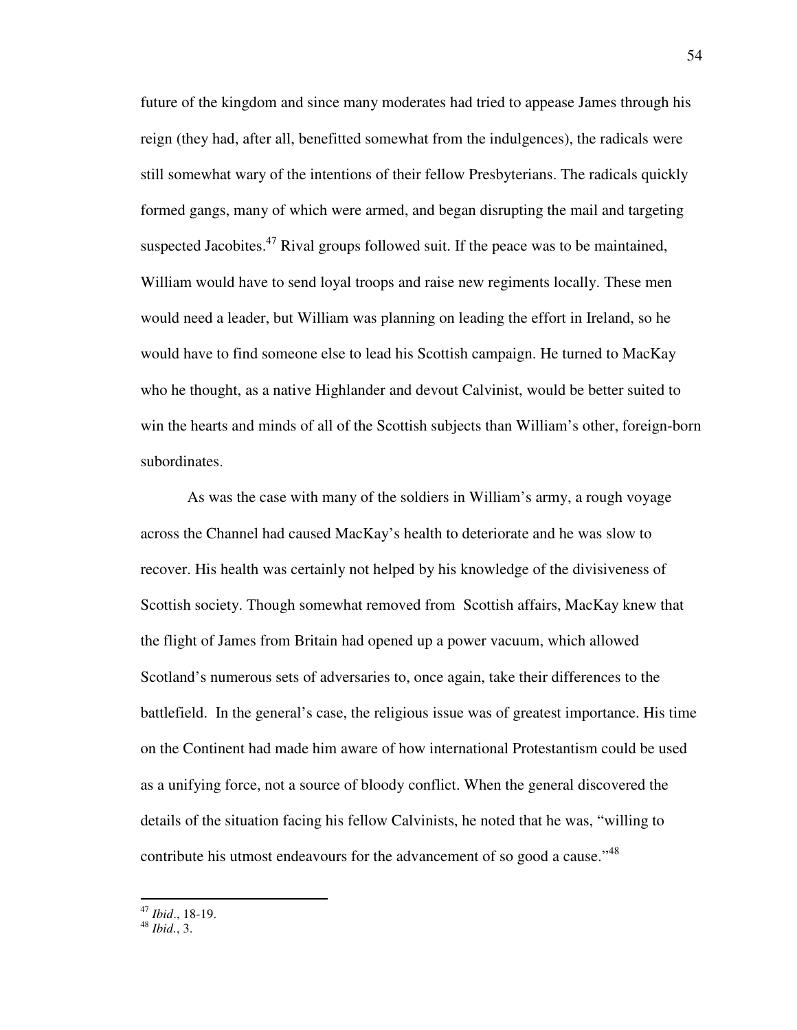future of the kingdom and since many moderates had tried to appease James through his reign (they had, after all, benefitted somewhat from the indulgences), the radicals were still somewhat wary of the intentions of their fellow Presbyterians. The radicals quickly formed gangs, many of which were armed, and began disrupting the mail and targeting suspected Jacobites. $47$  Rival groups followed suit. If the peace was to be maintained, William would have to send loyal troops and raise new regiments locally. These men would need a leader, but William was planning on leading the effort in Ireland, so he would have to find someone else to lead his Scottish campaign. He turned to MacKay who he thought, as a native Highlander and devout Calvinist, would be better suited to win the hearts and minds of all of the Scottish subjects than William's other, foreign-born subordinates.

 As was the case with many of the soldiers in William's army, a rough voyage across the Channel had caused MacKay's health to deteriorate and he was slow to recover. His health was certainly not helped by his knowledge of the divisiveness of Scottish society. Though somewhat removed from Scottish affairs, MacKay knew that the flight of James from Britain had opened up a power vacuum, which allowed Scotland's numerous sets of adversaries to, once again, take their differences to the battlefield. In the general's case, the religious issue was of greatest importance. His time on the Continent had made him aware of how international Protestantism could be used as a unifying force, not a source of bloody conflict. When the general discovered the details of the situation facing his fellow Calvinists, he noted that he was, "willing to contribute his utmost endeavours for the advancement of so good a cause."<sup>48</sup>

 $\overline{a}$ 

<sup>47</sup> *Ibid*., 18-19.

<sup>48</sup> *Ibid.*, 3.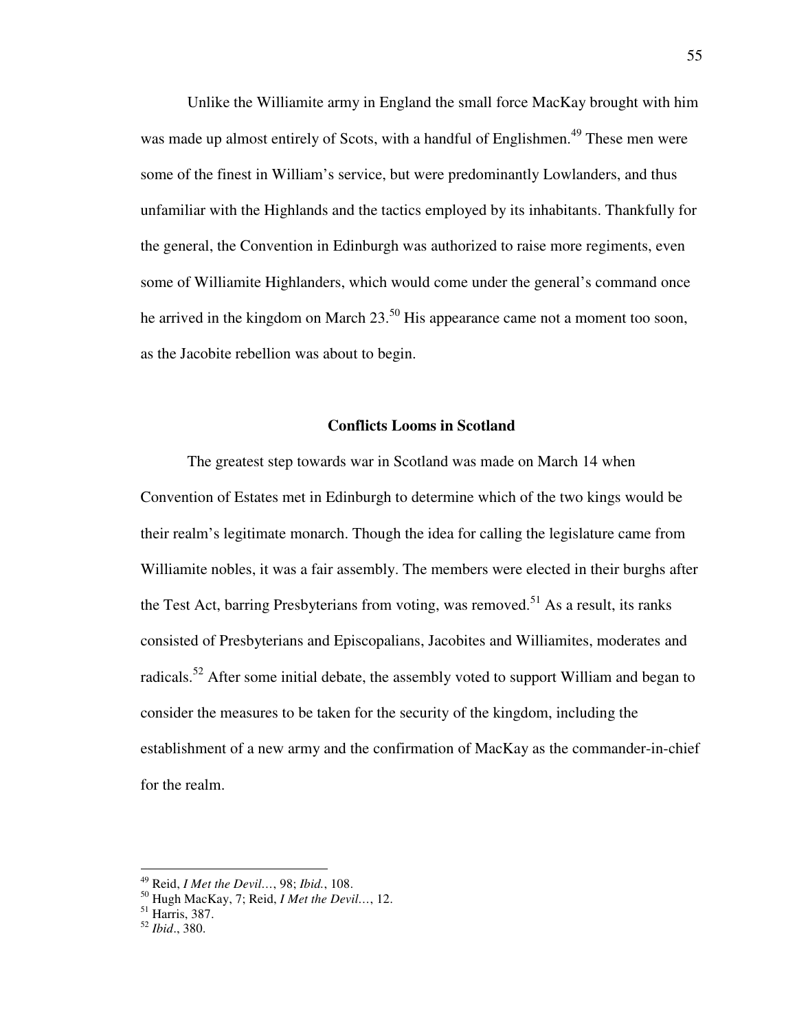Unlike the Williamite army in England the small force MacKay brought with him was made up almost entirely of Scots, with a handful of Englishmen.<sup>49</sup> These men were some of the finest in William's service, but were predominantly Lowlanders, and thus unfamiliar with the Highlands and the tactics employed by its inhabitants. Thankfully for the general, the Convention in Edinburgh was authorized to raise more regiments, even some of Williamite Highlanders, which would come under the general's command once he arrived in the kingdom on March  $23.^{50}$  His appearance came not a moment too soon, as the Jacobite rebellion was about to begin.

## **Conflicts Looms in Scotland**

The greatest step towards war in Scotland was made on March 14 when Convention of Estates met in Edinburgh to determine which of the two kings would be their realm's legitimate monarch. Though the idea for calling the legislature came from Williamite nobles, it was a fair assembly. The members were elected in their burghs after the Test Act, barring Presbyterians from voting, was removed.<sup>51</sup> As a result, its ranks consisted of Presbyterians and Episcopalians, Jacobites and Williamites, moderates and radicals.<sup>52</sup> After some initial debate, the assembly voted to support William and began to consider the measures to be taken for the security of the kingdom, including the establishment of a new army and the confirmation of MacKay as the commander-in-chief for the realm.

<sup>49</sup> Reid, *I Met the Devil…*, 98; *Ibid.*, 108.

<sup>50</sup> Hugh MacKay, 7; Reid, *I Met the Devil…*, 12.

<sup>51</sup> Harris, 387.

<sup>52</sup> *Ibid*., 380.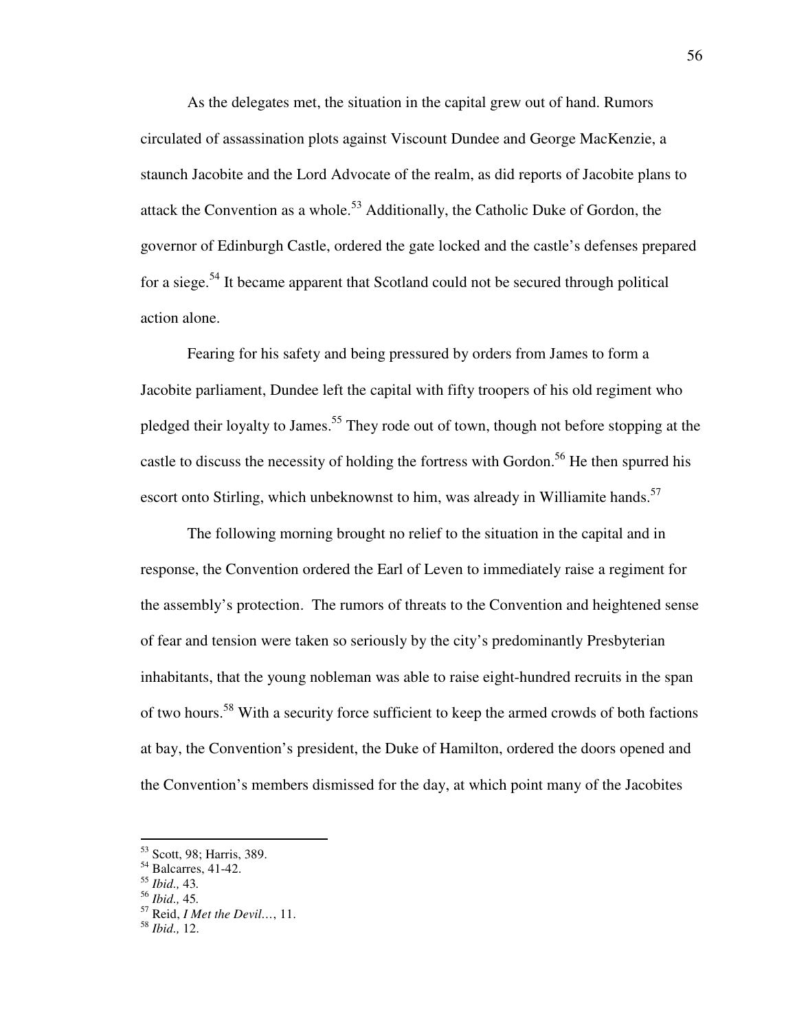As the delegates met, the situation in the capital grew out of hand. Rumors circulated of assassination plots against Viscount Dundee and George MacKenzie, a staunch Jacobite and the Lord Advocate of the realm, as did reports of Jacobite plans to attack the Convention as a whole.<sup>53</sup> Additionally, the Catholic Duke of Gordon, the governor of Edinburgh Castle, ordered the gate locked and the castle's defenses prepared for a siege.<sup>54</sup> It became apparent that Scotland could not be secured through political action alone.

Fearing for his safety and being pressured by orders from James to form a Jacobite parliament, Dundee left the capital with fifty troopers of his old regiment who pledged their loyalty to James.<sup>55</sup> They rode out of town, though not before stopping at the castle to discuss the necessity of holding the fortress with Gordon.<sup>56</sup> He then spurred his escort onto Stirling, which unbeknownst to him, was already in Williamite hands.<sup>57</sup>

 The following morning brought no relief to the situation in the capital and in response, the Convention ordered the Earl of Leven to immediately raise a regiment for the assembly's protection. The rumors of threats to the Convention and heightened sense of fear and tension were taken so seriously by the city's predominantly Presbyterian inhabitants, that the young nobleman was able to raise eight-hundred recruits in the span of two hours.<sup>58</sup> With a security force sufficient to keep the armed crowds of both factions at bay, the Convention's president, the Duke of Hamilton, ordered the doors opened and the Convention's members dismissed for the day, at which point many of the Jacobites

<sup>53</sup> Scott, 98; Harris, 389.

 $54$  Balcarres, 41-42.

<sup>55</sup> *Ibid.,* 43*.*

<sup>56</sup> *Ibid.,* 45*.* 

<sup>57</sup> Reid, *I Met the Devil…*, 11.

<sup>58</sup> *Ibid.,* 12.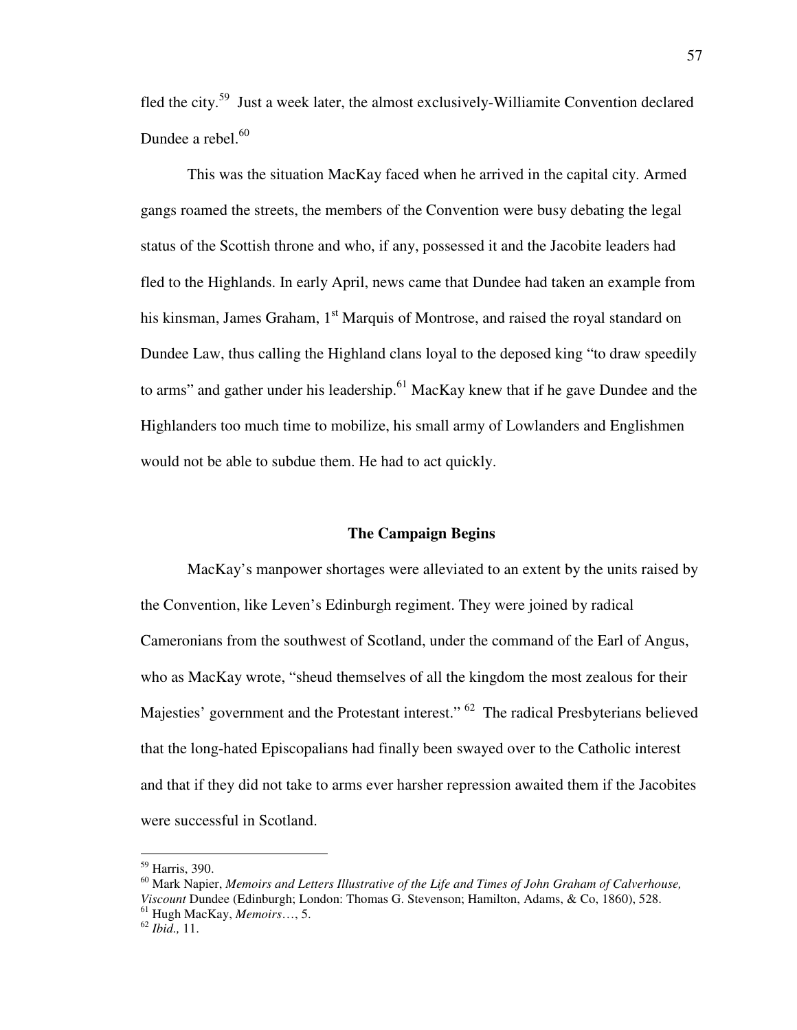fled the city.<sup>59</sup> Just a week later, the almost exclusively-Williamite Convention declared Dundee a rebel. $60$ 

 This was the situation MacKay faced when he arrived in the capital city. Armed gangs roamed the streets, the members of the Convention were busy debating the legal status of the Scottish throne and who, if any, possessed it and the Jacobite leaders had fled to the Highlands. In early April, news came that Dundee had taken an example from his kinsman, James Graham, 1<sup>st</sup> Marquis of Montrose, and raised the royal standard on Dundee Law, thus calling the Highland clans loyal to the deposed king "to draw speedily to arms" and gather under his leadership.<sup>61</sup> MacKay knew that if he gave Dundee and the Highlanders too much time to mobilize, his small army of Lowlanders and Englishmen would not be able to subdue them. He had to act quickly.

#### **The Campaign Begins**

 MacKay's manpower shortages were alleviated to an extent by the units raised by the Convention, like Leven's Edinburgh regiment. They were joined by radical Cameronians from the southwest of Scotland, under the command of the Earl of Angus, who as MacKay wrote, "sheud themselves of all the kingdom the most zealous for their Majesties' government and the Protestant interest." <sup>62</sup> The radical Presbyterians believed that the long-hated Episcopalians had finally been swayed over to the Catholic interest and that if they did not take to arms ever harsher repression awaited them if the Jacobites were successful in Scotland.

 $\overline{a}$ 

<sup>59</sup> Harris, 390.

<sup>60</sup> Mark Napier, *Memoirs and Letters Illustrative of the Life and Times of John Graham of Calverhouse, Viscount* Dundee (Edinburgh; London: Thomas G. Stevenson; Hamilton, Adams, & Co, 1860), 528. <sup>61</sup> Hugh MacKay, *Memoirs*…, 5.

<sup>62</sup> *Ibid.,* 11.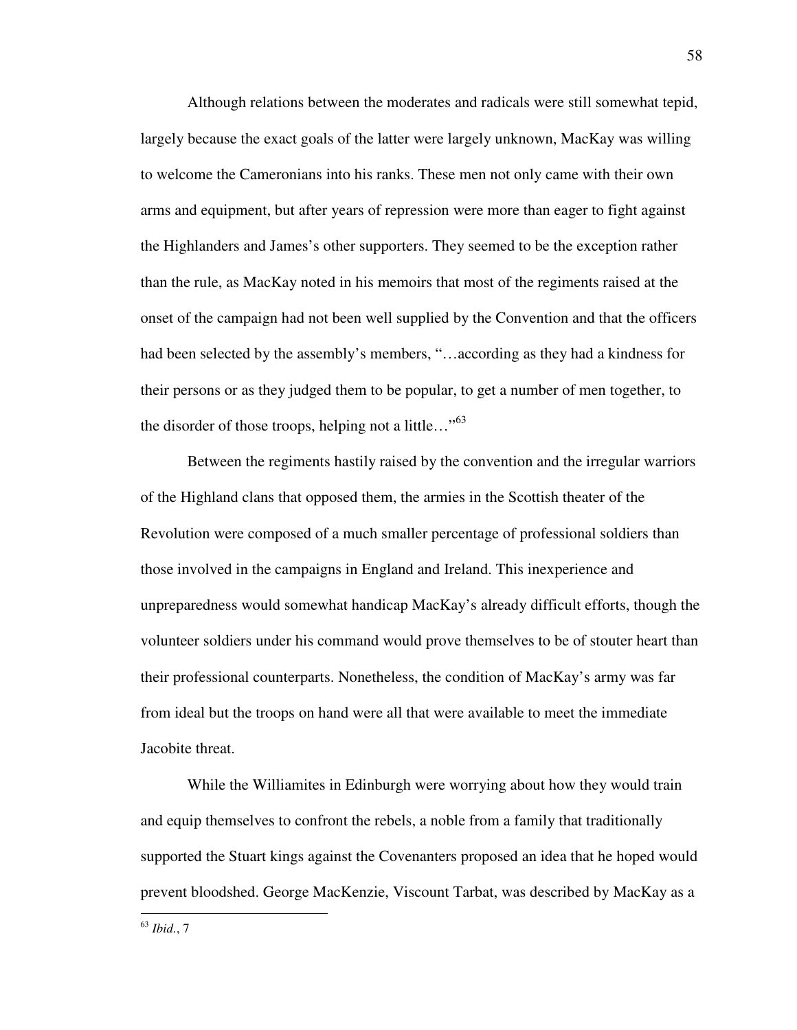Although relations between the moderates and radicals were still somewhat tepid, largely because the exact goals of the latter were largely unknown, MacKay was willing to welcome the Cameronians into his ranks. These men not only came with their own arms and equipment, but after years of repression were more than eager to fight against the Highlanders and James's other supporters. They seemed to be the exception rather than the rule, as MacKay noted in his memoirs that most of the regiments raised at the onset of the campaign had not been well supplied by the Convention and that the officers had been selected by the assembly's members, "…according as they had a kindness for their persons or as they judged them to be popular, to get a number of men together, to the disorder of those troops, helping not a little..." $63$ 

Between the regiments hastily raised by the convention and the irregular warriors of the Highland clans that opposed them, the armies in the Scottish theater of the Revolution were composed of a much smaller percentage of professional soldiers than those involved in the campaigns in England and Ireland. This inexperience and unpreparedness would somewhat handicap MacKay's already difficult efforts, though the volunteer soldiers under his command would prove themselves to be of stouter heart than their professional counterparts. Nonetheless, the condition of MacKay's army was far from ideal but the troops on hand were all that were available to meet the immediate Jacobite threat.

 While the Williamites in Edinburgh were worrying about how they would train and equip themselves to confront the rebels, a noble from a family that traditionally supported the Stuart kings against the Covenanters proposed an idea that he hoped would prevent bloodshed. George MacKenzie, Viscount Tarbat, was described by MacKay as a

<sup>63</sup> *Ibid.*, 7

l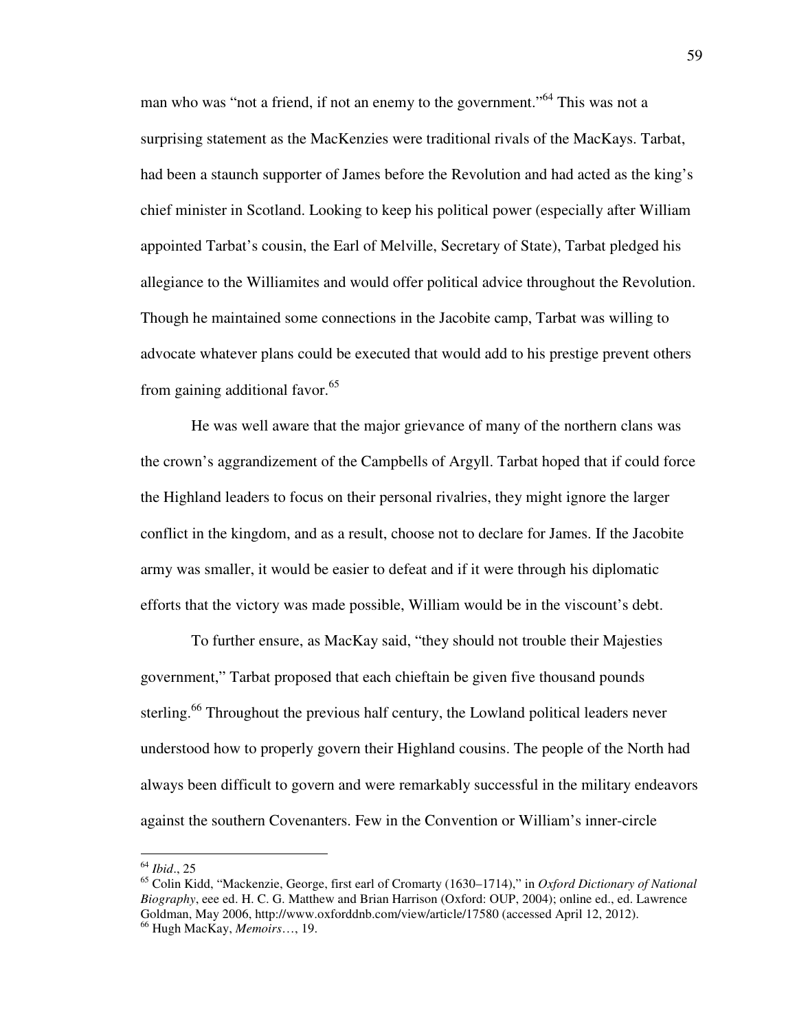man who was "not a friend, if not an enemy to the government."<sup>64</sup> This was not a surprising statement as the MacKenzies were traditional rivals of the MacKays. Tarbat, had been a staunch supporter of James before the Revolution and had acted as the king's chief minister in Scotland. Looking to keep his political power (especially after William appointed Tarbat's cousin, the Earl of Melville, Secretary of State), Tarbat pledged his allegiance to the Williamites and would offer political advice throughout the Revolution. Though he maintained some connections in the Jacobite camp, Tarbat was willing to advocate whatever plans could be executed that would add to his prestige prevent others from gaining additional favor.<sup>65</sup>

 He was well aware that the major grievance of many of the northern clans was the crown's aggrandizement of the Campbells of Argyll. Tarbat hoped that if could force the Highland leaders to focus on their personal rivalries, they might ignore the larger conflict in the kingdom, and as a result, choose not to declare for James. If the Jacobite army was smaller, it would be easier to defeat and if it were through his diplomatic efforts that the victory was made possible, William would be in the viscount's debt.

 To further ensure, as MacKay said, "they should not trouble their Majesties government," Tarbat proposed that each chieftain be given five thousand pounds sterling.<sup>66</sup> Throughout the previous half century, the Lowland political leaders never understood how to properly govern their Highland cousins. The people of the North had always been difficult to govern and were remarkably successful in the military endeavors against the southern Covenanters. Few in the Convention or William's inner-circle

<sup>64</sup> *Ibid*., 25

<sup>65</sup> Colin Kidd, "Mackenzie, George, first earl of Cromarty (1630–1714)," in *Oxford Dictionary of National Biography*, eee ed. H. C. G. Matthew and Brian Harrison (Oxford: OUP, 2004); online ed., ed. Lawrence Goldman, May 2006, http://www.oxforddnb.com/view/article/17580 (accessed April 12, 2012). <sup>66</sup> Hugh MacKay, *Memoirs*…, 19.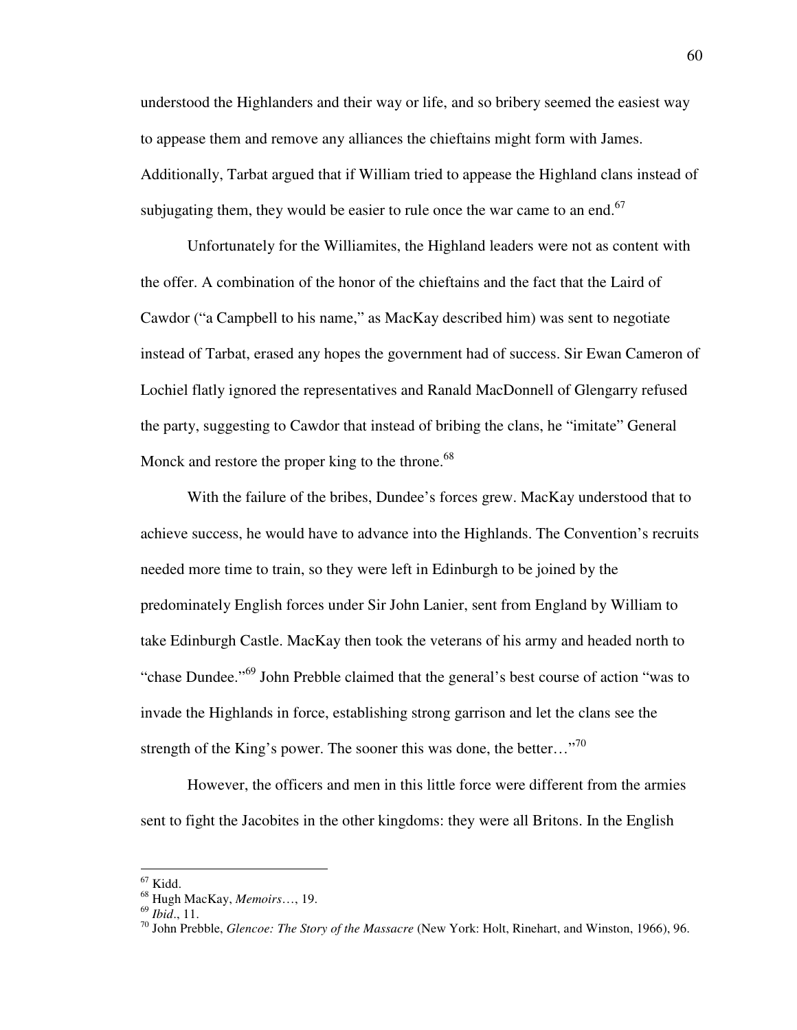understood the Highlanders and their way or life, and so bribery seemed the easiest way to appease them and remove any alliances the chieftains might form with James. Additionally, Tarbat argued that if William tried to appease the Highland clans instead of subjugating them, they would be easier to rule once the war came to an end.<sup>67</sup>

 Unfortunately for the Williamites, the Highland leaders were not as content with the offer. A combination of the honor of the chieftains and the fact that the Laird of Cawdor ("a Campbell to his name," as MacKay described him) was sent to negotiate instead of Tarbat, erased any hopes the government had of success. Sir Ewan Cameron of Lochiel flatly ignored the representatives and Ranald MacDonnell of Glengarry refused the party, suggesting to Cawdor that instead of bribing the clans, he "imitate" General Monck and restore the proper king to the throne.<sup>68</sup>

With the failure of the bribes, Dundee's forces grew. MacKay understood that to achieve success, he would have to advance into the Highlands. The Convention's recruits needed more time to train, so they were left in Edinburgh to be joined by the predominately English forces under Sir John Lanier, sent from England by William to take Edinburgh Castle. MacKay then took the veterans of his army and headed north to "chase Dundee."<sup>69</sup> John Prebble claimed that the general's best course of action "was to invade the Highlands in force, establishing strong garrison and let the clans see the strength of the King's power. The sooner this was done, the better..."<sup>70</sup>

However, the officers and men in this little force were different from the armies sent to fight the Jacobites in the other kingdoms: they were all Britons. In the English

 $\overline{a}$ 

 $67$  Kidd.

<sup>68</sup> Hugh MacKay, *Memoirs*…, 19.

<sup>69</sup> *Ibid*., 11.

<sup>70</sup> John Prebble, *Glencoe: The Story of the Massacre* (New York: Holt, Rinehart, and Winston, 1966), 96.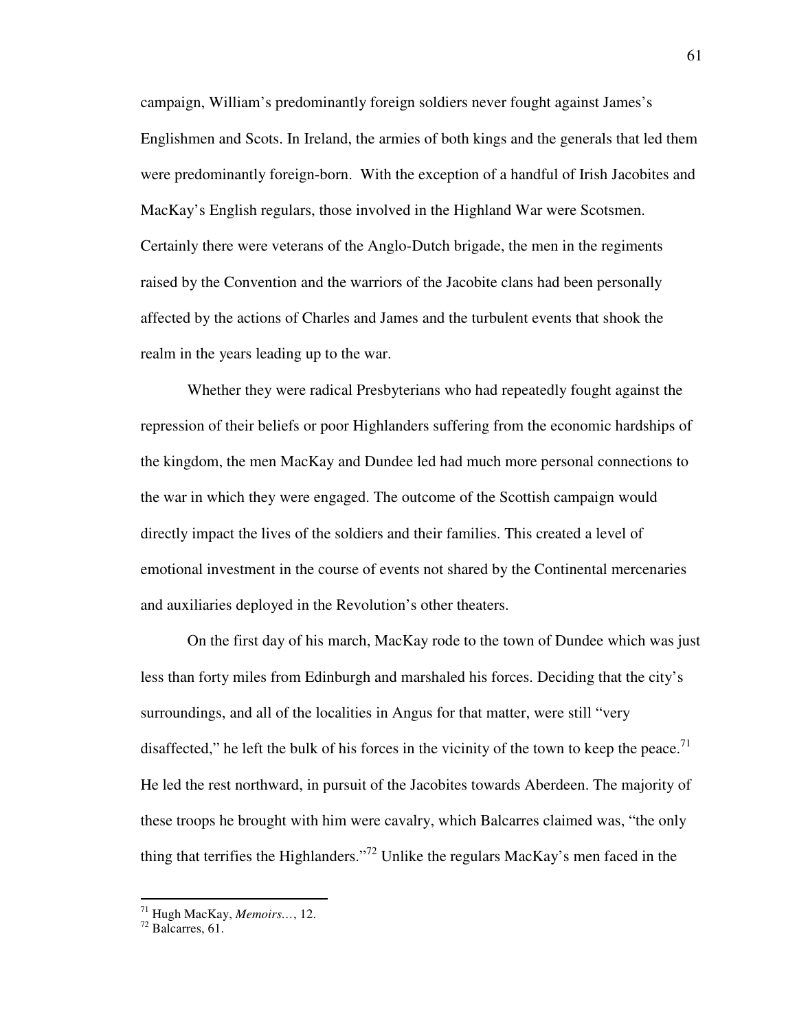campaign, William's predominantly foreign soldiers never fought against James's Englishmen and Scots. In Ireland, the armies of both kings and the generals that led them were predominantly foreign-born. With the exception of a handful of Irish Jacobites and MacKay's English regulars, those involved in the Highland War were Scotsmen. Certainly there were veterans of the Anglo-Dutch brigade, the men in the regiments raised by the Convention and the warriors of the Jacobite clans had been personally affected by the actions of Charles and James and the turbulent events that shook the realm in the years leading up to the war.

Whether they were radical Presbyterians who had repeatedly fought against the repression of their beliefs or poor Highlanders suffering from the economic hardships of the kingdom, the men MacKay and Dundee led had much more personal connections to the war in which they were engaged. The outcome of the Scottish campaign would directly impact the lives of the soldiers and their families. This created a level of emotional investment in the course of events not shared by the Continental mercenaries and auxiliaries deployed in the Revolution's other theaters.

 On the first day of his march, MacKay rode to the town of Dundee which was just less than forty miles from Edinburgh and marshaled his forces. Deciding that the city's surroundings, and all of the localities in Angus for that matter, were still "very disaffected," he left the bulk of his forces in the vicinity of the town to keep the peace.<sup>71</sup> He led the rest northward, in pursuit of the Jacobites towards Aberdeen. The majority of these troops he brought with him were cavalry, which Balcarres claimed was, "the only thing that terrifies the Highlanders."<sup>72</sup> Unlike the regulars MacKay's men faced in the

<sup>71</sup> Hugh MacKay, *Memoirs…*, 12.

 $72$  Balcarres, 61.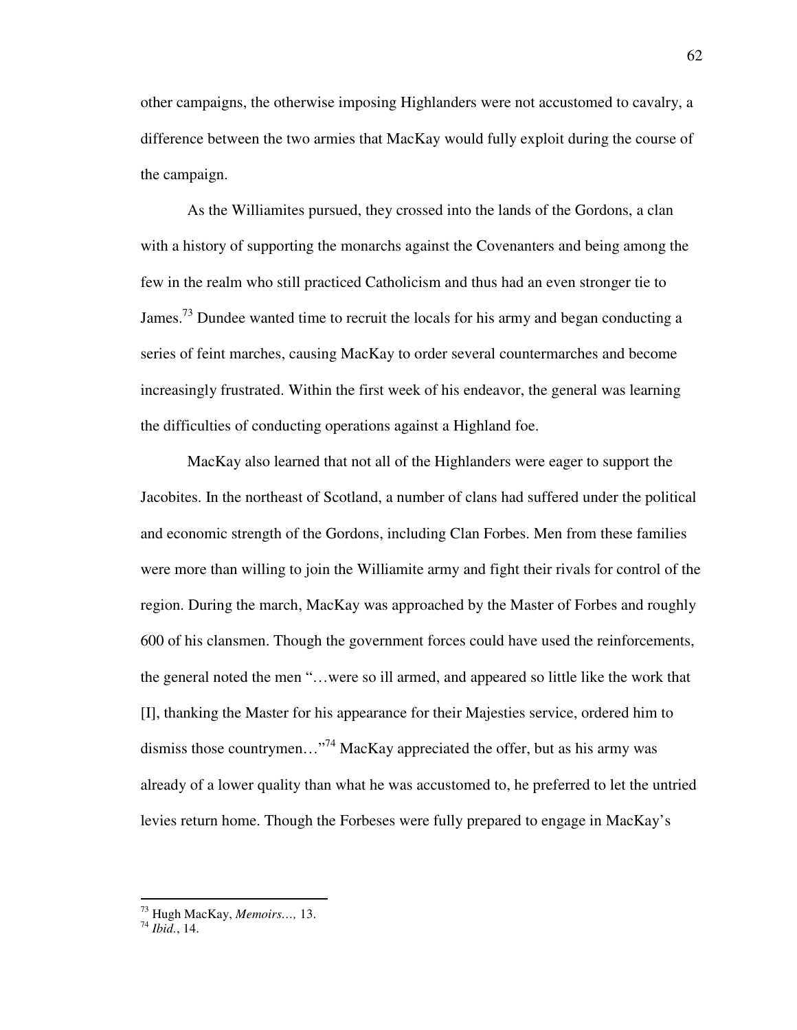other campaigns, the otherwise imposing Highlanders were not accustomed to cavalry, a difference between the two armies that MacKay would fully exploit during the course of the campaign.

 As the Williamites pursued, they crossed into the lands of the Gordons, a clan with a history of supporting the monarchs against the Covenanters and being among the few in the realm who still practiced Catholicism and thus had an even stronger tie to James.<sup>73</sup> Dundee wanted time to recruit the locals for his army and began conducting a series of feint marches, causing MacKay to order several countermarches and become increasingly frustrated. Within the first week of his endeavor, the general was learning the difficulties of conducting operations against a Highland foe.

MacKay also learned that not all of the Highlanders were eager to support the Jacobites. In the northeast of Scotland, a number of clans had suffered under the political and economic strength of the Gordons, including Clan Forbes. Men from these families were more than willing to join the Williamite army and fight their rivals for control of the region. During the march, MacKay was approached by the Master of Forbes and roughly 600 of his clansmen. Though the government forces could have used the reinforcements, the general noted the men "…were so ill armed, and appeared so little like the work that [I], thanking the Master for his appearance for their Majesties service, ordered him to dismiss those countrymen..."<sup>74</sup> MacKay appreciated the offer, but as his army was already of a lower quality than what he was accustomed to, he preferred to let the untried levies return home. Though the Forbeses were fully prepared to engage in MacKay's

 $\overline{a}$ 

<sup>73</sup> Hugh MacKay, *Memoirs…,* 13.

<sup>74</sup> *Ibid.*, 14.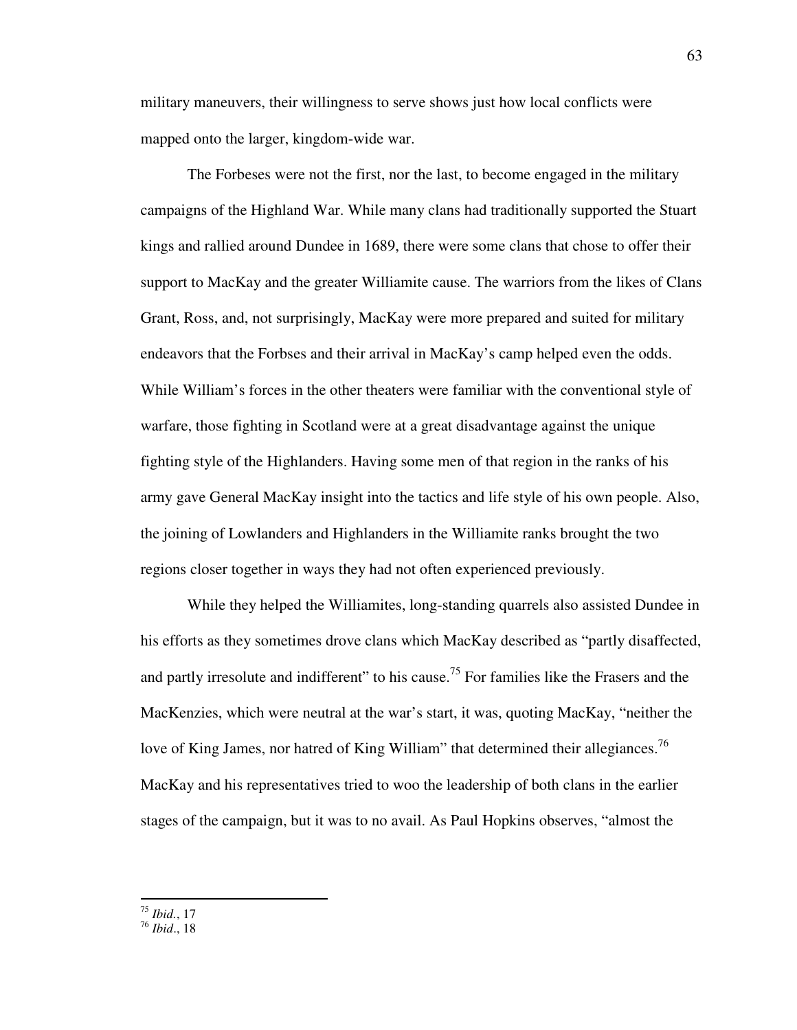military maneuvers, their willingness to serve shows just how local conflicts were mapped onto the larger, kingdom-wide war.

 The Forbeses were not the first, nor the last, to become engaged in the military campaigns of the Highland War. While many clans had traditionally supported the Stuart kings and rallied around Dundee in 1689, there were some clans that chose to offer their support to MacKay and the greater Williamite cause. The warriors from the likes of Clans Grant, Ross, and, not surprisingly, MacKay were more prepared and suited for military endeavors that the Forbses and their arrival in MacKay's camp helped even the odds. While William's forces in the other theaters were familiar with the conventional style of warfare, those fighting in Scotland were at a great disadvantage against the unique fighting style of the Highlanders. Having some men of that region in the ranks of his army gave General MacKay insight into the tactics and life style of his own people. Also, the joining of Lowlanders and Highlanders in the Williamite ranks brought the two regions closer together in ways they had not often experienced previously.

 While they helped the Williamites, long-standing quarrels also assisted Dundee in his efforts as they sometimes drove clans which MacKay described as "partly disaffected, and partly irresolute and indifferent" to his cause.<sup>75</sup> For families like the Frasers and the MacKenzies, which were neutral at the war's start, it was, quoting MacKay, "neither the love of King James, nor hatred of King William" that determined their allegiances.<sup>76</sup> MacKay and his representatives tried to woo the leadership of both clans in the earlier stages of the campaign, but it was to no avail. As Paul Hopkins observes, "almost the

-<sup>75</sup> *Ibid.*, 17

<sup>76</sup> *Ibid*., 18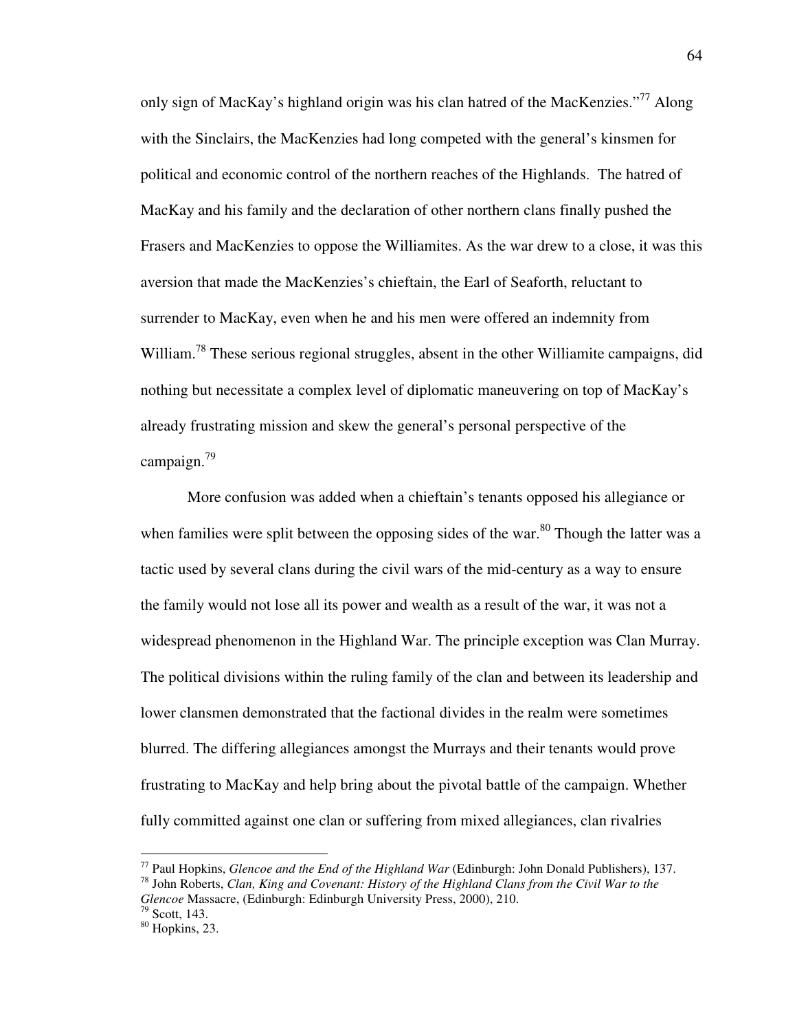only sign of MacKay's highland origin was his clan hatred of the MacKenzies."<sup>77</sup> Along with the Sinclairs, the MacKenzies had long competed with the general's kinsmen for political and economic control of the northern reaches of the Highlands. The hatred of MacKay and his family and the declaration of other northern clans finally pushed the Frasers and MacKenzies to oppose the Williamites. As the war drew to a close, it was this aversion that made the MacKenzies's chieftain, the Earl of Seaforth, reluctant to surrender to MacKay, even when he and his men were offered an indemnity from William.<sup>78</sup> These serious regional struggles, absent in the other Williamite campaigns, did nothing but necessitate a complex level of diplomatic maneuvering on top of MacKay's already frustrating mission and skew the general's personal perspective of the campaign.<sup>79</sup>

 More confusion was added when a chieftain's tenants opposed his allegiance or when families were split between the opposing sides of the war.<sup>80</sup> Though the latter was a tactic used by several clans during the civil wars of the mid-century as a way to ensure the family would not lose all its power and wealth as a result of the war, it was not a widespread phenomenon in the Highland War. The principle exception was Clan Murray. The political divisions within the ruling family of the clan and between its leadership and lower clansmen demonstrated that the factional divides in the realm were sometimes blurred. The differing allegiances amongst the Murrays and their tenants would prove frustrating to MacKay and help bring about the pivotal battle of the campaign. Whether fully committed against one clan or suffering from mixed allegiances, clan rivalries

<sup>77</sup> Paul Hopkins, *Glencoe and the End of the Highland War* (Edinburgh: John Donald Publishers), 137. <sup>78</sup> John Roberts, *Clan, King and Covenant: History of the Highland Clans from the Civil War to the Glencoe* Massacre, (Edinburgh: Edinburgh University Press, 2000), 210.

 $79$  Scott, 143.

 $80$  Hopkins, 23.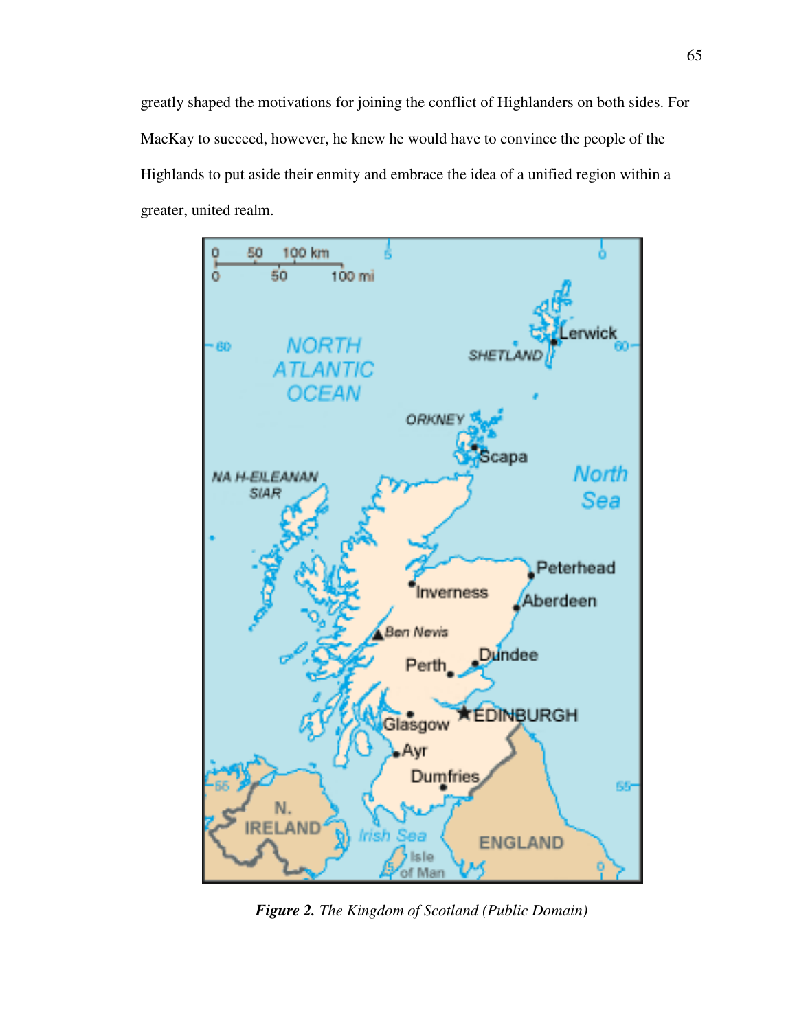greatly shaped the motivations for joining the conflict of Highlanders on both sides. For MacKay to succeed, however, he knew he would have to convince the people of the Highlands to put aside their enmity and embrace the idea of a unified region within a greater, united realm.



*Figure 2. The Kingdom of Scotland (Public Domain)*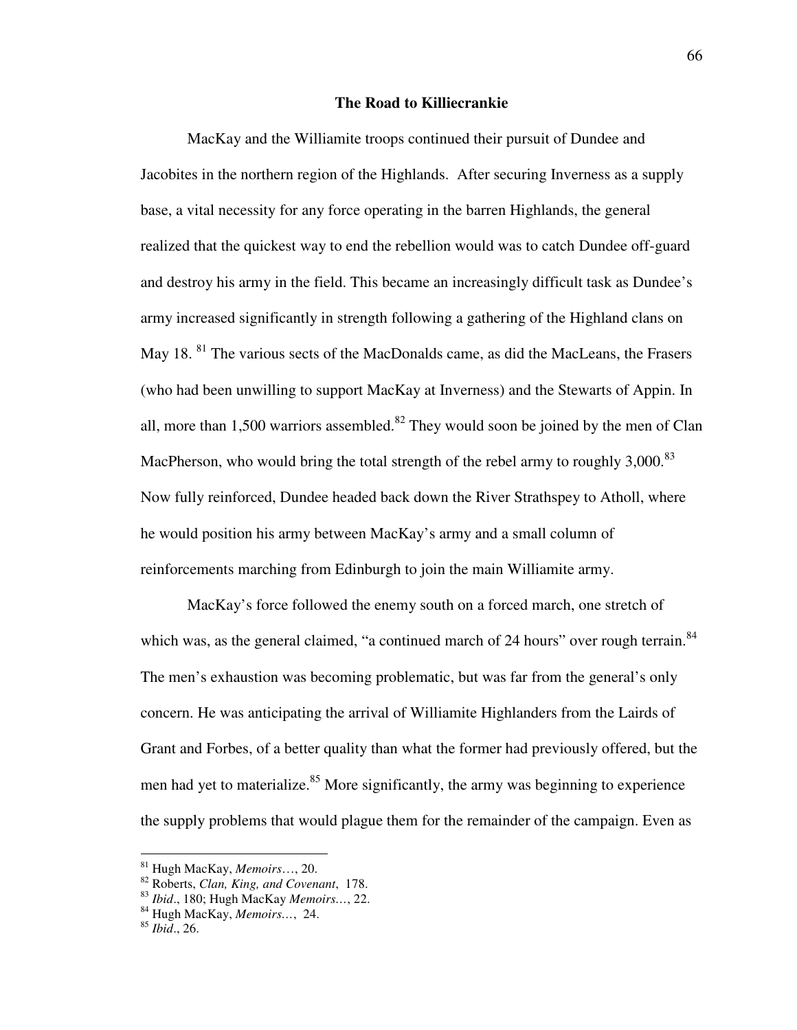## **The Road to Killiecrankie**

 MacKay and the Williamite troops continued their pursuit of Dundee and Jacobites in the northern region of the Highlands. After securing Inverness as a supply base, a vital necessity for any force operating in the barren Highlands, the general realized that the quickest way to end the rebellion would was to catch Dundee off-guard and destroy his army in the field. This became an increasingly difficult task as Dundee's army increased significantly in strength following a gathering of the Highland clans on May 18.<sup>81</sup> The various sects of the MacDonalds came, as did the MacLeans, the Frasers (who had been unwilling to support MacKay at Inverness) and the Stewarts of Appin. In all, more than 1,500 warriors assembled.<sup>82</sup> They would soon be joined by the men of Clan MacPherson, who would bring the total strength of the rebel army to roughly  $3,000$ <sup>83</sup> Now fully reinforced, Dundee headed back down the River Strathspey to Atholl, where he would position his army between MacKay's army and a small column of reinforcements marching from Edinburgh to join the main Williamite army.

MacKay's force followed the enemy south on a forced march, one stretch of which was, as the general claimed, "a continued march of 24 hours" over rough terrain.<sup>84</sup> The men's exhaustion was becoming problematic, but was far from the general's only concern. He was anticipating the arrival of Williamite Highlanders from the Lairds of Grant and Forbes, of a better quality than what the former had previously offered, but the men had yet to materialize. $85$  More significantly, the army was beginning to experience the supply problems that would plague them for the remainder of the campaign. Even as

<sup>81</sup> Hugh MacKay, *Memoirs*…, 20.

<sup>82</sup> Roberts, *Clan, King, and Covenant*, 178.

<sup>83</sup> *Ibid*., 180; Hugh MacKay *Memoirs…*, 22.

<sup>84</sup> Hugh MacKay, *Memoirs…*, 24.

<sup>85</sup> *Ibid*., 26.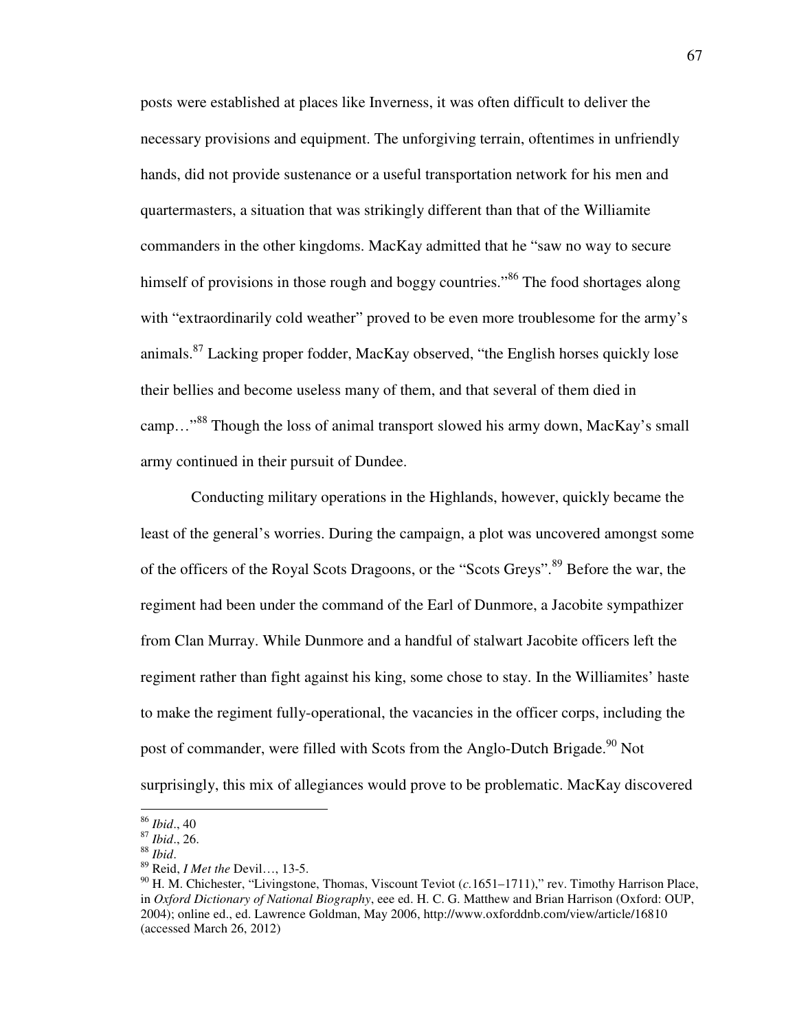posts were established at places like Inverness, it was often difficult to deliver the necessary provisions and equipment. The unforgiving terrain, oftentimes in unfriendly hands, did not provide sustenance or a useful transportation network for his men and quartermasters, a situation that was strikingly different than that of the Williamite commanders in the other kingdoms. MacKay admitted that he "saw no way to secure himself of provisions in those rough and boggy countries."<sup>86</sup> The food shortages along with "extraordinarily cold weather" proved to be even more troublesome for the army's animals.<sup>87</sup> Lacking proper fodder, MacKay observed, "the English horses quickly lose their bellies and become useless many of them, and that several of them died in camp…"<sup>88</sup> Though the loss of animal transport slowed his army down, MacKay's small army continued in their pursuit of Dundee.

Conducting military operations in the Highlands, however, quickly became the least of the general's worries. During the campaign, a plot was uncovered amongst some of the officers of the Royal Scots Dragoons, or the "Scots Greys".<sup>89</sup> Before the war, the regiment had been under the command of the Earl of Dunmore, a Jacobite sympathizer from Clan Murray. While Dunmore and a handful of stalwart Jacobite officers left the regiment rather than fight against his king, some chose to stay. In the Williamites' haste to make the regiment fully-operational, the vacancies in the officer corps, including the post of commander, were filled with Scots from the Anglo-Dutch Brigade.<sup>90</sup> Not surprisingly, this mix of allegiances would prove to be problematic. MacKay discovered

<sup>86</sup> *Ibid*., 40

<sup>87</sup> *Ibid*., 26.

<sup>88</sup> *Ibid*.

<sup>89</sup> Reid, *I Met the* Devil…, 13-5.

<sup>90</sup> H. M. Chichester, "Livingstone, Thomas, Viscount Teviot (*c.*1651–1711)," rev. Timothy Harrison Place, in *Oxford Dictionary of National Biography*, eee ed. H. C. G. Matthew and Brian Harrison (Oxford: OUP, 2004); online ed., ed. Lawrence Goldman, May 2006, http://www.oxforddnb.com/view/article/16810 (accessed March 26, 2012)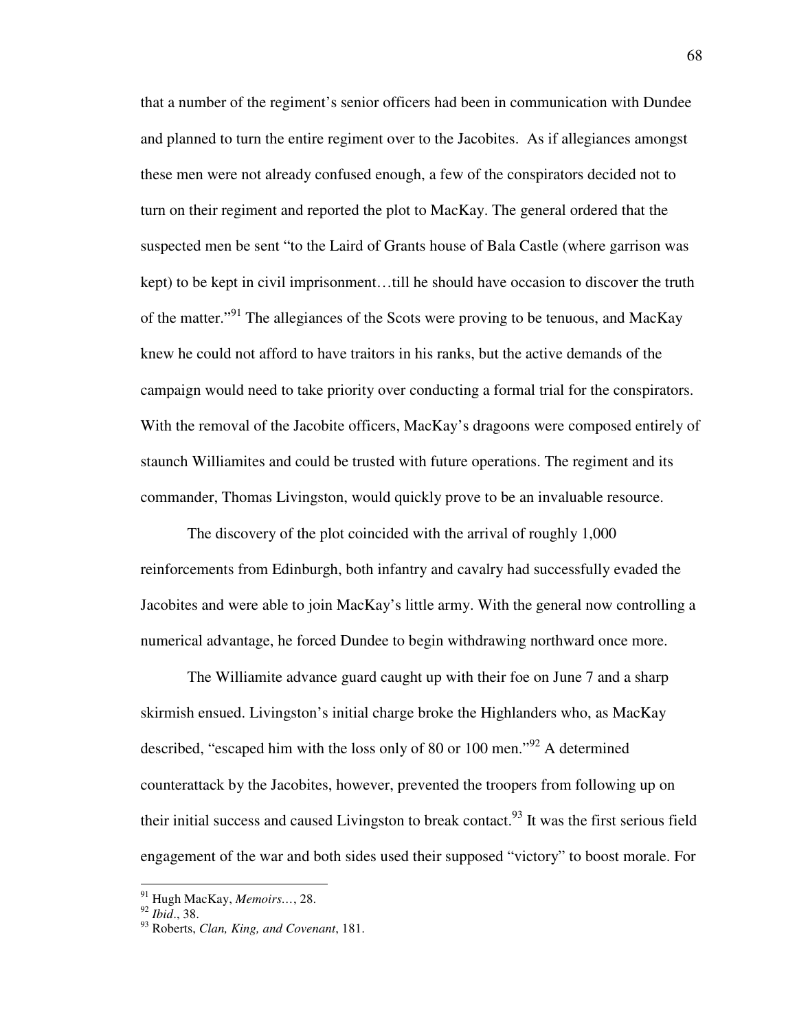that a number of the regiment's senior officers had been in communication with Dundee and planned to turn the entire regiment over to the Jacobites. As if allegiances amongst these men were not already confused enough, a few of the conspirators decided not to turn on their regiment and reported the plot to MacKay. The general ordered that the suspected men be sent "to the Laird of Grants house of Bala Castle (where garrison was kept) to be kept in civil imprisonment…till he should have occasion to discover the truth of the matter."<sup>91</sup> The allegiances of the Scots were proving to be tenuous, and MacKay knew he could not afford to have traitors in his ranks, but the active demands of the campaign would need to take priority over conducting a formal trial for the conspirators. With the removal of the Jacobite officers, MacKay's dragoons were composed entirely of staunch Williamites and could be trusted with future operations. The regiment and its commander, Thomas Livingston, would quickly prove to be an invaluable resource.

 The discovery of the plot coincided with the arrival of roughly 1,000 reinforcements from Edinburgh, both infantry and cavalry had successfully evaded the Jacobites and were able to join MacKay's little army. With the general now controlling a numerical advantage, he forced Dundee to begin withdrawing northward once more.

The Williamite advance guard caught up with their foe on June 7 and a sharp skirmish ensued. Livingston's initial charge broke the Highlanders who, as MacKay described, "escaped him with the loss only of 80 or 100 men."<sup>92</sup> A determined counterattack by the Jacobites, however, prevented the troopers from following up on their initial success and caused Livingston to break contact.  $93$  It was the first serious field engagement of the war and both sides used their supposed "victory" to boost morale. For

<sup>91</sup> Hugh MacKay, *Memoirs…*, 28.

<sup>92</sup> *Ibid*., 38.

<sup>93</sup> Roberts, *Clan, King, and Covenant*, 181.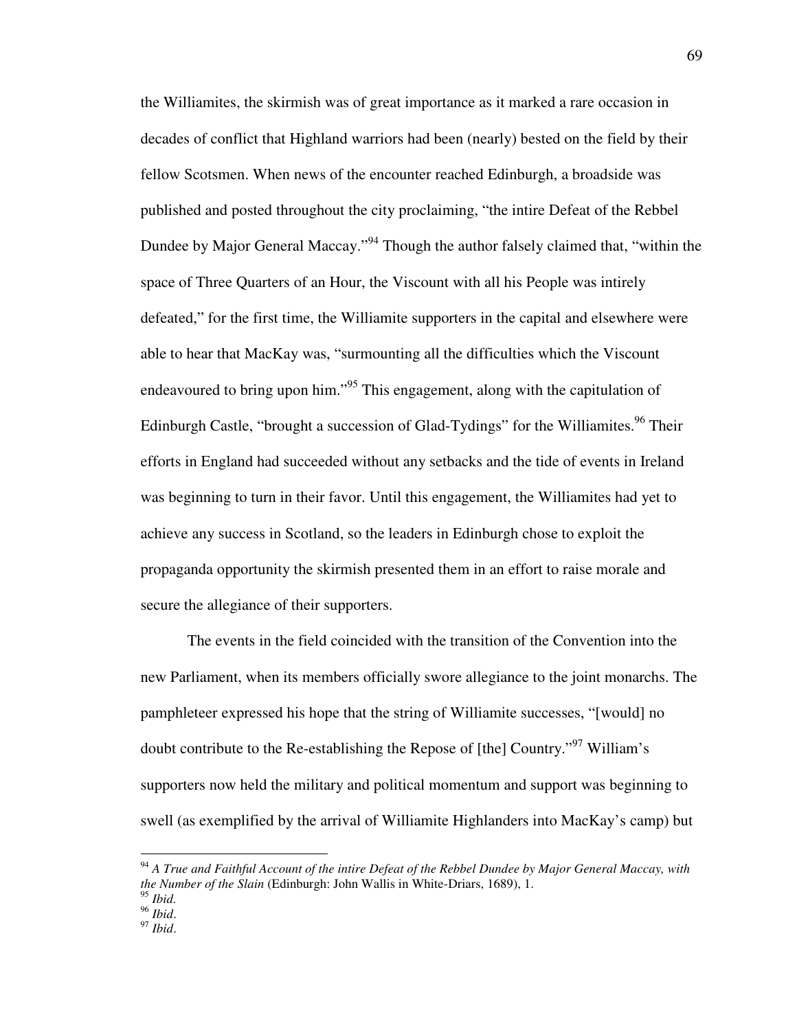the Williamites, the skirmish was of great importance as it marked a rare occasion in decades of conflict that Highland warriors had been (nearly) bested on the field by their fellow Scotsmen. When news of the encounter reached Edinburgh, a broadside was published and posted throughout the city proclaiming, "the intire Defeat of the Rebbel Dundee by Major General Maccay."<sup>94</sup> Though the author falsely claimed that, "within the space of Three Quarters of an Hour, the Viscount with all his People was intirely defeated," for the first time, the Williamite supporters in the capital and elsewhere were able to hear that MacKay was, "surmounting all the difficulties which the Viscount endeavoured to bring upon him."<sup>95</sup> This engagement, along with the capitulation of Edinburgh Castle, "brought a succession of Glad-Tydings" for the Williamites.<sup>96</sup> Their efforts in England had succeeded without any setbacks and the tide of events in Ireland was beginning to turn in their favor. Until this engagement, the Williamites had yet to achieve any success in Scotland, so the leaders in Edinburgh chose to exploit the propaganda opportunity the skirmish presented them in an effort to raise morale and secure the allegiance of their supporters.

The events in the field coincided with the transition of the Convention into the new Parliament, when its members officially swore allegiance to the joint monarchs. The pamphleteer expressed his hope that the string of Williamite successes, "[would] no doubt contribute to the Re-establishing the Repose of [the] Country."<sup>97</sup> William's supporters now held the military and political momentum and support was beginning to swell (as exemplified by the arrival of Williamite Highlanders into MacKay's camp) but

<sup>94</sup> *A True and Faithful Account of the intire Defeat of the Rebbel Dundee by Major General Maccay, with the Number of the Slain* (Edinburgh: John Wallis in White-Driars, 1689), 1.

<sup>95</sup> *Ibid.* 

<sup>96</sup> *Ibid*.

<sup>97</sup> *Ibid*.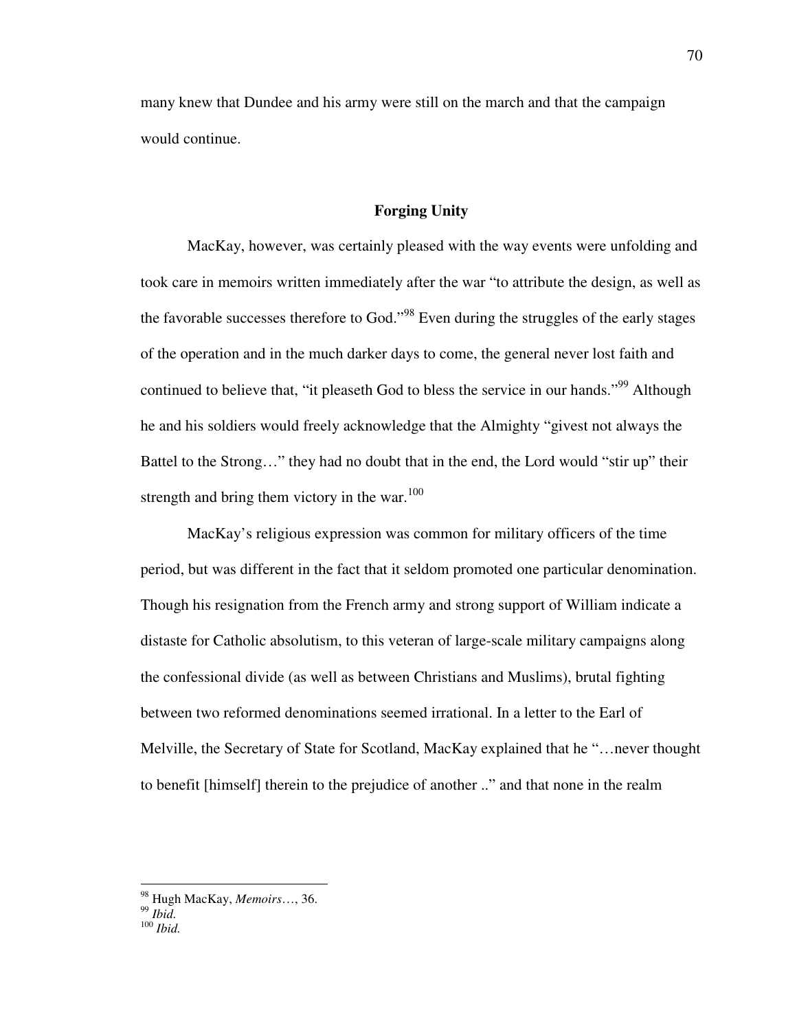many knew that Dundee and his army were still on the march and that the campaign would continue.

## **Forging Unity**

MacKay, however, was certainly pleased with the way events were unfolding and took care in memoirs written immediately after the war "to attribute the design, as well as the favorable successes therefore to God."<sup>98</sup> Even during the struggles of the early stages of the operation and in the much darker days to come, the general never lost faith and continued to believe that, "it pleaseth God to bless the service in our hands."<sup>99</sup> Although he and his soldiers would freely acknowledge that the Almighty "givest not always the Battel to the Strong…" they had no doubt that in the end, the Lord would "stir up" their strength and bring them victory in the war. $100$ 

MacKay's religious expression was common for military officers of the time period, but was different in the fact that it seldom promoted one particular denomination. Though his resignation from the French army and strong support of William indicate a distaste for Catholic absolutism, to this veteran of large-scale military campaigns along the confessional divide (as well as between Christians and Muslims), brutal fighting between two reformed denominations seemed irrational. In a letter to the Earl of Melville, the Secretary of State for Scotland, MacKay explained that he "…never thought to benefit [himself] therein to the prejudice of another .." and that none in the realm

<sup>98</sup> Hugh MacKay, *Memoirs*…, 36.

<sup>99</sup> *Ibid.*

<sup>100</sup> *Ibid.*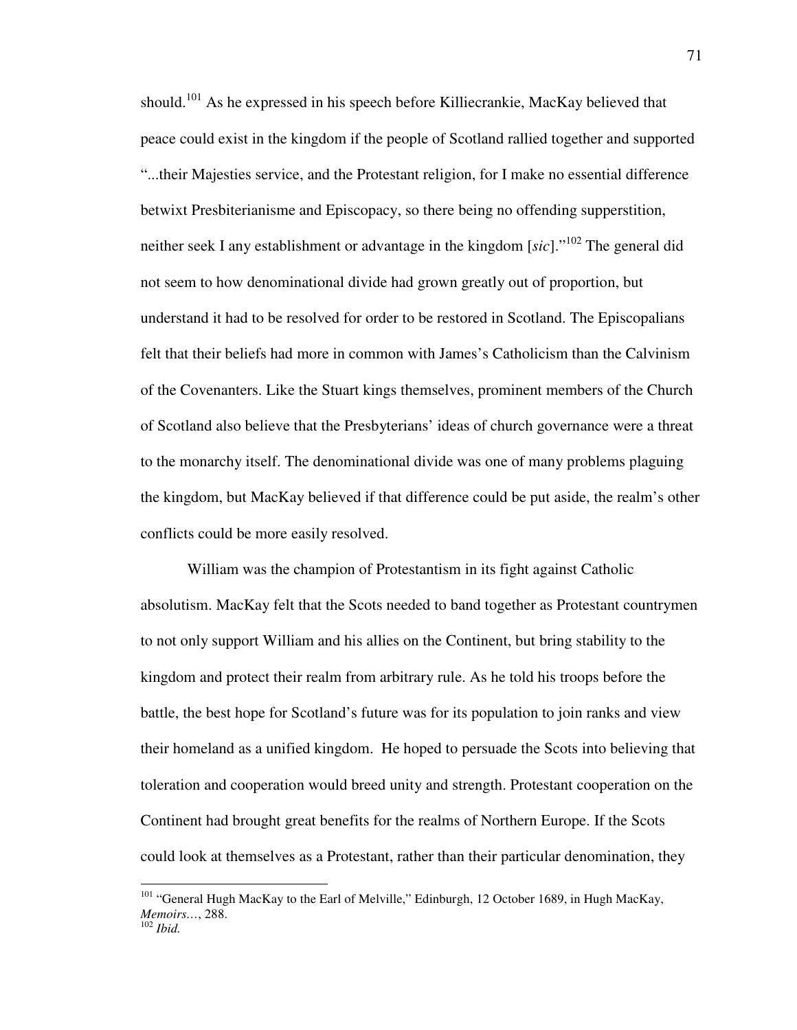should.<sup>101</sup> As he expressed in his speech before Killiecrankie, MacKay believed that peace could exist in the kingdom if the people of Scotland rallied together and supported "...their Majesties service, and the Protestant religion, for I make no essential difference betwixt Presbiterianisme and Episcopacy, so there being no offending supperstition, neither seek I any establishment or advantage in the kingdom [*sic*]."<sup>102</sup> The general did not seem to how denominational divide had grown greatly out of proportion, but understand it had to be resolved for order to be restored in Scotland. The Episcopalians felt that their beliefs had more in common with James's Catholicism than the Calvinism of the Covenanters. Like the Stuart kings themselves, prominent members of the Church of Scotland also believe that the Presbyterians' ideas of church governance were a threat to the monarchy itself. The denominational divide was one of many problems plaguing the kingdom, but MacKay believed if that difference could be put aside, the realm's other conflicts could be more easily resolved.

William was the champion of Protestantism in its fight against Catholic absolutism. MacKay felt that the Scots needed to band together as Protestant countrymen to not only support William and his allies on the Continent, but bring stability to the kingdom and protect their realm from arbitrary rule. As he told his troops before the battle, the best hope for Scotland's future was for its population to join ranks and view their homeland as a unified kingdom. He hoped to persuade the Scots into believing that toleration and cooperation would breed unity and strength. Protestant cooperation on the Continent had brought great benefits for the realms of Northern Europe. If the Scots could look at themselves as a Protestant, rather than their particular denomination, they

<u>.</u>

<sup>&</sup>lt;sup>101</sup> "General Hugh MacKay to the Earl of Melville," Edinburgh, 12 October 1689, in Hugh MacKay, *Memoirs…*, 288.

<sup>102</sup> *Ibid.*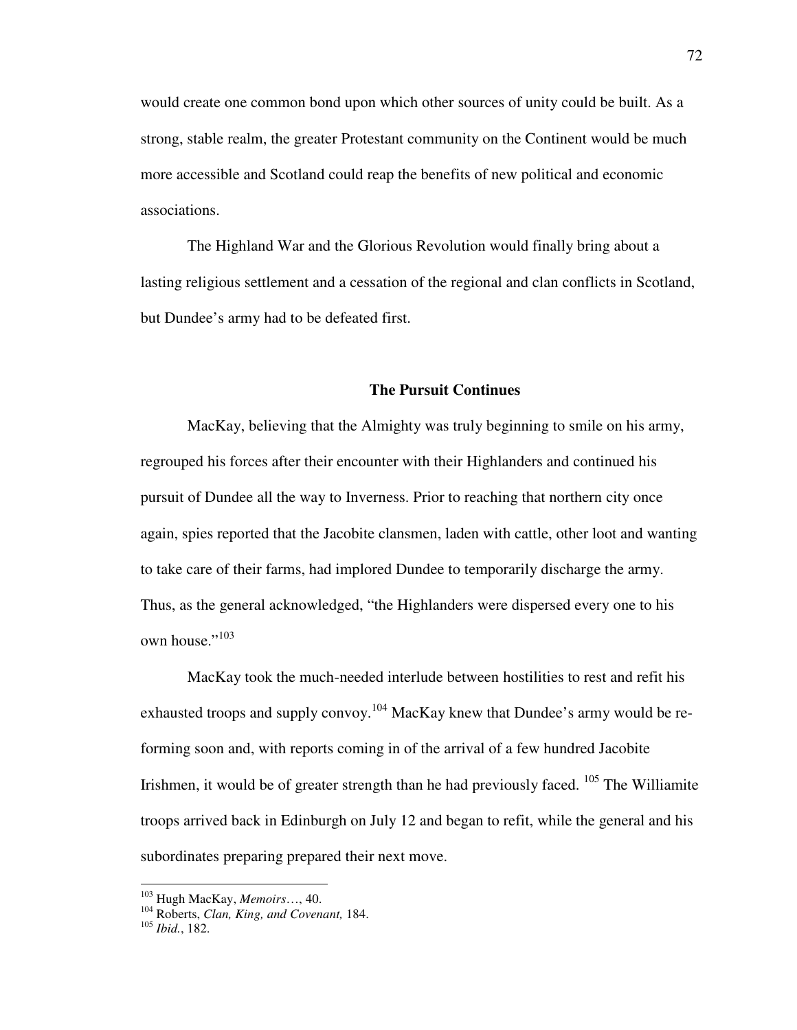would create one common bond upon which other sources of unity could be built. As a strong, stable realm, the greater Protestant community on the Continent would be much more accessible and Scotland could reap the benefits of new political and economic associations.

The Highland War and the Glorious Revolution would finally bring about a lasting religious settlement and a cessation of the regional and clan conflicts in Scotland, but Dundee's army had to be defeated first.

# **The Pursuit Continues**

MacKay, believing that the Almighty was truly beginning to smile on his army, regrouped his forces after their encounter with their Highlanders and continued his pursuit of Dundee all the way to Inverness. Prior to reaching that northern city once again, spies reported that the Jacobite clansmen, laden with cattle, other loot and wanting to take care of their farms, had implored Dundee to temporarily discharge the army. Thus, as the general acknowledged, "the Highlanders were dispersed every one to his own house."<sup>103</sup>

MacKay took the much-needed interlude between hostilities to rest and refit his exhausted troops and supply convoy.<sup>104</sup> MacKay knew that Dundee's army would be reforming soon and, with reports coming in of the arrival of a few hundred Jacobite Irishmen, it would be of greater strength than he had previously faced.  $105$  The Williamite troops arrived back in Edinburgh on July 12 and began to refit, while the general and his subordinates preparing prepared their next move.

<u>.</u>

<sup>103</sup> Hugh MacKay, *Memoirs*…, 40.

<sup>104</sup> Roberts, *Clan, King, and Covenant,* 184.

<sup>105</sup> *Ibid.*, 182.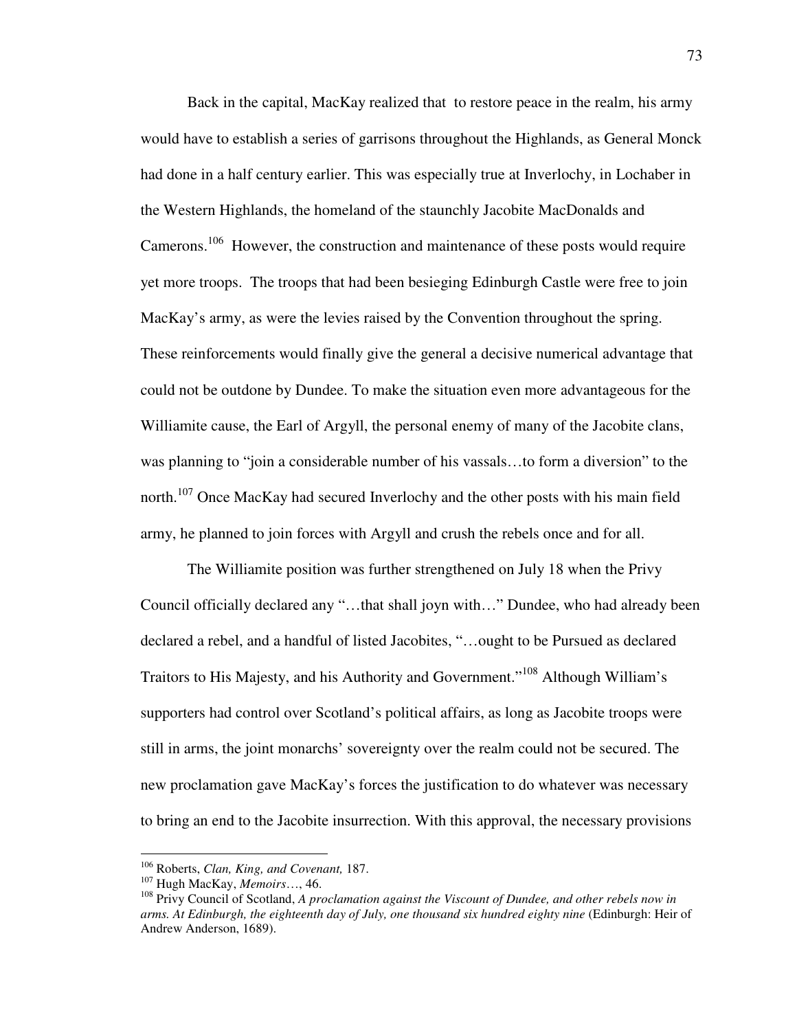Back in the capital, MacKay realized that to restore peace in the realm, his army would have to establish a series of garrisons throughout the Highlands, as General Monck had done in a half century earlier. This was especially true at Inverlochy, in Lochaber in the Western Highlands, the homeland of the staunchly Jacobite MacDonalds and Camerons.<sup>106</sup> However, the construction and maintenance of these posts would require yet more troops. The troops that had been besieging Edinburgh Castle were free to join MacKay's army, as were the levies raised by the Convention throughout the spring. These reinforcements would finally give the general a decisive numerical advantage that could not be outdone by Dundee. To make the situation even more advantageous for the Williamite cause, the Earl of Argyll, the personal enemy of many of the Jacobite clans, was planning to "join a considerable number of his vassals…to form a diversion" to the north.<sup>107</sup> Once MacKay had secured Inverlochy and the other posts with his main field army, he planned to join forces with Argyll and crush the rebels once and for all.

The Williamite position was further strengthened on July 18 when the Privy Council officially declared any "…that shall joyn with…" Dundee, who had already been declared a rebel, and a handful of listed Jacobites, "…ought to be Pursued as declared Traitors to His Majesty, and his Authority and Government."<sup>108</sup> Although William's supporters had control over Scotland's political affairs, as long as Jacobite troops were still in arms, the joint monarchs' sovereignty over the realm could not be secured. The new proclamation gave MacKay's forces the justification to do whatever was necessary to bring an end to the Jacobite insurrection. With this approval, the necessary provisions

<sup>106</sup> Roberts, *Clan, King, and Covenant,* 187.

<sup>107</sup> Hugh MacKay, *Memoirs*…, 46.

<sup>108</sup> Privy Council of Scotland, *A proclamation against the Viscount of Dundee, and other rebels now in arms. At Edinburgh, the eighteenth day of July, one thousand six hundred eighty nine* (Edinburgh: Heir of Andrew Anderson, 1689).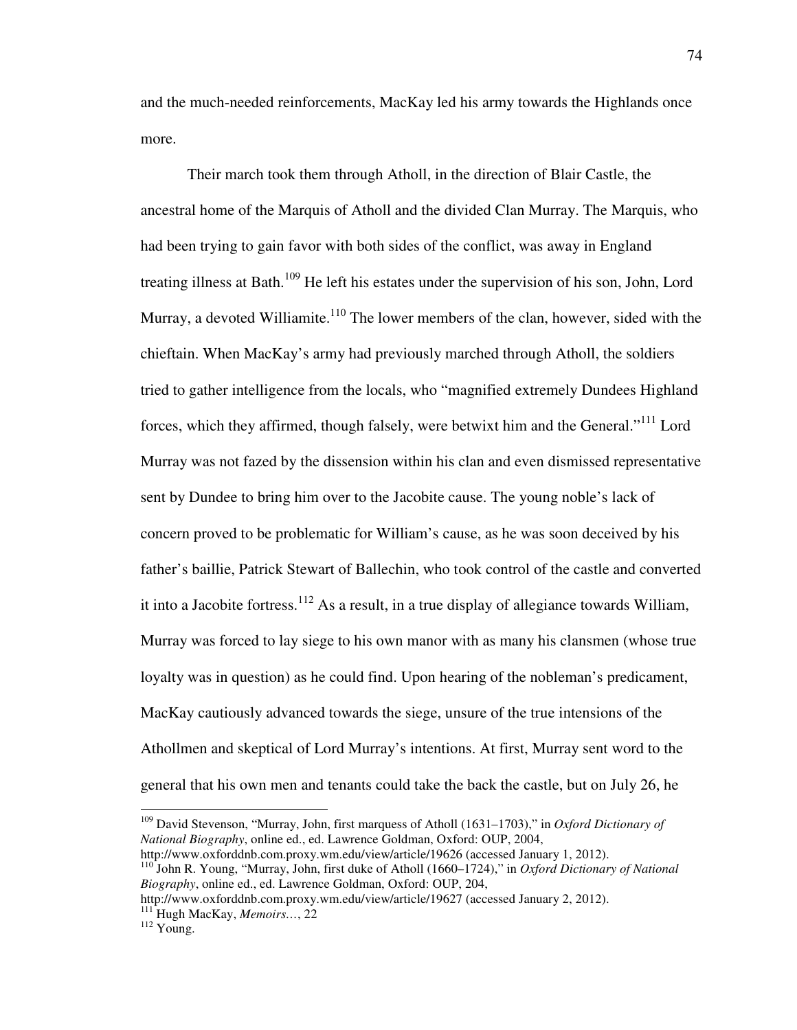and the much-needed reinforcements, MacKay led his army towards the Highlands once more.

Their march took them through Atholl, in the direction of Blair Castle, the ancestral home of the Marquis of Atholl and the divided Clan Murray. The Marquis, who had been trying to gain favor with both sides of the conflict, was away in England treating illness at Bath.<sup>109</sup> He left his estates under the supervision of his son, John, Lord Murray, a devoted Williamite.<sup>110</sup> The lower members of the clan, however, sided with the chieftain. When MacKay's army had previously marched through Atholl, the soldiers tried to gather intelligence from the locals, who "magnified extremely Dundees Highland forces, which they affirmed, though falsely, were betwixt him and the General."<sup>111</sup> Lord Murray was not fazed by the dissension within his clan and even dismissed representative sent by Dundee to bring him over to the Jacobite cause. The young noble's lack of concern proved to be problematic for William's cause, as he was soon deceived by his father's baillie, Patrick Stewart of Ballechin, who took control of the castle and converted it into a Jacobite fortress.<sup>112</sup> As a result, in a true display of allegiance towards William, Murray was forced to lay siege to his own manor with as many his clansmen (whose true loyalty was in question) as he could find. Upon hearing of the nobleman's predicament, MacKay cautiously advanced towards the siege, unsure of the true intensions of the Athollmen and skeptical of Lord Murray's intentions. At first, Murray sent word to the general that his own men and tenants could take the back the castle, but on July 26, he

<sup>109</sup> David Stevenson, "Murray, John, first marquess of Atholl (1631–1703)," in *Oxford Dictionary of National Biography*, online ed., ed. Lawrence Goldman, Oxford: OUP, 2004,

http://www.oxforddnb.com.proxy.wm.edu/view/article/19626 (accessed January 1, 2012).

<sup>110</sup> John R. Young, "Murray, John, first duke of Atholl (1660–1724)," in *Oxford Dictionary of National Biography*, online ed., ed. Lawrence Goldman, Oxford: OUP, 204,

http://www.oxforddnb.com.proxy.wm.edu/view/article/19627 (accessed January 2, 2012). <sup>111</sup> Hugh MacKay, *Memoirs…*, 22

<sup>&</sup>lt;sup>112</sup> Young.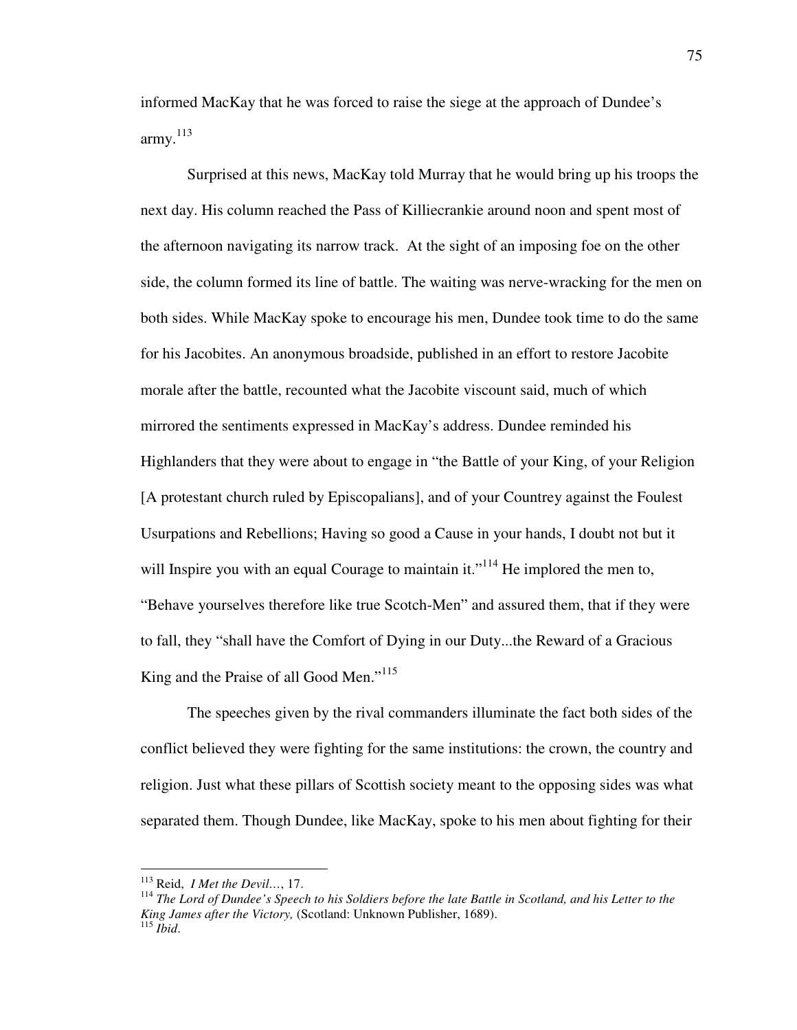informed MacKay that he was forced to raise the siege at the approach of Dundee's army.<sup>113</sup>

Surprised at this news, MacKay told Murray that he would bring up his troops the next day. His column reached the Pass of Killiecrankie around noon and spent most of the afternoon navigating its narrow track. At the sight of an imposing foe on the other side, the column formed its line of battle. The waiting was nerve-wracking for the men on both sides. While MacKay spoke to encourage his men, Dundee took time to do the same for his Jacobites. An anonymous broadside, published in an effort to restore Jacobite morale after the battle, recounted what the Jacobite viscount said, much of which mirrored the sentiments expressed in MacKay's address. Dundee reminded his Highlanders that they were about to engage in "the Battle of your King, of your Religion [A protestant church ruled by Episcopalians], and of your Countrey against the Foulest Usurpations and Rebellions; Having so good a Cause in your hands, I doubt not but it will Inspire you with an equal Courage to maintain it."<sup>114</sup> He implored the men to, "Behave yourselves therefore like true Scotch-Men" and assured them, that if they were to fall, they "shall have the Comfort of Dying in our Duty...the Reward of a Gracious King and the Praise of all Good Men."<sup>115</sup>

The speeches given by the rival commanders illuminate the fact both sides of the conflict believed they were fighting for the same institutions: the crown, the country and religion. Just what these pillars of Scottish society meant to the opposing sides was what separated them. Though Dundee, like MacKay, spoke to his men about fighting for their

<sup>113</sup> Reid, *I Met the Devil…*, 17.

<sup>114</sup> *The Lord of Dundee's Speech to his Soldiers before the late Battle in Scotland, and his Letter to the King James after the Victory,* (Scotland: Unknown Publisher, 1689). <sup>115</sup> *Ibid*.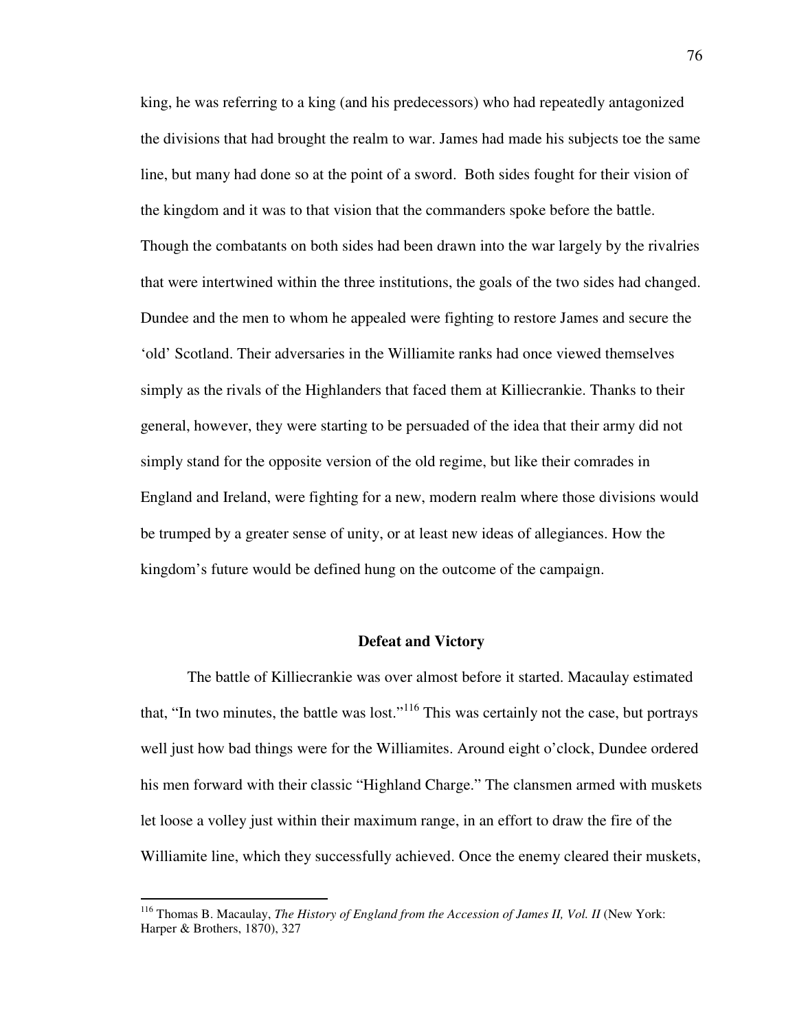king, he was referring to a king (and his predecessors) who had repeatedly antagonized the divisions that had brought the realm to war. James had made his subjects toe the same line, but many had done so at the point of a sword. Both sides fought for their vision of the kingdom and it was to that vision that the commanders spoke before the battle. Though the combatants on both sides had been drawn into the war largely by the rivalries that were intertwined within the three institutions, the goals of the two sides had changed. Dundee and the men to whom he appealed were fighting to restore James and secure the 'old' Scotland. Their adversaries in the Williamite ranks had once viewed themselves simply as the rivals of the Highlanders that faced them at Killiecrankie. Thanks to their general, however, they were starting to be persuaded of the idea that their army did not simply stand for the opposite version of the old regime, but like their comrades in England and Ireland, were fighting for a new, modern realm where those divisions would be trumped by a greater sense of unity, or at least new ideas of allegiances. How the kingdom's future would be defined hung on the outcome of the campaign.

### **Defeat and Victory**

 The battle of Killiecrankie was over almost before it started. Macaulay estimated that, "In two minutes, the battle was lost."<sup>116</sup> This was certainly not the case, but portrays well just how bad things were for the Williamites. Around eight o'clock, Dundee ordered his men forward with their classic "Highland Charge." The clansmen armed with muskets let loose a volley just within their maximum range, in an effort to draw the fire of the Williamite line, which they successfully achieved. Once the enemy cleared their muskets,

<sup>&</sup>lt;sup>116</sup> Thomas B. Macaulay, *The History of England from the Accession of James II, Vol. II* (New York: Harper & Brothers, 1870), 327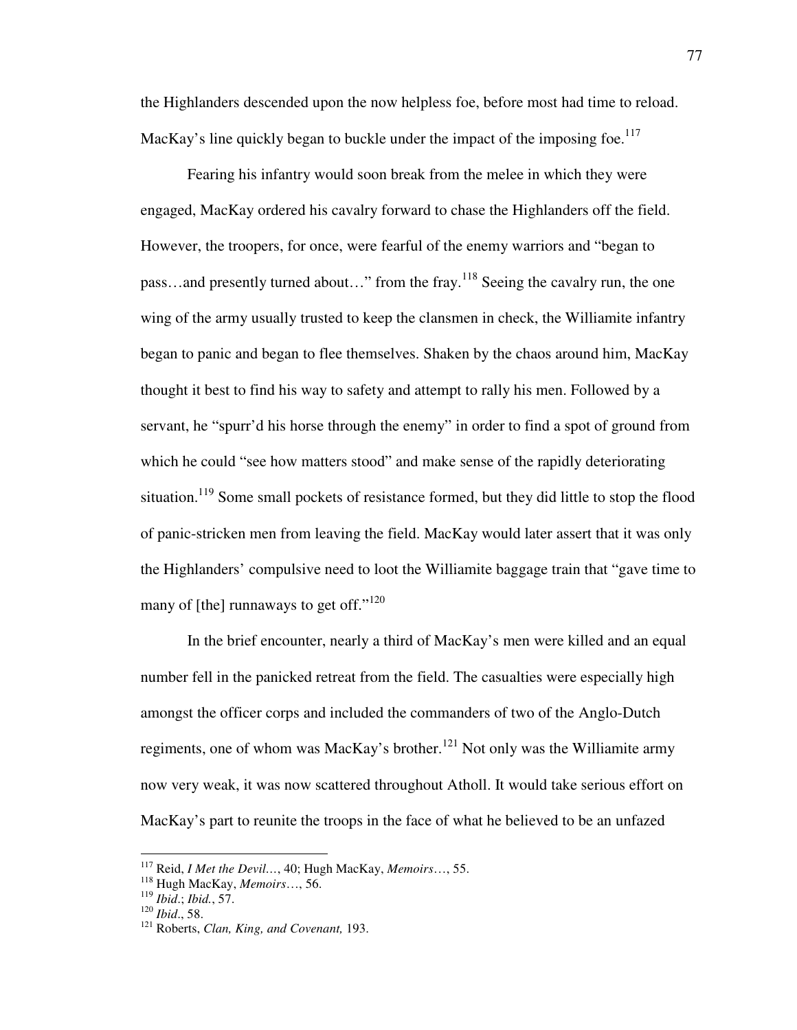the Highlanders descended upon the now helpless foe, before most had time to reload. MacKay's line quickly began to buckle under the impact of the imposing foe.<sup>117</sup>

 Fearing his infantry would soon break from the melee in which they were engaged, MacKay ordered his cavalry forward to chase the Highlanders off the field. However, the troopers, for once, were fearful of the enemy warriors and "began to pass...and presently turned about..." from the fray.<sup>118</sup> Seeing the cavalry run, the one wing of the army usually trusted to keep the clansmen in check, the Williamite infantry began to panic and began to flee themselves. Shaken by the chaos around him, MacKay thought it best to find his way to safety and attempt to rally his men. Followed by a servant, he "spurr'd his horse through the enemy" in order to find a spot of ground from which he could "see how matters stood" and make sense of the rapidly deteriorating situation.<sup>119</sup> Some small pockets of resistance formed, but they did little to stop the flood of panic-stricken men from leaving the field. MacKay would later assert that it was only the Highlanders' compulsive need to loot the Williamite baggage train that "gave time to many of [the] runnaways to get off."<sup>120</sup>

 In the brief encounter, nearly a third of MacKay's men were killed and an equal number fell in the panicked retreat from the field. The casualties were especially high amongst the officer corps and included the commanders of two of the Anglo-Dutch regiments, one of whom was MacKay's brother.<sup>121</sup> Not only was the Williamite army now very weak, it was now scattered throughout Atholl. It would take serious effort on MacKay's part to reunite the troops in the face of what he believed to be an unfazed

<sup>117</sup> Reid, *I Met the Devil…*, 40; Hugh MacKay, *Memoirs*…, 55.

<sup>118</sup> Hugh MacKay, *Memoirs*…, 56.

<sup>119</sup> *Ibid*.; *Ibid.*, 57.

<sup>120</sup> *Ibid*., 58.

<sup>121</sup> Roberts, *Clan, King, and Covenant,* 193.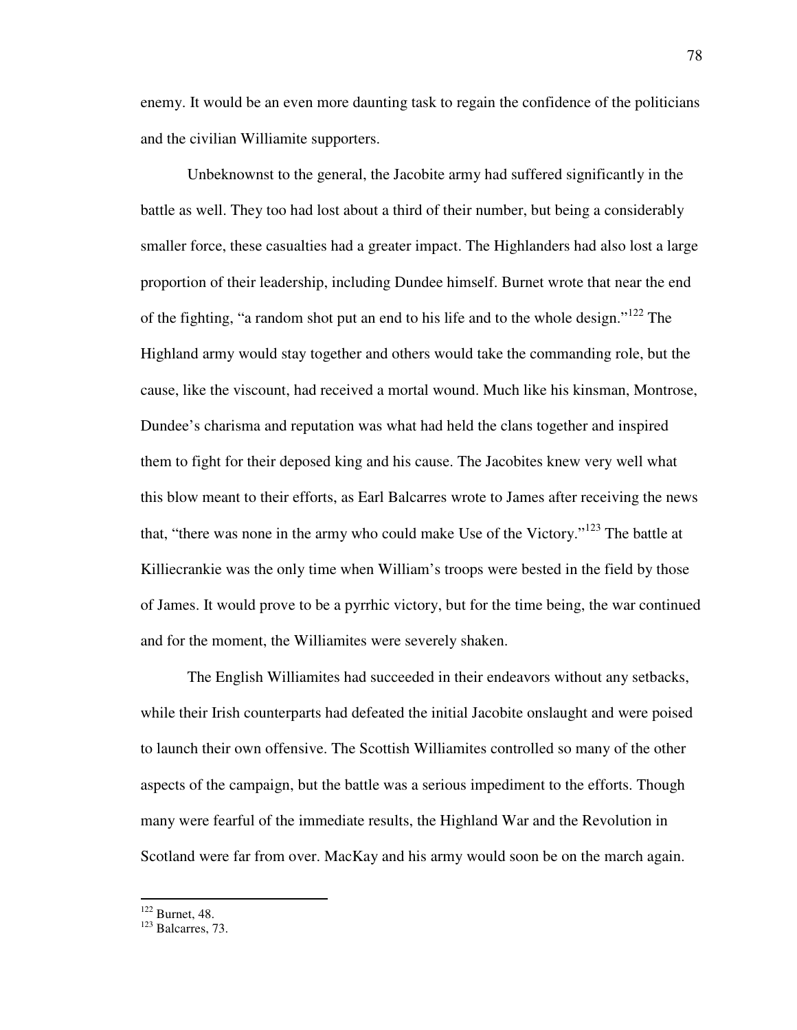enemy. It would be an even more daunting task to regain the confidence of the politicians and the civilian Williamite supporters.

 Unbeknownst to the general, the Jacobite army had suffered significantly in the battle as well. They too had lost about a third of their number, but being a considerably smaller force, these casualties had a greater impact. The Highlanders had also lost a large proportion of their leadership, including Dundee himself. Burnet wrote that near the end of the fighting, "a random shot put an end to his life and to the whole design."<sup>122</sup> The Highland army would stay together and others would take the commanding role, but the cause, like the viscount, had received a mortal wound. Much like his kinsman, Montrose, Dundee's charisma and reputation was what had held the clans together and inspired them to fight for their deposed king and his cause. The Jacobites knew very well what this blow meant to their efforts, as Earl Balcarres wrote to James after receiving the news that, "there was none in the army who could make Use of the Victory."<sup>123</sup> The battle at Killiecrankie was the only time when William's troops were bested in the field by those of James. It would prove to be a pyrrhic victory, but for the time being, the war continued and for the moment, the Williamites were severely shaken.

The English Williamites had succeeded in their endeavors without any setbacks, while their Irish counterparts had defeated the initial Jacobite onslaught and were poised to launch their own offensive. The Scottish Williamites controlled so many of the other aspects of the campaign, but the battle was a serious impediment to the efforts. Though many were fearful of the immediate results, the Highland War and the Revolution in Scotland were far from over. MacKay and his army would soon be on the march again.

 $122$  Burnet, 48.

<sup>123</sup> Balcarres, 73.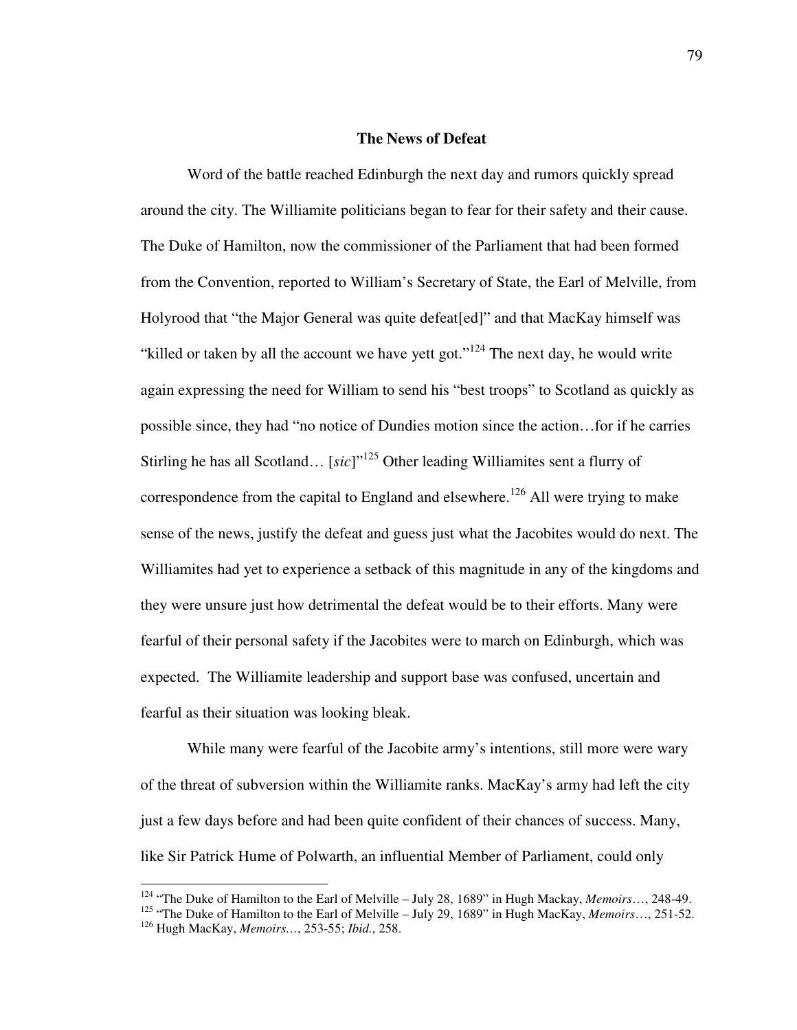### **The News of Defeat**

 Word of the battle reached Edinburgh the next day and rumors quickly spread around the city. The Williamite politicians began to fear for their safety and their cause. The Duke of Hamilton, now the commissioner of the Parliament that had been formed from the Convention, reported to William's Secretary of State, the Earl of Melville, from Holyrood that "the Major General was quite defeat[ed]" and that MacKay himself was "killed or taken by all the account we have yett got."<sup>124</sup> The next day, he would write again expressing the need for William to send his "best troops" to Scotland as quickly as possible since, they had "no notice of Dundies motion since the action…for if he carries Stirling he has all Scotland... [*sic*]"<sup>125</sup> Other leading Williamites sent a flurry of correspondence from the capital to England and elsewhere.<sup>126</sup> All were trying to make sense of the news, justify the defeat and guess just what the Jacobites would do next. The Williamites had yet to experience a setback of this magnitude in any of the kingdoms and they were unsure just how detrimental the defeat would be to their efforts. Many were fearful of their personal safety if the Jacobites were to march on Edinburgh, which was expected. The Williamite leadership and support base was confused, uncertain and fearful as their situation was looking bleak.

 While many were fearful of the Jacobite army's intentions, still more were wary of the threat of subversion within the Williamite ranks. MacKay's army had left the city just a few days before and had been quite confident of their chances of success. Many, like Sir Patrick Hume of Polwarth, an influential Member of Parliament, could only

<u>.</u>

<sup>124</sup> "The Duke of Hamilton to the Earl of Melville – July 28, 1689" in Hugh Mackay, *Memoirs*…, 248-49.

<sup>&</sup>lt;sup>125</sup> "The Duke of Hamilton to the Earl of Melville – July 29, 1689" in Hugh MacKay, *Memoirs*..., 251-52. <sup>126</sup> Hugh MacKay, *Memoirs…*, 253-55; *Ibid.*, 258.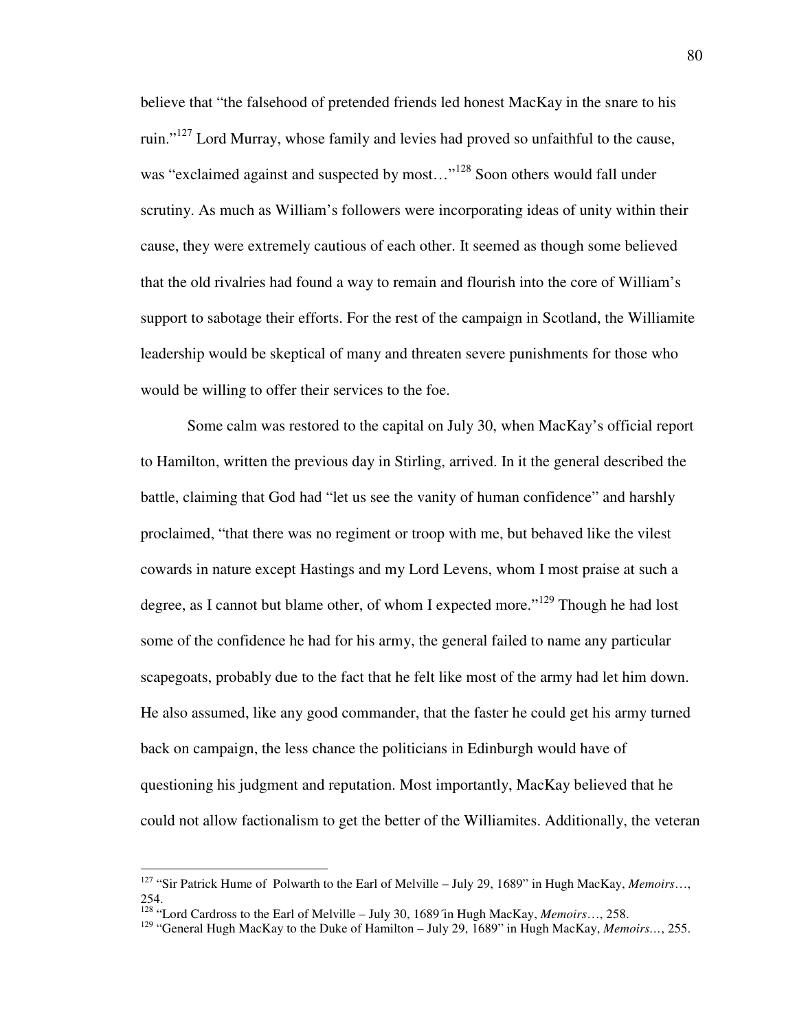believe that "the falsehood of pretended friends led honest MacKay in the snare to his ruin."<sup>127</sup> Lord Murray, whose family and levies had proved so unfaithful to the cause, was "exclaimed against and suspected by most..."<sup>128</sup> Soon others would fall under scrutiny. As much as William's followers were incorporating ideas of unity within their cause, they were extremely cautious of each other. It seemed as though some believed that the old rivalries had found a way to remain and flourish into the core of William's support to sabotage their efforts. For the rest of the campaign in Scotland, the Williamite leadership would be skeptical of many and threaten severe punishments for those who would be willing to offer their services to the foe.

 Some calm was restored to the capital on July 30, when MacKay's official report to Hamilton, written the previous day in Stirling, arrived. In it the general described the battle, claiming that God had "let us see the vanity of human confidence" and harshly proclaimed, "that there was no regiment or troop with me, but behaved like the vilest cowards in nature except Hastings and my Lord Levens, whom I most praise at such a degree, as I cannot but blame other, of whom I expected more."<sup>129</sup> Though he had lost some of the confidence he had for his army, the general failed to name any particular scapegoats, probably due to the fact that he felt like most of the army had let him down. He also assumed, like any good commander, that the faster he could get his army turned back on campaign, the less chance the politicians in Edinburgh would have of questioning his judgment and reputation. Most importantly, MacKay believed that he could not allow factionalism to get the better of the Williamites. Additionally, the veteran

<sup>127</sup> "Sir Patrick Hume of Polwarth to the Earl of Melville – July 29, 1689" in Hugh MacKay, *Memoirs*…, 254.

<sup>128</sup> "Lord Cardross to the Earl of Melville – July 30, 1689´in Hugh MacKay, *Memoirs*…, 258.

<sup>129</sup> "General Hugh MacKay to the Duke of Hamilton – July 29, 1689" in Hugh MacKay, *Memoirs…*, 255.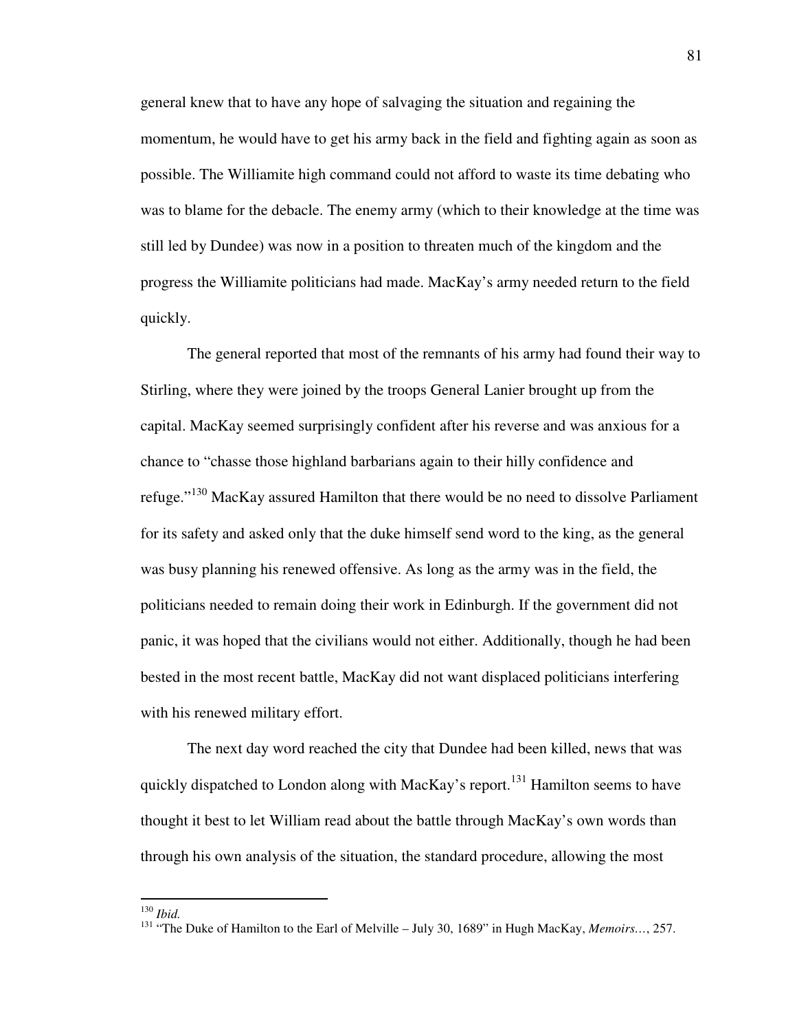general knew that to have any hope of salvaging the situation and regaining the momentum, he would have to get his army back in the field and fighting again as soon as possible. The Williamite high command could not afford to waste its time debating who was to blame for the debacle. The enemy army (which to their knowledge at the time was still led by Dundee) was now in a position to threaten much of the kingdom and the progress the Williamite politicians had made. MacKay's army needed return to the field quickly.

The general reported that most of the remnants of his army had found their way to Stirling, where they were joined by the troops General Lanier brought up from the capital. MacKay seemed surprisingly confident after his reverse and was anxious for a chance to "chasse those highland barbarians again to their hilly confidence and refuge."<sup>130</sup> MacKay assured Hamilton that there would be no need to dissolve Parliament for its safety and asked only that the duke himself send word to the king, as the general was busy planning his renewed offensive. As long as the army was in the field, the politicians needed to remain doing their work in Edinburgh. If the government did not panic, it was hoped that the civilians would not either. Additionally, though he had been bested in the most recent battle, MacKay did not want displaced politicians interfering with his renewed military effort.

The next day word reached the city that Dundee had been killed, news that was quickly dispatched to London along with MacKay's report.<sup>131</sup> Hamilton seems to have thought it best to let William read about the battle through MacKay's own words than through his own analysis of the situation, the standard procedure, allowing the most

<sup>130</sup> *Ibid.*

<sup>131</sup> "The Duke of Hamilton to the Earl of Melville – July 30, 1689" in Hugh MacKay, *Memoirs…*, 257.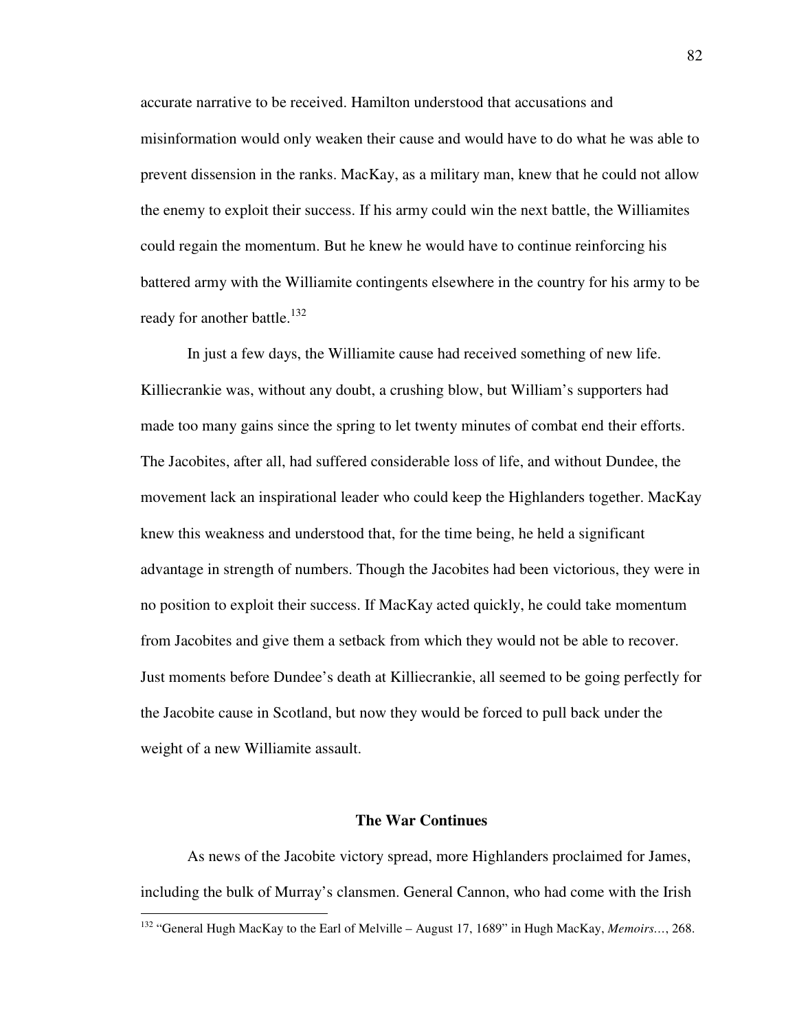accurate narrative to be received. Hamilton understood that accusations and misinformation would only weaken their cause and would have to do what he was able to prevent dissension in the ranks. MacKay, as a military man, knew that he could not allow the enemy to exploit their success. If his army could win the next battle, the Williamites could regain the momentum. But he knew he would have to continue reinforcing his battered army with the Williamite contingents elsewhere in the country for his army to be ready for another battle.<sup>132</sup>

In just a few days, the Williamite cause had received something of new life. Killiecrankie was, without any doubt, a crushing blow, but William's supporters had made too many gains since the spring to let twenty minutes of combat end their efforts. The Jacobites, after all, had suffered considerable loss of life, and without Dundee, the movement lack an inspirational leader who could keep the Highlanders together. MacKay knew this weakness and understood that, for the time being, he held a significant advantage in strength of numbers. Though the Jacobites had been victorious, they were in no position to exploit their success. If MacKay acted quickly, he could take momentum from Jacobites and give them a setback from which they would not be able to recover. Just moments before Dundee's death at Killiecrankie, all seemed to be going perfectly for the Jacobite cause in Scotland, but now they would be forced to pull back under the weight of a new Williamite assault.

#### **The War Continues**

 As news of the Jacobite victory spread, more Highlanders proclaimed for James, including the bulk of Murray's clansmen. General Cannon, who had come with the Irish

<sup>132</sup> "General Hugh MacKay to the Earl of Melville – August 17, 1689" in Hugh MacKay, *Memoirs…*, 268.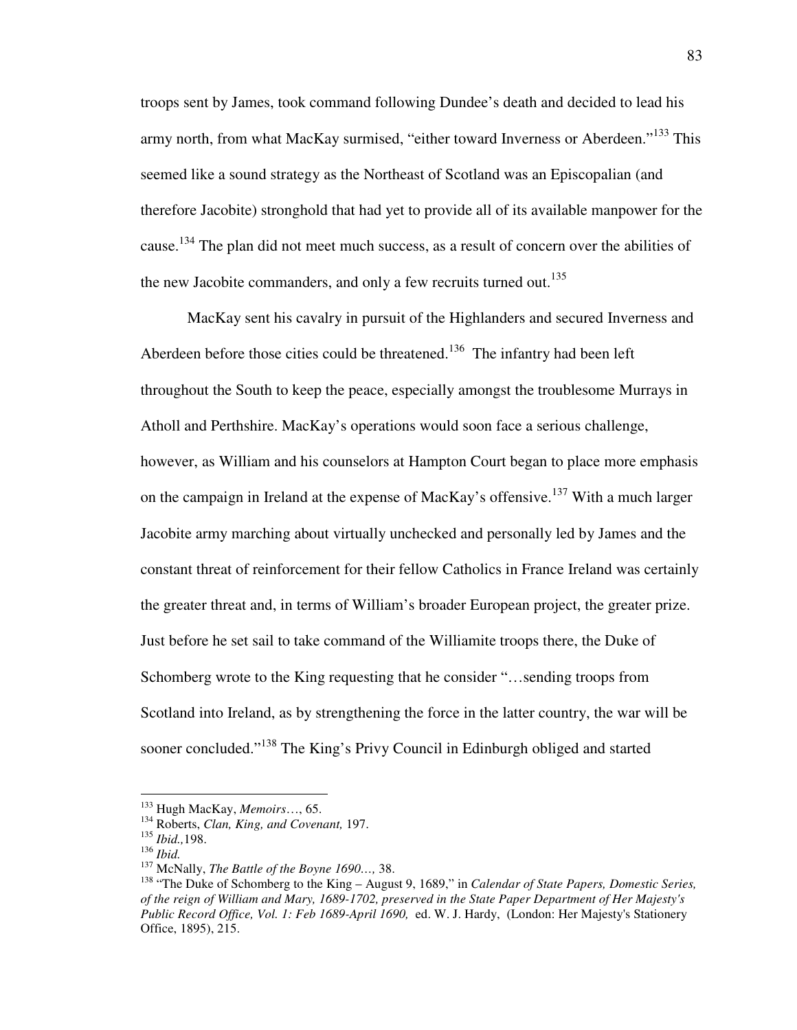troops sent by James, took command following Dundee's death and decided to lead his army north, from what MacKay surmised, "either toward Inverness or Aberdeen."<sup>133</sup> This seemed like a sound strategy as the Northeast of Scotland was an Episcopalian (and therefore Jacobite) stronghold that had yet to provide all of its available manpower for the cause.<sup>134</sup> The plan did not meet much success, as a result of concern over the abilities of the new Jacobite commanders, and only a few recruits turned out.<sup>135</sup>

 MacKay sent his cavalry in pursuit of the Highlanders and secured Inverness and Aberdeen before those cities could be threatened.<sup>136</sup> The infantry had been left throughout the South to keep the peace, especially amongst the troublesome Murrays in Atholl and Perthshire. MacKay's operations would soon face a serious challenge, however, as William and his counselors at Hampton Court began to place more emphasis on the campaign in Ireland at the expense of MacKay's offensive.<sup>137</sup> With a much larger Jacobite army marching about virtually unchecked and personally led by James and the constant threat of reinforcement for their fellow Catholics in France Ireland was certainly the greater threat and, in terms of William's broader European project, the greater prize. Just before he set sail to take command of the Williamite troops there, the Duke of Schomberg wrote to the King requesting that he consider "…sending troops from Scotland into Ireland, as by strengthening the force in the latter country, the war will be sooner concluded."<sup>138</sup> The King's Privy Council in Edinburgh obliged and started

<u>.</u>

<sup>133</sup> Hugh MacKay, *Memoirs*…, 65.

<sup>134</sup> Roberts, *Clan, King, and Covenant,* 197.

<sup>135</sup> *Ibid.,*198.

<sup>136</sup> *Ibid.*

<sup>137</sup> McNally, *The Battle of the Boyne 1690…,* 38.

<sup>138</sup> "The Duke of Schomberg to the King – August 9, 1689," in *Calendar of State Papers, Domestic Series, of the reign of William and Mary, 1689-1702, preserved in the State Paper Department of Her Majesty's Public Record Office, Vol. 1: Feb 1689-April 1690,* ed. W. J. Hardy, (London: Her Majesty's Stationery Office, 1895), 215.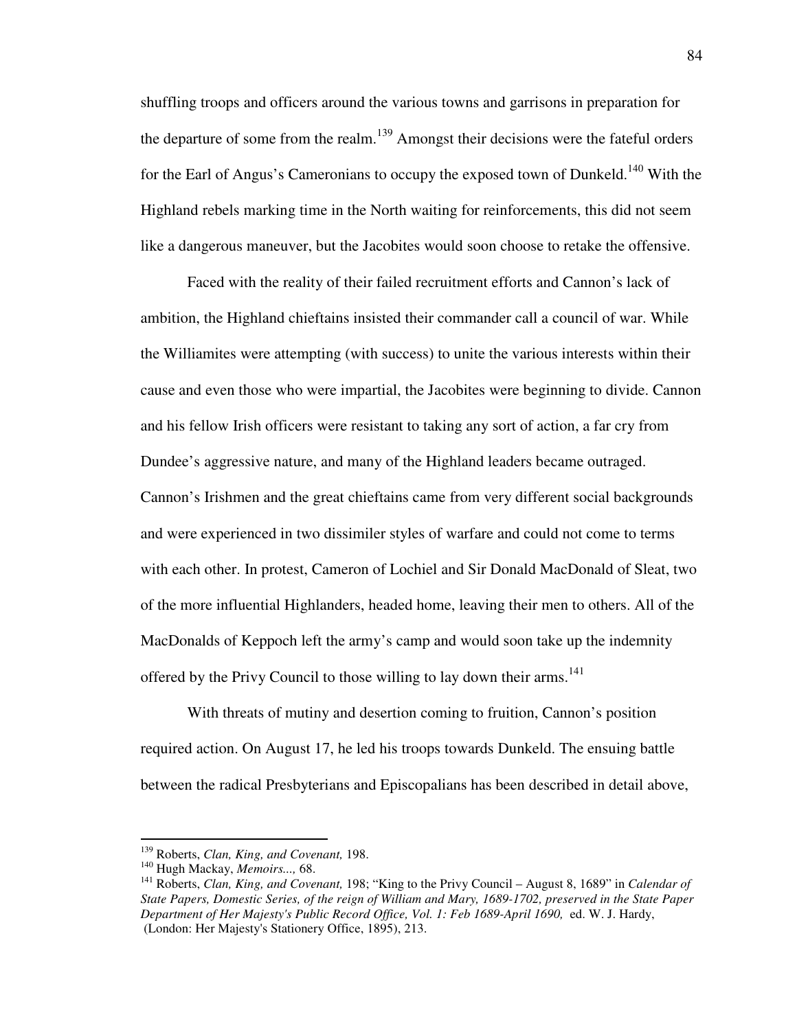shuffling troops and officers around the various towns and garrisons in preparation for the departure of some from the realm.<sup>139</sup> Amongst their decisions were the fateful orders for the Earl of Angus's Cameronians to occupy the exposed town of Dunkeld.<sup>140</sup> With the Highland rebels marking time in the North waiting for reinforcements, this did not seem like a dangerous maneuver, but the Jacobites would soon choose to retake the offensive.

 Faced with the reality of their failed recruitment efforts and Cannon's lack of ambition, the Highland chieftains insisted their commander call a council of war. While the Williamites were attempting (with success) to unite the various interests within their cause and even those who were impartial, the Jacobites were beginning to divide. Cannon and his fellow Irish officers were resistant to taking any sort of action, a far cry from Dundee's aggressive nature, and many of the Highland leaders became outraged. Cannon's Irishmen and the great chieftains came from very different social backgrounds and were experienced in two dissimiler styles of warfare and could not come to terms with each other. In protest, Cameron of Lochiel and Sir Donald MacDonald of Sleat, two of the more influential Highlanders, headed home, leaving their men to others. All of the MacDonalds of Keppoch left the army's camp and would soon take up the indemnity offered by the Privy Council to those willing to lay down their arms.<sup>141</sup>

 With threats of mutiny and desertion coming to fruition, Cannon's position required action. On August 17, he led his troops towards Dunkeld. The ensuing battle between the radical Presbyterians and Episcopalians has been described in detail above,

<sup>139</sup> Roberts, *Clan, King, and Covenant,* 198.

<sup>140</sup> Hugh Mackay, *Memoirs...,* 68.

<sup>141</sup> Roberts, *Clan, King, and Covenant,* 198; "King to the Privy Council – August 8, 1689" in *Calendar of State Papers, Domestic Series, of the reign of William and Mary, 1689-1702, preserved in the State Paper Department of Her Majesty's Public Record Office, Vol. 1: Feb 1689-April 1690,* ed. W. J. Hardy, (London: Her Majesty's Stationery Office, 1895), 213.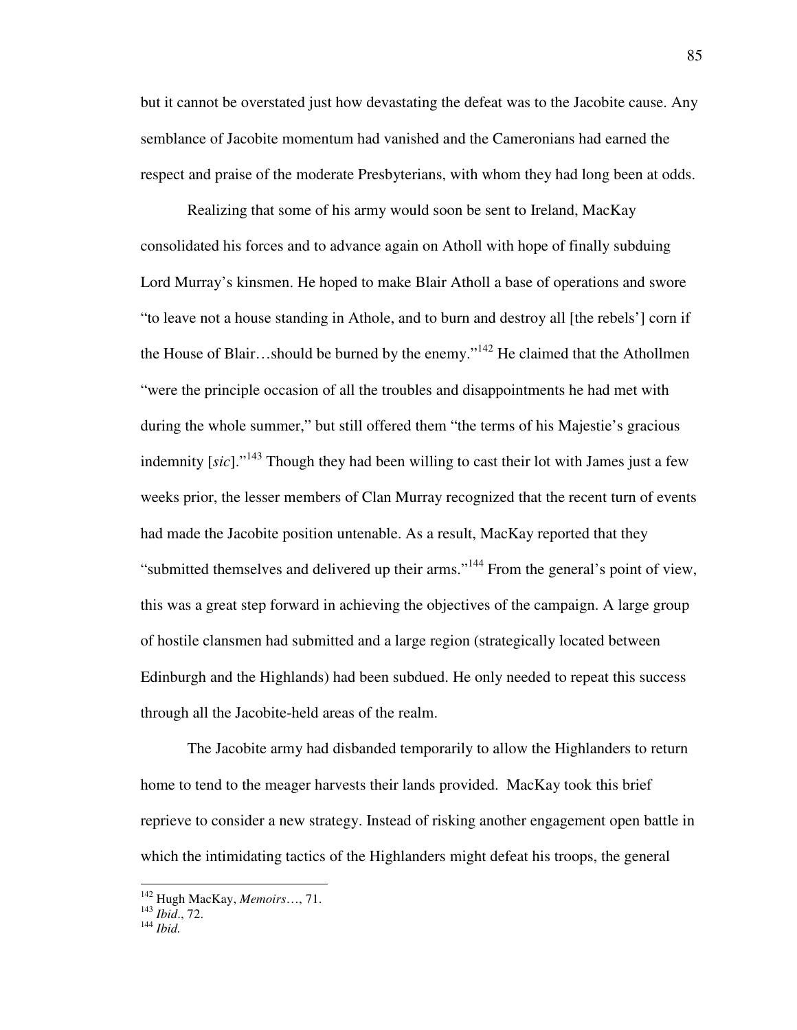but it cannot be overstated just how devastating the defeat was to the Jacobite cause. Any semblance of Jacobite momentum had vanished and the Cameronians had earned the respect and praise of the moderate Presbyterians, with whom they had long been at odds.

 Realizing that some of his army would soon be sent to Ireland, MacKay consolidated his forces and to advance again on Atholl with hope of finally subduing Lord Murray's kinsmen. He hoped to make Blair Atholl a base of operations and swore "to leave not a house standing in Athole, and to burn and destroy all [the rebels'] corn if the House of Blair…should be burned by the enemy."<sup>142</sup> He claimed that the Athollmen "were the principle occasion of all the troubles and disappointments he had met with during the whole summer," but still offered them "the terms of his Majestie's gracious indemnity [*sic*]."<sup>143</sup> Though they had been willing to cast their lot with James just a few weeks prior, the lesser members of Clan Murray recognized that the recent turn of events had made the Jacobite position untenable. As a result, MacKay reported that they "submitted themselves and delivered up their arms."<sup>144</sup> From the general's point of view, this was a great step forward in achieving the objectives of the campaign. A large group of hostile clansmen had submitted and a large region (strategically located between Edinburgh and the Highlands) had been subdued. He only needed to repeat this success through all the Jacobite-held areas of the realm.

 The Jacobite army had disbanded temporarily to allow the Highlanders to return home to tend to the meager harvests their lands provided. MacKay took this brief reprieve to consider a new strategy. Instead of risking another engagement open battle in which the intimidating tactics of the Highlanders might defeat his troops, the general

<u>.</u>

<sup>142</sup> Hugh MacKay, *Memoirs*…, 71.

<sup>143</sup> *Ibid*., 72.

<sup>144</sup> *Ibid.*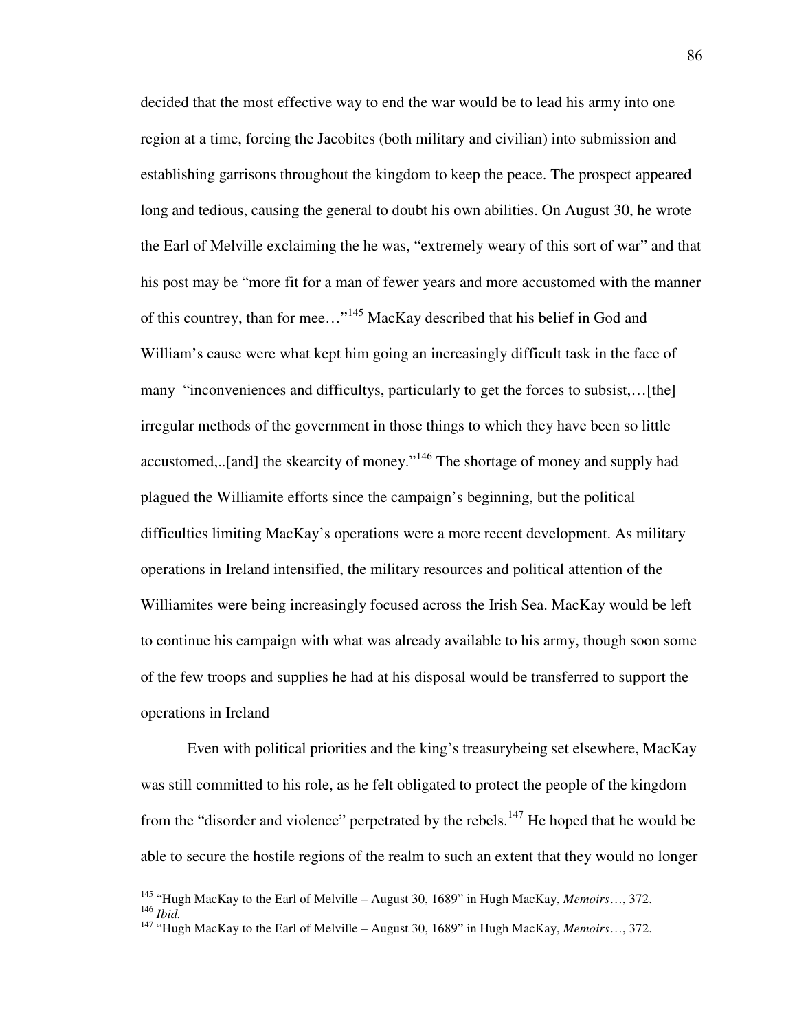decided that the most effective way to end the war would be to lead his army into one region at a time, forcing the Jacobites (both military and civilian) into submission and establishing garrisons throughout the kingdom to keep the peace. The prospect appeared long and tedious, causing the general to doubt his own abilities. On August 30, he wrote the Earl of Melville exclaiming the he was, "extremely weary of this sort of war" and that his post may be "more fit for a man of fewer years and more accustomed with the manner of this countrey, than for mee…"<sup>145</sup> MacKay described that his belief in God and William's cause were what kept him going an increasingly difficult task in the face of many "inconveniences and difficultys, particularly to get the forces to subsist,…[the] irregular methods of the government in those things to which they have been so little accustomed,...[and] the skearcity of money."<sup>146</sup> The shortage of money and supply had plagued the Williamite efforts since the campaign's beginning, but the political difficulties limiting MacKay's operations were a more recent development. As military operations in Ireland intensified, the military resources and political attention of the Williamites were being increasingly focused across the Irish Sea. MacKay would be left to continue his campaign with what was already available to his army, though soon some of the few troops and supplies he had at his disposal would be transferred to support the operations in Ireland

Even with political priorities and the king's treasurybeing set elsewhere, MacKay was still committed to his role, as he felt obligated to protect the people of the kingdom from the "disorder and violence" perpetrated by the rebels.<sup>147</sup> He hoped that he would be able to secure the hostile regions of the realm to such an extent that they would no longer

<u>.</u>

<sup>145</sup> "Hugh MacKay to the Earl of Melville – August 30, 1689" in Hugh MacKay, *Memoirs*…, 372. <sup>146</sup> *Ibid.*

<sup>147</sup> "Hugh MacKay to the Earl of Melville – August 30, 1689" in Hugh MacKay, *Memoirs*…, 372.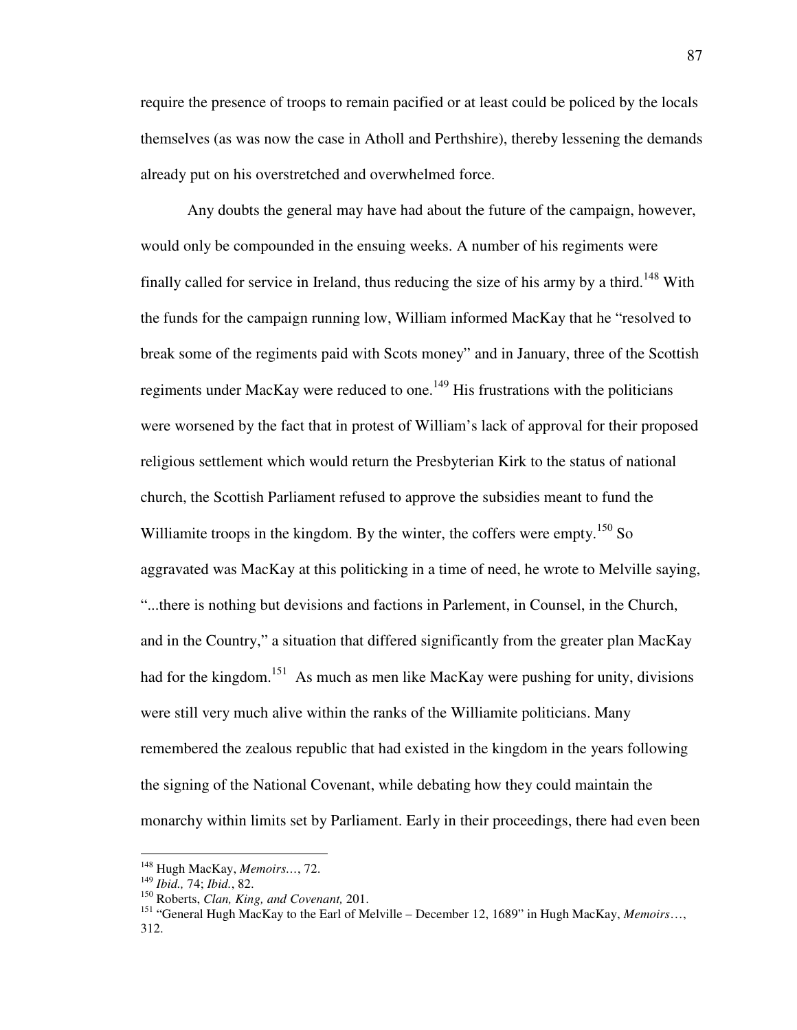require the presence of troops to remain pacified or at least could be policed by the locals themselves (as was now the case in Atholl and Perthshire), thereby lessening the demands already put on his overstretched and overwhelmed force.

 Any doubts the general may have had about the future of the campaign, however, would only be compounded in the ensuing weeks. A number of his regiments were finally called for service in Ireland, thus reducing the size of his army by a third.<sup>148</sup> With the funds for the campaign running low, William informed MacKay that he "resolved to break some of the regiments paid with Scots money" and in January, three of the Scottish regiments under MacKay were reduced to one.<sup>149</sup> His frustrations with the politicians were worsened by the fact that in protest of William's lack of approval for their proposed religious settlement which would return the Presbyterian Kirk to the status of national church, the Scottish Parliament refused to approve the subsidies meant to fund the Williamite troops in the kingdom. By the winter, the coffers were empty.<sup>150</sup> So aggravated was MacKay at this politicking in a time of need, he wrote to Melville saying, "...there is nothing but devisions and factions in Parlement, in Counsel, in the Church, and in the Country," a situation that differed significantly from the greater plan MacKay had for the kingdom.<sup>151</sup> As much as men like MacKay were pushing for unity, divisions were still very much alive within the ranks of the Williamite politicians. Many remembered the zealous republic that had existed in the kingdom in the years following the signing of the National Covenant, while debating how they could maintain the monarchy within limits set by Parliament. Early in their proceedings, there had even been

<sup>148</sup> Hugh MacKay, *Memoirs…*, 72.

<sup>149</sup> *Ibid.,* 74; *Ibid.*, 82.

<sup>150</sup> Roberts, *Clan, King, and Covenant,* 201.

<sup>151</sup> "General Hugh MacKay to the Earl of Melville – December 12, 1689" in Hugh MacKay, *Memoirs*…, 312.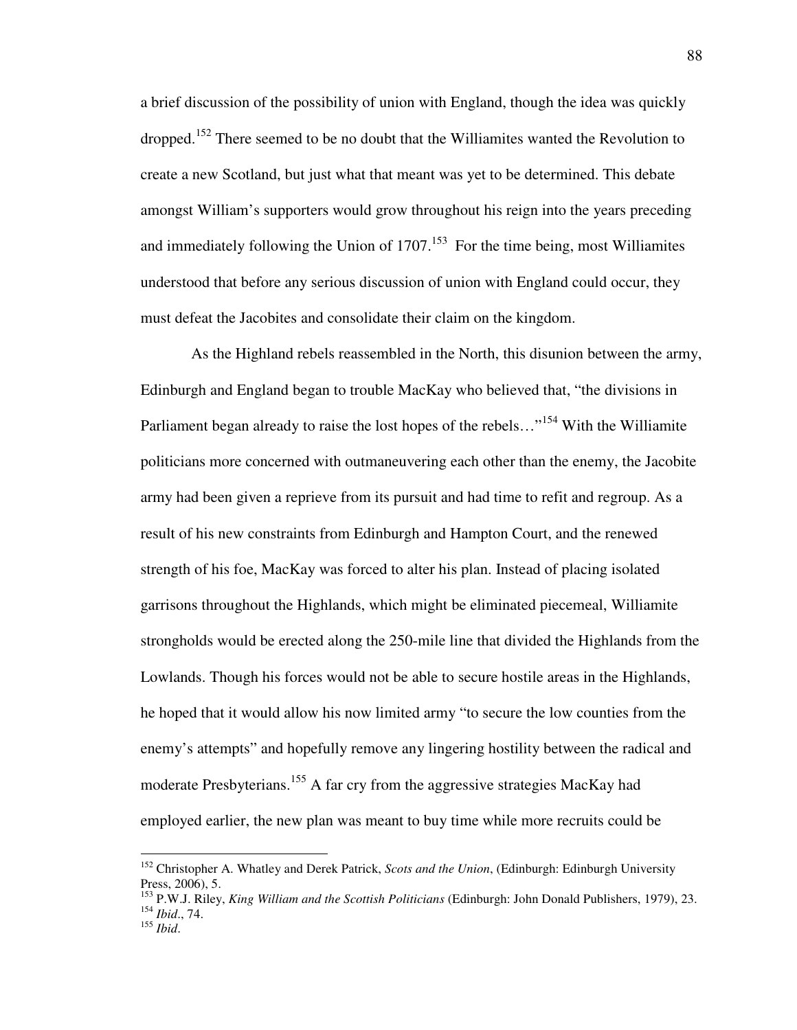a brief discussion of the possibility of union with England, though the idea was quickly dropped.<sup>152</sup> There seemed to be no doubt that the Williamites wanted the Revolution to create a new Scotland, but just what that meant was yet to be determined. This debate amongst William's supporters would grow throughout his reign into the years preceding and immediately following the Union of  $1707<sup>153</sup>$  For the time being, most Williamites understood that before any serious discussion of union with England could occur, they must defeat the Jacobites and consolidate their claim on the kingdom.

 As the Highland rebels reassembled in the North, this disunion between the army, Edinburgh and England began to trouble MacKay who believed that, "the divisions in Parliament began already to raise the lost hopes of the rebels..."<sup>154</sup> With the Williamite politicians more concerned with outmaneuvering each other than the enemy, the Jacobite army had been given a reprieve from its pursuit and had time to refit and regroup. As a result of his new constraints from Edinburgh and Hampton Court, and the renewed strength of his foe, MacKay was forced to alter his plan. Instead of placing isolated garrisons throughout the Highlands, which might be eliminated piecemeal, Williamite strongholds would be erected along the 250-mile line that divided the Highlands from the Lowlands. Though his forces would not be able to secure hostile areas in the Highlands, he hoped that it would allow his now limited army "to secure the low counties from the enemy's attempts" and hopefully remove any lingering hostility between the radical and moderate Presbyterians.<sup>155</sup> A far cry from the aggressive strategies MacKay had employed earlier, the new plan was meant to buy time while more recruits could be

<sup>152</sup> Christopher A. Whatley and Derek Patrick, *Scots and the Union*, (Edinburgh: Edinburgh University Press, 2006), 5.

<sup>153</sup> P.W.J. Riley, *King William and the Scottish Politicians* (Edinburgh: John Donald Publishers, 1979), 23. <sup>154</sup> *Ibid*., 74.

<sup>155</sup> *Ibid*.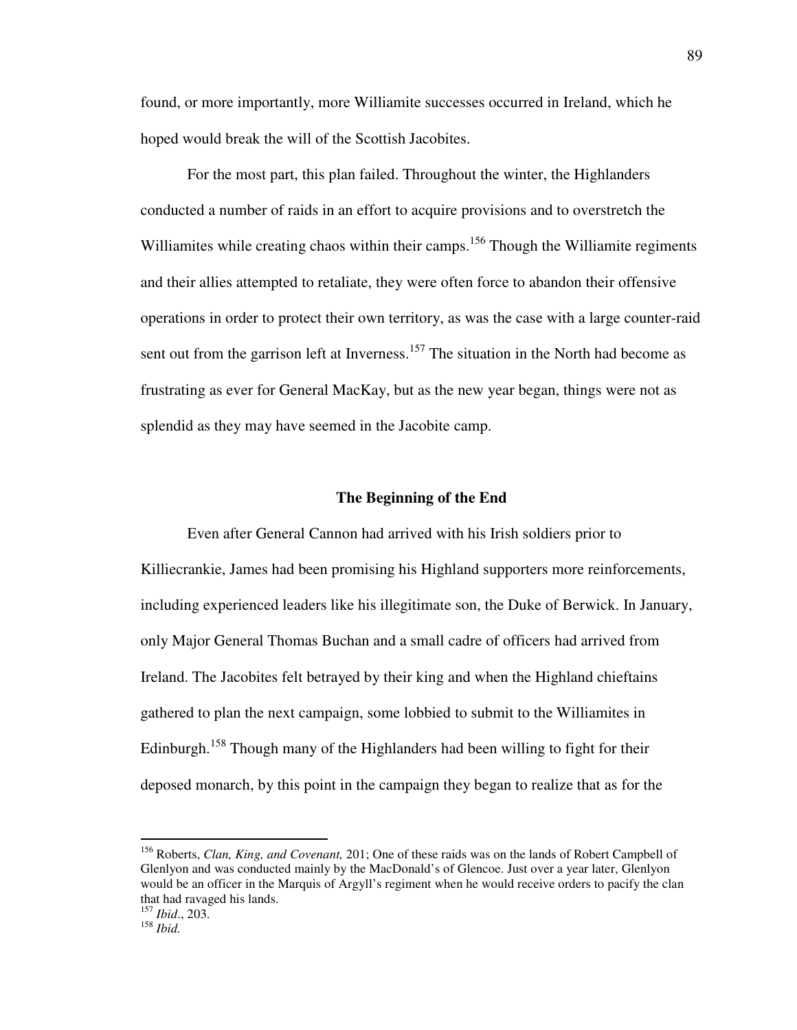found, or more importantly, more Williamite successes occurred in Ireland, which he hoped would break the will of the Scottish Jacobites.

 For the most part, this plan failed. Throughout the winter, the Highlanders conducted a number of raids in an effort to acquire provisions and to overstretch the Williamites while creating chaos within their camps.<sup>156</sup> Though the Williamite regiments and their allies attempted to retaliate, they were often force to abandon their offensive operations in order to protect their own territory, as was the case with a large counter-raid sent out from the garrison left at Inverness.<sup>157</sup> The situation in the North had become as frustrating as ever for General MacKay, but as the new year began, things were not as splendid as they may have seemed in the Jacobite camp.

### **The Beginning of the End**

 Even after General Cannon had arrived with his Irish soldiers prior to Killiecrankie, James had been promising his Highland supporters more reinforcements, including experienced leaders like his illegitimate son, the Duke of Berwick. In January, only Major General Thomas Buchan and a small cadre of officers had arrived from Ireland. The Jacobites felt betrayed by their king and when the Highland chieftains gathered to plan the next campaign, some lobbied to submit to the Williamites in Edinburgh.<sup>158</sup> Though many of the Highlanders had been willing to fight for their deposed monarch, by this point in the campaign they began to realize that as for the

<sup>156</sup> Roberts, *Clan, King, and Covenant,* 201; One of these raids was on the lands of Robert Campbell of Glenlyon and was conducted mainly by the MacDonald's of Glencoe. Just over a year later, Glenlyon would be an officer in the Marquis of Argyll's regiment when he would receive orders to pacify the clan that had ravaged his lands. <sup>157</sup> *Ibid*., 203.

<sup>158</sup> *Ibid.*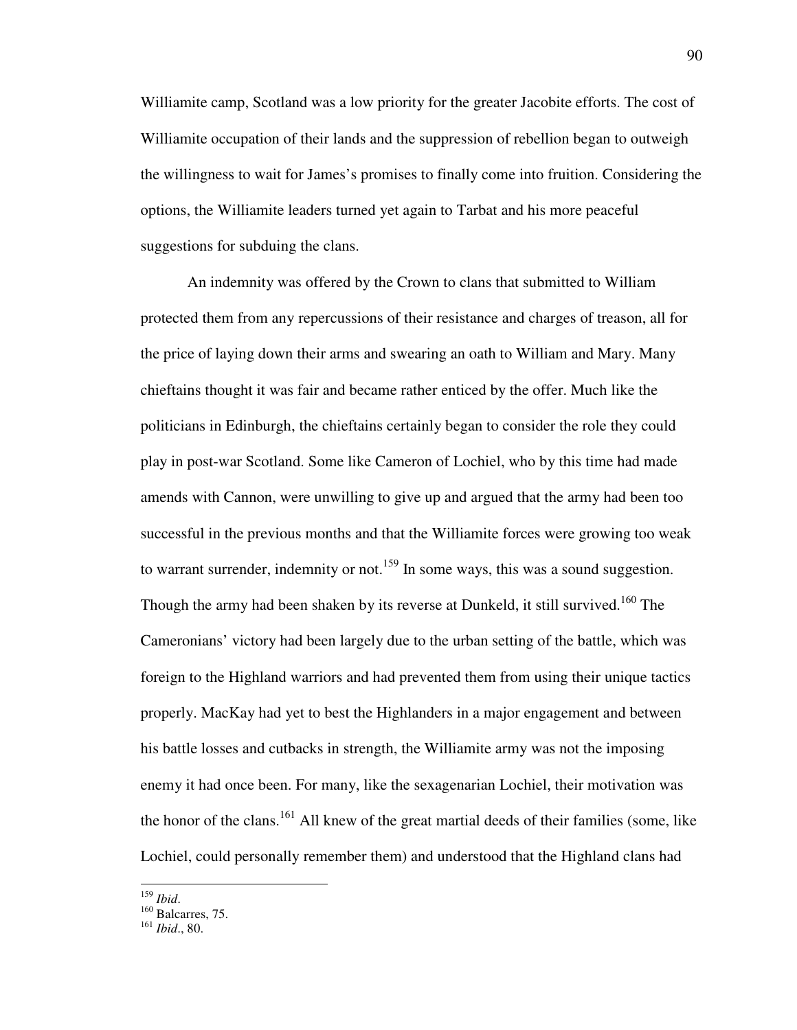Williamite camp, Scotland was a low priority for the greater Jacobite efforts. The cost of Williamite occupation of their lands and the suppression of rebellion began to outweigh the willingness to wait for James's promises to finally come into fruition. Considering the options, the Williamite leaders turned yet again to Tarbat and his more peaceful suggestions for subduing the clans.

An indemnity was offered by the Crown to clans that submitted to William protected them from any repercussions of their resistance and charges of treason, all for the price of laying down their arms and swearing an oath to William and Mary. Many chieftains thought it was fair and became rather enticed by the offer. Much like the politicians in Edinburgh, the chieftains certainly began to consider the role they could play in post-war Scotland. Some like Cameron of Lochiel, who by this time had made amends with Cannon, were unwilling to give up and argued that the army had been too successful in the previous months and that the Williamite forces were growing too weak to warrant surrender, indemnity or not.<sup>159</sup> In some ways, this was a sound suggestion. Though the army had been shaken by its reverse at Dunkeld, it still survived.<sup>160</sup> The Cameronians' victory had been largely due to the urban setting of the battle, which was foreign to the Highland warriors and had prevented them from using their unique tactics properly. MacKay had yet to best the Highlanders in a major engagement and between his battle losses and cutbacks in strength, the Williamite army was not the imposing enemy it had once been. For many, like the sexagenarian Lochiel, their motivation was the honor of the clans.<sup>161</sup> All knew of the great martial deeds of their families (some, like Lochiel, could personally remember them) and understood that the Highland clans had

<sup>&</sup>lt;u>.</u> <sup>159</sup> *Ibid*.

 $^{160}$  Balcarres, 75.

<sup>161</sup> *Ibid*., 80.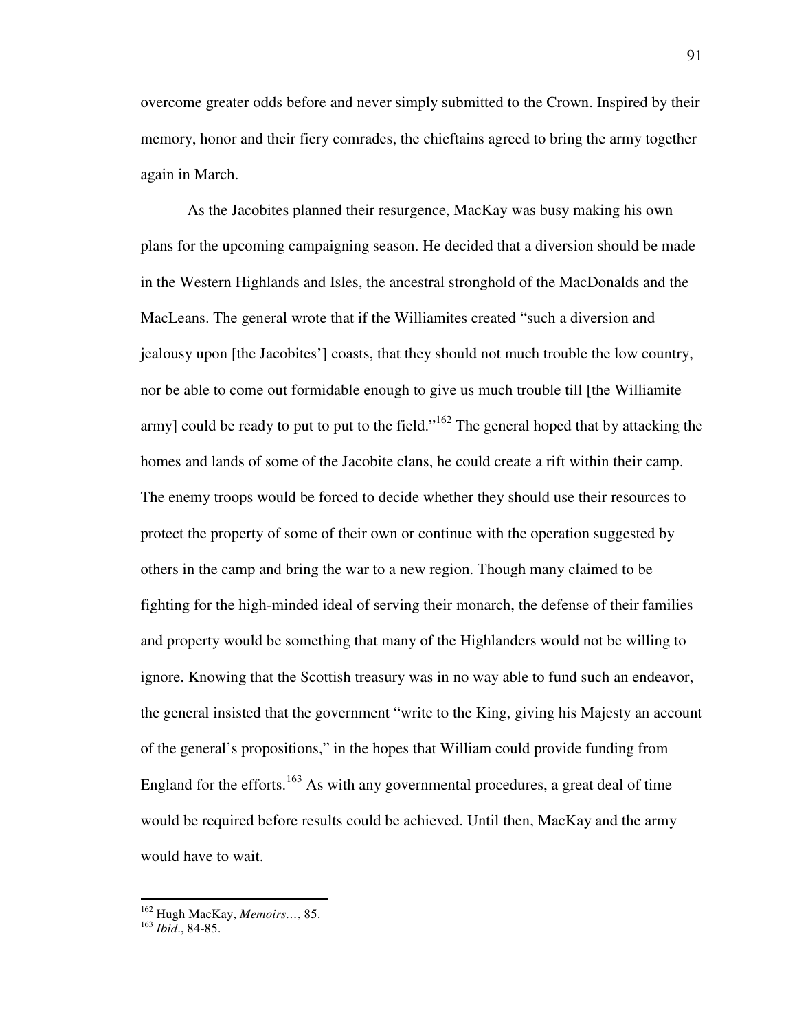overcome greater odds before and never simply submitted to the Crown. Inspired by their memory, honor and their fiery comrades, the chieftains agreed to bring the army together again in March.

 As the Jacobites planned their resurgence, MacKay was busy making his own plans for the upcoming campaigning season. He decided that a diversion should be made in the Western Highlands and Isles, the ancestral stronghold of the MacDonalds and the MacLeans. The general wrote that if the Williamites created "such a diversion and jealousy upon [the Jacobites'] coasts, that they should not much trouble the low country, nor be able to come out formidable enough to give us much trouble till [the Williamite army] could be ready to put to put to the field."<sup>162</sup> The general hoped that by attacking the homes and lands of some of the Jacobite clans, he could create a rift within their camp. The enemy troops would be forced to decide whether they should use their resources to protect the property of some of their own or continue with the operation suggested by others in the camp and bring the war to a new region. Though many claimed to be fighting for the high-minded ideal of serving their monarch, the defense of their families and property would be something that many of the Highlanders would not be willing to ignore. Knowing that the Scottish treasury was in no way able to fund such an endeavor, the general insisted that the government "write to the King, giving his Majesty an account of the general's propositions," in the hopes that William could provide funding from England for the efforts.<sup>163</sup> As with any governmental procedures, a great deal of time would be required before results could be achieved. Until then, MacKay and the army would have to wait.

<sup>162</sup> Hugh MacKay, *Memoirs…*, 85.

<sup>163</sup> *Ibid*., 84-85.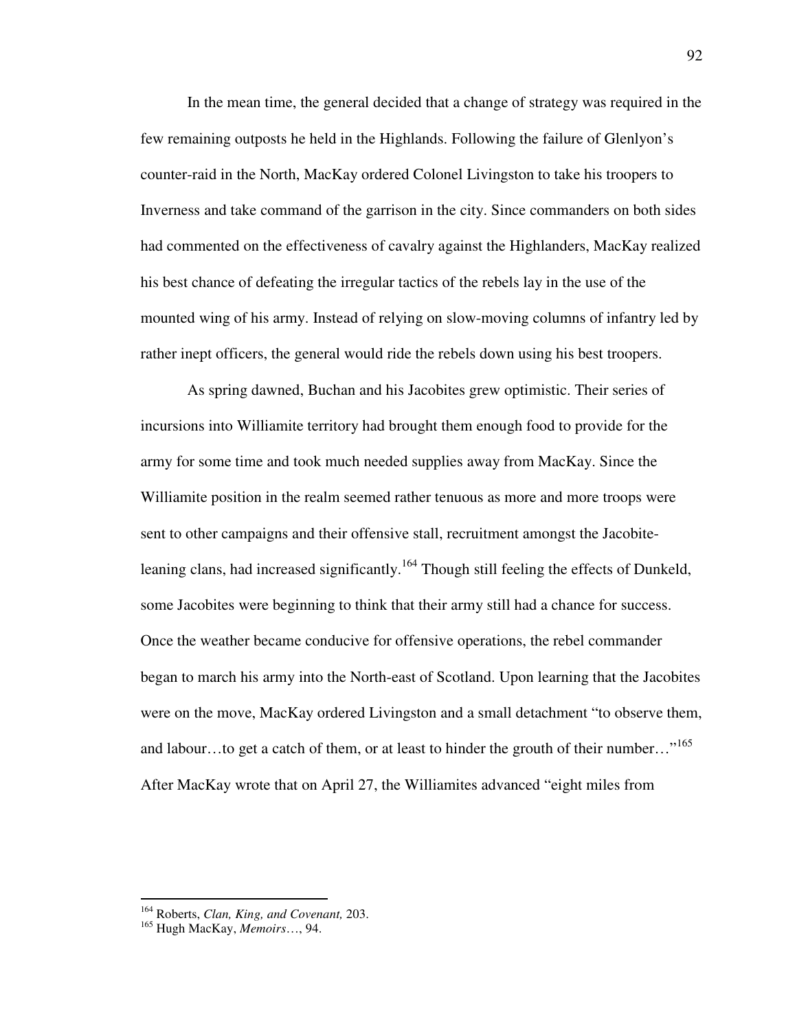In the mean time, the general decided that a change of strategy was required in the few remaining outposts he held in the Highlands. Following the failure of Glenlyon's counter-raid in the North, MacKay ordered Colonel Livingston to take his troopers to Inverness and take command of the garrison in the city. Since commanders on both sides had commented on the effectiveness of cavalry against the Highlanders, MacKay realized his best chance of defeating the irregular tactics of the rebels lay in the use of the mounted wing of his army. Instead of relying on slow-moving columns of infantry led by rather inept officers, the general would ride the rebels down using his best troopers.

 As spring dawned, Buchan and his Jacobites grew optimistic. Their series of incursions into Williamite territory had brought them enough food to provide for the army for some time and took much needed supplies away from MacKay. Since the Williamite position in the realm seemed rather tenuous as more and more troops were sent to other campaigns and their offensive stall, recruitment amongst the Jacobiteleaning clans, had increased significantly.<sup>164</sup> Though still feeling the effects of Dunkeld, some Jacobites were beginning to think that their army still had a chance for success. Once the weather became conducive for offensive operations, the rebel commander began to march his army into the North-east of Scotland. Upon learning that the Jacobites were on the move, MacKay ordered Livingston and a small detachment "to observe them, and labour...to get a catch of them, or at least to hinder the grouth of their number..."<sup>165</sup> After MacKay wrote that on April 27, the Williamites advanced "eight miles from

<sup>164</sup> Roberts, *Clan, King, and Covenant,* 203.

<sup>165</sup> Hugh MacKay, *Memoirs*…, 94.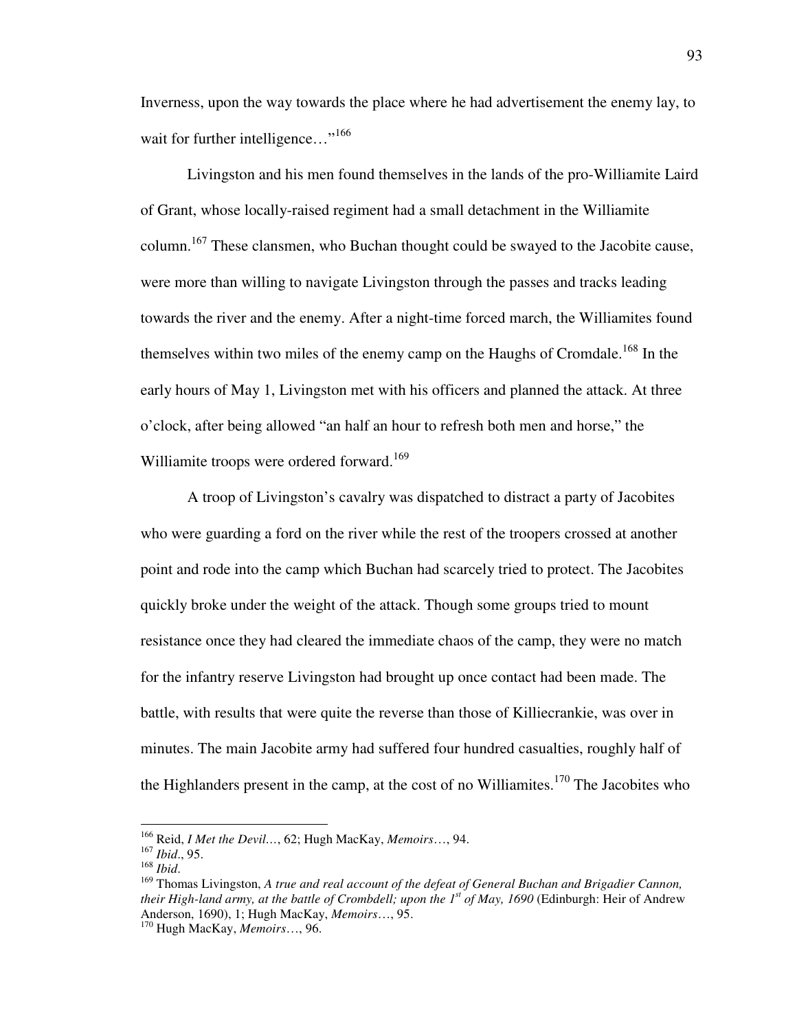Inverness, upon the way towards the place where he had advertisement the enemy lay, to wait for further intelligence..."<sup>166</sup>

 Livingston and his men found themselves in the lands of the pro-Williamite Laird of Grant, whose locally-raised regiment had a small detachment in the Williamite column.<sup>167</sup> These clansmen, who Buchan thought could be swayed to the Jacobite cause, were more than willing to navigate Livingston through the passes and tracks leading towards the river and the enemy. After a night-time forced march, the Williamites found themselves within two miles of the enemy camp on the Haughs of Cromdale.<sup>168</sup> In the early hours of May 1, Livingston met with his officers and planned the attack. At three o'clock, after being allowed "an half an hour to refresh both men and horse," the Williamite troops were ordered forward.<sup>169</sup>

 A troop of Livingston's cavalry was dispatched to distract a party of Jacobites who were guarding a ford on the river while the rest of the troopers crossed at another point and rode into the camp which Buchan had scarcely tried to protect. The Jacobites quickly broke under the weight of the attack. Though some groups tried to mount resistance once they had cleared the immediate chaos of the camp, they were no match for the infantry reserve Livingston had brought up once contact had been made. The battle, with results that were quite the reverse than those of Killiecrankie, was over in minutes. The main Jacobite army had suffered four hundred casualties, roughly half of the Highlanders present in the camp, at the cost of no Williamites.<sup>170</sup> The Jacobites who

l

<sup>166</sup> Reid, *I Met the Devil…*, 62; Hugh MacKay, *Memoirs*…, 94.

<sup>167</sup> *Ibid*., 95.

<sup>168</sup> *Ibid*.

<sup>169</sup> Thomas Livingston, *A true and real account of the defeat of General Buchan and Brigadier Cannon, their High-land army, at the battle of Crombdell; upon the 1st of May, 1690* (Edinburgh: Heir of Andrew Anderson, 1690), 1; Hugh MacKay, *Memoirs*…, 95.

<sup>170</sup> Hugh MacKay, *Memoirs*…, 96.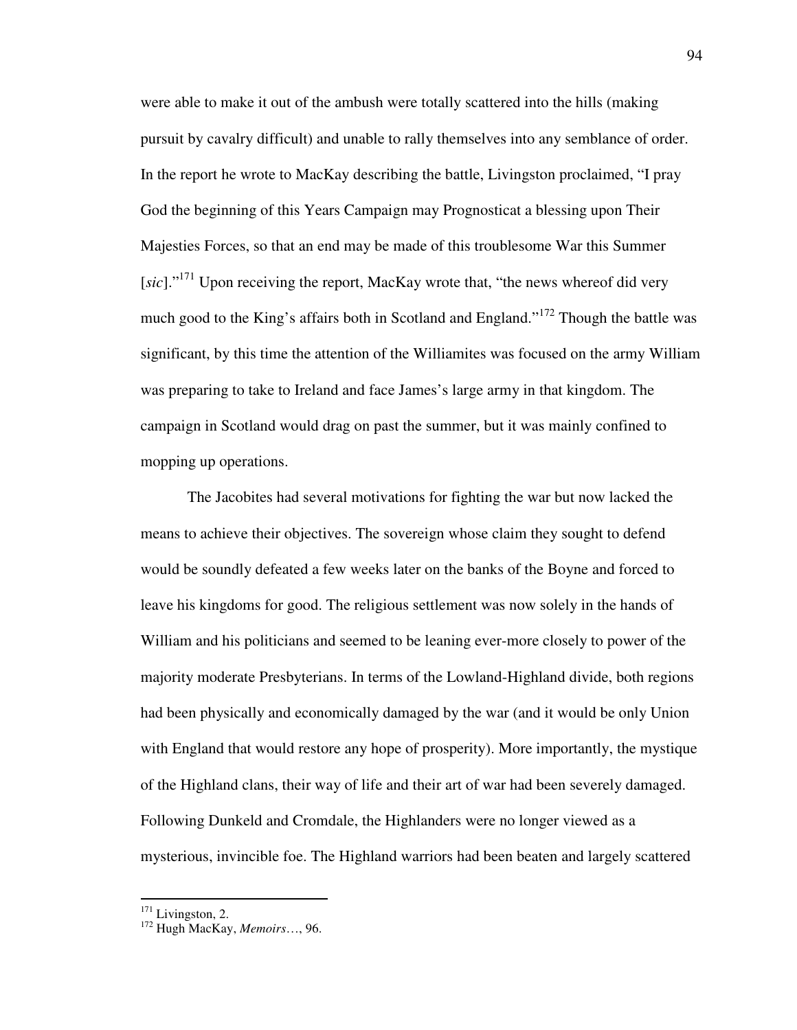were able to make it out of the ambush were totally scattered into the hills (making pursuit by cavalry difficult) and unable to rally themselves into any semblance of order. In the report he wrote to MacKay describing the battle, Livingston proclaimed, "I pray God the beginning of this Years Campaign may Prognosticat a blessing upon Their Majesties Forces, so that an end may be made of this troublesome War this Summer [sic]."<sup>171</sup> Upon receiving the report, MacKay wrote that, "the news whereof did very much good to the King's affairs both in Scotland and England."<sup>172</sup> Though the battle was significant, by this time the attention of the Williamites was focused on the army William was preparing to take to Ireland and face James's large army in that kingdom. The campaign in Scotland would drag on past the summer, but it was mainly confined to mopping up operations.

The Jacobites had several motivations for fighting the war but now lacked the means to achieve their objectives. The sovereign whose claim they sought to defend would be soundly defeated a few weeks later on the banks of the Boyne and forced to leave his kingdoms for good. The religious settlement was now solely in the hands of William and his politicians and seemed to be leaning ever-more closely to power of the majority moderate Presbyterians. In terms of the Lowland-Highland divide, both regions had been physically and economically damaged by the war (and it would be only Union with England that would restore any hope of prosperity). More importantly, the mystique of the Highland clans, their way of life and their art of war had been severely damaged. Following Dunkeld and Cromdale, the Highlanders were no longer viewed as a mysterious, invincible foe. The Highland warriors had been beaten and largely scattered

 $171$  Livingston, 2.

<sup>172</sup> Hugh MacKay, *Memoirs*…, 96.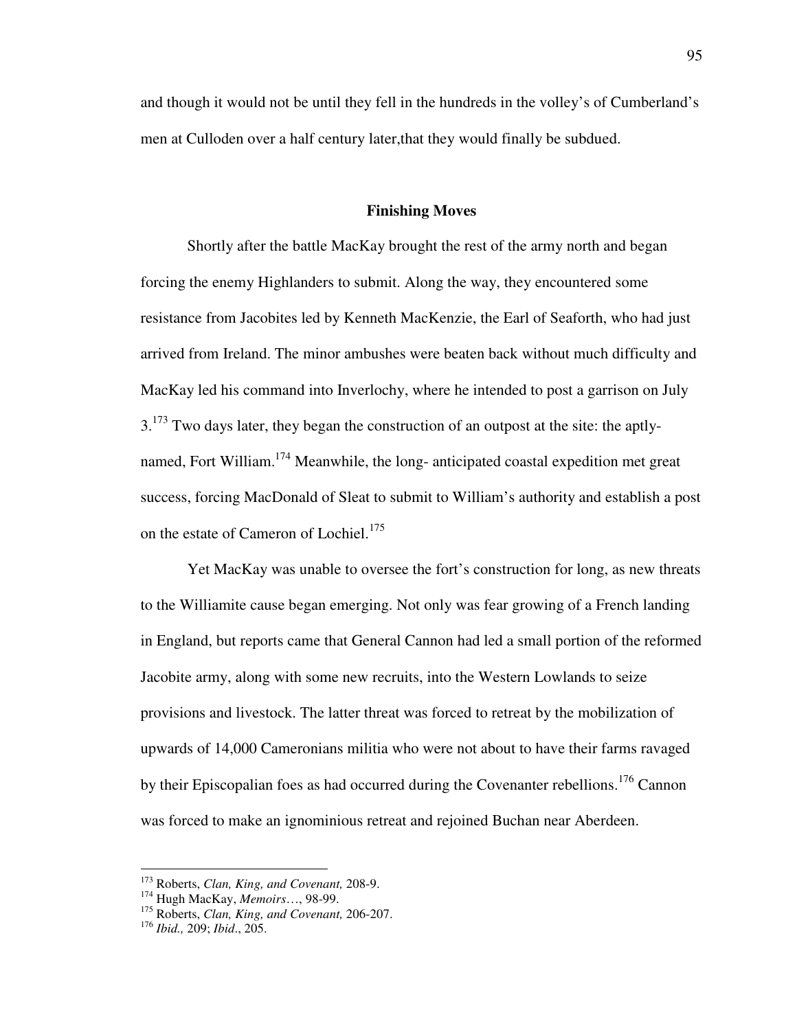and though it would not be until they fell in the hundreds in the volley's of Cumberland's men at Culloden over a half century later,that they would finally be subdued.

### **Finishing Moves**

 Shortly after the battle MacKay brought the rest of the army north and began forcing the enemy Highlanders to submit. Along the way, they encountered some resistance from Jacobites led by Kenneth MacKenzie, the Earl of Seaforth, who had just arrived from Ireland. The minor ambushes were beaten back without much difficulty and MacKay led his command into Inverlochy, where he intended to post a garrison on July  $3.173$  Two days later, they began the construction of an outpost at the site: the aptlynamed, Fort William.<sup>174</sup> Meanwhile, the long- anticipated coastal expedition met great success, forcing MacDonald of Sleat to submit to William's authority and establish a post on the estate of Cameron of Lochiel.<sup>175</sup>

 Yet MacKay was unable to oversee the fort's construction for long, as new threats to the Williamite cause began emerging. Not only was fear growing of a French landing in England, but reports came that General Cannon had led a small portion of the reformed Jacobite army, along with some new recruits, into the Western Lowlands to seize provisions and livestock. The latter threat was forced to retreat by the mobilization of upwards of 14,000 Cameronians militia who were not about to have their farms ravaged by their Episcopalian foes as had occurred during the Covenanter rebellions.<sup>176</sup> Cannon was forced to make an ignominious retreat and rejoined Buchan near Aberdeen.

<sup>173</sup> Roberts, *Clan, King, and Covenant,* 208-9.

<sup>174</sup> Hugh MacKay, *Memoirs*…, 98-99.

<sup>175</sup> Roberts, *Clan, King, and Covenant,* 206-207.

<sup>176</sup> *Ibid.,* 209; *Ibid*., 205.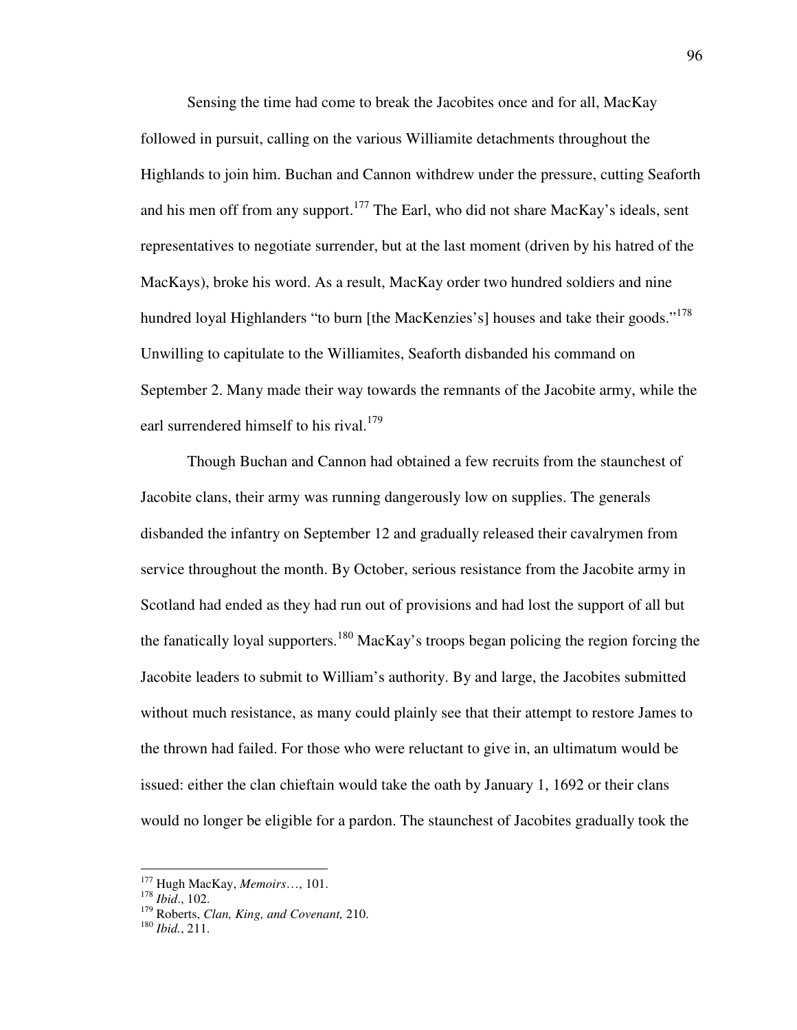Sensing the time had come to break the Jacobites once and for all, MacKay followed in pursuit, calling on the various Williamite detachments throughout the Highlands to join him. Buchan and Cannon withdrew under the pressure, cutting Seaforth and his men off from any support.<sup>177</sup> The Earl, who did not share MacKay's ideals, sent representatives to negotiate surrender, but at the last moment (driven by his hatred of the MacKays), broke his word. As a result, MacKay order two hundred soldiers and nine hundred loyal Highlanders "to burn [the MacKenzies's] houses and take their goods."<sup>178</sup> Unwilling to capitulate to the Williamites, Seaforth disbanded his command on September 2. Many made their way towards the remnants of the Jacobite army, while the earl surrendered himself to his rival.<sup>179</sup>

 Though Buchan and Cannon had obtained a few recruits from the staunchest of Jacobite clans, their army was running dangerously low on supplies. The generals disbanded the infantry on September 12 and gradually released their cavalrymen from service throughout the month. By October, serious resistance from the Jacobite army in Scotland had ended as they had run out of provisions and had lost the support of all but the fanatically loyal supporters.<sup>180</sup> MacKay's troops began policing the region forcing the Jacobite leaders to submit to William's authority. By and large, the Jacobites submitted without much resistance, as many could plainly see that their attempt to restore James to the thrown had failed. For those who were reluctant to give in, an ultimatum would be issued: either the clan chieftain would take the oath by January 1, 1692 or their clans would no longer be eligible for a pardon. The staunchest of Jacobites gradually took the

<sup>177</sup> Hugh MacKay, *Memoirs*…, 101.

<sup>178</sup> *Ibid*., 102.

<sup>179</sup> Roberts, *Clan, King, and Covenant,* 210.

<sup>180</sup> *Ibid.*, 211.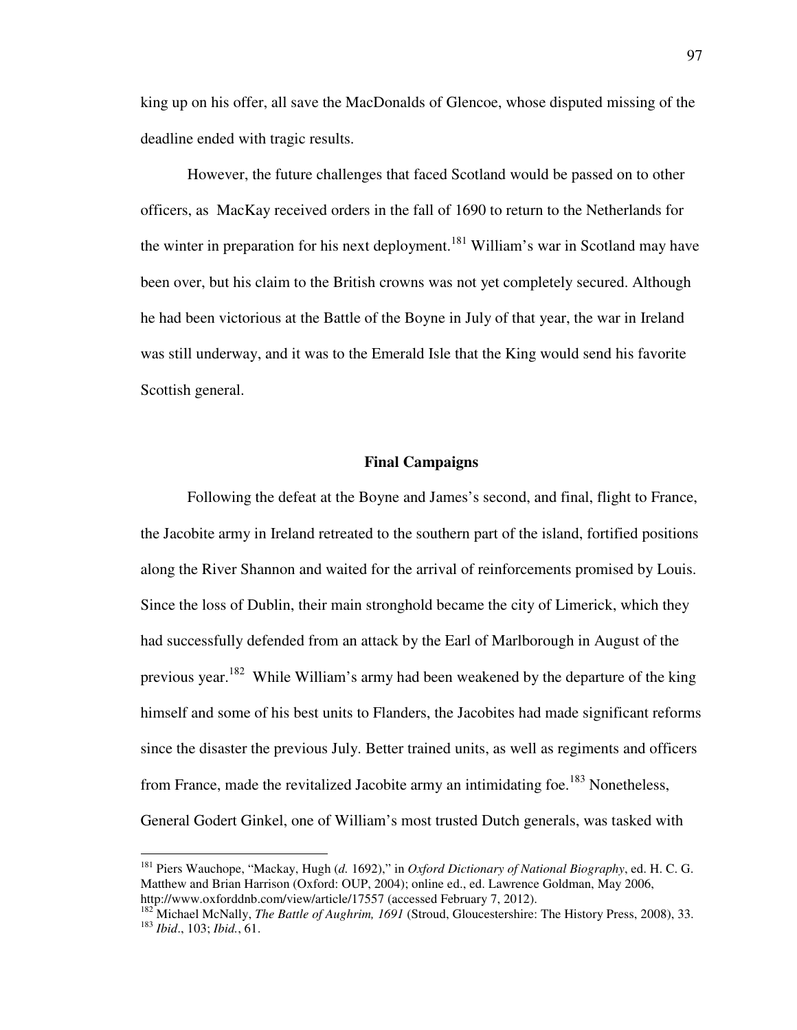king up on his offer, all save the MacDonalds of Glencoe, whose disputed missing of the deadline ended with tragic results.

However, the future challenges that faced Scotland would be passed on to other officers, as MacKay received orders in the fall of 1690 to return to the Netherlands for the winter in preparation for his next deployment.<sup>181</sup> William's war in Scotland may have been over, but his claim to the British crowns was not yet completely secured. Although he had been victorious at the Battle of the Boyne in July of that year, the war in Ireland was still underway, and it was to the Emerald Isle that the King would send his favorite Scottish general.

## **Final Campaigns**

 Following the defeat at the Boyne and James's second, and final, flight to France, the Jacobite army in Ireland retreated to the southern part of the island, fortified positions along the River Shannon and waited for the arrival of reinforcements promised by Louis. Since the loss of Dublin, their main stronghold became the city of Limerick, which they had successfully defended from an attack by the Earl of Marlborough in August of the previous year.<sup>182</sup> While William's army had been weakened by the departure of the king himself and some of his best units to Flanders, the Jacobites had made significant reforms since the disaster the previous July. Better trained units, as well as regiments and officers from France, made the revitalized Jacobite army an intimidating foe.<sup>183</sup> Nonetheless, General Godert Ginkel, one of William's most trusted Dutch generals, was tasked with

<sup>181</sup> Piers Wauchope, "Mackay, Hugh (*d.* 1692)," in *Oxford Dictionary of National Biography*, ed. H. C. G. Matthew and Brian Harrison (Oxford: OUP, 2004); online ed., ed. Lawrence Goldman, May 2006, http://www.oxforddnb.com/view/article/17557 (accessed February 7, 2012).

<sup>&</sup>lt;sup>182</sup> Michael McNally, *The Battle of Aughrim, 1691* (Stroud, Gloucestershire: The History Press, 2008), 33. <sup>183</sup> *Ibid*., 103; *Ibid.*, 61.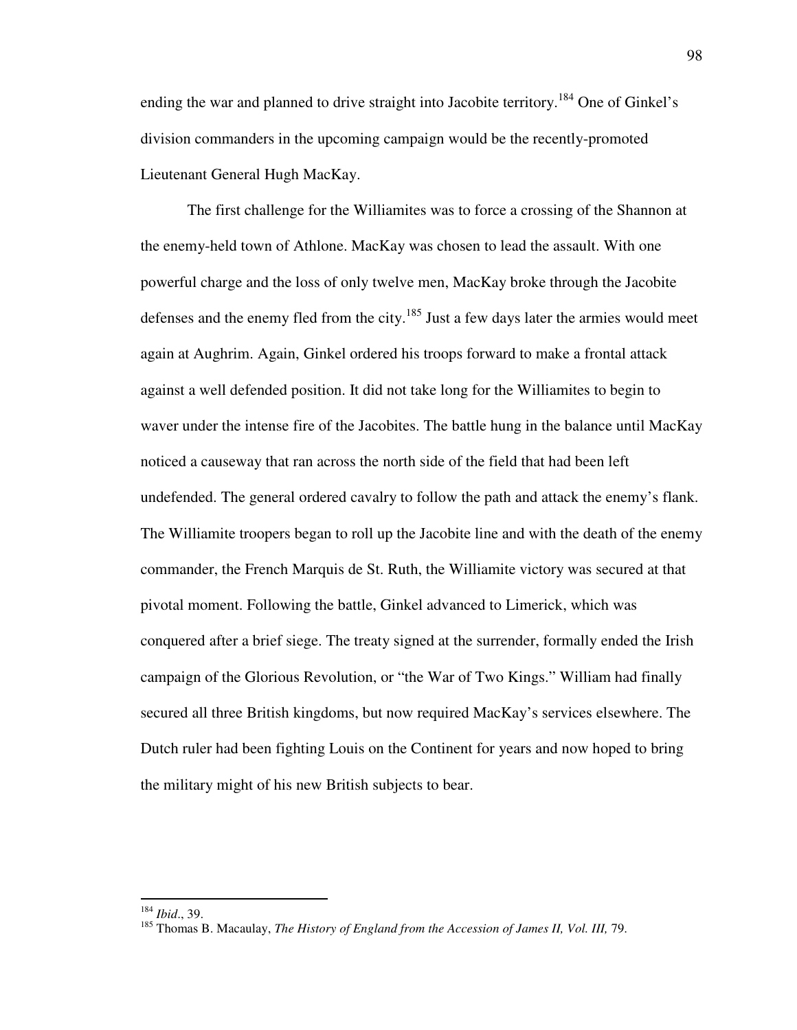ending the war and planned to drive straight into Jacobite territory.<sup>184</sup> One of Ginkel's division commanders in the upcoming campaign would be the recently-promoted Lieutenant General Hugh MacKay.

The first challenge for the Williamites was to force a crossing of the Shannon at the enemy-held town of Athlone. MacKay was chosen to lead the assault. With one powerful charge and the loss of only twelve men, MacKay broke through the Jacobite defenses and the enemy fled from the city.<sup>185</sup> Just a few days later the armies would meet again at Aughrim. Again, Ginkel ordered his troops forward to make a frontal attack against a well defended position. It did not take long for the Williamites to begin to waver under the intense fire of the Jacobites. The battle hung in the balance until MacKay noticed a causeway that ran across the north side of the field that had been left undefended. The general ordered cavalry to follow the path and attack the enemy's flank. The Williamite troopers began to roll up the Jacobite line and with the death of the enemy commander, the French Marquis de St. Ruth, the Williamite victory was secured at that pivotal moment. Following the battle, Ginkel advanced to Limerick, which was conquered after a brief siege. The treaty signed at the surrender, formally ended the Irish campaign of the Glorious Revolution, or "the War of Two Kings." William had finally secured all three British kingdoms, but now required MacKay's services elsewhere. The Dutch ruler had been fighting Louis on the Continent for years and now hoped to bring the military might of his new British subjects to bear.

<sup>184</sup> *Ibid*., 39.

<sup>&</sup>lt;sup>185</sup> Thomas B. Macaulay, *The History of England from the Accession of James II, Vol. III, 79.*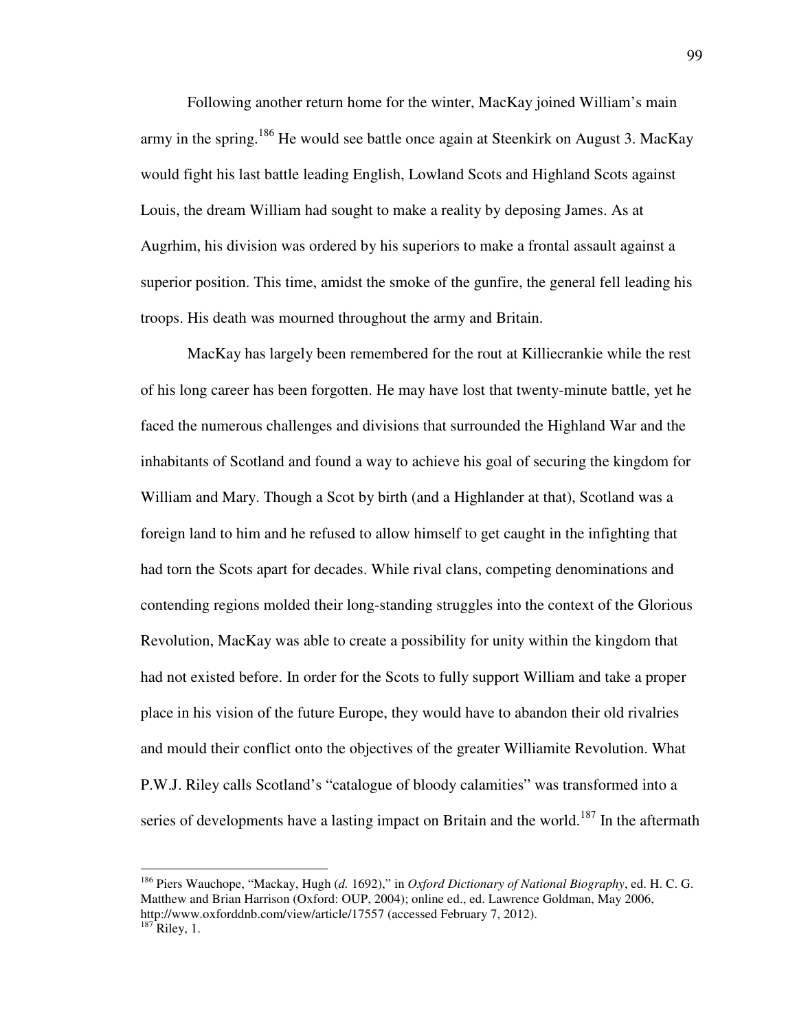Following another return home for the winter, MacKay joined William's main army in the spring.<sup>186</sup> He would see battle once again at Steenkirk on August 3. MacKay would fight his last battle leading English, Lowland Scots and Highland Scots against Louis, the dream William had sought to make a reality by deposing James. As at Augrhim, his division was ordered by his superiors to make a frontal assault against a superior position. This time, amidst the smoke of the gunfire, the general fell leading his troops. His death was mourned throughout the army and Britain.

MacKay has largely been remembered for the rout at Killiecrankie while the rest of his long career has been forgotten. He may have lost that twenty-minute battle, yet he faced the numerous challenges and divisions that surrounded the Highland War and the inhabitants of Scotland and found a way to achieve his goal of securing the kingdom for William and Mary. Though a Scot by birth (and a Highlander at that), Scotland was a foreign land to him and he refused to allow himself to get caught in the infighting that had torn the Scots apart for decades. While rival clans, competing denominations and contending regions molded their long-standing struggles into the context of the Glorious Revolution, MacKay was able to create a possibility for unity within the kingdom that had not existed before. In order for the Scots to fully support William and take a proper place in his vision of the future Europe, they would have to abandon their old rivalries and mould their conflict onto the objectives of the greater Williamite Revolution. What P.W.J. Riley calls Scotland's "catalogue of bloody calamities" was transformed into a series of developments have a lasting impact on Britain and the world.<sup>187</sup> In the aftermath

<sup>186</sup> Piers Wauchope, "Mackay, Hugh (*d.* 1692)," in *Oxford Dictionary of National Biography*, ed. H. C. G. Matthew and Brian Harrison (Oxford: OUP, 2004); online ed., ed. Lawrence Goldman, May 2006, http://www.oxforddnb.com/view/article/17557 (accessed February 7, 2012).

 $187$  Riley, 1.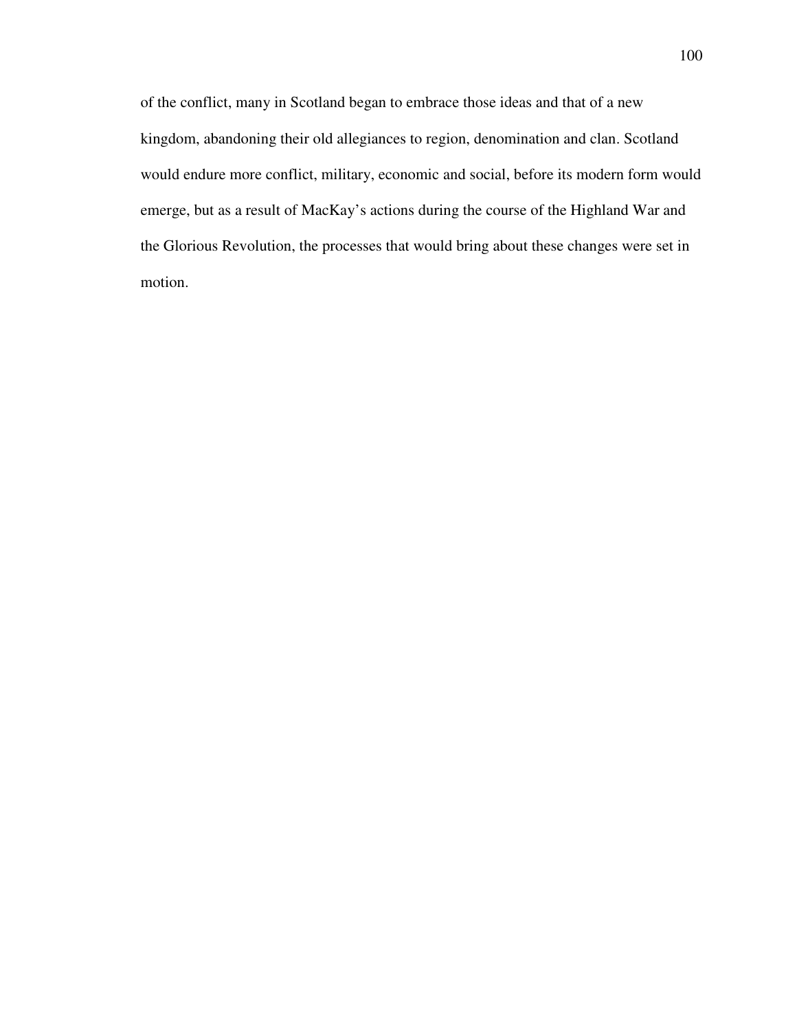of the conflict, many in Scotland began to embrace those ideas and that of a new kingdom, abandoning their old allegiances to region, denomination and clan. Scotland would endure more conflict, military, economic and social, before its modern form would emerge, but as a result of MacKay's actions during the course of the Highland War and the Glorious Revolution, the processes that would bring about these changes were set in motion.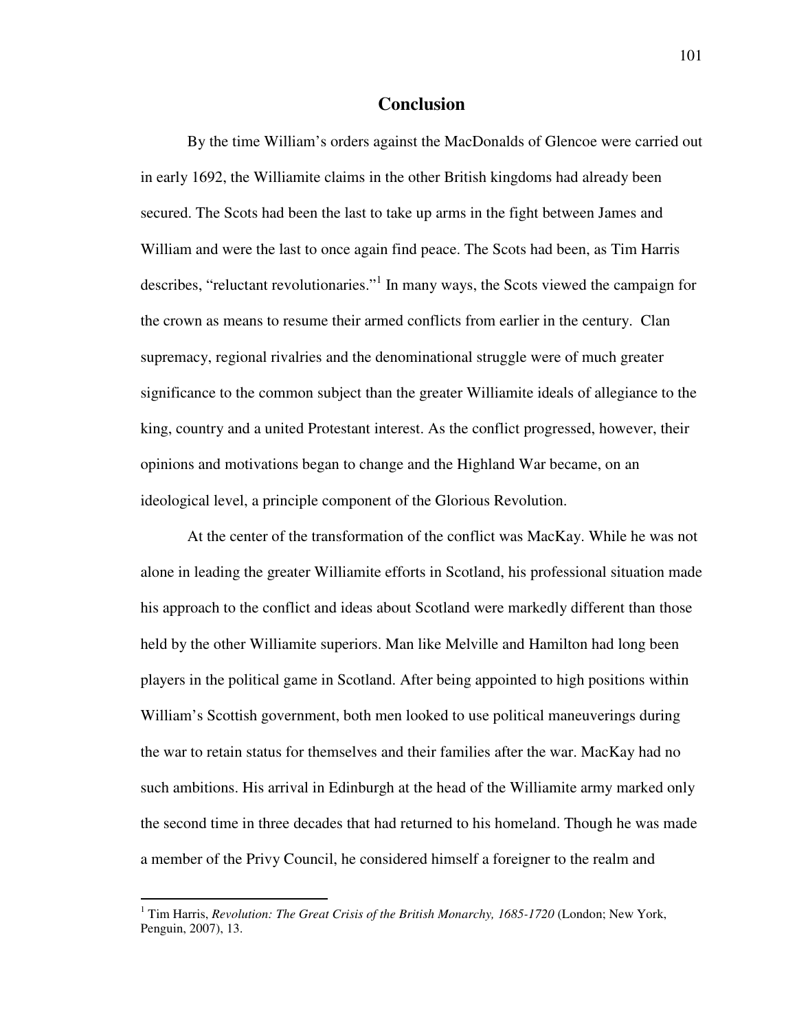# **Conclusion**

 By the time William's orders against the MacDonalds of Glencoe were carried out in early 1692, the Williamite claims in the other British kingdoms had already been secured. The Scots had been the last to take up arms in the fight between James and William and were the last to once again find peace. The Scots had been, as Tim Harris describes, "reluctant revolutionaries."<sup>1</sup> In many ways, the Scots viewed the campaign for the crown as means to resume their armed conflicts from earlier in the century. Clan supremacy, regional rivalries and the denominational struggle were of much greater significance to the common subject than the greater Williamite ideals of allegiance to the king, country and a united Protestant interest. As the conflict progressed, however, their opinions and motivations began to change and the Highland War became, on an ideological level, a principle component of the Glorious Revolution.

 At the center of the transformation of the conflict was MacKay. While he was not alone in leading the greater Williamite efforts in Scotland, his professional situation made his approach to the conflict and ideas about Scotland were markedly different than those held by the other Williamite superiors. Man like Melville and Hamilton had long been players in the political game in Scotland. After being appointed to high positions within William's Scottish government, both men looked to use political maneuverings during the war to retain status for themselves and their families after the war. MacKay had no such ambitions. His arrival in Edinburgh at the head of the Williamite army marked only the second time in three decades that had returned to his homeland. Though he was made a member of the Privy Council, he considered himself a foreigner to the realm and

<sup>&</sup>lt;sup>1</sup> Tim Harris, *Revolution: The Great Crisis of the British Monarchy, 1685-1720* (London; New York, Penguin, 2007), 13.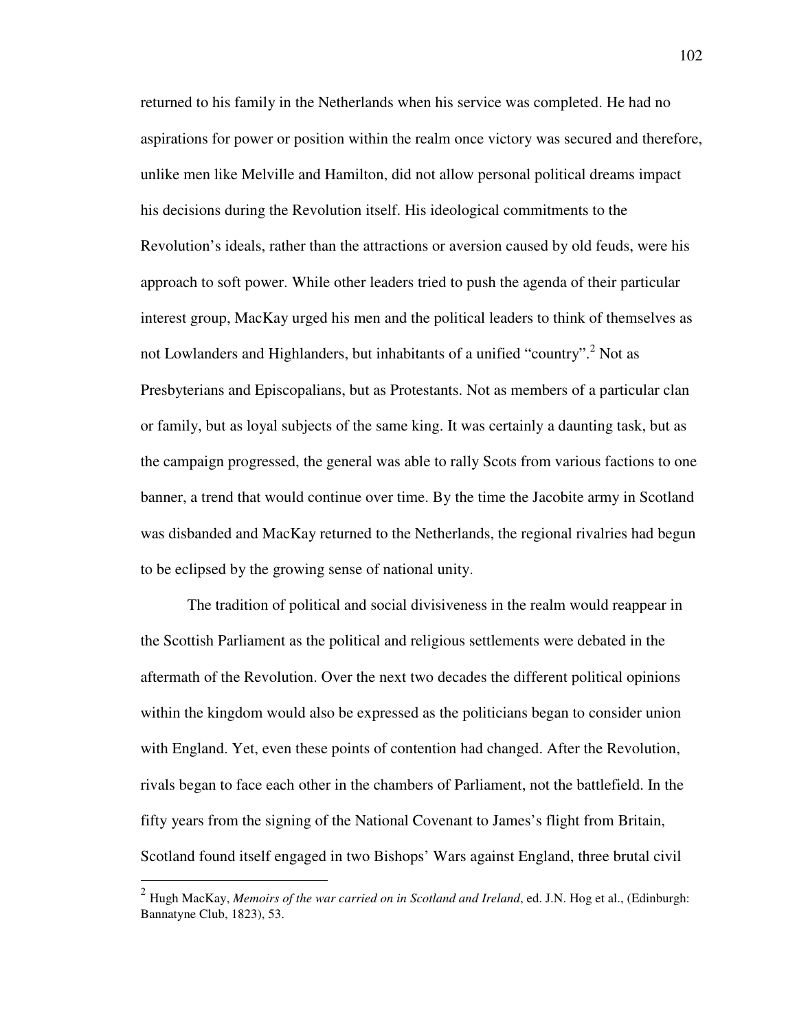returned to his family in the Netherlands when his service was completed. He had no aspirations for power or position within the realm once victory was secured and therefore, unlike men like Melville and Hamilton, did not allow personal political dreams impact his decisions during the Revolution itself. His ideological commitments to the Revolution's ideals, rather than the attractions or aversion caused by old feuds, were his approach to soft power. While other leaders tried to push the agenda of their particular interest group, MacKay urged his men and the political leaders to think of themselves as not Lowlanders and Highlanders, but inhabitants of a unified "country".<sup>2</sup> Not as Presbyterians and Episcopalians, but as Protestants. Not as members of a particular clan or family, but as loyal subjects of the same king. It was certainly a daunting task, but as the campaign progressed, the general was able to rally Scots from various factions to one banner, a trend that would continue over time. By the time the Jacobite army in Scotland was disbanded and MacKay returned to the Netherlands, the regional rivalries had begun to be eclipsed by the growing sense of national unity.

 The tradition of political and social divisiveness in the realm would reappear in the Scottish Parliament as the political and religious settlements were debated in the aftermath of the Revolution. Over the next two decades the different political opinions within the kingdom would also be expressed as the politicians began to consider union with England. Yet, even these points of contention had changed. After the Revolution, rivals began to face each other in the chambers of Parliament, not the battlefield. In the fifty years from the signing of the National Covenant to James's flight from Britain, Scotland found itself engaged in two Bishops' Wars against England, three brutal civil

<sup>2</sup> Hugh MacKay, *Memoirs of the war carried on in Scotland and Ireland*, ed. J.N. Hog et al., (Edinburgh: Bannatyne Club, 1823), 53.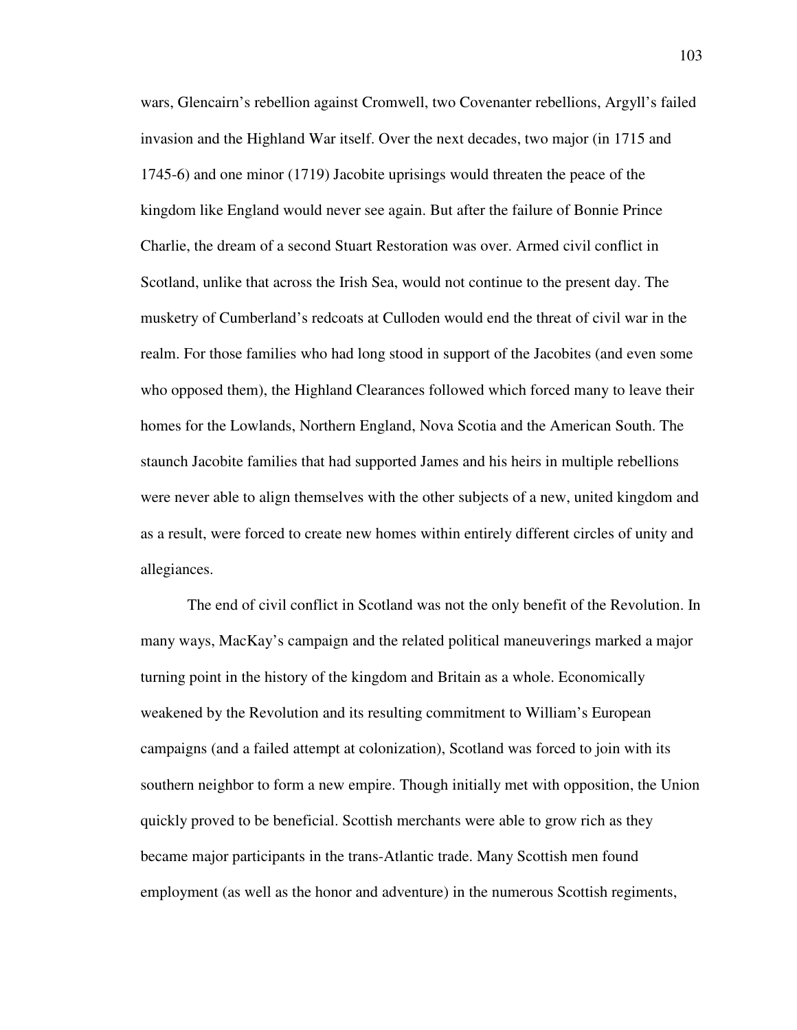wars, Glencairn's rebellion against Cromwell, two Covenanter rebellions, Argyll's failed invasion and the Highland War itself. Over the next decades, two major (in 1715 and 1745-6) and one minor (1719) Jacobite uprisings would threaten the peace of the kingdom like England would never see again. But after the failure of Bonnie Prince Charlie, the dream of a second Stuart Restoration was over. Armed civil conflict in Scotland, unlike that across the Irish Sea, would not continue to the present day. The musketry of Cumberland's redcoats at Culloden would end the threat of civil war in the realm. For those families who had long stood in support of the Jacobites (and even some who opposed them), the Highland Clearances followed which forced many to leave their homes for the Lowlands, Northern England, Nova Scotia and the American South. The staunch Jacobite families that had supported James and his heirs in multiple rebellions were never able to align themselves with the other subjects of a new, united kingdom and as a result, were forced to create new homes within entirely different circles of unity and allegiances.

 The end of civil conflict in Scotland was not the only benefit of the Revolution. In many ways, MacKay's campaign and the related political maneuverings marked a major turning point in the history of the kingdom and Britain as a whole. Economically weakened by the Revolution and its resulting commitment to William's European campaigns (and a failed attempt at colonization), Scotland was forced to join with its southern neighbor to form a new empire. Though initially met with opposition, the Union quickly proved to be beneficial. Scottish merchants were able to grow rich as they became major participants in the trans-Atlantic trade. Many Scottish men found employment (as well as the honor and adventure) in the numerous Scottish regiments,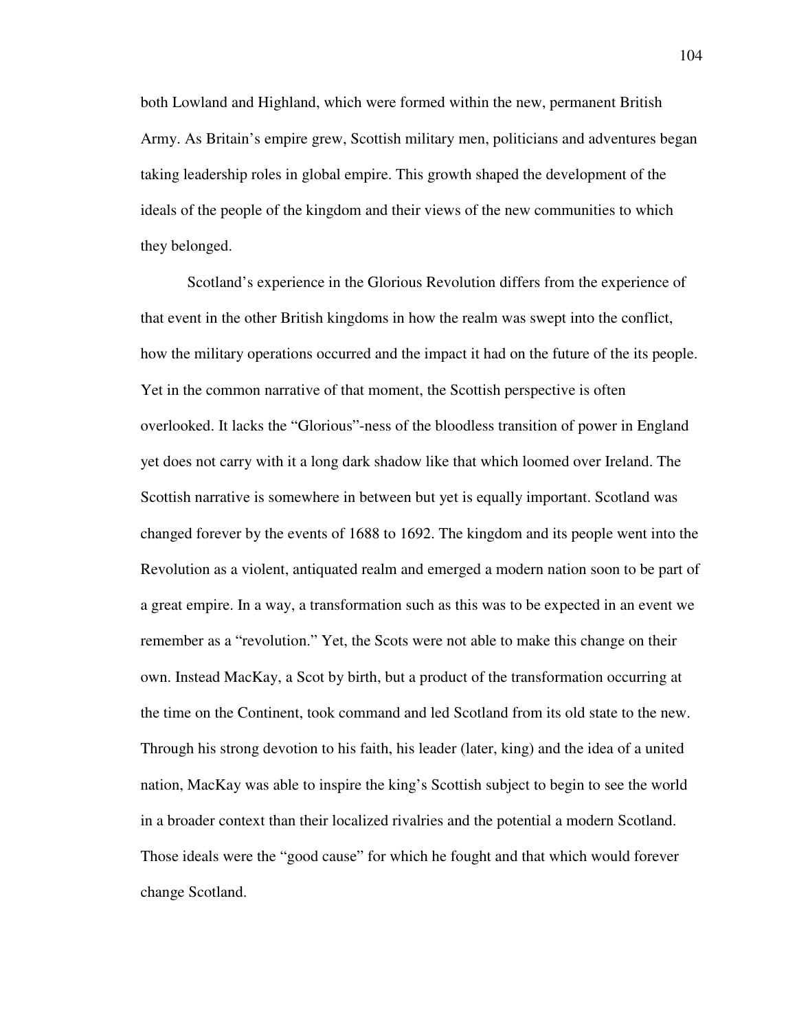both Lowland and Highland, which were formed within the new, permanent British Army. As Britain's empire grew, Scottish military men, politicians and adventures began taking leadership roles in global empire. This growth shaped the development of the ideals of the people of the kingdom and their views of the new communities to which they belonged.

 Scotland's experience in the Glorious Revolution differs from the experience of that event in the other British kingdoms in how the realm was swept into the conflict, how the military operations occurred and the impact it had on the future of the its people. Yet in the common narrative of that moment, the Scottish perspective is often overlooked. It lacks the "Glorious"-ness of the bloodless transition of power in England yet does not carry with it a long dark shadow like that which loomed over Ireland. The Scottish narrative is somewhere in between but yet is equally important. Scotland was changed forever by the events of 1688 to 1692. The kingdom and its people went into the Revolution as a violent, antiquated realm and emerged a modern nation soon to be part of a great empire. In a way, a transformation such as this was to be expected in an event we remember as a "revolution." Yet, the Scots were not able to make this change on their own. Instead MacKay, a Scot by birth, but a product of the transformation occurring at the time on the Continent, took command and led Scotland from its old state to the new. Through his strong devotion to his faith, his leader (later, king) and the idea of a united nation, MacKay was able to inspire the king's Scottish subject to begin to see the world in a broader context than their localized rivalries and the potential a modern Scotland. Those ideals were the "good cause" for which he fought and that which would forever change Scotland.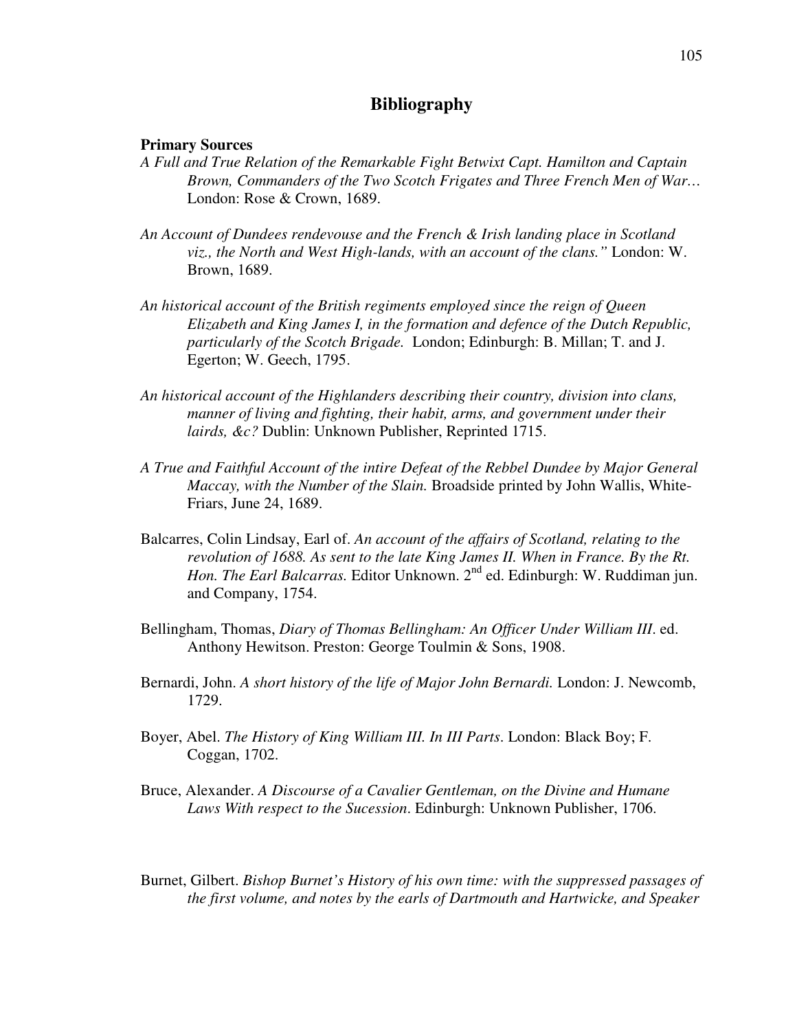## **Bibliography**

## **Primary Sources**

- *A Full and True Relation of the Remarkable Fight Betwixt Capt. Hamilton and Captain Brown, Commanders of the Two Scotch Frigates and Three French Men of War…* London: Rose & Crown, 1689.
- *An Account of Dundees rendevouse and the French & Irish landing place in Scotland viz., the North and West High-lands, with an account of the clans."* London: W. Brown, 1689.
- *An historical account of the British regiments employed since the reign of Queen Elizabeth and King James I, in the formation and defence of the Dutch Republic, particularly of the Scotch Brigade.* London; Edinburgh: B. Millan; T. and J. Egerton; W. Geech, 1795.
- *An historical account of the Highlanders describing their country, division into clans, manner of living and fighting, their habit, arms, and government under their lairds, &c?* Dublin: Unknown Publisher, Reprinted 1715.
- *A True and Faithful Account of the intire Defeat of the Rebbel Dundee by Major General Maccay, with the Number of the Slain.* Broadside printed by John Wallis, White-Friars, June 24, 1689.
- Balcarres, Colin Lindsay, Earl of. *An account of the affairs of Scotland, relating to the revolution of 1688. As sent to the late King James II. When in France. By the Rt. Hon. The Earl Balcarras.* Editor Unknown. 2<sup>nd</sup> ed. Edinburgh: W. Ruddiman jun. and Company, 1754.
- Bellingham, Thomas, *Diary of Thomas Bellingham: An Officer Under William III*. ed. Anthony Hewitson. Preston: George Toulmin & Sons, 1908.
- Bernardi, John. *A short history of the life of Major John Bernardi.* London: J. Newcomb, 1729.
- Boyer, Abel. *The History of King William III. In III Parts*. London: Black Boy; F. Coggan, 1702.
- Bruce, Alexander. *A Discourse of a Cavalier Gentleman, on the Divine and Humane Laws With respect to the Sucession*. Edinburgh: Unknown Publisher, 1706.
- Burnet, Gilbert. *Bishop Burnet's History of his own time: with the suppressed passages of the first volume, and notes by the earls of Dartmouth and Hartwicke, and Speaker*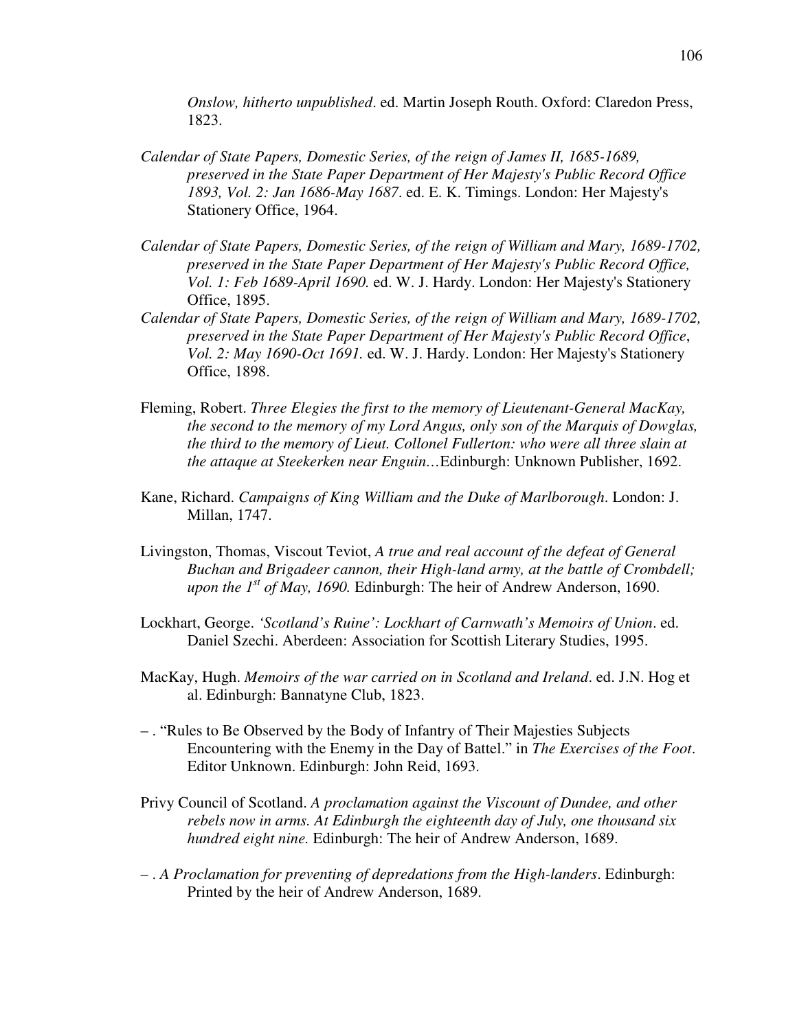*Onslow, hitherto unpublished*. ed. Martin Joseph Routh. Oxford: Claredon Press, 1823.

- *Calendar of State Papers, Domestic Series, of the reign of James II, 1685-1689, preserved in the State Paper Department of Her Majesty's Public Record Office 1893, Vol. 2: Jan 1686-May 1687*. ed. E. K. Timings. London: Her Majesty's Stationery Office, 1964.
- *Calendar of State Papers, Domestic Series, of the reign of William and Mary, 1689-1702, preserved in the State Paper Department of Her Majesty's Public Record Office, Vol. 1: Feb 1689-April 1690.* ed. W. J. Hardy. London: Her Majesty's Stationery Office, 1895.
- *Calendar of State Papers, Domestic Series, of the reign of William and Mary, 1689-1702, preserved in the State Paper Department of Her Majesty's Public Record Office*, *Vol. 2: May 1690-Oct 1691.* ed. W. J. Hardy. London: Her Majesty's Stationery Office, 1898.
- Fleming, Robert. *Three Elegies the first to the memory of Lieutenant-General MacKay, the second to the memory of my Lord Angus, only son of the Marquis of Dowglas, the third to the memory of Lieut. Collonel Fullerton: who were all three slain at the attaque at Steekerken near Enguin…*Edinburgh: Unknown Publisher, 1692.
- Kane, Richard. *Campaigns of King William and the Duke of Marlborough*. London: J. Millan, 1747.
- Livingston, Thomas, Viscout Teviot, *A true and real account of the defeat of General Buchan and Brigadeer cannon, their High-land army, at the battle of Crombdell; upon the 1st of May, 1690.* Edinburgh: The heir of Andrew Anderson, 1690.
- Lockhart, George. *'Scotland's Ruine': Lockhart of Carnwath's Memoirs of Union*. ed. Daniel Szechi. Aberdeen: Association for Scottish Literary Studies, 1995.
- MacKay, Hugh. *Memoirs of the war carried on in Scotland and Ireland*. ed. J.N. Hog et al. Edinburgh: Bannatyne Club, 1823.
- . "Rules to Be Observed by the Body of Infantry of Their Majesties Subjects Encountering with the Enemy in the Day of Battel." in *The Exercises of the Foot*. Editor Unknown. Edinburgh: John Reid, 1693.
- Privy Council of Scotland. *A proclamation against the Viscount of Dundee, and other rebels now in arms. At Edinburgh the eighteenth day of July, one thousand six hundred eight nine.* Edinburgh: The heir of Andrew Anderson, 1689.
- . *A Proclamation for preventing of depredations from the High-landers*. Edinburgh: Printed by the heir of Andrew Anderson, 1689.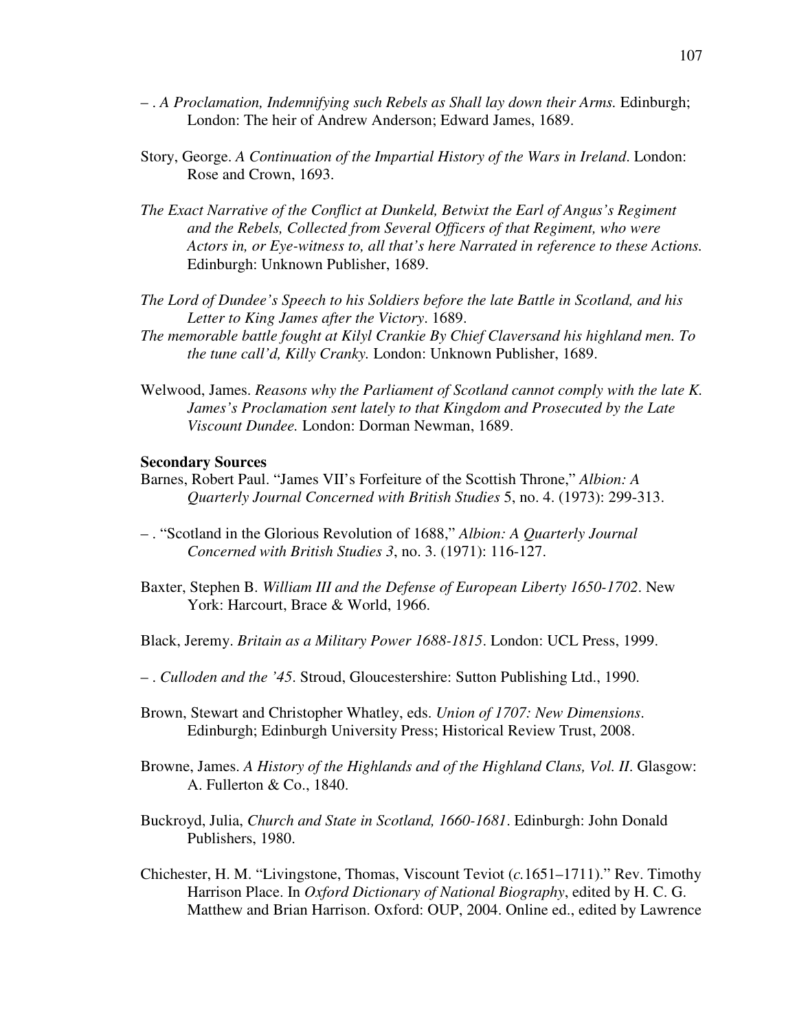- . *A Proclamation, Indemnifying such Rebels as Shall lay down their Arms.* Edinburgh; London: The heir of Andrew Anderson; Edward James, 1689.
- Story, George. *A Continuation of the Impartial History of the Wars in Ireland*. London: Rose and Crown, 1693.
- *The Exact Narrative of the Conflict at Dunkeld, Betwixt the Earl of Angus's Regiment and the Rebels, Collected from Several Officers of that Regiment, who were Actors in, or Eye-witness to, all that's here Narrated in reference to these Actions.* Edinburgh: Unknown Publisher, 1689.
- *The Lord of Dundee's Speech to his Soldiers before the late Battle in Scotland, and his Letter to King James after the Victory*. 1689.
- *The memorable battle fought at Kilyl Crankie By Chief Claversand his highland men. To the tune call'd, Killy Cranky.* London: Unknown Publisher, 1689.
- Welwood, James. *Reasons why the Parliament of Scotland cannot comply with the late K. James's Proclamation sent lately to that Kingdom and Prosecuted by the Late Viscount Dundee.* London: Dorman Newman, 1689.

## **Secondary Sources**

- Barnes, Robert Paul. "James VII's Forfeiture of the Scottish Throne," *Albion: A Quarterly Journal Concerned with British Studies* 5, no. 4. (1973): 299-313.
- . "Scotland in the Glorious Revolution of 1688," *Albion: A Quarterly Journal Concerned with British Studies 3*, no. 3. (1971): 116-127.
- Baxter, Stephen B. *William III and the Defense of European Liberty 1650-1702*. New York: Harcourt, Brace & World, 1966.
- Black, Jeremy. *Britain as a Military Power 1688-1815*. London: UCL Press, 1999.
- . *Culloden and the '45*. Stroud, Gloucestershire: Sutton Publishing Ltd., 1990.
- Brown, Stewart and Christopher Whatley, eds. *Union of 1707: New Dimensions*. Edinburgh; Edinburgh University Press; Historical Review Trust, 2008.
- Browne, James. *A History of the Highlands and of the Highland Clans, Vol. II*. Glasgow: A. Fullerton & Co., 1840.
- Buckroyd, Julia, *Church and State in Scotland, 1660-1681*. Edinburgh: John Donald Publishers, 1980.
- Chichester, H. M. "Livingstone, Thomas, Viscount Teviot (*c.*1651–1711)." Rev. Timothy Harrison Place. In *Oxford Dictionary of National Biography*, edited by H. C. G. Matthew and Brian Harrison. Oxford: OUP, 2004. Online ed., edited by Lawrence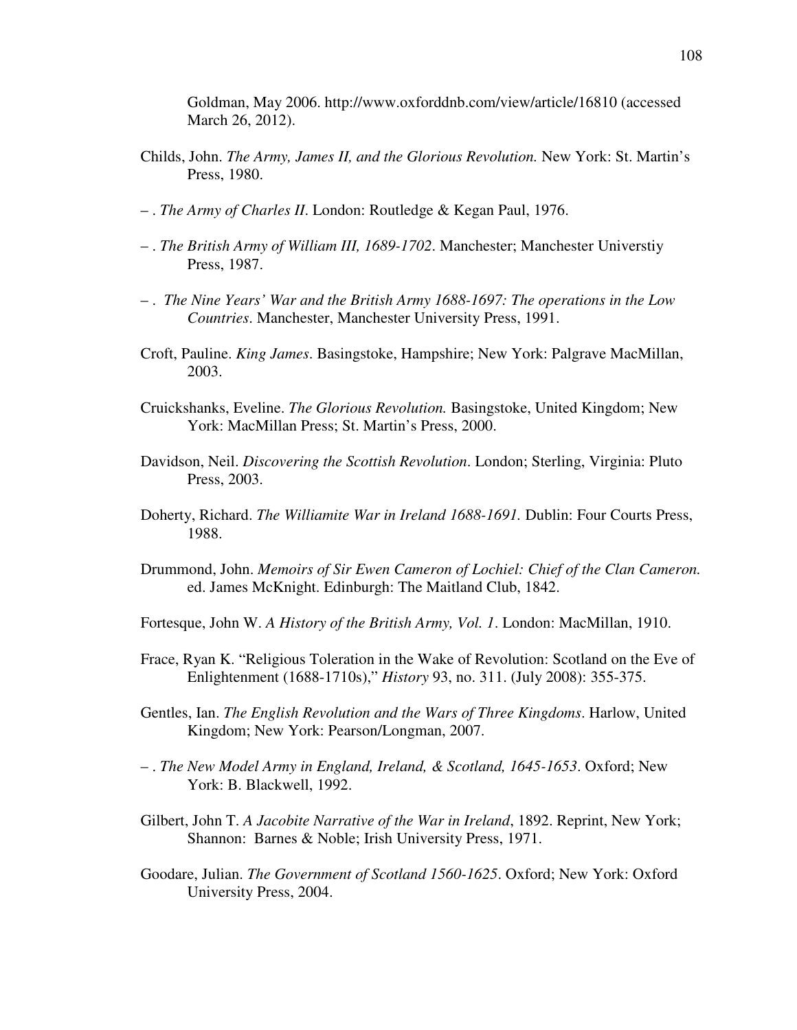Goldman, May 2006. http://www.oxforddnb.com/view/article/16810 (accessed March 26, 2012).

- Childs, John. *The Army, James II, and the Glorious Revolution.* New York: St. Martin's Press, 1980.
- . *The Army of Charles II*. London: Routledge & Kegan Paul, 1976.
- . *The British Army of William III, 1689-1702*. Manchester; Manchester Universtiy Press, 1987.
- . *The Nine Years' War and the British Army 1688-1697: The operations in the Low Countries*. Manchester, Manchester University Press, 1991.
- Croft, Pauline. *King James*. Basingstoke, Hampshire; New York: Palgrave MacMillan, 2003.
- Cruickshanks, Eveline. *The Glorious Revolution.* Basingstoke, United Kingdom; New York: MacMillan Press; St. Martin's Press, 2000.
- Davidson, Neil. *Discovering the Scottish Revolution*. London; Sterling, Virginia: Pluto Press, 2003.
- Doherty, Richard. *The Williamite War in Ireland 1688-1691.* Dublin: Four Courts Press, 1988.
- Drummond, John. *Memoirs of Sir Ewen Cameron of Lochiel: Chief of the Clan Cameron.* ed. James McKnight. Edinburgh: The Maitland Club, 1842.

Fortesque, John W. *A History of the British Army, Vol. 1*. London: MacMillan, 1910.

- Frace, Ryan K. "Religious Toleration in the Wake of Revolution: Scotland on the Eve of Enlightenment (1688-1710s)," *History* 93, no. 311. (July 2008): 355-375.
- Gentles, Ian. *The English Revolution and the Wars of Three Kingdoms*. Harlow, United Kingdom; New York: Pearson/Longman, 2007.
- . *The New Model Army in England, Ireland, & Scotland, 1645-1653*. Oxford; New York: B. Blackwell, 1992.
- Gilbert, John T. *A Jacobite Narrative of the War in Ireland*, 1892. Reprint, New York; Shannon: Barnes & Noble; Irish University Press, 1971.
- Goodare, Julian. *The Government of Scotland 1560-1625*. Oxford; New York: Oxford University Press, 2004.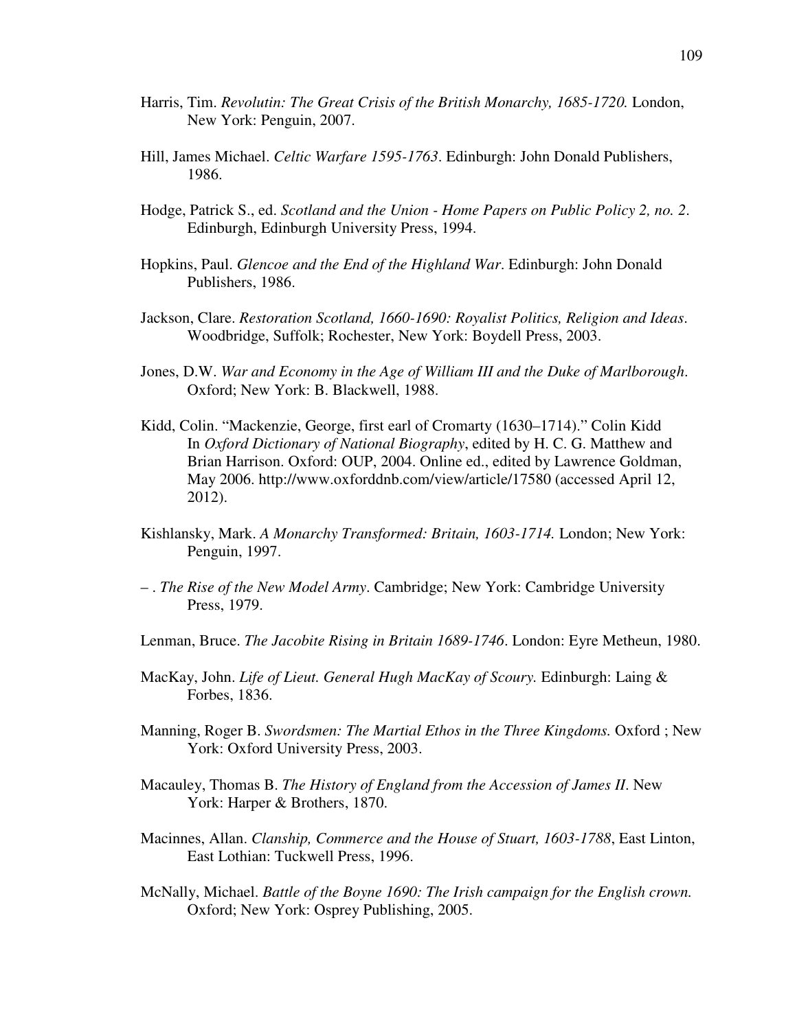- Harris, Tim. *Revolutin: The Great Crisis of the British Monarchy, 1685-1720.* London, New York: Penguin, 2007.
- Hill, James Michael. *Celtic Warfare 1595-1763*. Edinburgh: John Donald Publishers, 1986.
- Hodge, Patrick S., ed. *Scotland and the Union Home Papers on Public Policy 2, no. 2*. Edinburgh, Edinburgh University Press, 1994.
- Hopkins, Paul. *Glencoe and the End of the Highland War*. Edinburgh: John Donald Publishers, 1986.
- Jackson, Clare. *Restoration Scotland, 1660-1690: Royalist Politics, Religion and Ideas*. Woodbridge, Suffolk; Rochester, New York: Boydell Press, 2003.
- Jones, D.W. *War and Economy in the Age of William III and the Duke of Marlborough*. Oxford; New York: B. Blackwell, 1988.
- Kidd, Colin. "Mackenzie, George, first earl of Cromarty (1630–1714)." Colin Kidd In *Oxford Dictionary of National Biography*, edited by H. C. G. Matthew and Brian Harrison. Oxford: OUP, 2004. Online ed., edited by Lawrence Goldman, May 2006. http://www.oxforddnb.com/view/article/17580 (accessed April 12, 2012).
- Kishlansky, Mark. *A Monarchy Transformed: Britain, 1603-1714.* London; New York: Penguin, 1997.
- . *The Rise of the New Model Army*. Cambridge; New York: Cambridge University Press, 1979.
- Lenman, Bruce. *The Jacobite Rising in Britain 1689-1746*. London: Eyre Metheun, 1980.
- MacKay, John. *Life of Lieut. General Hugh MacKay of Scoury.* Edinburgh: Laing & Forbes, 1836.
- Manning, Roger B. *Swordsmen: The Martial Ethos in the Three Kingdoms.* Oxford ; New York: Oxford University Press, 2003.
- Macauley, Thomas B. *The History of England from the Accession of James II*. New York: Harper & Brothers, 1870.
- Macinnes, Allan. *Clanship, Commerce and the House of Stuart, 1603-1788*, East Linton, East Lothian: Tuckwell Press, 1996.
- McNally, Michael. *Battle of the Boyne 1690: The Irish campaign for the English crown.*  Oxford; New York: Osprey Publishing, 2005.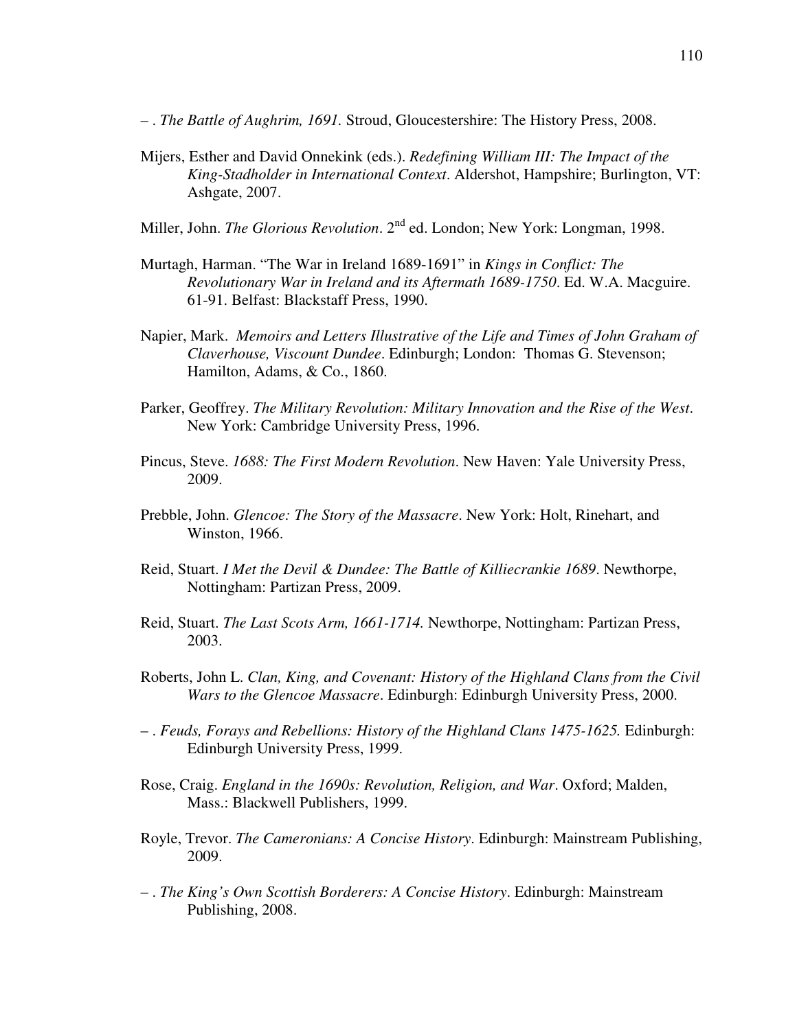- . *The Battle of Aughrim, 1691.* Stroud, Gloucestershire: The History Press, 2008.
- Mijers, Esther and David Onnekink (eds.). *Redefining William III: The Impact of the King-Stadholder in International Context*. Aldershot, Hampshire; Burlington, VT: Ashgate, 2007.
- Miller, John. *The Glorious Revolution*. 2<sup>nd</sup> ed. London; New York: Longman, 1998.
- Murtagh, Harman. "The War in Ireland 1689-1691" in *Kings in Conflict: The Revolutionary War in Ireland and its Aftermath 1689-1750*. Ed. W.A. Macguire. 61-91. Belfast: Blackstaff Press, 1990.
- Napier, Mark. *Memoirs and Letters Illustrative of the Life and Times of John Graham of Claverhouse, Viscount Dundee*. Edinburgh; London: Thomas G. Stevenson; Hamilton, Adams, & Co., 1860.
- Parker, Geoffrey. *The Military Revolution: Military Innovation and the Rise of the West*. New York: Cambridge University Press, 1996.
- Pincus, Steve. *1688: The First Modern Revolution*. New Haven: Yale University Press, 2009.
- Prebble, John. *Glencoe: The Story of the Massacre*. New York: Holt, Rinehart, and Winston, 1966.
- Reid, Stuart. *I Met the Devil & Dundee: The Battle of Killiecrankie 1689*. Newthorpe, Nottingham: Partizan Press, 2009.
- Reid, Stuart. *The Last Scots Arm, 1661-1714.* Newthorpe, Nottingham: Partizan Press, 2003.
- Roberts, John L. *Clan, King, and Covenant: History of the Highland Clans from the Civil Wars to the Glencoe Massacre*. Edinburgh: Edinburgh University Press, 2000.
- . *Feuds, Forays and Rebellions: History of the Highland Clans 1475-1625.* Edinburgh: Edinburgh University Press, 1999.
- Rose, Craig. *England in the 1690s: Revolution, Religion, and War*. Oxford; Malden, Mass.: Blackwell Publishers, 1999.
- Royle, Trevor. *The Cameronians: A Concise History*. Edinburgh: Mainstream Publishing, 2009.
- . *The King's Own Scottish Borderers: A Concise History*. Edinburgh: Mainstream Publishing, 2008.